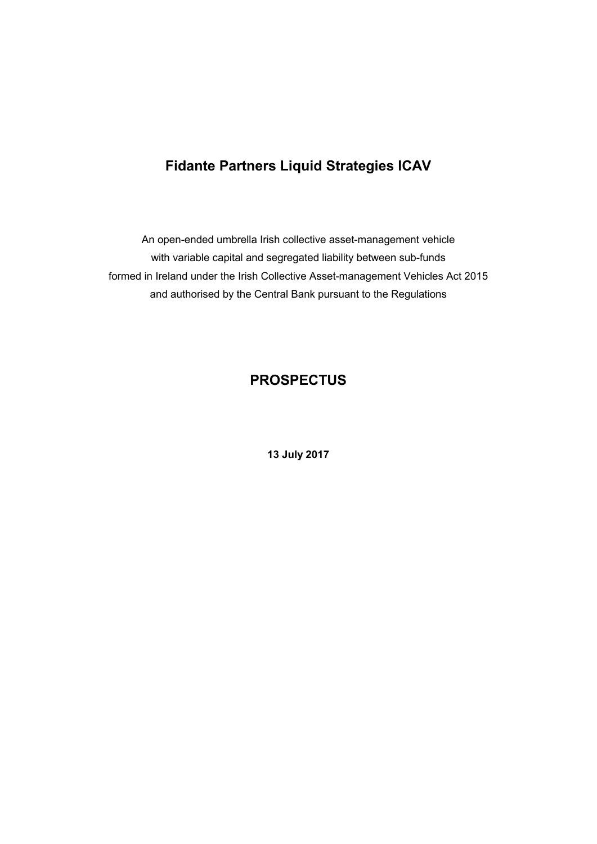# **Fidante Partners Liquid Strategies ICAV**

An open-ended umbrella Irish collective asset-management vehicle with variable capital and segregated liability between sub-funds formed in Ireland under the Irish Collective Asset-management Vehicles Act 2015 and authorised by the Central Bank pursuant to the Regulations

# **PROSPECTUS**

**13 July 2017**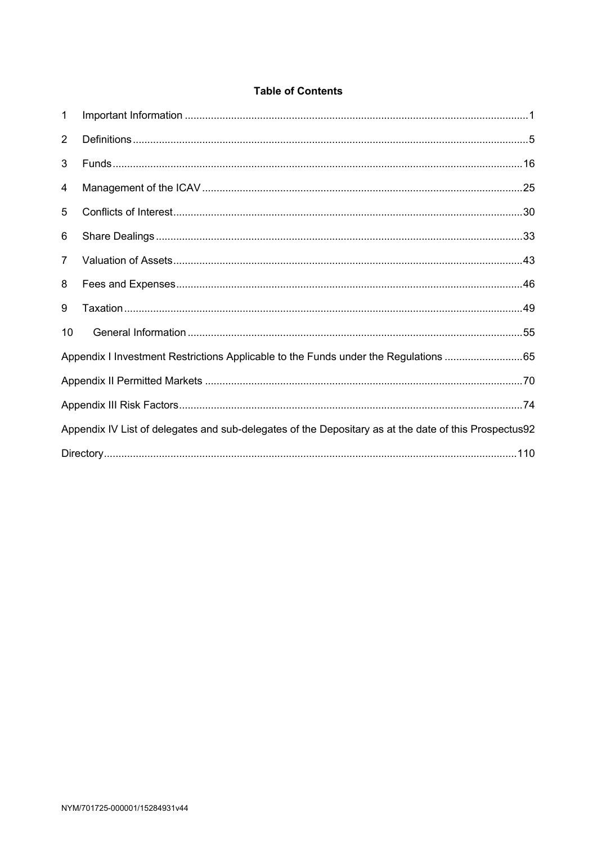# **Table of Contents**

| 1                                                                                                     |  |  |  |
|-------------------------------------------------------------------------------------------------------|--|--|--|
| $\overline{2}$                                                                                        |  |  |  |
| 3                                                                                                     |  |  |  |
| 4                                                                                                     |  |  |  |
| 5                                                                                                     |  |  |  |
| 6                                                                                                     |  |  |  |
| $\overline{7}$                                                                                        |  |  |  |
| 8                                                                                                     |  |  |  |
| 9                                                                                                     |  |  |  |
| 10                                                                                                    |  |  |  |
| Appendix I Investment Restrictions Applicable to the Funds under the Regulations 65                   |  |  |  |
|                                                                                                       |  |  |  |
|                                                                                                       |  |  |  |
| Appendix IV List of delegates and sub-delegates of the Depositary as at the date of this Prospectus92 |  |  |  |
|                                                                                                       |  |  |  |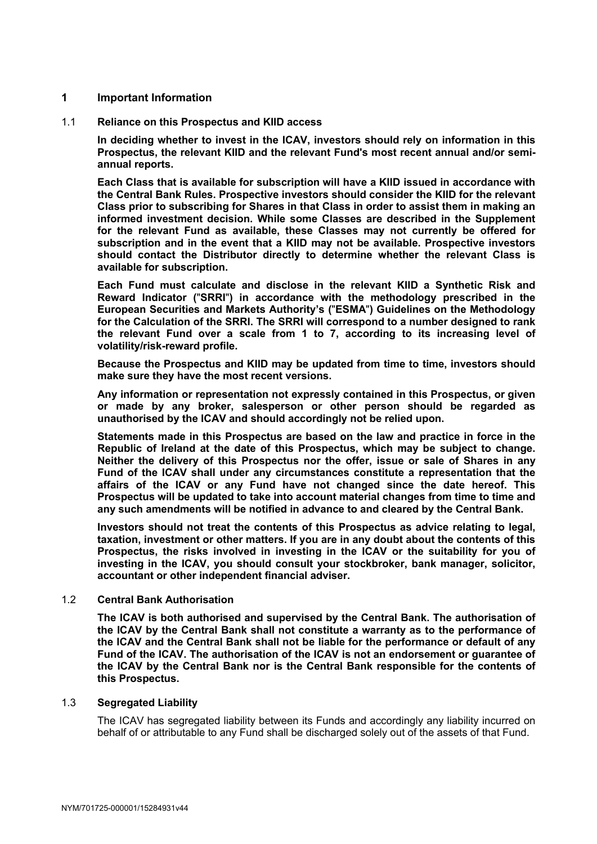#### **1 Important Information**

1.1 **Reliance on this Prospectus and KIID access**

**In deciding whether to invest in the ICAV, investors should rely on information in this Prospectus, the relevant KIID and the relevant Fund's most recent annual and/or semiannual reports.**

**Each Class that is available for subscription will have a KIID issued in accordance with the Central Bank Rules. Prospective investors should consider the KIID for the relevant Class prior to subscribing for Shares in that Class in order to assist them in making an informed investment decision. While some Classes are described in the Supplement for the relevant Fund as available, these Classes may not currently be offered for subscription and in the event that a KIID may not be available. Prospective investors should contact the Distributor directly to determine whether the relevant Class is available for subscription.** 

**Each Fund must calculate and disclose in the relevant KIID a Synthetic Risk and Reward Indicator (**"**SRRI**"**) in accordance with the methodology prescribed in the European Securities and Markets Authority's (**"**ESMA**"**) Guidelines on the Methodology for the Calculation of the SRRI. The SRRI will correspond to a number designed to rank the relevant Fund over a scale from 1 to 7, according to its increasing level of volatility/risk-reward profile.**

**Because the Prospectus and KIID may be updated from time to time, investors should make sure they have the most recent versions.**

**Any information or representation not expressly contained in this Prospectus, or given or made by any broker, salesperson or other person should be regarded as unauthorised by the ICAV and should accordingly not be relied upon.** 

**Statements made in this Prospectus are based on the law and practice in force in the Republic of Ireland at the date of this Prospectus, which may be subject to change. Neither the delivery of this Prospectus nor the offer, issue or sale of Shares in any Fund of the ICAV shall under any circumstances constitute a representation that the affairs of the ICAV or any Fund have not changed since the date hereof. This Prospectus will be updated to take into account material changes from time to time and any such amendments will be notified in advance to and cleared by the Central Bank.**

**Investors should not treat the contents of this Prospectus as advice relating to legal, taxation, investment or other matters. If you are in any doubt about the contents of this Prospectus, the risks involved in investing in the ICAV or the suitability for you of investing in the ICAV, you should consult your stockbroker, bank manager, solicitor, accountant or other independent financial adviser.** 

#### 1.2 **Central Bank Authorisation**

**The ICAV is both authorised and supervised by the Central Bank. The authorisation of the ICAV by the Central Bank shall not constitute a warranty as to the performance of the ICAV and the Central Bank shall not be liable for the performance or default of any Fund of the ICAV. The authorisation of the ICAV is not an endorsement or guarantee of the ICAV by the Central Bank nor is the Central Bank responsible for the contents of this Prospectus.** 

#### 1.3 **Segregated Liability**

The ICAV has segregated liability between its Funds and accordingly any liability incurred on behalf of or attributable to any Fund shall be discharged solely out of the assets of that Fund.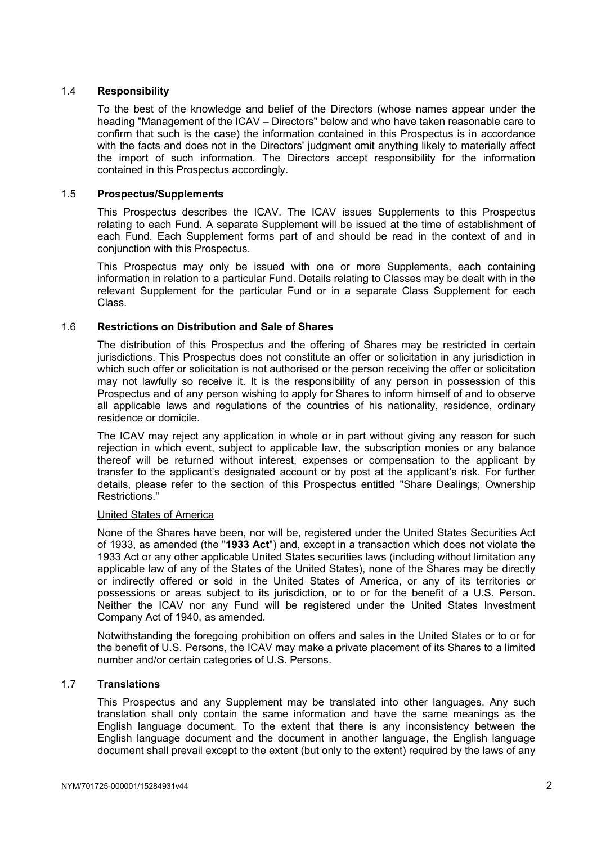# 1.4 **Responsibility**

To the best of the knowledge and belief of the Directors (whose names appear under the heading "Management of the ICAV – Directors" below and who have taken reasonable care to confirm that such is the case) the information contained in this Prospectus is in accordance with the facts and does not in the Directors' judgment omit anything likely to materially affect the import of such information. The Directors accept responsibility for the information contained in this Prospectus accordingly.

# 1.5 **Prospectus/Supplements**

This Prospectus describes the ICAV. The ICAV issues Supplements to this Prospectus relating to each Fund. A separate Supplement will be issued at the time of establishment of each Fund. Each Supplement forms part of and should be read in the context of and in conjunction with this Prospectus.

This Prospectus may only be issued with one or more Supplements, each containing information in relation to a particular Fund. Details relating to Classes may be dealt with in the relevant Supplement for the particular Fund or in a separate Class Supplement for each Class.

# 1.6 **Restrictions on Distribution and Sale of Shares**

The distribution of this Prospectus and the offering of Shares may be restricted in certain jurisdictions. This Prospectus does not constitute an offer or solicitation in any jurisdiction in which such offer or solicitation is not authorised or the person receiving the offer or solicitation may not lawfully so receive it. It is the responsibility of any person in possession of this Prospectus and of any person wishing to apply for Shares to inform himself of and to observe all applicable laws and regulations of the countries of his nationality, residence, ordinary residence or domicile.

The ICAV may reject any application in whole or in part without giving any reason for such rejection in which event, subject to applicable law, the subscription monies or any balance thereof will be returned without interest, expenses or compensation to the applicant by transfer to the applicant's designated account or by post at the applicant's risk. For further details, please refer to the section of this Prospectus entitled "Share Dealings; Ownership Restrictions."

# United States of America

None of the Shares have been, nor will be, registered under the United States Securities Act of 1933, as amended (the "**1933 Act**") and, except in a transaction which does not violate the 1933 Act or any other applicable United States securities laws (including without limitation any applicable law of any of the States of the United States), none of the Shares may be directly or indirectly offered or sold in the United States of America, or any of its territories or possessions or areas subject to its jurisdiction, or to or for the benefit of a U.S. Person. Neither the ICAV nor any Fund will be registered under the United States Investment Company Act of 1940, as amended.

Notwithstanding the foregoing prohibition on offers and sales in the United States or to or for the benefit of U.S. Persons, the ICAV may make a private placement of its Shares to a limited number and/or certain categories of U.S. Persons.

# 1.7 **Translations**

This Prospectus and any Supplement may be translated into other languages. Any such translation shall only contain the same information and have the same meanings as the English language document. To the extent that there is any inconsistency between the English language document and the document in another language, the English language document shall prevail except to the extent (but only to the extent) required by the laws of any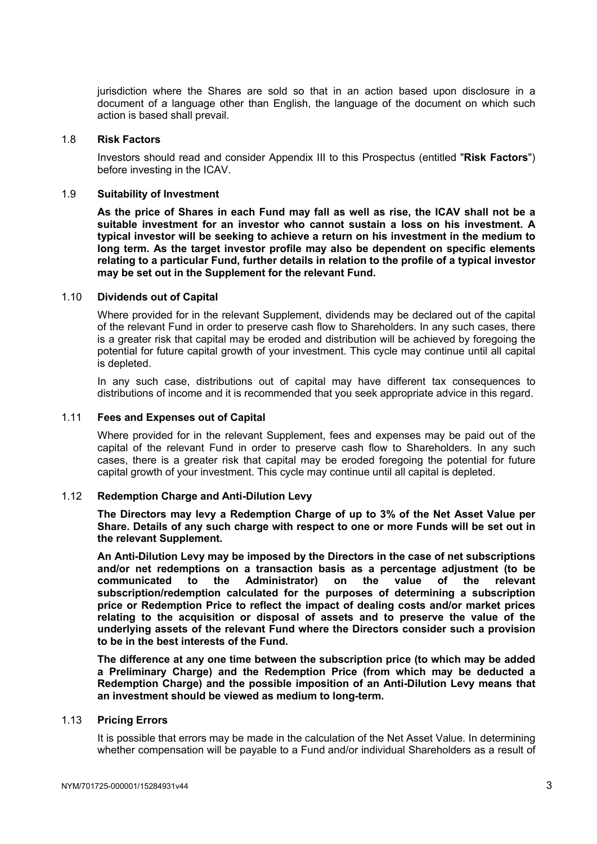jurisdiction where the Shares are sold so that in an action based upon disclosure in a document of a language other than English, the language of the document on which such action is based shall prevail.

#### 1.8 **Risk Factors**

Investors should read and consider Appendix III to this Prospectus (entitled "**Risk Factors**") before investing in the ICAV.

#### 1.9 **Suitability of Investment**

**As the price of Shares in each Fund may fall as well as rise, the ICAV shall not be a suitable investment for an investor who cannot sustain a loss on his investment. A typical investor will be seeking to achieve a return on his investment in the medium to long term. As the target investor profile may also be dependent on specific elements relating to a particular Fund, further details in relation to the profile of a typical investor may be set out in the Supplement for the relevant Fund.** 

#### 1.10 **Dividends out of Capital**

Where provided for in the relevant Supplement, dividends may be declared out of the capital of the relevant Fund in order to preserve cash flow to Shareholders. In any such cases, there is a greater risk that capital may be eroded and distribution will be achieved by foregoing the potential for future capital growth of your investment. This cycle may continue until all capital is depleted.

In any such case, distributions out of capital may have different tax consequences to distributions of income and it is recommended that you seek appropriate advice in this regard.

#### 1.11 **Fees and Expenses out of Capital**

Where provided for in the relevant Supplement, fees and expenses may be paid out of the capital of the relevant Fund in order to preserve cash flow to Shareholders. In any such cases, there is a greater risk that capital may be eroded foregoing the potential for future capital growth of your investment. This cycle may continue until all capital is depleted.

# 1.12 **Redemption Charge and Anti-Dilution Levy**

**The Directors may levy a Redemption Charge of up to 3% of the Net Asset Value per Share. Details of any such charge with respect to one or more Funds will be set out in the relevant Supplement.**

**An Anti-Dilution Levy may be imposed by the Directors in the case of net subscriptions and/or net redemptions on a transaction basis as a percentage adjustment (to be communicated to the Administrator) on the value of the relevant subscription/redemption calculated for the purposes of determining a subscription price or Redemption Price to reflect the impact of dealing costs and/or market prices relating to the acquisition or disposal of assets and to preserve the value of the underlying assets of the relevant Fund where the Directors consider such a provision to be in the best interests of the Fund.**

**The difference at any one time between the subscription price (to which may be added a Preliminary Charge) and the Redemption Price (from which may be deducted a Redemption Charge) and the possible imposition of an Anti-Dilution Levy means that an investment should be viewed as medium to long-term.** 

#### 1.13 **Pricing Errors**

It is possible that errors may be made in the calculation of the Net Asset Value. In determining whether compensation will be payable to a Fund and/or individual Shareholders as a result of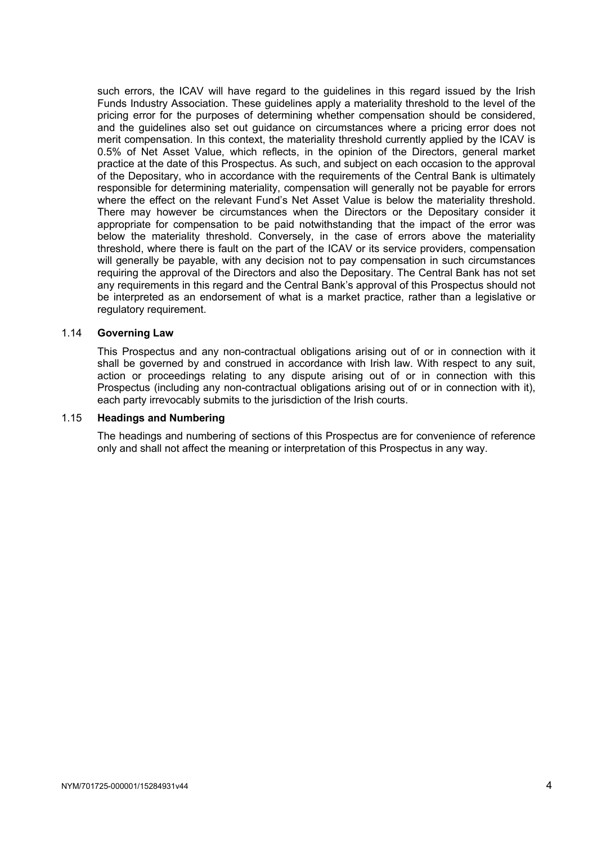such errors, the ICAV will have regard to the guidelines in this regard issued by the Irish Funds Industry Association. These guidelines apply a materiality threshold to the level of the pricing error for the purposes of determining whether compensation should be considered, and the guidelines also set out guidance on circumstances where a pricing error does not merit compensation. In this context, the materiality threshold currently applied by the ICAV is 0.5% of Net Asset Value, which reflects, in the opinion of the Directors, general market practice at the date of this Prospectus. As such, and subject on each occasion to the approval of the Depositary, who in accordance with the requirements of the Central Bank is ultimately responsible for determining materiality, compensation will generally not be payable for errors where the effect on the relevant Fund's Net Asset Value is below the materiality threshold. There may however be circumstances when the Directors or the Depositary consider it appropriate for compensation to be paid notwithstanding that the impact of the error was below the materiality threshold. Conversely, in the case of errors above the materiality threshold, where there is fault on the part of the ICAV or its service providers, compensation will generally be payable, with any decision not to pay compensation in such circumstances requiring the approval of the Directors and also the Depositary. The Central Bank has not set any requirements in this regard and the Central Bank's approval of this Prospectus should not be interpreted as an endorsement of what is a market practice, rather than a legislative or regulatory requirement.

#### 1.14 **Governing Law**

This Prospectus and any non-contractual obligations arising out of or in connection with it shall be governed by and construed in accordance with Irish law. With respect to any suit, action or proceedings relating to any dispute arising out of or in connection with this Prospectus (including any non-contractual obligations arising out of or in connection with it), each party irrevocably submits to the jurisdiction of the Irish courts.

#### 1.15 **Headings and Numbering**

The headings and numbering of sections of this Prospectus are for convenience of reference only and shall not affect the meaning or interpretation of this Prospectus in any way.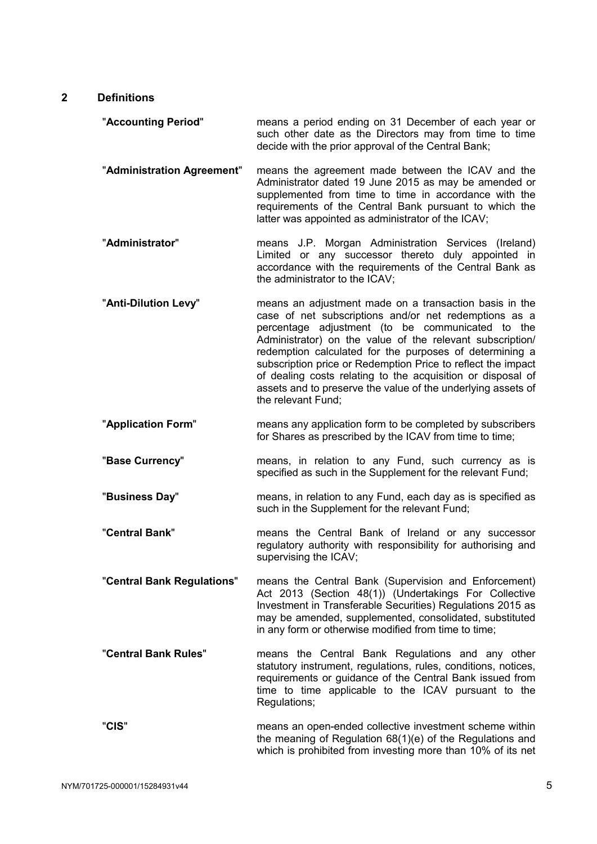# **2 Definitions**

"**Accounting Period**" means a period ending on 31 December of each year or such other date as the Directors may from time to time decide with the prior approval of the Central Bank;

"**Administration Agreement**" means the agreement made between the ICAV and the Administrator dated 19 June 2015 as may be amended or supplemented from time to time in accordance with the requirements of the Central Bank pursuant to which the latter was appointed as administrator of the ICAV;

- "**Administrator**" means J.P. Morgan Administration Services (Ireland) Limited or any successor thereto duly appointed in accordance with the requirements of the Central Bank as the administrator to the ICAV;
- "**Anti-Dilution Levy**" means an adjustment made on a transaction basis in the case of net subscriptions and/or net redemptions as a percentage adjustment (to be communicated to the Administrator) on the value of the relevant subscription/ redemption calculated for the purposes of determining a subscription price or Redemption Price to reflect the impact of dealing costs relating to the acquisition or disposal of assets and to preserve the value of the underlying assets of the relevant Fund;
- "**Application Form**" means any application form to be completed by subscribers for Shares as prescribed by the ICAV from time to time;
- "**Base Currency**" means, in relation to any Fund, such currency as is specified as such in the Supplement for the relevant Fund;
- "**Business Day**" means, in relation to any Fund, each day as is specified as such in the Supplement for the relevant Fund;
- "**Central Bank**" means the Central Bank of Ireland or any successor regulatory authority with responsibility for authorising and supervising the ICAV;
- "**Central Bank Regulations**" means the Central Bank (Supervision and Enforcement) Act 2013 (Section 48(1)) (Undertakings For Collective Investment in Transferable Securities) Regulations 2015 as may be amended, supplemented, consolidated, substituted in any form or otherwise modified from time to time;
- "**Central Bank Rules**" means the Central Bank Regulations and any other statutory instrument, regulations, rules, conditions, notices, requirements or guidance of the Central Bank issued from time to time applicable to the ICAV pursuant to the Regulations;
- "**CIS**" means an open-ended collective investment scheme within the meaning of Regulation 68(1)(e) of the Regulations and which is prohibited from investing more than 10% of its net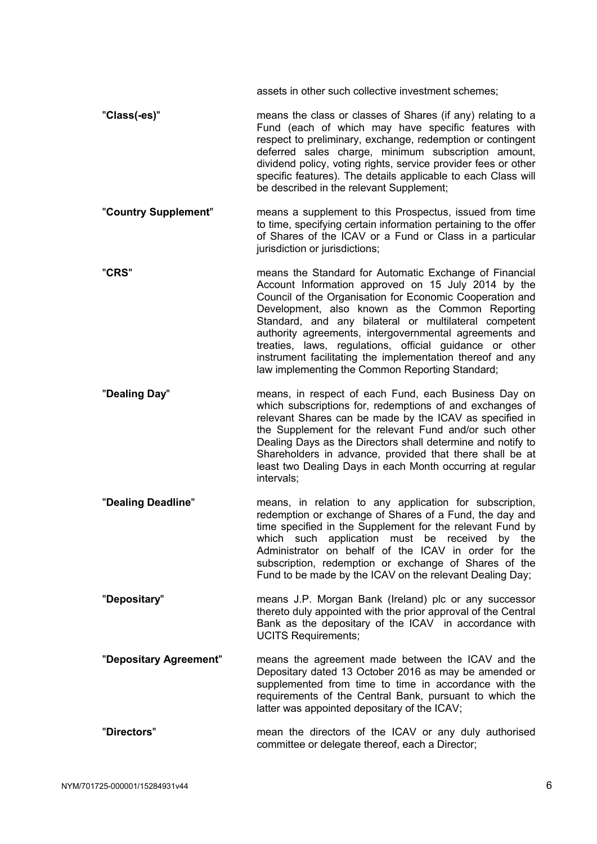assets in other such collective investment schemes;

- "**Class(-es)**" means the class or classes of Shares (if any) relating to a Fund (each of which may have specific features with respect to preliminary, exchange, redemption or contingent deferred sales charge, minimum subscription amount, dividend policy, voting rights, service provider fees or other specific features). The details applicable to each Class will be described in the relevant Supplement;
- "**Country Supplement**" means a supplement to this Prospectus, issued from time to time, specifying certain information pertaining to the offer of Shares of the ICAV or a Fund or Class in a particular jurisdiction or jurisdictions;
- "**CRS**" means the Standard for Automatic Exchange of Financial Account Information approved on 15 July 2014 by the Council of the Organisation for Economic Cooperation and Development, also known as the Common Reporting Standard, and any bilateral or multilateral competent authority agreements, intergovernmental agreements and treaties, laws, regulations, official guidance or other instrument facilitating the implementation thereof and any law implementing the Common Reporting Standard;
- "**Dealing Day**" means, in respect of each Fund, each Business Day on which subscriptions for, redemptions of and exchanges of relevant Shares can be made by the ICAV as specified in the Supplement for the relevant Fund and/or such other Dealing Days as the Directors shall determine and notify to Shareholders in advance, provided that there shall be at least two Dealing Days in each Month occurring at regular intervals;
- "**Dealing Deadline**" means, in relation to any application for subscription, redemption or exchange of Shares of a Fund, the day and time specified in the Supplement for the relevant Fund by which such application must be received by the Administrator on behalf of the ICAV in order for the subscription, redemption or exchange of Shares of the Fund to be made by the ICAV on the relevant Dealing Day;
- "**Depositary**" means J.P. Morgan Bank (Ireland) plc or any successor thereto duly appointed with the prior approval of the Central Bank as the depositary of the ICAV in accordance with UCITS Requirements;
- "**Depositary Agreement**"means the agreement made between the ICAV and the Depositary dated 13 October 2016 as may be amended or supplemented from time to time in accordance with the requirements of the Central Bank, pursuant to which the latter was appointed depositary of the ICAV;
- "**Directors**" mean the directors of the ICAV or any duly authorised committee or delegate thereof, each a Director;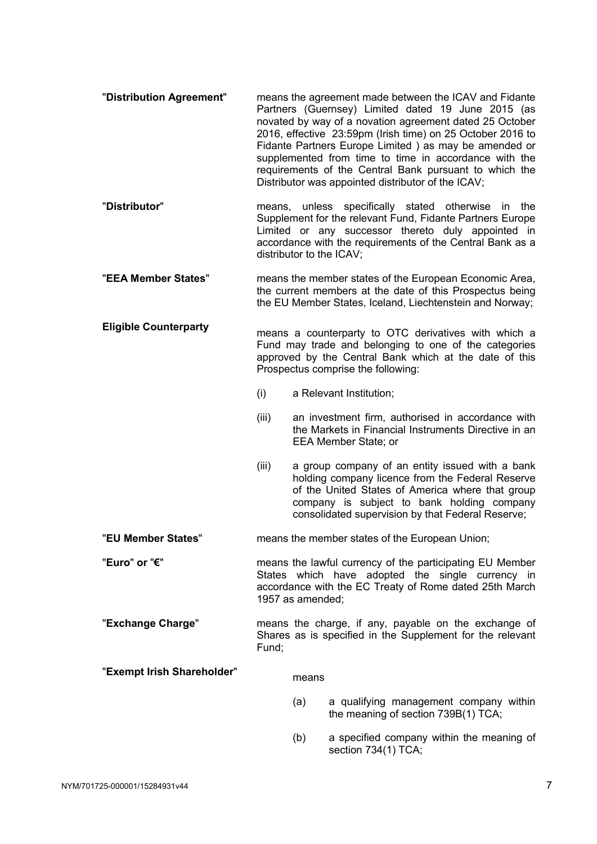- "**Distribution Agreement**" means the agreement made between the ICAV and Fidante Partners (Guernsey) Limited dated 19 June 2015 (as novated by way of a novation agreement dated 25 October 2016, effective 23:59pm (Irish time) on 25 October 2016 to Fidante Partners Europe Limited ) as may be amended or supplemented from time to time in accordance with the requirements of the Central Bank pursuant to which the Distributor was appointed distributor of the ICAV;
- "**Distributor**" means, unless specifically stated otherwise in the Supplement for the relevant Fund, Fidante Partners Europe Limited or any successor thereto duly appointed in accordance with the requirements of the Central Bank as a distributor to the ICAV;
- "**EEA Member States**" means the member states of the European Economic Area, the current members at the date of this Prospectus being the EU Member States, Iceland, Liechtenstein and Norway;
- **Eligible Counterparty** means a counterparty to OTC derivatives with which a Fund may trade and belonging to one of the categories approved by the Central Bank which at the date of this Prospectus comprise the following:
	- (i) a Relevant Institution;
	- (iii) an investment firm, authorised in accordance with the Markets in Financial Instruments Directive in an EEA Member State; or
	- (iii) a group company of an entity issued with a bank holding company licence from the Federal Reserve of the United States of America where that group company is subject to bank holding company consolidated supervision by that Federal Reserve;
- "**EU Member States**" means the member states of the European Union;
- "**Euro**" **or** "**€**" means the lawful currency of the participating EU Member States which have adopted the single currency in accordance with the EC Treaty of Rome dated 25th March 1957 as amended;
- "**Exchange Charge**" means the charge, if any, payable on the exchange of Shares as is specified in the Supplement for the relevant Fund;

"**Exempt Irish Shareholder**" means

- (a) a qualifying management company within the meaning of section 739B(1) TCA;
- (b) a specified company within the meaning of section 734(1) TCA;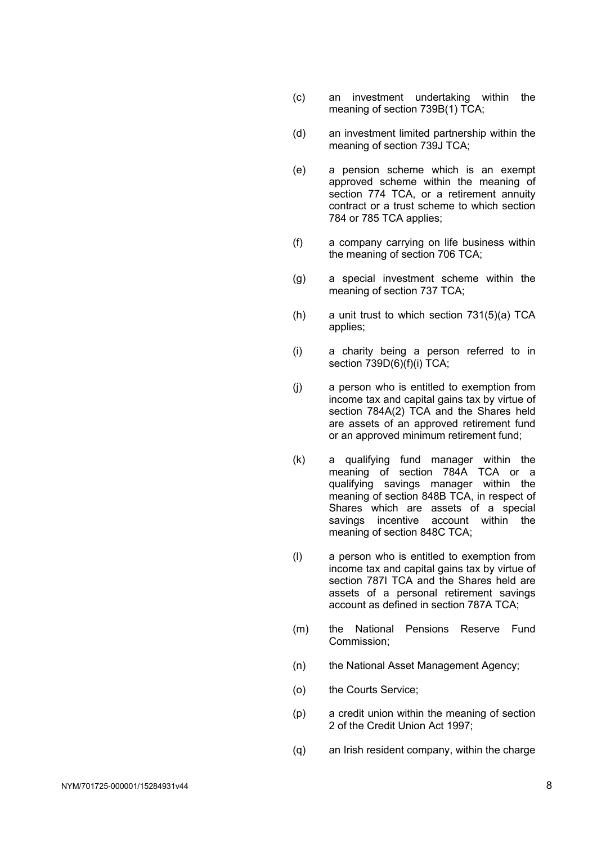- (c) an investment undertaking within the meaning of section 739B(1) TCA;
- (d) an investment limited partnership within the meaning of section 739J TCA;
- (e) a pension scheme which is an exempt approved scheme within the meaning of section 774 TCA, or a retirement annuity contract or a trust scheme to which section 784 or 785 TCA applies;
- (f) a company carrying on life business within the meaning of section 706 TCA;
- (g) a special investment scheme within the meaning of section 737 TCA;
- (h) a unit trust to which section 731(5)(a) TCA applies;
- (i) a charity being a person referred to in section 739D(6)(f)(i) TCA;
- (j) a person who is entitled to exemption from income tax and capital gains tax by virtue of section 784A(2) TCA and the Shares held are assets of an approved retirement fund or an approved minimum retirement fund;
- (k) a qualifying fund manager within the meaning of section 784A TCA or a qualifying savings manager within the meaning of section 848B TCA, in respect of Shares which are assets of a special savings incentive account within the meaning of section 848C TCA;
- (l) a person who is entitled to exemption from income tax and capital gains tax by virtue of section 787I TCA and the Shares held are assets of a personal retirement savings account as defined in section 787A TCA;
- (m) the National Pensions Reserve Fund Commission;
- (n) the National Asset Management Agency;
- (o) the Courts Service;
- (p) a credit union within the meaning of section 2 of the Credit Union Act 1997;
- (q) an Irish resident company, within the charge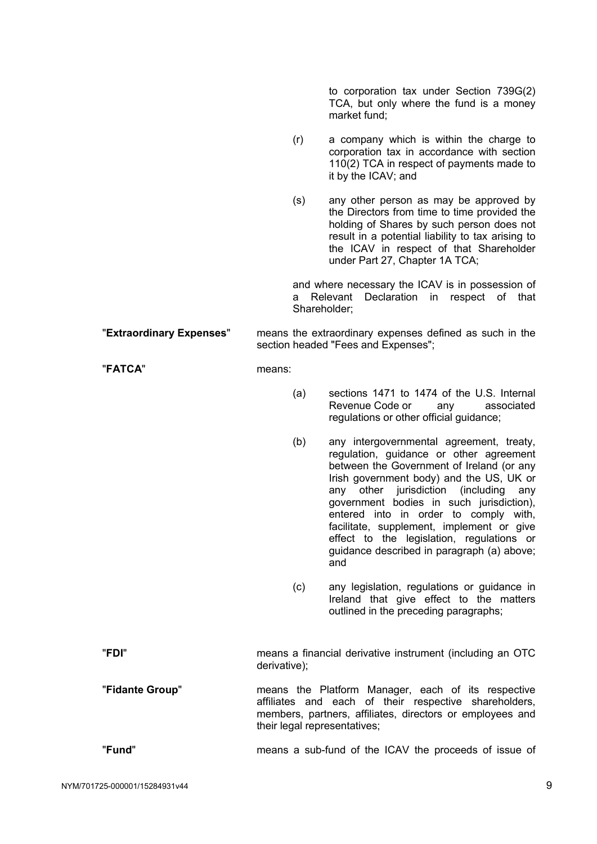to corporation tax under Section 739G(2) TCA, but only where the fund is a money market fund;

(r) a company which is within the charge to corporation tax in accordance with section 110(2) TCA in respect of payments made to it by the ICAV; and

(s) any other person as may be approved by the Directors from time to time provided the holding of Shares by such person does not result in a potential liability to tax arising to the ICAV in respect of that Shareholder under Part 27, Chapter 1A TCA;

and where necessary the ICAV is in possession of a Relevant Declaration in respect of that Shareholder;

"**Extraordinary Expenses**" means the extraordinary expenses defined as such in the section headed "Fees and Expenses";

"**FATCA**" means:

(a) sections 1471 to 1474 of the U.S. Internal Revenue Code or any associated regulations or other official guidance;

(b) any intergovernmental agreement, treaty, regulation, guidance or other agreement between the Government of Ireland (or any Irish government body) and the US, UK or any other jurisdiction (including any government bodies in such jurisdiction), entered into in order to comply with, facilitate, supplement, implement or give effect to the legislation, regulations or guidance described in paragraph (a) above; and

(c) any legislation, regulations or guidance in Ireland that give effect to the matters outlined in the preceding paragraphs;

| "FDI"           | means a financial derivative instrument (including an OTC<br>derivative);                                                                                                                                |
|-----------------|----------------------------------------------------------------------------------------------------------------------------------------------------------------------------------------------------------|
| "Fidante Group" | means the Platform Manager, each of its respective<br>affiliates and each of their respective shareholders,<br>members, partners, affiliates, directors or employees and<br>their legal representatives; |
| "Fund"          | means a sub-fund of the ICAV the proceeds of issue of                                                                                                                                                    |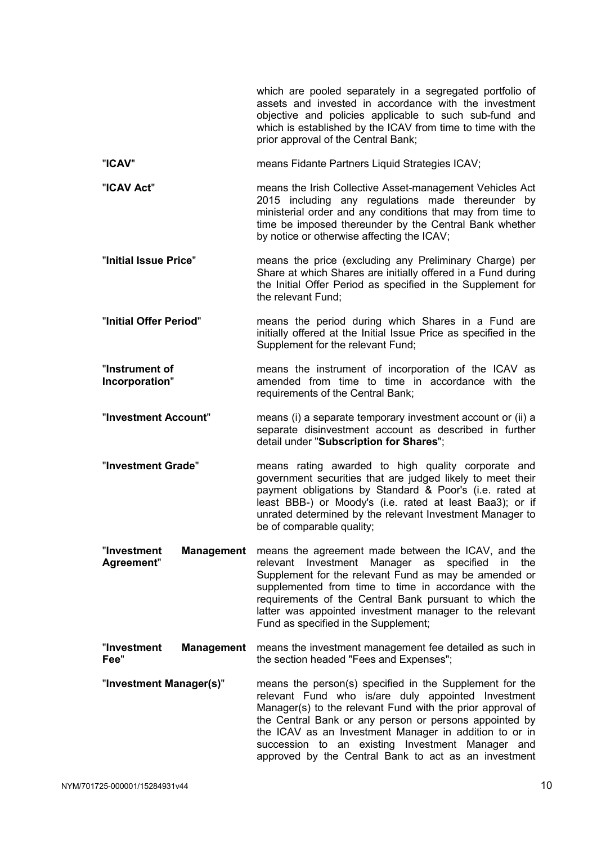which are pooled separately in a segregated portfolio of assets and invested in accordance with the investment objective and policies applicable to such sub-fund and which is established by the ICAV from time to time with the prior approval of the Central Bank;

- "**ICAV**" means Fidante Partners Liquid Strategies ICAV;
- "**ICAV Act**" means the Irish Collective Asset-management Vehicles Act 2015 including any regulations made thereunder by ministerial order and any conditions that may from time to time be imposed thereunder by the Central Bank whether by notice or otherwise affecting the ICAV;
- "**Initial Issue Price**" means the price (excluding any Preliminary Charge) per Share at which Shares are initially offered in a Fund during the Initial Offer Period as specified in the Supplement for the relevant Fund;
- "**Initial Offer Period**" means the period during which Shares in a Fund are initially offered at the Initial Issue Price as specified in the Supplement for the relevant Fund;
- "**Instrument of Incorporation**" means the instrument of incorporation of the ICAV as amended from time to time in accordance with the requirements of the Central Bank;
- "**Investment Account**" means (i) a separate temporary investment account or (ii) a separate disinvestment account as described in further detail under "**Subscription for Shares**";
- "**Investment Grade**" means rating awarded to high quality corporate and government securities that are judged likely to meet their payment obligations by Standard & Poor's (i.e. rated at least BBB-) or Moody's (i.e. rated at least Baa3); or if unrated determined by the relevant Investment Manager to be of comparable quality;
- "**Investment Management**  means the agreement made between the ICAV, and the **Agreement**" relevant Investment Manager as specified in the Supplement for the relevant Fund as may be amended or supplemented from time to time in accordance with the requirements of the Central Bank pursuant to which the latter was appointed investment manager to the relevant Fund as specified in the Supplement;
- "**Investment Management**  means the investment management fee detailed as such in **Fee**" the section headed "Fees and Expenses";
- "**Investment Manager(s)**" means the person(s) specified in the Supplement for the relevant Fund who is/are duly appointed Investment Manager(s) to the relevant Fund with the prior approval of the Central Bank or any person or persons appointed by the ICAV as an Investment Manager in addition to or in succession to an existing Investment Manager and approved by the Central Bank to act as an investment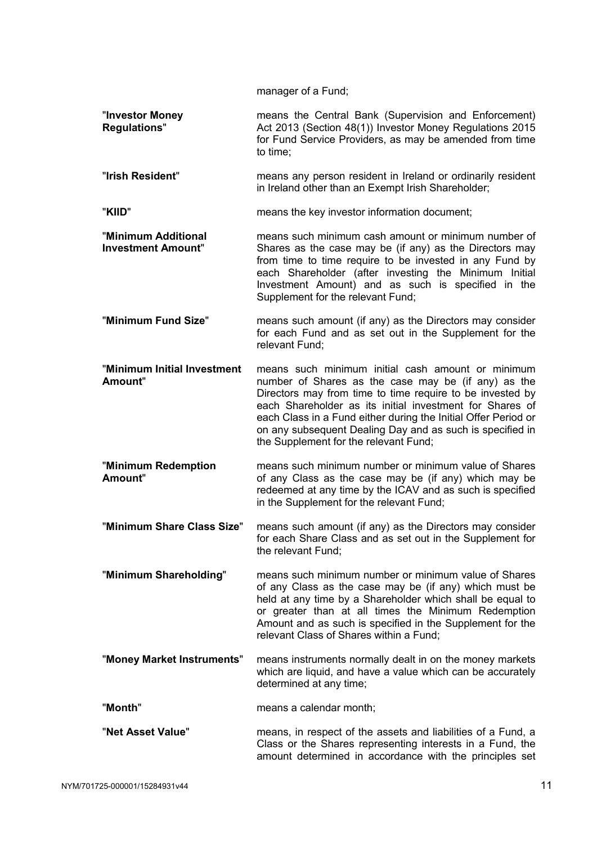manager of a Fund;

- "**Investor Money Regulations**" means the Central Bank (Supervision and Enforcement) Act 2013 (Section 48(1)) Investor Money Regulations 2015 for Fund Service Providers, as may be amended from time to time;
- "**Irish Resident**" means any person resident in Ireland or ordinarily resident in Ireland other than an Exempt Irish Shareholder;
- "**KIID**" means the key investor information document;
- "**Minimum Additional Investment Amount**" means such minimum cash amount or minimum number of Shares as the case may be (if any) as the Directors may from time to time require to be invested in any Fund by each Shareholder (after investing the Minimum Initial Investment Amount) and as such is specified in the Supplement for the relevant Fund;
- "**Minimum Fund Size**" means such amount (if any) as the Directors may consider for each Fund and as set out in the Supplement for the relevant Fund;
- "**Minimum Initial Investment Amount**" means such minimum initial cash amount or minimum number of Shares as the case may be (if any) as the Directors may from time to time require to be invested by each Shareholder as its initial investment for Shares of each Class in a Fund either during the Initial Offer Period or on any subsequent Dealing Day and as such is specified in the Supplement for the relevant Fund;
- "**Minimum Redemption Amount**" means such minimum number or minimum value of Shares of any Class as the case may be (if any) which may be redeemed at any time by the ICAV and as such is specified in the Supplement for the relevant Fund;
- "**Minimum Share Class Size**" means such amount (if any) as the Directors may consider for each Share Class and as set out in the Supplement for the relevant Fund;
- "**Minimum Shareholding**" means such minimum number or minimum value of Shares of any Class as the case may be (if any) which must be held at any time by a Shareholder which shall be equal to or greater than at all times the Minimum Redemption Amount and as such is specified in the Supplement for the relevant Class of Shares within a Fund;
- "**Money Market Instruments**" means instruments normally dealt in on the money markets which are liquid, and have a value which can be accurately determined at any time;
- "**Month**" means a calendar month;
- "**Net Asset Value**" means, in respect of the assets and liabilities of a Fund, a Class or the Shares representing interests in a Fund, the amount determined in accordance with the principles set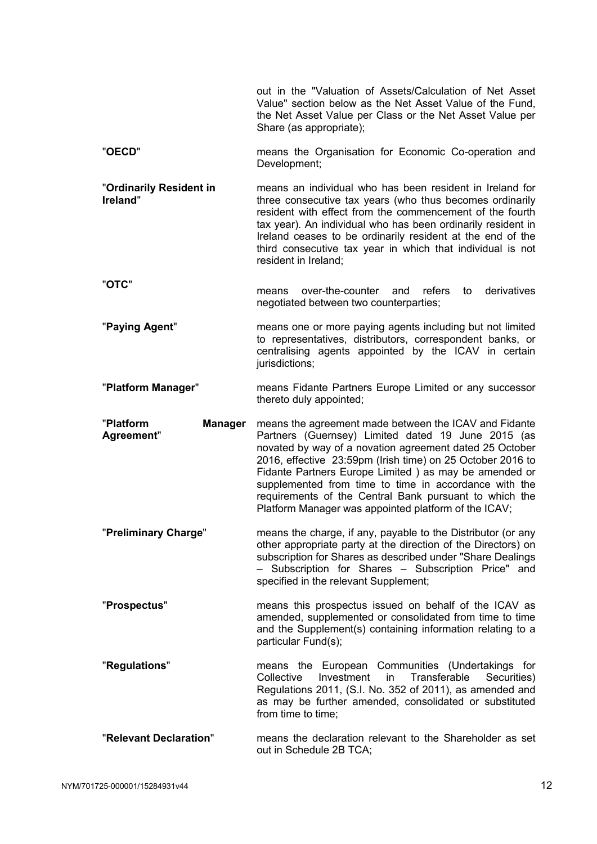out in the "Valuation of Assets/Calculation of Net Asset Value" section below as the Net Asset Value of the Fund, the Net Asset Value per Class or the Net Asset Value per Share (as appropriate);

- "**OECD**" means the Organisation for Economic Co-operation and Development;
- "**Ordinarily Resident in Ireland**" means an individual who has been resident in Ireland for three consecutive tax years (who thus becomes ordinarily resident with effect from the commencement of the fourth tax year). An individual who has been ordinarily resident in Ireland ceases to be ordinarily resident at the end of the third consecutive tax year in which that individual is not resident in Ireland;
- "**OTC**" means over-the-counter and refers to derivatives negotiated between two counterparties;
- "**Paying Agent**" means one or more paying agents including but not limited to representatives, distributors, correspondent banks, or centralising agents appointed by the ICAV in certain jurisdictions;
- "**Platform Manager**" means Fidante Partners Europe Limited or any successor thereto duly appointed;
- "**Platform Manager Agreement**" **Manager** means the agreement made between the ICAV and Fidante Partners (Guernsey) Limited dated 19 June 2015 (as novated by way of a novation agreement dated 25 October 2016, effective 23:59pm (Irish time) on 25 October 2016 to Fidante Partners Europe Limited ) as may be amended or supplemented from time to time in accordance with the requirements of the Central Bank pursuant to which the Platform Manager was appointed platform of the ICAV;
- "**Preliminary Charge**" means the charge, if any, payable to the Distributor (or any other appropriate party at the direction of the Directors) on subscription for Shares as described under "Share Dealings – Subscription for Shares – Subscription Price" and specified in the relevant Supplement;
- "**Prospectus**" means this prospectus issued on behalf of the ICAV as amended, supplemented or consolidated from time to time and the Supplement(s) containing information relating to a particular Fund(s);
- "**Regulations**" means the European Communities (Undertakings for Collective Investment in Transferable Securities) Regulations 2011, (S.I. No. 352 of 2011), as amended and as may be further amended, consolidated or substituted from time to time;
- "**Relevant Declaration**" means the declaration relevant to the Shareholder as set out in Schedule 2B TCA;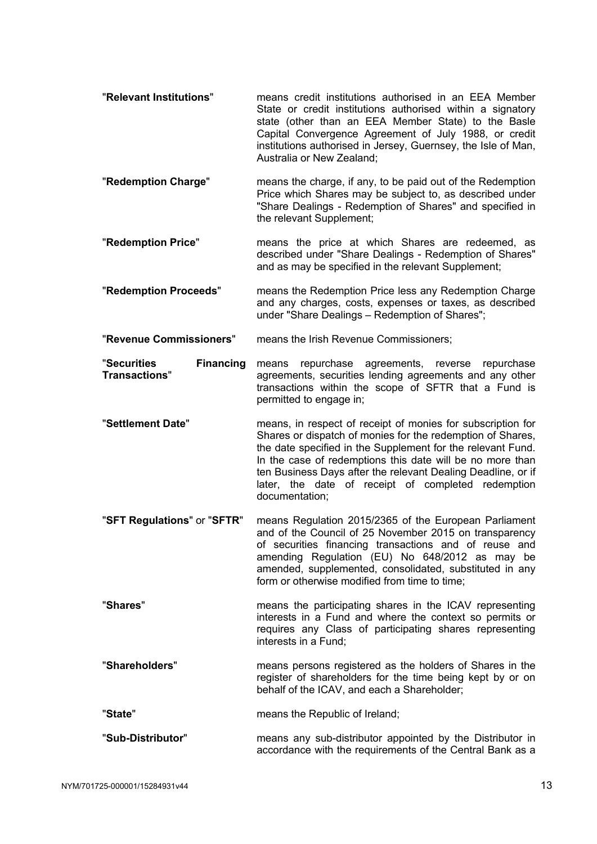- "**Relevant Institutions**" means credit institutions authorised in an EEA Member State or credit institutions authorised within a signatory state (other than an EEA Member State) to the Basle Capital Convergence Agreement of July 1988, or credit institutions authorised in Jersey, Guernsey, the Isle of Man, Australia or New Zealand;
- "**Redemption Charge**" means the charge, if any, to be paid out of the Redemption Price which Shares may be subject to, as described under "Share Dealings - Redemption of Shares" and specified in the relevant Supplement;
- "**Redemption Price**" means the price at which Shares are redeemed, as described under "Share Dealings - Redemption of Shares" and as may be specified in the relevant Supplement;
- "**Redemption Proceeds**" means the Redemption Price less any Redemption Charge and any charges, costs, expenses or taxes, as described under "Share Dealings – Redemption of Shares";
- "**Revenue Commissioners**" means the Irish Revenue Commissioners;
- "**Securities Financing Transactions**" means repurchase agreements, reverse repurchase agreements, securities lending agreements and any other transactions within the scope of SFTR that a Fund is permitted to engage in;
- "**Settlement Date**" means, in respect of receipt of monies for subscription for Shares or dispatch of monies for the redemption of Shares, the date specified in the Supplement for the relevant Fund. In the case of redemptions this date will be no more than ten Business Days after the relevant Dealing Deadline, or if later, the date of receipt of completed redemption documentation;
- "**SFT Regulations**" or "**SFTR**" means Regulation 2015/2365 of the European Parliament and of the Council of 25 November 2015 on transparency of securities financing transactions and of reuse and amending Regulation (EU) No 648/2012 as may be amended, supplemented, consolidated, substituted in any form or otherwise modified from time to time;
- "**Shares**" means the participating shares in the ICAV representing interests in a Fund and where the context so permits or requires any Class of participating shares representing interests in a Fund;
- "**Shareholders**" means persons registered as the holders of Shares in the register of shareholders for the time being kept by or on behalf of the ICAV, and each a Shareholder;
- "**State**" means the Republic of Ireland;
- "**Sub-Distributor**" means any sub-distributor appointed by the Distributor in accordance with the requirements of the Central Bank as a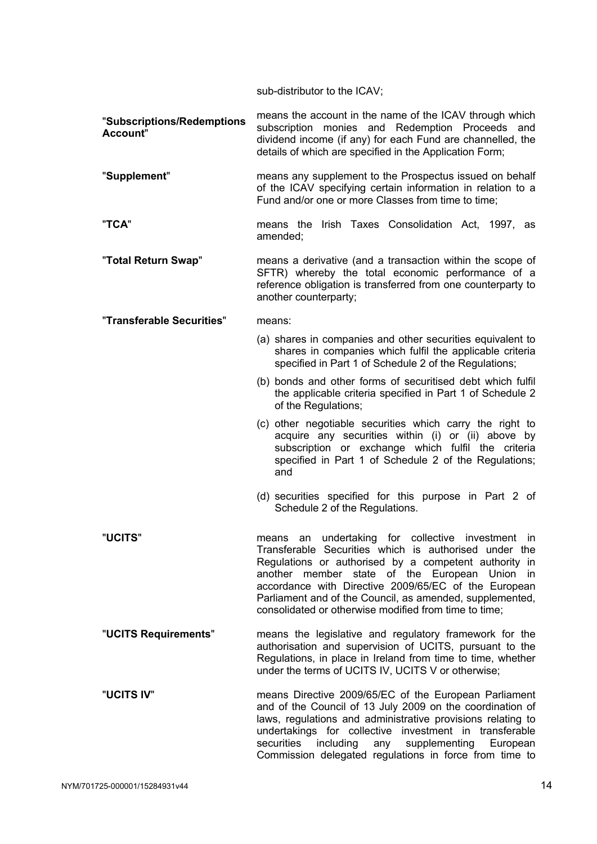sub-distributor to the ICAV;

"**Subscriptions/Redemptions Account**" means the account in the name of the ICAV through which subscription monies and Redemption Proceeds and dividend income (if any) for each Fund are channelled, the details of which are specified in the Application Form;

- "**Supplement**" means any supplement to the Prospectus issued on behalf of the ICAV specifying certain information in relation to a Fund and/or one or more Classes from time to time;
- "**TCA**" means the Irish Taxes Consolidation Act, 1997, as amended;
- "**Total Return Swap**" means a derivative (and a transaction within the scope of SFTR) whereby the total economic performance of a reference obligation is transferred from one counterparty to another counterparty;
- "**Transferable Securities**" means:
	- (a) shares in companies and other securities equivalent to shares in companies which fulfil the applicable criteria specified in Part 1 of Schedule 2 of the Regulations;
	- (b) bonds and other forms of securitised debt which fulfil the applicable criteria specified in Part 1 of Schedule 2 of the Regulations;
	- (c) other negotiable securities which carry the right to acquire any securities within (i) or (ii) above by subscription or exchange which fulfil the criteria specified in Part 1 of Schedule 2 of the Regulations; and
	- (d) securities specified for this purpose in Part 2 of Schedule 2 of the Regulations.
- "**UCITS**" means an undertaking for collective investment in Transferable Securities which is authorised under the Regulations or authorised by a competent authority in another member state of the European Union in accordance with Directive 2009/65/EC of the European Parliament and of the Council, as amended, supplemented, consolidated or otherwise modified from time to time;
- "**UCITS Requirements**" means the legislative and regulatory framework for the authorisation and supervision of UCITS, pursuant to the Regulations, in place in Ireland from time to time, whether under the terms of UCITS IV, UCITS V or otherwise;
- "**UCITS IV**" means Directive 2009/65/EC of the European Parliament and of the Council of 13 July 2009 on the coordination of laws, regulations and administrative provisions relating to undertakings for collective investment in transferable securities including any supplementing European Commission delegated regulations in force from time to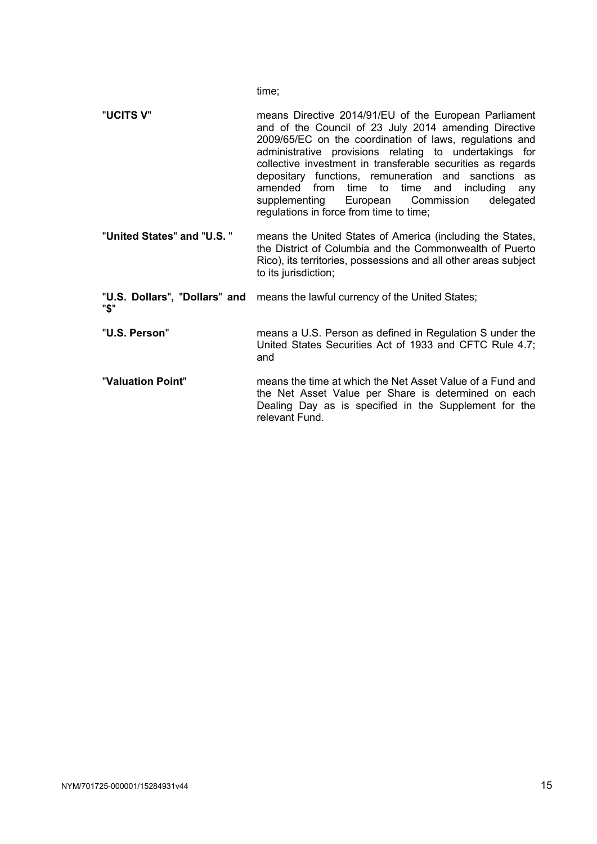time;

- "**UCITS V**" means Directive 2014/91/EU of the European Parliament and of the Council of 23 July 2014 amending Directive 2009/65/EC on the coordination of laws, regulations and administrative provisions relating to undertakings for collective investment in transferable securities as regards depositary functions, remuneration and sanctions as amended from time to time and including any supplementing European Commission delegated regulations in force from time to time;
- "**United States**" **and** "**U.S.** " means the United States of America (including the States, the District of Columbia and the Commonwealth of Puerto Rico), its territories, possessions and all other areas subject to its jurisdiction;

"**U.S. Dollars**"**,** "**Dollars**" **and**  means the lawful currency of the United States; "**\$**"

- "**U.S. Person**" means a U.S. Person as defined in Regulation S under the United States Securities Act of 1933 and CFTC Rule 4.7; and
- "**Valuation Point**" means the time at which the Net Asset Value of a Fund and the Net Asset Value per Share is determined on each Dealing Day as is specified in the Supplement for the relevant Fund.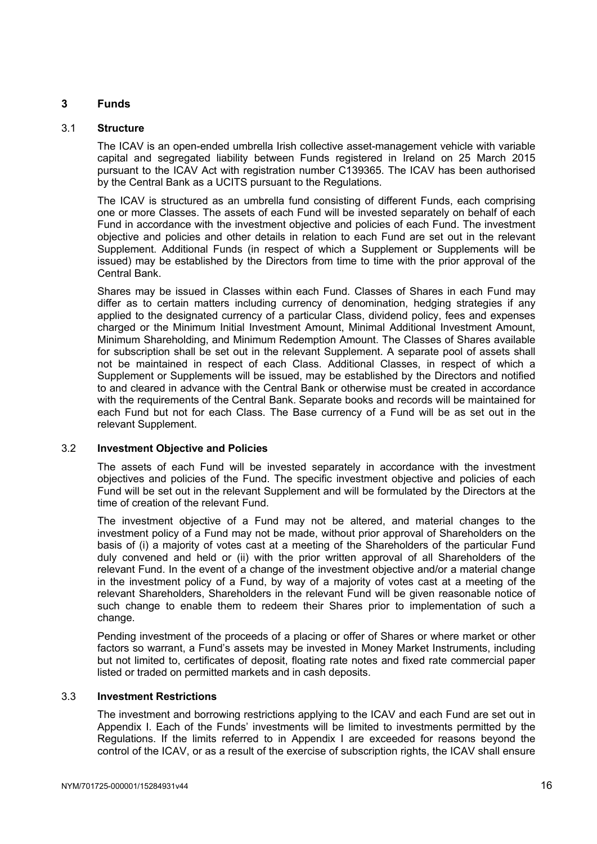# **3 Funds**

# 3.1 **Structure**

The ICAV is an open-ended umbrella Irish collective asset-management vehicle with variable capital and segregated liability between Funds registered in Ireland on 25 March 2015 pursuant to the ICAV Act with registration number C139365. The ICAV has been authorised by the Central Bank as a UCITS pursuant to the Regulations.

The ICAV is structured as an umbrella fund consisting of different Funds, each comprising one or more Classes. The assets of each Fund will be invested separately on behalf of each Fund in accordance with the investment objective and policies of each Fund. The investment objective and policies and other details in relation to each Fund are set out in the relevant Supplement. Additional Funds (in respect of which a Supplement or Supplements will be issued) may be established by the Directors from time to time with the prior approval of the Central Bank.

Shares may be issued in Classes within each Fund. Classes of Shares in each Fund may differ as to certain matters including currency of denomination, hedging strategies if any applied to the designated currency of a particular Class, dividend policy, fees and expenses charged or the Minimum Initial Investment Amount, Minimal Additional Investment Amount, Minimum Shareholding, and Minimum Redemption Amount. The Classes of Shares available for subscription shall be set out in the relevant Supplement. A separate pool of assets shall not be maintained in respect of each Class. Additional Classes, in respect of which a Supplement or Supplements will be issued, may be established by the Directors and notified to and cleared in advance with the Central Bank or otherwise must be created in accordance with the requirements of the Central Bank. Separate books and records will be maintained for each Fund but not for each Class. The Base currency of a Fund will be as set out in the relevant Supplement.

# 3.2 **Investment Objective and Policies**

The assets of each Fund will be invested separately in accordance with the investment objectives and policies of the Fund. The specific investment objective and policies of each Fund will be set out in the relevant Supplement and will be formulated by the Directors at the time of creation of the relevant Fund.

The investment objective of a Fund may not be altered, and material changes to the investment policy of a Fund may not be made, without prior approval of Shareholders on the basis of (i) a majority of votes cast at a meeting of the Shareholders of the particular Fund duly convened and held or (ii) with the prior written approval of all Shareholders of the relevant Fund. In the event of a change of the investment objective and/or a material change in the investment policy of a Fund, by way of a majority of votes cast at a meeting of the relevant Shareholders, Shareholders in the relevant Fund will be given reasonable notice of such change to enable them to redeem their Shares prior to implementation of such a change.

Pending investment of the proceeds of a placing or offer of Shares or where market or other factors so warrant, a Fund's assets may be invested in Money Market Instruments, including but not limited to, certificates of deposit, floating rate notes and fixed rate commercial paper listed or traded on permitted markets and in cash deposits.

# 3.3 **Investment Restrictions**

The investment and borrowing restrictions applying to the ICAV and each Fund are set out in Appendix I. Each of the Funds' investments will be limited to investments permitted by the Regulations. If the limits referred to in Appendix I are exceeded for reasons beyond the control of the ICAV, or as a result of the exercise of subscription rights, the ICAV shall ensure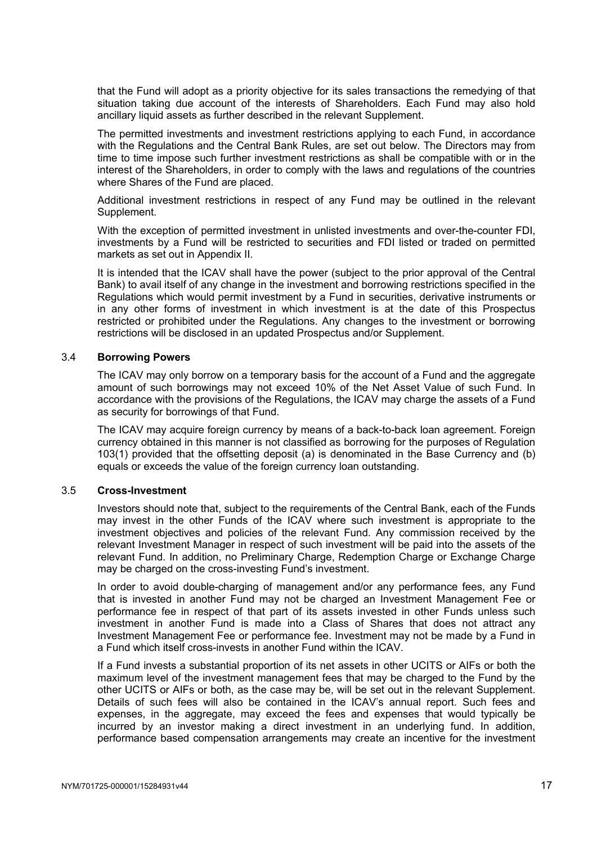that the Fund will adopt as a priority objective for its sales transactions the remedying of that situation taking due account of the interests of Shareholders. Each Fund may also hold ancillary liquid assets as further described in the relevant Supplement.

The permitted investments and investment restrictions applying to each Fund, in accordance with the Regulations and the Central Bank Rules, are set out below. The Directors may from time to time impose such further investment restrictions as shall be compatible with or in the interest of the Shareholders, in order to comply with the laws and regulations of the countries where Shares of the Fund are placed.

Additional investment restrictions in respect of any Fund may be outlined in the relevant Supplement.

With the exception of permitted investment in unlisted investments and over-the-counter FDI, investments by a Fund will be restricted to securities and FDI listed or traded on permitted markets as set out in Appendix II.

It is intended that the ICAV shall have the power (subject to the prior approval of the Central Bank) to avail itself of any change in the investment and borrowing restrictions specified in the Regulations which would permit investment by a Fund in securities, derivative instruments or in any other forms of investment in which investment is at the date of this Prospectus restricted or prohibited under the Regulations. Any changes to the investment or borrowing restrictions will be disclosed in an updated Prospectus and/or Supplement.

#### 3.4 **Borrowing Powers**

The ICAV may only borrow on a temporary basis for the account of a Fund and the aggregate amount of such borrowings may not exceed 10% of the Net Asset Value of such Fund. In accordance with the provisions of the Regulations, the ICAV may charge the assets of a Fund as security for borrowings of that Fund.

The ICAV may acquire foreign currency by means of a back-to-back loan agreement. Foreign currency obtained in this manner is not classified as borrowing for the purposes of Regulation 103(1) provided that the offsetting deposit (a) is denominated in the Base Currency and (b) equals or exceeds the value of the foreign currency loan outstanding.

# 3.5 **Cross-Investment**

Investors should note that, subject to the requirements of the Central Bank, each of the Funds may invest in the other Funds of the ICAV where such investment is appropriate to the investment objectives and policies of the relevant Fund. Any commission received by the relevant Investment Manager in respect of such investment will be paid into the assets of the relevant Fund. In addition, no Preliminary Charge, Redemption Charge or Exchange Charge may be charged on the cross-investing Fund's investment.

In order to avoid double-charging of management and/or any performance fees, any Fund that is invested in another Fund may not be charged an Investment Management Fee or performance fee in respect of that part of its assets invested in other Funds unless such investment in another Fund is made into a Class of Shares that does not attract any Investment Management Fee or performance fee. Investment may not be made by a Fund in a Fund which itself cross-invests in another Fund within the ICAV.

If a Fund invests a substantial proportion of its net assets in other UCITS or AIFs or both the maximum level of the investment management fees that may be charged to the Fund by the other UCITS or AIFs or both, as the case may be, will be set out in the relevant Supplement. Details of such fees will also be contained in the ICAV's annual report. Such fees and expenses, in the aggregate, may exceed the fees and expenses that would typically be incurred by an investor making a direct investment in an underlying fund. In addition, performance based compensation arrangements may create an incentive for the investment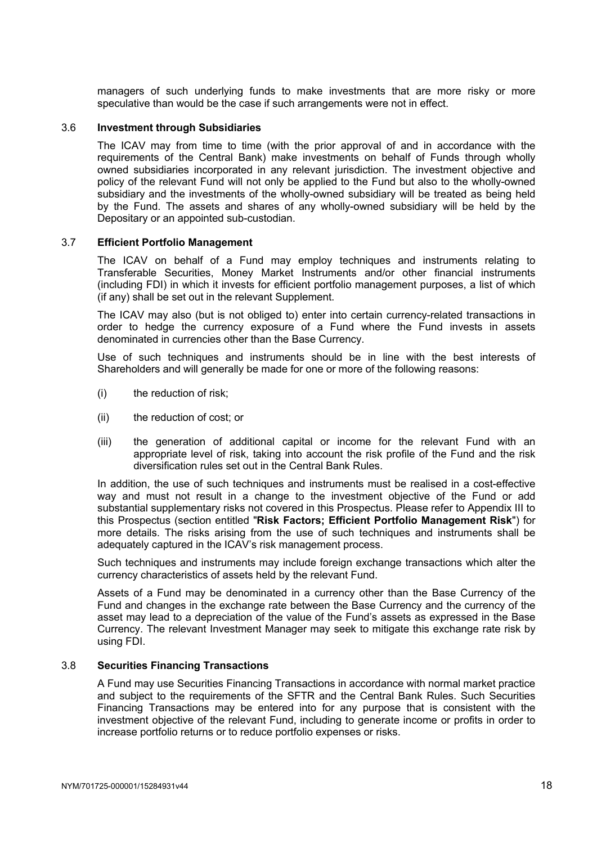managers of such underlying funds to make investments that are more risky or more speculative than would be the case if such arrangements were not in effect.

#### 3.6 **Investment through Subsidiaries**

The ICAV may from time to time (with the prior approval of and in accordance with the requirements of the Central Bank) make investments on behalf of Funds through wholly owned subsidiaries incorporated in any relevant jurisdiction. The investment objective and policy of the relevant Fund will not only be applied to the Fund but also to the wholly-owned subsidiary and the investments of the wholly-owned subsidiary will be treated as being held by the Fund. The assets and shares of any wholly-owned subsidiary will be held by the Depositary or an appointed sub-custodian.

#### 3.7 **Efficient Portfolio Management**

The ICAV on behalf of a Fund may employ techniques and instruments relating to Transferable Securities, Money Market Instruments and/or other financial instruments (including FDI) in which it invests for efficient portfolio management purposes, a list of which (if any) shall be set out in the relevant Supplement.

The ICAV may also (but is not obliged to) enter into certain currency-related transactions in order to hedge the currency exposure of a Fund where the Fund invests in assets denominated in currencies other than the Base Currency.

Use of such techniques and instruments should be in line with the best interests of Shareholders and will generally be made for one or more of the following reasons:

- (i) the reduction of risk;
- (ii) the reduction of cost; or
- (iii) the generation of additional capital or income for the relevant Fund with an appropriate level of risk, taking into account the risk profile of the Fund and the risk diversification rules set out in the Central Bank Rules.

In addition, the use of such techniques and instruments must be realised in a cost-effective way and must not result in a change to the investment objective of the Fund or add substantial supplementary risks not covered in this Prospectus. Please refer to Appendix III to this Prospectus (section entitled "**Risk Factors; Efficient Portfolio Management Risk**") for more details. The risks arising from the use of such techniques and instruments shall be adequately captured in the ICAV's risk management process.

Such techniques and instruments may include foreign exchange transactions which alter the currency characteristics of assets held by the relevant Fund.

Assets of a Fund may be denominated in a currency other than the Base Currency of the Fund and changes in the exchange rate between the Base Currency and the currency of the asset may lead to a depreciation of the value of the Fund's assets as expressed in the Base Currency. The relevant Investment Manager may seek to mitigate this exchange rate risk by using FDI.

# 3.8 **Securities Financing Transactions**

A Fund may use Securities Financing Transactions in accordance with normal market practice and subject to the requirements of the SFTR and the Central Bank Rules. Such Securities Financing Transactions may be entered into for any purpose that is consistent with the investment objective of the relevant Fund, including to generate income or profits in order to increase portfolio returns or to reduce portfolio expenses or risks.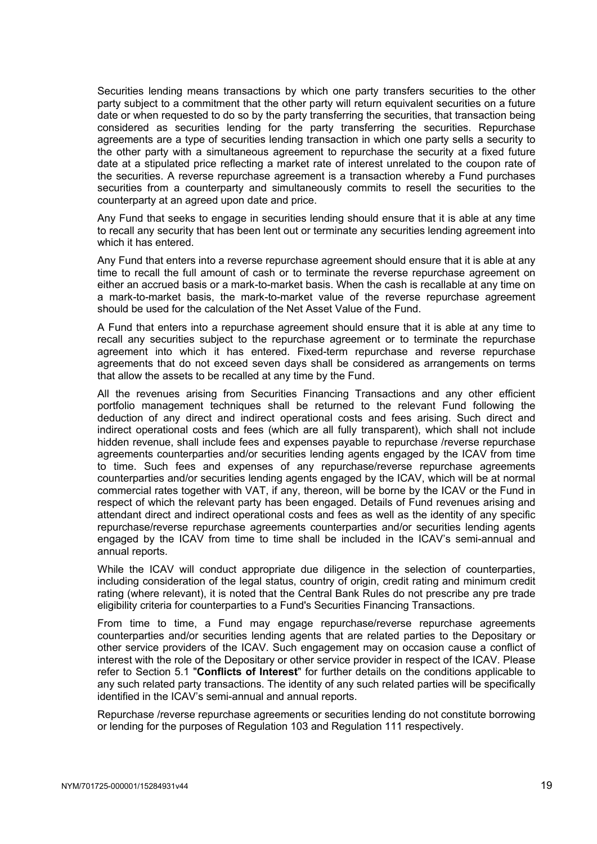Securities lending means transactions by which one party transfers securities to the other party subject to a commitment that the other party will return equivalent securities on a future date or when requested to do so by the party transferring the securities, that transaction being considered as securities lending for the party transferring the securities. Repurchase agreements are a type of securities lending transaction in which one party sells a security to the other party with a simultaneous agreement to repurchase the security at a fixed future date at a stipulated price reflecting a market rate of interest unrelated to the coupon rate of the securities. A reverse repurchase agreement is a transaction whereby a Fund purchases securities from a counterparty and simultaneously commits to resell the securities to the counterparty at an agreed upon date and price.

Any Fund that seeks to engage in securities lending should ensure that it is able at any time to recall any security that has been lent out or terminate any securities lending agreement into which it has entered.

Any Fund that enters into a reverse repurchase agreement should ensure that it is able at any time to recall the full amount of cash or to terminate the reverse repurchase agreement on either an accrued basis or a mark-to-market basis. When the cash is recallable at any time on a mark-to-market basis, the mark-to-market value of the reverse repurchase agreement should be used for the calculation of the Net Asset Value of the Fund.

A Fund that enters into a repurchase agreement should ensure that it is able at any time to recall any securities subject to the repurchase agreement or to terminate the repurchase agreement into which it has entered. Fixed-term repurchase and reverse repurchase agreements that do not exceed seven days shall be considered as arrangements on terms that allow the assets to be recalled at any time by the Fund.

All the revenues arising from Securities Financing Transactions and any other efficient portfolio management techniques shall be returned to the relevant Fund following the deduction of any direct and indirect operational costs and fees arising. Such direct and indirect operational costs and fees (which are all fully transparent), which shall not include hidden revenue, shall include fees and expenses payable to repurchase /reverse repurchase agreements counterparties and/or securities lending agents engaged by the ICAV from time to time. Such fees and expenses of any repurchase/reverse repurchase agreements counterparties and/or securities lending agents engaged by the ICAV, which will be at normal commercial rates together with VAT, if any, thereon, will be borne by the ICAV or the Fund in respect of which the relevant party has been engaged. Details of Fund revenues arising and attendant direct and indirect operational costs and fees as well as the identity of any specific repurchase/reverse repurchase agreements counterparties and/or securities lending agents engaged by the ICAV from time to time shall be included in the ICAV's semi-annual and annual reports.

While the ICAV will conduct appropriate due diligence in the selection of counterparties, including consideration of the legal status, country of origin, credit rating and minimum credit rating (where relevant), it is noted that the Central Bank Rules do not prescribe any pre trade eligibility criteria for counterparties to a Fund's Securities Financing Transactions.

From time to time, a Fund may engage repurchase/reverse repurchase agreements counterparties and/or securities lending agents that are related parties to the Depositary or other service providers of the ICAV. Such engagement may on occasion cause a conflict of interest with the role of the Depositary or other service provider in respect of the ICAV. Please refer to Section 5.1 "**Conflicts of Interest**" for further details on the conditions applicable to any such related party transactions. The identity of any such related parties will be specifically identified in the ICAV's semi-annual and annual reports.

Repurchase /reverse repurchase agreements or securities lending do not constitute borrowing or lending for the purposes of Regulation 103 and Regulation 111 respectively.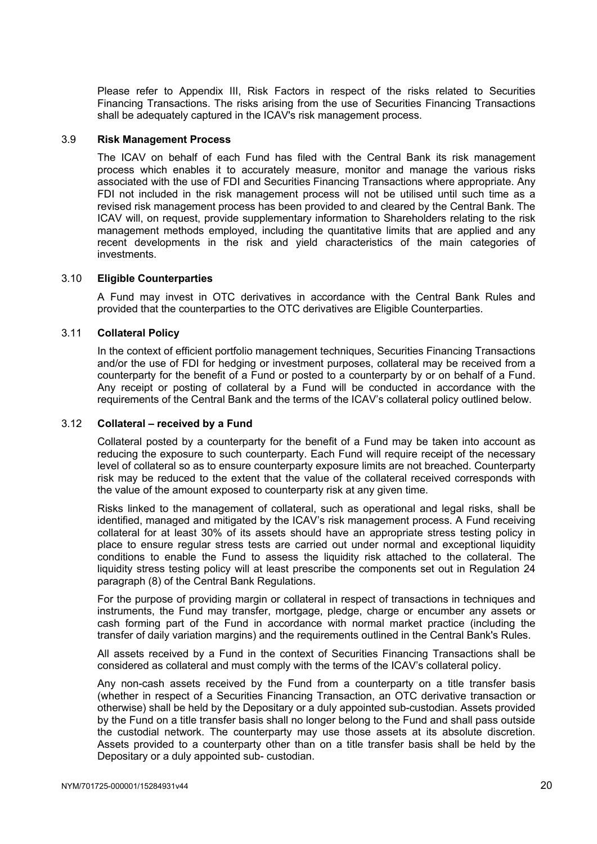Please refer to Appendix III, Risk Factors in respect of the risks related to Securities Financing Transactions. The risks arising from the use of Securities Financing Transactions shall be adequately captured in the ICAV's risk management process.

#### 3.9 **Risk Management Process**

The ICAV on behalf of each Fund has filed with the Central Bank its risk management process which enables it to accurately measure, monitor and manage the various risks associated with the use of FDI and Securities Financing Transactions where appropriate. Any FDI not included in the risk management process will not be utilised until such time as a revised risk management process has been provided to and cleared by the Central Bank. The ICAV will, on request, provide supplementary information to Shareholders relating to the risk management methods employed, including the quantitative limits that are applied and any recent developments in the risk and yield characteristics of the main categories of investments.

#### 3.10 **Eligible Counterparties**

A Fund may invest in OTC derivatives in accordance with the Central Bank Rules and provided that the counterparties to the OTC derivatives are Eligible Counterparties.

#### 3.11 **Collateral Policy**

In the context of efficient portfolio management techniques, Securities Financing Transactions and/or the use of FDI for hedging or investment purposes, collateral may be received from a counterparty for the benefit of a Fund or posted to a counterparty by or on behalf of a Fund. Any receipt or posting of collateral by a Fund will be conducted in accordance with the requirements of the Central Bank and the terms of the ICAV's collateral policy outlined below.

#### 3.12 **Collateral – received by a Fund**

Collateral posted by a counterparty for the benefit of a Fund may be taken into account as reducing the exposure to such counterparty. Each Fund will require receipt of the necessary level of collateral so as to ensure counterparty exposure limits are not breached. Counterparty risk may be reduced to the extent that the value of the collateral received corresponds with the value of the amount exposed to counterparty risk at any given time.

Risks linked to the management of collateral, such as operational and legal risks, shall be identified, managed and mitigated by the ICAV's risk management process. A Fund receiving collateral for at least 30% of its assets should have an appropriate stress testing policy in place to ensure regular stress tests are carried out under normal and exceptional liquidity conditions to enable the Fund to assess the liquidity risk attached to the collateral. The liquidity stress testing policy will at least prescribe the components set out in Regulation 24 paragraph (8) of the Central Bank Regulations.

For the purpose of providing margin or collateral in respect of transactions in techniques and instruments, the Fund may transfer, mortgage, pledge, charge or encumber any assets or cash forming part of the Fund in accordance with normal market practice (including the transfer of daily variation margins) and the requirements outlined in the Central Bank's Rules.

All assets received by a Fund in the context of Securities Financing Transactions shall be considered as collateral and must comply with the terms of the ICAV's collateral policy.

Any non-cash assets received by the Fund from a counterparty on a title transfer basis (whether in respect of a Securities Financing Transaction, an OTC derivative transaction or otherwise) shall be held by the Depositary or a duly appointed sub-custodian. Assets provided by the Fund on a title transfer basis shall no longer belong to the Fund and shall pass outside the custodial network. The counterparty may use those assets at its absolute discretion. Assets provided to a counterparty other than on a title transfer basis shall be held by the Depositary or a duly appointed sub- custodian.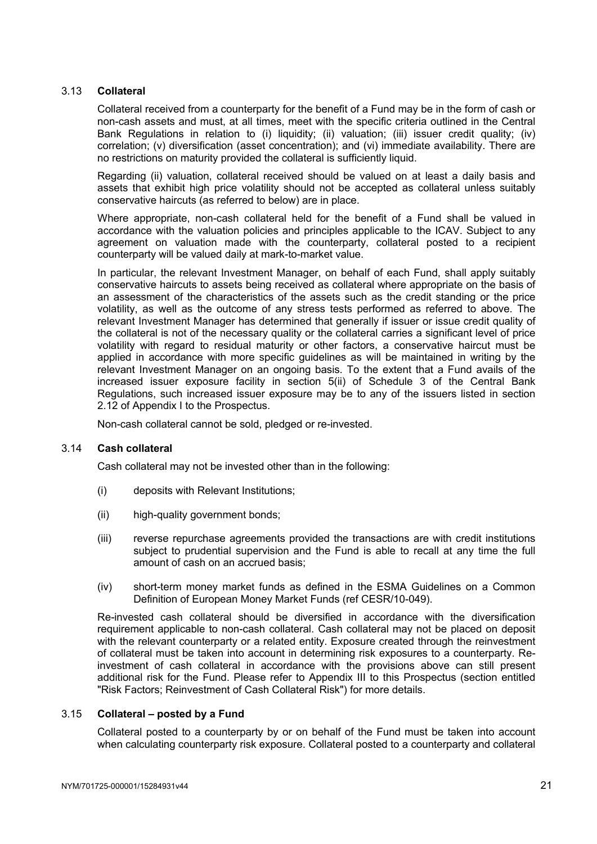# 3.13 **Collateral**

Collateral received from a counterparty for the benefit of a Fund may be in the form of cash or non-cash assets and must, at all times, meet with the specific criteria outlined in the Central Bank Regulations in relation to (i) liquidity; (ii) valuation; (iii) issuer credit quality; (iv) correlation; (v) diversification (asset concentration); and (vi) immediate availability. There are no restrictions on maturity provided the collateral is sufficiently liquid.

Regarding (ii) valuation, collateral received should be valued on at least a daily basis and assets that exhibit high price volatility should not be accepted as collateral unless suitably conservative haircuts (as referred to below) are in place.

Where appropriate, non-cash collateral held for the benefit of a Fund shall be valued in accordance with the valuation policies and principles applicable to the ICAV. Subject to any agreement on valuation made with the counterparty, collateral posted to a recipient counterparty will be valued daily at mark-to-market value.

In particular, the relevant Investment Manager, on behalf of each Fund, shall apply suitably conservative haircuts to assets being received as collateral where appropriate on the basis of an assessment of the characteristics of the assets such as the credit standing or the price volatility, as well as the outcome of any stress tests performed as referred to above. The relevant Investment Manager has determined that generally if issuer or issue credit quality of the collateral is not of the necessary quality or the collateral carries a significant level of price volatility with regard to residual maturity or other factors, a conservative haircut must be applied in accordance with more specific guidelines as will be maintained in writing by the relevant Investment Manager on an ongoing basis. To the extent that a Fund avails of the increased issuer exposure facility in section 5(ii) of Schedule 3 of the Central Bank Regulations, such increased issuer exposure may be to any of the issuers listed in section 2.12 of Appendix I to the Prospectus.

Non-cash collateral cannot be sold, pledged or re-invested.

# 3.14 **Cash collateral**

Cash collateral may not be invested other than in the following:

- (i) deposits with Relevant Institutions;
- (ii) high-quality government bonds;
- (iii) reverse repurchase agreements provided the transactions are with credit institutions subject to prudential supervision and the Fund is able to recall at any time the full amount of cash on an accrued basis;
- (iv) short-term money market funds as defined in the ESMA Guidelines on a Common Definition of European Money Market Funds (ref CESR/10-049).

Re-invested cash collateral should be diversified in accordance with the diversification requirement applicable to non-cash collateral. Cash collateral may not be placed on deposit with the relevant counterparty or a related entity. Exposure created through the reinvestment of collateral must be taken into account in determining risk exposures to a counterparty. Reinvestment of cash collateral in accordance with the provisions above can still present additional risk for the Fund. Please refer to Appendix III to this Prospectus (section entitled "Risk Factors; Reinvestment of Cash Collateral Risk") for more details.

# 3.15 **Collateral – posted by a Fund**

Collateral posted to a counterparty by or on behalf of the Fund must be taken into account when calculating counterparty risk exposure. Collateral posted to a counterparty and collateral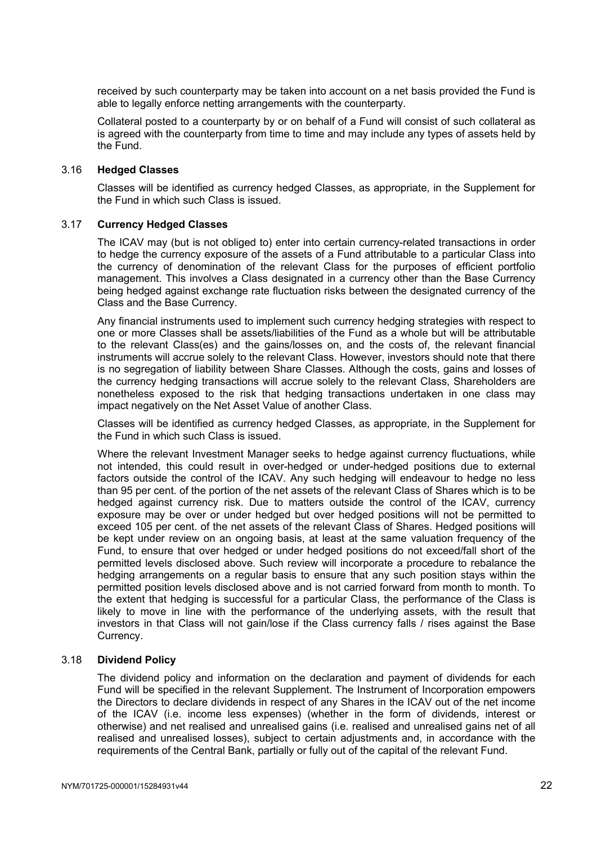received by such counterparty may be taken into account on a net basis provided the Fund is able to legally enforce netting arrangements with the counterparty.

Collateral posted to a counterparty by or on behalf of a Fund will consist of such collateral as is agreed with the counterparty from time to time and may include any types of assets held by the Fund.

#### 3.16 **Hedged Classes**

Classes will be identified as currency hedged Classes, as appropriate, in the Supplement for the Fund in which such Class is issued.

# 3.17 **Currency Hedged Classes**

The ICAV may (but is not obliged to) enter into certain currency-related transactions in order to hedge the currency exposure of the assets of a Fund attributable to a particular Class into the currency of denomination of the relevant Class for the purposes of efficient portfolio management. This involves a Class designated in a currency other than the Base Currency being hedged against exchange rate fluctuation risks between the designated currency of the Class and the Base Currency.

Any financial instruments used to implement such currency hedging strategies with respect to one or more Classes shall be assets/liabilities of the Fund as a whole but will be attributable to the relevant Class(es) and the gains/losses on, and the costs of, the relevant financial instruments will accrue solely to the relevant Class. However, investors should note that there is no segregation of liability between Share Classes. Although the costs, gains and losses of the currency hedging transactions will accrue solely to the relevant Class, Shareholders are nonetheless exposed to the risk that hedging transactions undertaken in one class may impact negatively on the Net Asset Value of another Class.

Classes will be identified as currency hedged Classes, as appropriate, in the Supplement for the Fund in which such Class is issued.

Where the relevant Investment Manager seeks to hedge against currency fluctuations, while not intended, this could result in over-hedged or under-hedged positions due to external factors outside the control of the ICAV. Any such hedging will endeavour to hedge no less than 95 per cent. of the portion of the net assets of the relevant Class of Shares which is to be hedged against currency risk. Due to matters outside the control of the ICAV, currency exposure may be over or under hedged but over hedged positions will not be permitted to exceed 105 per cent. of the net assets of the relevant Class of Shares. Hedged positions will be kept under review on an ongoing basis, at least at the same valuation frequency of the Fund, to ensure that over hedged or under hedged positions do not exceed/fall short of the permitted levels disclosed above. Such review will incorporate a procedure to rebalance the hedging arrangements on a regular basis to ensure that any such position stays within the permitted position levels disclosed above and is not carried forward from month to month. To the extent that hedging is successful for a particular Class, the performance of the Class is likely to move in line with the performance of the underlying assets, with the result that investors in that Class will not gain/lose if the Class currency falls / rises against the Base Currency.

# 3.18 **Dividend Policy**

The dividend policy and information on the declaration and payment of dividends for each Fund will be specified in the relevant Supplement. The Instrument of Incorporation empowers the Directors to declare dividends in respect of any Shares in the ICAV out of the net income of the ICAV (i.e. income less expenses) (whether in the form of dividends, interest or otherwise) and net realised and unrealised gains (i.e. realised and unrealised gains net of all realised and unrealised losses), subject to certain adjustments and, in accordance with the requirements of the Central Bank, partially or fully out of the capital of the relevant Fund.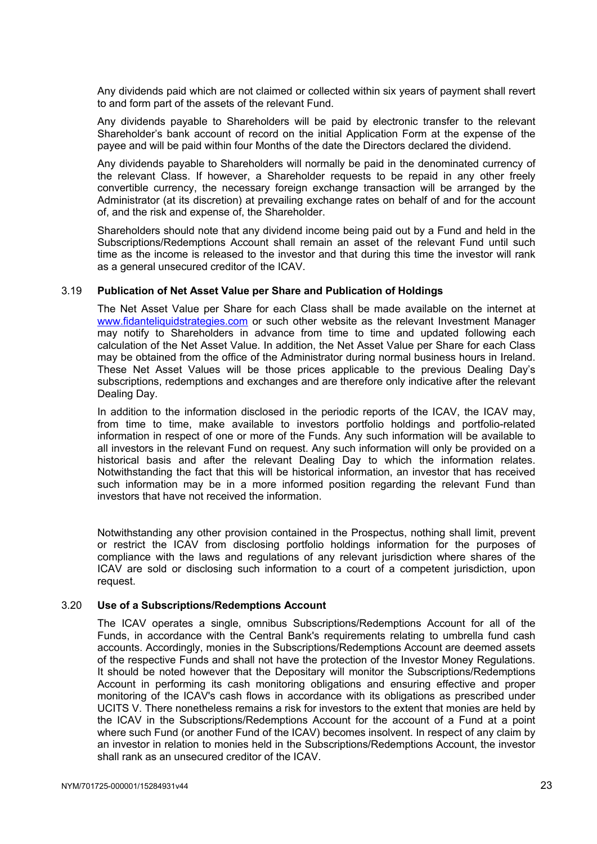Any dividends paid which are not claimed or collected within six years of payment shall revert to and form part of the assets of the relevant Fund.

Any dividends payable to Shareholders will be paid by electronic transfer to the relevant Shareholder's bank account of record on the initial Application Form at the expense of the payee and will be paid within four Months of the date the Directors declared the dividend.

Any dividends payable to Shareholders will normally be paid in the denominated currency of the relevant Class. If however, a Shareholder requests to be repaid in any other freely convertible currency, the necessary foreign exchange transaction will be arranged by the Administrator (at its discretion) at prevailing exchange rates on behalf of and for the account of, and the risk and expense of, the Shareholder.

Shareholders should note that any dividend income being paid out by a Fund and held in the Subscriptions/Redemptions Account shall remain an asset of the relevant Fund until such time as the income is released to the investor and that during this time the investor will rank as a general unsecured creditor of the ICAV.

#### 3.19 **Publication of Net Asset Value per Share and Publication of Holdings**

The Net Asset Value per Share for each Class shall be made available on the internet at [www.fidanteliquidstrategies.com](http://www.fidanteliquidstrategies.com/) or such other website as the relevant Investment Manager may notify to Shareholders in advance from time to time and updated following each calculation of the Net Asset Value. In addition, the Net Asset Value per Share for each Class may be obtained from the office of the Administrator during normal business hours in Ireland. These Net Asset Values will be those prices applicable to the previous Dealing Day's subscriptions, redemptions and exchanges and are therefore only indicative after the relevant Dealing Day.

In addition to the information disclosed in the periodic reports of the ICAV, the ICAV may, from time to time, make available to investors portfolio holdings and portfolio-related information in respect of one or more of the Funds. Any such information will be available to all investors in the relevant Fund on request. Any such information will only be provided on a historical basis and after the relevant Dealing Day to which the information relates. Notwithstanding the fact that this will be historical information, an investor that has received such information may be in a more informed position regarding the relevant Fund than investors that have not received the information.

Notwithstanding any other provision contained in the Prospectus, nothing shall limit, prevent or restrict the ICAV from disclosing portfolio holdings information for the purposes of compliance with the laws and regulations of any relevant jurisdiction where shares of the ICAV are sold or disclosing such information to a court of a competent jurisdiction, upon request.

#### 3.20 **Use of a Subscriptions/Redemptions Account**

The ICAV operates a single, omnibus Subscriptions/Redemptions Account for all of the Funds, in accordance with the Central Bank's requirements relating to umbrella fund cash accounts. Accordingly, monies in the Subscriptions/Redemptions Account are deemed assets of the respective Funds and shall not have the protection of the Investor Money Regulations. It should be noted however that the Depositary will monitor the Subscriptions/Redemptions Account in performing its cash monitoring obligations and ensuring effective and proper monitoring of the ICAV's cash flows in accordance with its obligations as prescribed under UCITS V. There nonetheless remains a risk for investors to the extent that monies are held by the ICAV in the Subscriptions/Redemptions Account for the account of a Fund at a point where such Fund (or another Fund of the ICAV) becomes insolvent. In respect of any claim by an investor in relation to monies held in the Subscriptions/Redemptions Account, the investor shall rank as an unsecured creditor of the ICAV.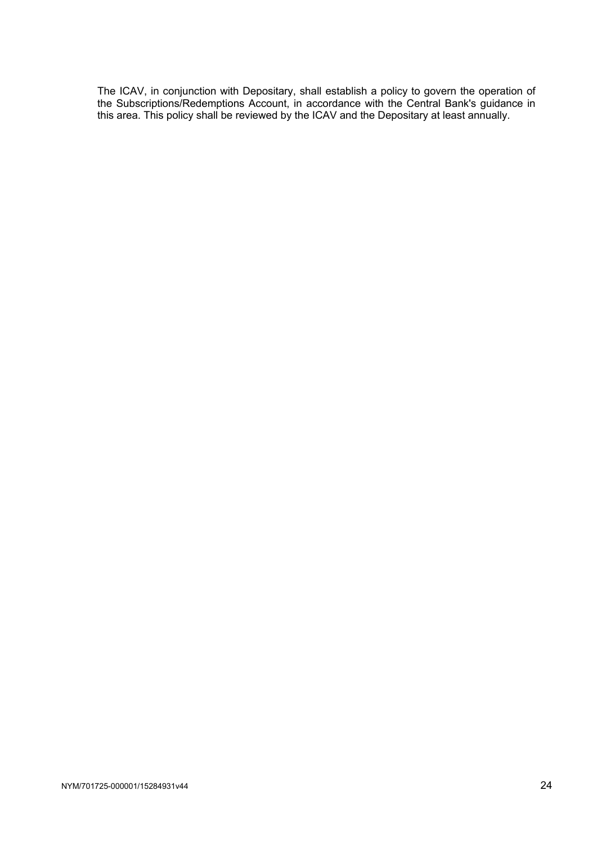The ICAV, in conjunction with Depositary, shall establish a policy to govern the operation of the Subscriptions/Redemptions Account, in accordance with the Central Bank's guidance in this area. This policy shall be reviewed by the ICAV and the Depositary at least annually.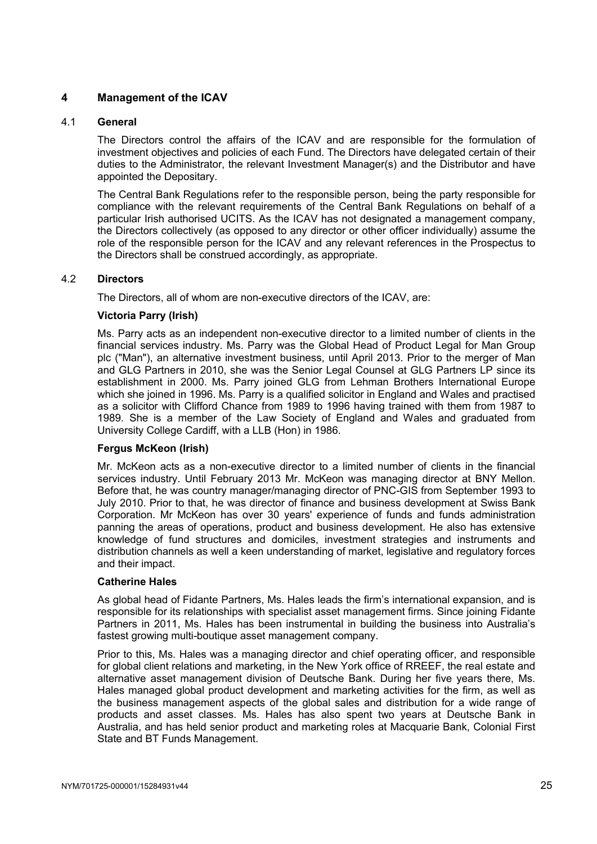# **4 Management of the ICAV**

# 4.1 **General**

The Directors control the affairs of the ICAV and are responsible for the formulation of investment objectives and policies of each Fund. The Directors have delegated certain of their duties to the Administrator, the relevant Investment Manager(s) and the Distributor and have appointed the Depositary.

The Central Bank Regulations refer to the responsible person, being the party responsible for compliance with the relevant requirements of the Central Bank Regulations on behalf of a particular Irish authorised UCITS. As the ICAV has not designated a management company, the Directors collectively (as opposed to any director or other officer individually) assume the role of the responsible person for the ICAV and any relevant references in the Prospectus to the Directors shall be construed accordingly, as appropriate.

# 4.2 **Directors**

The Directors, all of whom are non-executive directors of the ICAV, are:

# **Victoria Parry (Irish)**

Ms. Parry acts as an independent non-executive director to a limited number of clients in the financial services industry. Ms. Parry was the Global Head of Product Legal for Man Group plc ("Man"), an alternative investment business, until April 2013. Prior to the merger of Man and GLG Partners in 2010, she was the Senior Legal Counsel at GLG Partners LP since its establishment in 2000. Ms. Parry joined GLG from Lehman Brothers International Europe which she joined in 1996. Ms. Parry is a qualified solicitor in England and Wales and practised as a solicitor with Clifford Chance from 1989 to 1996 having trained with them from 1987 to 1989. She is a member of the Law Society of England and Wales and graduated from University College Cardiff, with a LLB (Hon) in 1986.

# **Fergus McKeon (Irish)**

Mr. McKeon acts as a non-executive director to a limited number of clients in the financial services industry. Until February 2013 Mr. McKeon was managing director at BNY Mellon. Before that, he was country manager/managing director of PNC-GIS from September 1993 to July 2010. Prior to that, he was director of finance and business development at Swiss Bank Corporation. Mr McKeon has over 30 years' experience of funds and funds administration panning the areas of operations, product and business development. He also has extensive knowledge of fund structures and domiciles, investment strategies and instruments and distribution channels as well a keen understanding of market, legislative and regulatory forces and their impact.

# **Catherine Hales**

As global head of Fidante Partners, Ms. Hales leads the firm's international expansion, and is responsible for its relationships with specialist asset management firms. Since joining Fidante Partners in 2011, Ms. Hales has been instrumental in building the business into Australia's fastest growing multi-boutique asset management company.

Prior to this, Ms. Hales was a managing director and chief operating officer, and responsible for global client relations and marketing, in the New York office of RREEF, the real estate and alternative asset management division of Deutsche Bank. During her five years there, Ms. Hales managed global product development and marketing activities for the firm, as well as the business management aspects of the global sales and distribution for a wide range of products and asset classes. Ms. Hales has also spent two years at Deutsche Bank in Australia, and has held senior product and marketing roles at Macquarie Bank, Colonial First State and BT Funds Management.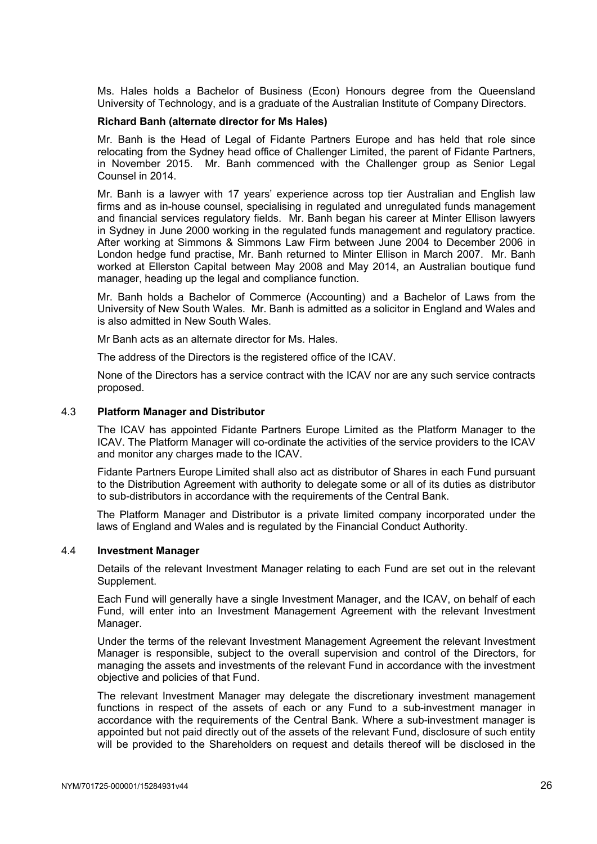Ms. Hales holds a Bachelor of Business (Econ) Honours degree from the Queensland University of Technology, and is a graduate of the Australian Institute of Company Directors.

#### **Richard Banh (alternate director for Ms Hales)**

Mr. Banh is the Head of Legal of Fidante Partners Europe and has held that role since relocating from the Sydney head office of Challenger Limited, the parent of Fidante Partners, in November 2015. Mr. Banh commenced with the Challenger group as Senior Legal Counsel in 2014.

Mr. Banh is a lawyer with 17 years' experience across top tier Australian and English law firms and as in-house counsel, specialising in regulated and unregulated funds management and financial services regulatory fields. Mr. Banh began his career at Minter Ellison lawyers in Sydney in June 2000 working in the regulated funds management and regulatory practice. After working at Simmons & Simmons Law Firm between June 2004 to December 2006 in London hedge fund practise, Mr. Banh returned to Minter Ellison in March 2007. Mr. Banh worked at Ellerston Capital between May 2008 and May 2014, an Australian boutique fund manager, heading up the legal and compliance function.

Mr. Banh holds a Bachelor of Commerce (Accounting) and a Bachelor of Laws from the University of New South Wales. Mr. Banh is admitted as a solicitor in England and Wales and is also admitted in New South Wales.

Mr Banh acts as an alternate director for Ms. Hales.

The address of the Directors is the registered office of the ICAV.

None of the Directors has a service contract with the ICAV nor are any such service contracts proposed.

#### 4.3 **Platform Manager and Distributor**

The ICAV has appointed Fidante Partners Europe Limited as the Platform Manager to the ICAV. The Platform Manager will co-ordinate the activities of the service providers to the ICAV and monitor any charges made to the ICAV.

Fidante Partners Europe Limited shall also act as distributor of Shares in each Fund pursuant to the Distribution Agreement with authority to delegate some or all of its duties as distributor to sub-distributors in accordance with the requirements of the Central Bank.

The Platform Manager and Distributor is a private limited company incorporated under the laws of England and Wales and is regulated by the Financial Conduct Authority.

#### 4.4 **Investment Manager**

Details of the relevant Investment Manager relating to each Fund are set out in the relevant Supplement.

Each Fund will generally have a single Investment Manager, and the ICAV, on behalf of each Fund, will enter into an Investment Management Agreement with the relevant Investment Manager.

Under the terms of the relevant Investment Management Agreement the relevant Investment Manager is responsible, subject to the overall supervision and control of the Directors, for managing the assets and investments of the relevant Fund in accordance with the investment objective and policies of that Fund.

The relevant Investment Manager may delegate the discretionary investment management functions in respect of the assets of each or any Fund to a sub-investment manager in accordance with the requirements of the Central Bank. Where a sub-investment manager is appointed but not paid directly out of the assets of the relevant Fund, disclosure of such entity will be provided to the Shareholders on request and details thereof will be disclosed in the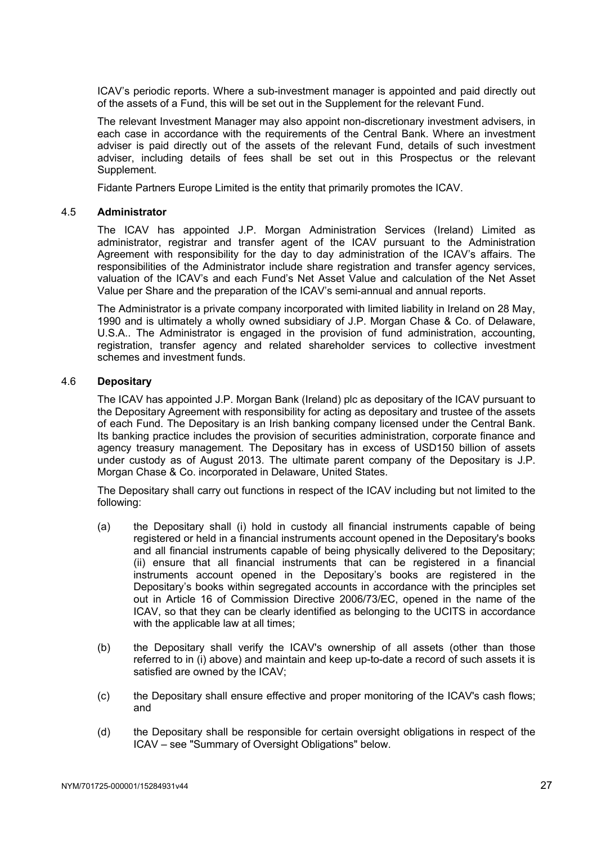ICAV's periodic reports. Where a sub-investment manager is appointed and paid directly out of the assets of a Fund, this will be set out in the Supplement for the relevant Fund.

The relevant Investment Manager may also appoint non-discretionary investment advisers, in each case in accordance with the requirements of the Central Bank. Where an investment adviser is paid directly out of the assets of the relevant Fund, details of such investment adviser, including details of fees shall be set out in this Prospectus or the relevant Supplement.

Fidante Partners Europe Limited is the entity that primarily promotes the ICAV.

# 4.5 **Administrator**

The ICAV has appointed J.P. Morgan Administration Services (Ireland) Limited as administrator, registrar and transfer agent of the ICAV pursuant to the Administration Agreement with responsibility for the day to day administration of the ICAV's affairs. The responsibilities of the Administrator include share registration and transfer agency services, valuation of the ICAV's and each Fund's Net Asset Value and calculation of the Net Asset Value per Share and the preparation of the ICAV's semi-annual and annual reports.

The Administrator is a private company incorporated with limited liability in Ireland on 28 May, 1990 and is ultimately a wholly owned subsidiary of J.P. Morgan Chase & Co. of Delaware, U.S.A.. The Administrator is engaged in the provision of fund administration, accounting, registration, transfer agency and related shareholder services to collective investment schemes and investment funds.

#### 4.6 **Depositary**

The ICAV has appointed J.P. Morgan Bank (Ireland) plc as depositary of the ICAV pursuant to the Depositary Agreement with responsibility for acting as depositary and trustee of the assets of each Fund. The Depositary is an Irish banking company licensed under the Central Bank. Its banking practice includes the provision of securities administration, corporate finance and agency treasury management. The Depositary has in excess of USD150 billion of assets under custody as of August 2013. The ultimate parent company of the Depositary is J.P. Morgan Chase & Co. incorporated in Delaware, United States.

The Depositary shall carry out functions in respect of the ICAV including but not limited to the following:

- (a) the Depositary shall (i) hold in custody all financial instruments capable of being registered or held in a financial instruments account opened in the Depositary's books and all financial instruments capable of being physically delivered to the Depositary; (ii) ensure that all financial instruments that can be registered in a financial instruments account opened in the Depositary's books are registered in the Depositary's books within segregated accounts in accordance with the principles set out in Article 16 of Commission Directive 2006/73/EC, opened in the name of the ICAV, so that they can be clearly identified as belonging to the UCITS in accordance with the applicable law at all times:
- (b) the Depositary shall verify the ICAV's ownership of all assets (other than those referred to in (i) above) and maintain and keep up-to-date a record of such assets it is satisfied are owned by the ICAV;
- (c) the Depositary shall ensure effective and proper monitoring of the ICAV's cash flows; and
- (d) the Depositary shall be responsible for certain oversight obligations in respect of the ICAV – see "Summary of Oversight Obligations" below.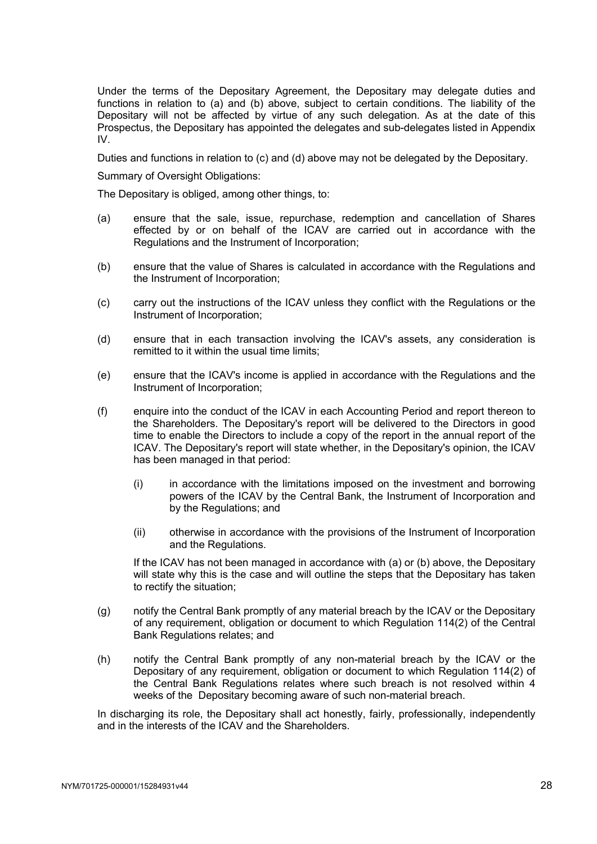Under the terms of the Depositary Agreement, the Depositary may delegate duties and functions in relation to (a) and (b) above, subject to certain conditions. The liability of the Depositary will not be affected by virtue of any such delegation. As at the date of this Prospectus, the Depositary has appointed the delegates and sub-delegates listed in Appendix IV.

Duties and functions in relation to (c) and (d) above may not be delegated by the Depositary.

Summary of Oversight Obligations:

The Depositary is obliged, among other things, to:

- (a) ensure that the sale, issue, repurchase, redemption and cancellation of Shares effected by or on behalf of the ICAV are carried out in accordance with the Regulations and the Instrument of Incorporation;
- (b) ensure that the value of Shares is calculated in accordance with the Regulations and the Instrument of Incorporation;
- (c) carry out the instructions of the ICAV unless they conflict with the Regulations or the Instrument of Incorporation;
- (d) ensure that in each transaction involving the ICAV's assets, any consideration is remitted to it within the usual time limits;
- (e) ensure that the ICAV's income is applied in accordance with the Regulations and the Instrument of Incorporation;
- (f) enquire into the conduct of the ICAV in each Accounting Period and report thereon to the Shareholders. The Depositary's report will be delivered to the Directors in good time to enable the Directors to include a copy of the report in the annual report of the ICAV. The Depositary's report will state whether, in the Depositary's opinion, the ICAV has been managed in that period:
	- (i) in accordance with the limitations imposed on the investment and borrowing powers of the ICAV by the Central Bank, the Instrument of Incorporation and by the Regulations; and
	- (ii) otherwise in accordance with the provisions of the Instrument of Incorporation and the Regulations.

If the ICAV has not been managed in accordance with (a) or (b) above, the Depositary will state why this is the case and will outline the steps that the Depositary has taken to rectify the situation;

- (g) notify the Central Bank promptly of any material breach by the ICAV or the Depositary of any requirement, obligation or document to which Regulation 114(2) of the Central Bank Regulations relates; and
- (h) notify the Central Bank promptly of any non-material breach by the ICAV or the Depositary of any requirement, obligation or document to which Regulation 114(2) of the Central Bank Regulations relates where such breach is not resolved within 4 weeks of the Depositary becoming aware of such non-material breach.

In discharging its role, the Depositary shall act honestly, fairly, professionally, independently and in the interests of the ICAV and the Shareholders.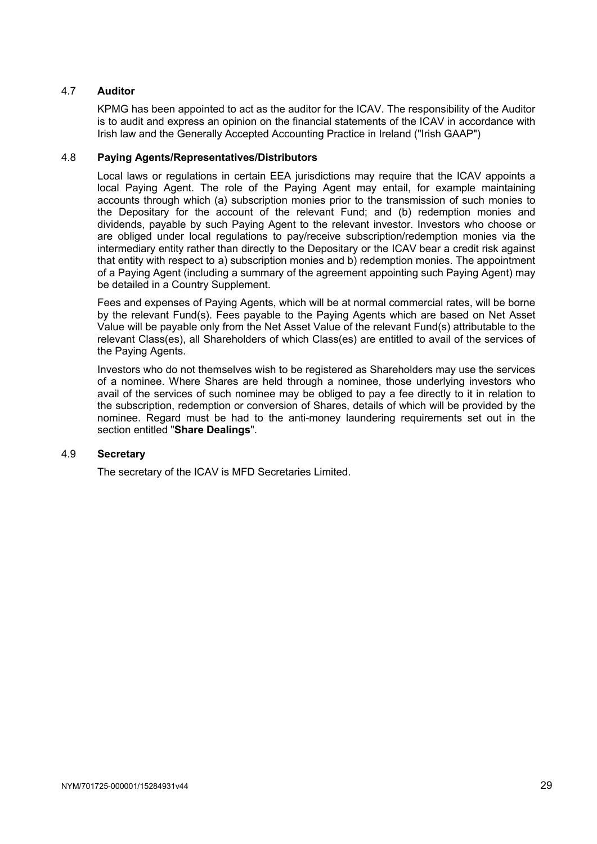# 4.7 **Auditor**

KPMG has been appointed to act as the auditor for the ICAV. The responsibility of the Auditor is to audit and express an opinion on the financial statements of the ICAV in accordance with Irish law and the Generally Accepted Accounting Practice in Ireland ("Irish GAAP")

#### 4.8 **Paying Agents/Representatives/Distributors**

Local laws or regulations in certain EEA jurisdictions may require that the ICAV appoints a local Paying Agent. The role of the Paying Agent may entail, for example maintaining accounts through which (a) subscription monies prior to the transmission of such monies to the Depositary for the account of the relevant Fund; and (b) redemption monies and dividends, payable by such Paying Agent to the relevant investor. Investors who choose or are obliged under local regulations to pay/receive subscription/redemption monies via the intermediary entity rather than directly to the Depositary or the ICAV bear a credit risk against that entity with respect to a) subscription monies and b) redemption monies. The appointment of a Paying Agent (including a summary of the agreement appointing such Paying Agent) may be detailed in a Country Supplement.

Fees and expenses of Paying Agents, which will be at normal commercial rates, will be borne by the relevant Fund(s). Fees payable to the Paying Agents which are based on Net Asset Value will be payable only from the Net Asset Value of the relevant Fund(s) attributable to the relevant Class(es), all Shareholders of which Class(es) are entitled to avail of the services of the Paying Agents.

Investors who do not themselves wish to be registered as Shareholders may use the services of a nominee. Where Shares are held through a nominee, those underlying investors who avail of the services of such nominee may be obliged to pay a fee directly to it in relation to the subscription, redemption or conversion of Shares, details of which will be provided by the nominee. Regard must be had to the anti-money laundering requirements set out in the section entitled "**Share Dealings**".

# 4.9 **Secretary**

The secretary of the ICAV is MFD Secretaries Limited.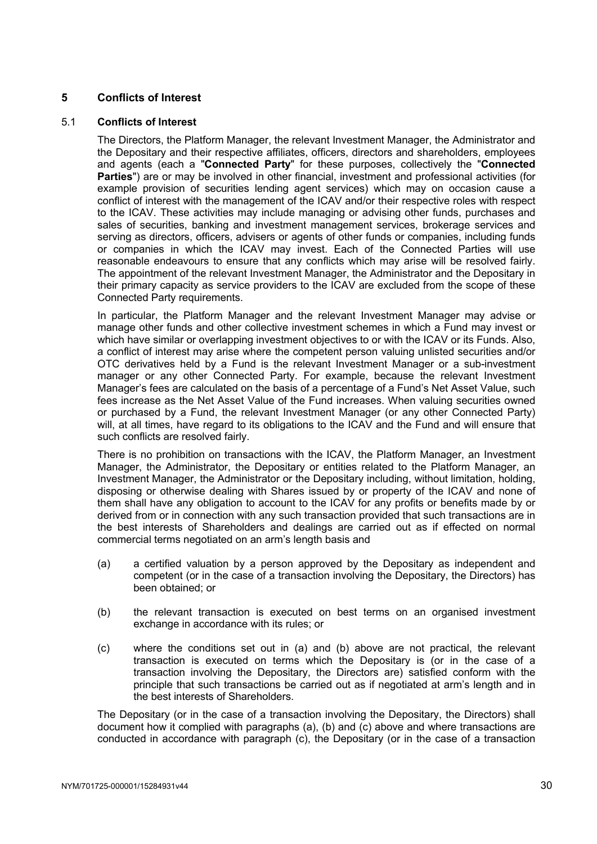# **5 Conflicts of Interest**

# 5.1 **Conflicts of Interest**

The Directors, the Platform Manager, the relevant Investment Manager, the Administrator and the Depositary and their respective affiliates, officers, directors and shareholders, employees and agents (each a "**Connected Party**" for these purposes, collectively the "**Connected Parties**") are or may be involved in other financial, investment and professional activities (for example provision of securities lending agent services) which may on occasion cause a conflict of interest with the management of the ICAV and/or their respective roles with respect to the ICAV. These activities may include managing or advising other funds, purchases and sales of securities, banking and investment management services, brokerage services and serving as directors, officers, advisers or agents of other funds or companies, including funds or companies in which the ICAV may invest. Each of the Connected Parties will use reasonable endeavours to ensure that any conflicts which may arise will be resolved fairly. The appointment of the relevant Investment Manager, the Administrator and the Depositary in their primary capacity as service providers to the ICAV are excluded from the scope of these Connected Party requirements.

In particular, the Platform Manager and the relevant Investment Manager may advise or manage other funds and other collective investment schemes in which a Fund may invest or which have similar or overlapping investment objectives to or with the ICAV or its Funds. Also, a conflict of interest may arise where the competent person valuing unlisted securities and/or OTC derivatives held by a Fund is the relevant Investment Manager or a sub-investment manager or any other Connected Party. For example, because the relevant Investment Manager's fees are calculated on the basis of a percentage of a Fund's Net Asset Value, such fees increase as the Net Asset Value of the Fund increases. When valuing securities owned or purchased by a Fund, the relevant Investment Manager (or any other Connected Party) will, at all times, have regard to its obligations to the ICAV and the Fund and will ensure that such conflicts are resolved fairly.

There is no prohibition on transactions with the ICAV, the Platform Manager, an Investment Manager, the Administrator, the Depositary or entities related to the Platform Manager, an Investment Manager, the Administrator or the Depositary including, without limitation, holding, disposing or otherwise dealing with Shares issued by or property of the ICAV and none of them shall have any obligation to account to the ICAV for any profits or benefits made by or derived from or in connection with any such transaction provided that such transactions are in the best interests of Shareholders and dealings are carried out as if effected on normal commercial terms negotiated on an arm's length basis and

- (a) a certified valuation by a person approved by the Depositary as independent and competent (or in the case of a transaction involving the Depositary, the Directors) has been obtained; or
- (b) the relevant transaction is executed on best terms on an organised investment exchange in accordance with its rules; or
- (c) where the conditions set out in (a) and (b) above are not practical, the relevant transaction is executed on terms which the Depositary is (or in the case of a transaction involving the Depositary, the Directors are) satisfied conform with the principle that such transactions be carried out as if negotiated at arm's length and in the best interests of Shareholders.

The Depositary (or in the case of a transaction involving the Depositary, the Directors) shall document how it complied with paragraphs (a), (b) and (c) above and where transactions are conducted in accordance with paragraph (c), the Depositary (or in the case of a transaction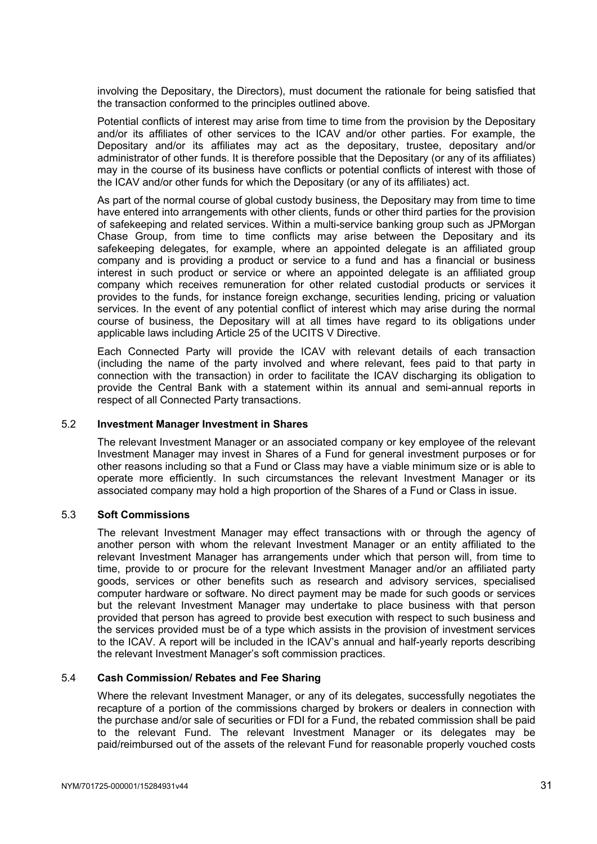involving the Depositary, the Directors), must document the rationale for being satisfied that the transaction conformed to the principles outlined above.

Potential conflicts of interest may arise from time to time from the provision by the Depositary and/or its affiliates of other services to the ICAV and/or other parties. For example, the Depositary and/or its affiliates may act as the depositary, trustee, depositary and/or administrator of other funds. It is therefore possible that the Depositary (or any of its affiliates) may in the course of its business have conflicts or potential conflicts of interest with those of the ICAV and/or other funds for which the Depositary (or any of its affiliates) act.

As part of the normal course of global custody business, the Depositary may from time to time have entered into arrangements with other clients, funds or other third parties for the provision of safekeeping and related services. Within a multi-service banking group such as JPMorgan Chase Group, from time to time conflicts may arise between the Depositary and its safekeeping delegates, for example, where an appointed delegate is an affiliated group company and is providing a product or service to a fund and has a financial or business interest in such product or service or where an appointed delegate is an affiliated group company which receives remuneration for other related custodial products or services it provides to the funds, for instance foreign exchange, securities lending, pricing or valuation services. In the event of any potential conflict of interest which may arise during the normal course of business, the Depositary will at all times have regard to its obligations under applicable laws including Article 25 of the UCITS V Directive.

Each Connected Party will provide the ICAV with relevant details of each transaction (including the name of the party involved and where relevant, fees paid to that party in connection with the transaction) in order to facilitate the ICAV discharging its obligation to provide the Central Bank with a statement within its annual and semi-annual reports in respect of all Connected Party transactions.

#### 5.2 **Investment Manager Investment in Shares**

The relevant Investment Manager or an associated company or key employee of the relevant Investment Manager may invest in Shares of a Fund for general investment purposes or for other reasons including so that a Fund or Class may have a viable minimum size or is able to operate more efficiently. In such circumstances the relevant Investment Manager or its associated company may hold a high proportion of the Shares of a Fund or Class in issue.

# 5.3 **Soft Commissions**

The relevant Investment Manager may effect transactions with or through the agency of another person with whom the relevant Investment Manager or an entity affiliated to the relevant Investment Manager has arrangements under which that person will, from time to time, provide to or procure for the relevant Investment Manager and/or an affiliated party goods, services or other benefits such as research and advisory services, specialised computer hardware or software. No direct payment may be made for such goods or services but the relevant Investment Manager may undertake to place business with that person provided that person has agreed to provide best execution with respect to such business and the services provided must be of a type which assists in the provision of investment services to the ICAV. A report will be included in the ICAV's annual and half-yearly reports describing the relevant Investment Manager's soft commission practices.

# 5.4 **Cash Commission/ Rebates and Fee Sharing**

Where the relevant Investment Manager, or any of its delegates, successfully negotiates the recapture of a portion of the commissions charged by brokers or dealers in connection with the purchase and/or sale of securities or FDI for a Fund, the rebated commission shall be paid to the relevant Fund. The relevant Investment Manager or its delegates may be paid/reimbursed out of the assets of the relevant Fund for reasonable properly vouched costs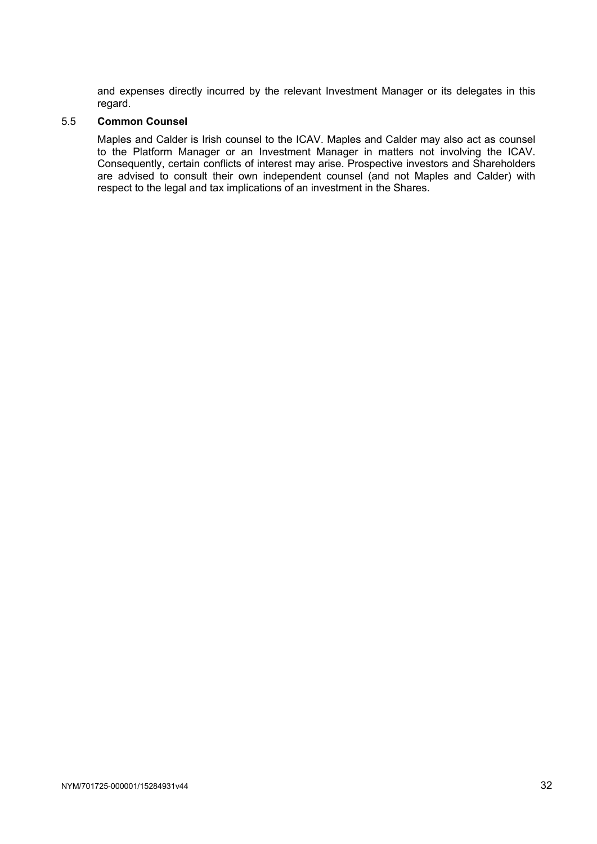and expenses directly incurred by the relevant Investment Manager or its delegates in this regard.

# 5.5 **Common Counsel**

Maples and Calder is Irish counsel to the ICAV. Maples and Calder may also act as counsel to the Platform Manager or an Investment Manager in matters not involving the ICAV. Consequently, certain conflicts of interest may arise. Prospective investors and Shareholders are advised to consult their own independent counsel (and not Maples and Calder) with respect to the legal and tax implications of an investment in the Shares.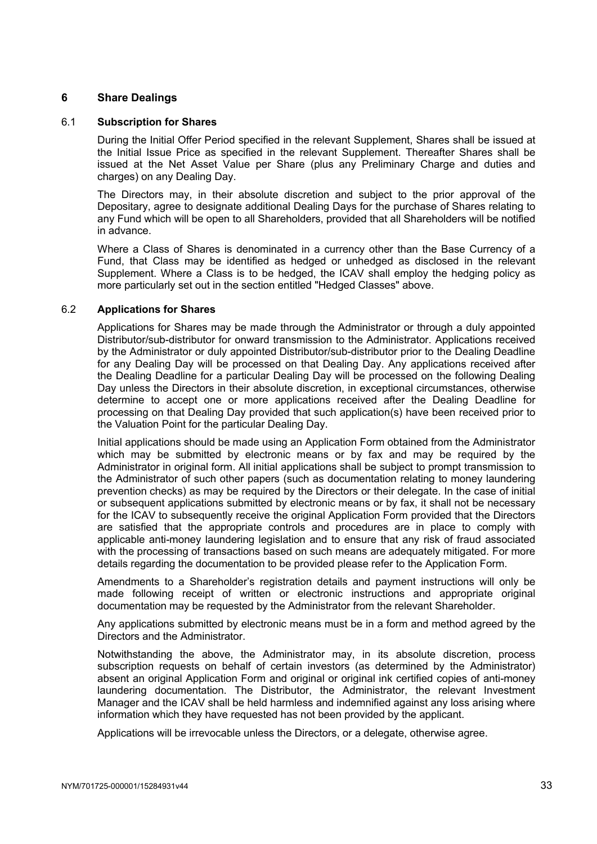# **6 Share Dealings**

# 6.1 **Subscription for Shares**

During the Initial Offer Period specified in the relevant Supplement, Shares shall be issued at the Initial Issue Price as specified in the relevant Supplement. Thereafter Shares shall be issued at the Net Asset Value per Share (plus any Preliminary Charge and duties and charges) on any Dealing Day.

The Directors may, in their absolute discretion and subject to the prior approval of the Depositary, agree to designate additional Dealing Days for the purchase of Shares relating to any Fund which will be open to all Shareholders, provided that all Shareholders will be notified in advance.

Where a Class of Shares is denominated in a currency other than the Base Currency of a Fund, that Class may be identified as hedged or unhedged as disclosed in the relevant Supplement. Where a Class is to be hedged, the ICAV shall employ the hedging policy as more particularly set out in the section entitled "Hedged Classes" above.

#### 6.2 **Applications for Shares**

Applications for Shares may be made through the Administrator or through a duly appointed Distributor/sub-distributor for onward transmission to the Administrator. Applications received by the Administrator or duly appointed Distributor/sub-distributor prior to the Dealing Deadline for any Dealing Day will be processed on that Dealing Day. Any applications received after the Dealing Deadline for a particular Dealing Day will be processed on the following Dealing Day unless the Directors in their absolute discretion, in exceptional circumstances, otherwise determine to accept one or more applications received after the Dealing Deadline for processing on that Dealing Day provided that such application(s) have been received prior to the Valuation Point for the particular Dealing Day.

Initial applications should be made using an Application Form obtained from the Administrator which may be submitted by electronic means or by fax and may be required by the Administrator in original form. All initial applications shall be subject to prompt transmission to the Administrator of such other papers (such as documentation relating to money laundering prevention checks) as may be required by the Directors or their delegate. In the case of initial or subsequent applications submitted by electronic means or by fax, it shall not be necessary for the ICAV to subsequently receive the original Application Form provided that the Directors are satisfied that the appropriate controls and procedures are in place to comply with applicable anti-money laundering legislation and to ensure that any risk of fraud associated with the processing of transactions based on such means are adequately mitigated. For more details regarding the documentation to be provided please refer to the Application Form.

Amendments to a Shareholder's registration details and payment instructions will only be made following receipt of written or electronic instructions and appropriate original documentation may be requested by the Administrator from the relevant Shareholder.

Any applications submitted by electronic means must be in a form and method agreed by the Directors and the Administrator.

Notwithstanding the above, the Administrator may, in its absolute discretion, process subscription requests on behalf of certain investors (as determined by the Administrator) absent an original Application Form and original or original ink certified copies of anti-money laundering documentation. The Distributor, the Administrator, the relevant Investment Manager and the ICAV shall be held harmless and indemnified against any loss arising where information which they have requested has not been provided by the applicant.

Applications will be irrevocable unless the Directors, or a delegate, otherwise agree.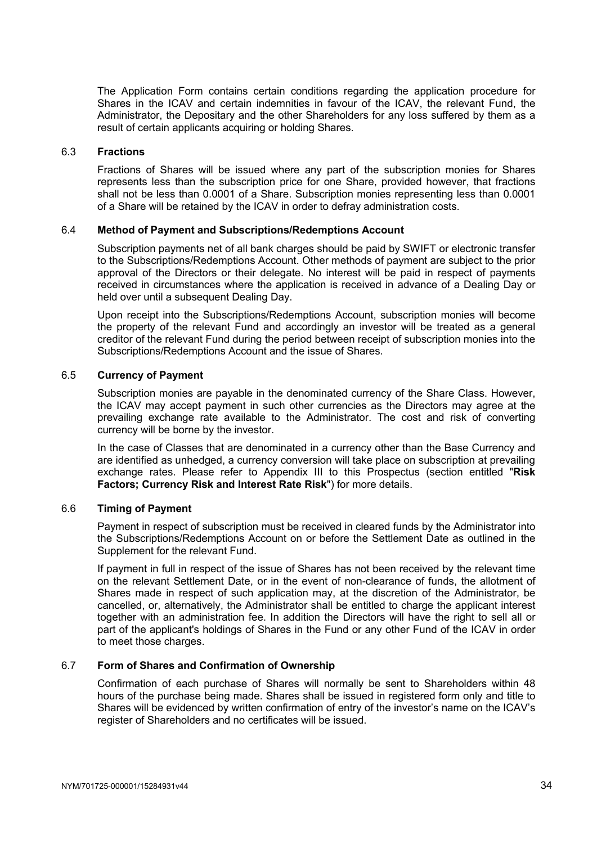The Application Form contains certain conditions regarding the application procedure for Shares in the ICAV and certain indemnities in favour of the ICAV, the relevant Fund, the Administrator, the Depositary and the other Shareholders for any loss suffered by them as a result of certain applicants acquiring or holding Shares.

# 6.3 **Fractions**

Fractions of Shares will be issued where any part of the subscription monies for Shares represents less than the subscription price for one Share, provided however, that fractions shall not be less than 0.0001 of a Share. Subscription monies representing less than 0.0001 of a Share will be retained by the ICAV in order to defray administration costs.

#### 6.4 **Method of Payment and Subscriptions/Redemptions Account**

Subscription payments net of all bank charges should be paid by SWIFT or electronic transfer to the Subscriptions/Redemptions Account. Other methods of payment are subject to the prior approval of the Directors or their delegate. No interest will be paid in respect of payments received in circumstances where the application is received in advance of a Dealing Day or held over until a subsequent Dealing Day.

Upon receipt into the Subscriptions/Redemptions Account, subscription monies will become the property of the relevant Fund and accordingly an investor will be treated as a general creditor of the relevant Fund during the period between receipt of subscription monies into the Subscriptions/Redemptions Account and the issue of Shares.

# 6.5 **Currency of Payment**

Subscription monies are payable in the denominated currency of the Share Class. However, the ICAV may accept payment in such other currencies as the Directors may agree at the prevailing exchange rate available to the Administrator. The cost and risk of converting currency will be borne by the investor.

In the case of Classes that are denominated in a currency other than the Base Currency and are identified as unhedged, a currency conversion will take place on subscription at prevailing exchange rates. Please refer to Appendix III to this Prospectus (section entitled "**Risk Factors; Currency Risk and Interest Rate Risk**") for more details.

# 6.6 **Timing of Payment**

Payment in respect of subscription must be received in cleared funds by the Administrator into the Subscriptions/Redemptions Account on or before the Settlement Date as outlined in the Supplement for the relevant Fund.

If payment in full in respect of the issue of Shares has not been received by the relevant time on the relevant Settlement Date, or in the event of non-clearance of funds, the allotment of Shares made in respect of such application may, at the discretion of the Administrator, be cancelled, or, alternatively, the Administrator shall be entitled to charge the applicant interest together with an administration fee. In addition the Directors will have the right to sell all or part of the applicant's holdings of Shares in the Fund or any other Fund of the ICAV in order to meet those charges.

# 6.7 **Form of Shares and Confirmation of Ownership**

Confirmation of each purchase of Shares will normally be sent to Shareholders within 48 hours of the purchase being made. Shares shall be issued in registered form only and title to Shares will be evidenced by written confirmation of entry of the investor's name on the ICAV's register of Shareholders and no certificates will be issued.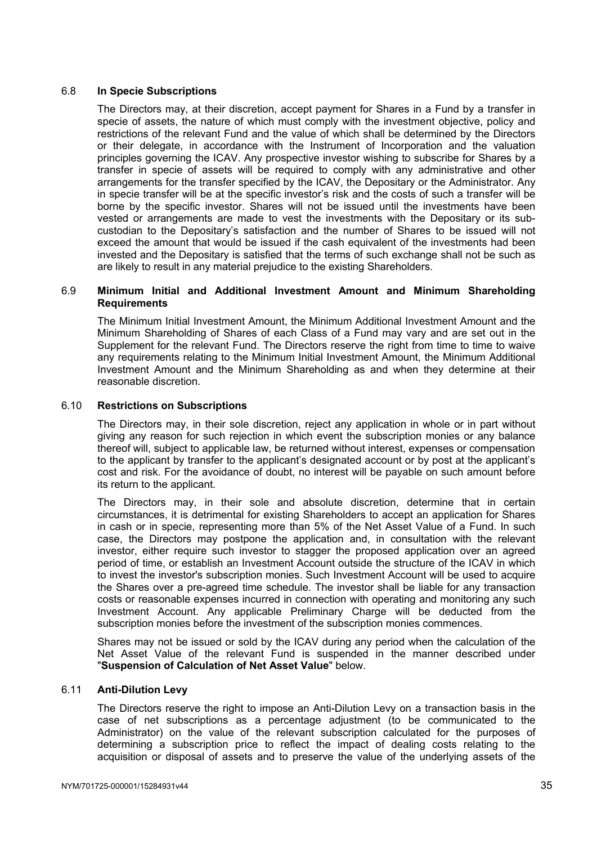## 6.8 **In Specie Subscriptions**

The Directors may, at their discretion, accept payment for Shares in a Fund by a transfer in specie of assets, the nature of which must comply with the investment objective, policy and restrictions of the relevant Fund and the value of which shall be determined by the Directors or their delegate, in accordance with the Instrument of Incorporation and the valuation principles governing the ICAV. Any prospective investor wishing to subscribe for Shares by a transfer in specie of assets will be required to comply with any administrative and other arrangements for the transfer specified by the ICAV, the Depositary or the Administrator. Any in specie transfer will be at the specific investor's risk and the costs of such a transfer will be borne by the specific investor. Shares will not be issued until the investments have been vested or arrangements are made to vest the investments with the Depositary or its subcustodian to the Depositary's satisfaction and the number of Shares to be issued will not exceed the amount that would be issued if the cash equivalent of the investments had been invested and the Depositary is satisfied that the terms of such exchange shall not be such as are likely to result in any material prejudice to the existing Shareholders.

## 6.9 **Minimum Initial and Additional Investment Amount and Minimum Shareholding Requirements**

The Minimum Initial Investment Amount, the Minimum Additional Investment Amount and the Minimum Shareholding of Shares of each Class of a Fund may vary and are set out in the Supplement for the relevant Fund. The Directors reserve the right from time to time to waive any requirements relating to the Minimum Initial Investment Amount, the Minimum Additional Investment Amount and the Minimum Shareholding as and when they determine at their reasonable discretion.

## 6.10 **Restrictions on Subscriptions**

The Directors may, in their sole discretion, reject any application in whole or in part without giving any reason for such rejection in which event the subscription monies or any balance thereof will, subject to applicable law, be returned without interest, expenses or compensation to the applicant by transfer to the applicant's designated account or by post at the applicant's cost and risk. For the avoidance of doubt, no interest will be payable on such amount before its return to the applicant.

The Directors may, in their sole and absolute discretion, determine that in certain circumstances, it is detrimental for existing Shareholders to accept an application for Shares in cash or in specie, representing more than 5% of the Net Asset Value of a Fund. In such case, the Directors may postpone the application and, in consultation with the relevant investor, either require such investor to stagger the proposed application over an agreed period of time, or establish an Investment Account outside the structure of the ICAV in which to invest the investor's subscription monies. Such Investment Account will be used to acquire the Shares over a pre-agreed time schedule. The investor shall be liable for any transaction costs or reasonable expenses incurred in connection with operating and monitoring any such Investment Account. Any applicable Preliminary Charge will be deducted from the subscription monies before the investment of the subscription monies commences.

Shares may not be issued or sold by the ICAV during any period when the calculation of the Net Asset Value of the relevant Fund is suspended in the manner described under "**Suspension of Calculation of Net Asset Value**" below.

## 6.11 **Anti-Dilution Levy**

The Directors reserve the right to impose an Anti-Dilution Levy on a transaction basis in the case of net subscriptions as a percentage adjustment (to be communicated to the Administrator) on the value of the relevant subscription calculated for the purposes of determining a subscription price to reflect the impact of dealing costs relating to the acquisition or disposal of assets and to preserve the value of the underlying assets of the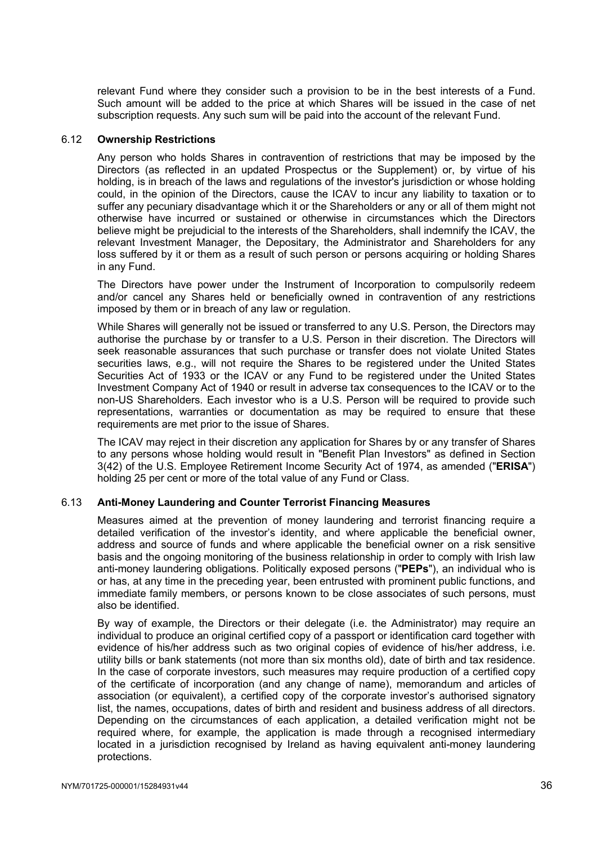relevant Fund where they consider such a provision to be in the best interests of a Fund. Such amount will be added to the price at which Shares will be issued in the case of net subscription requests. Any such sum will be paid into the account of the relevant Fund.

### 6.12 **Ownership Restrictions**

Any person who holds Shares in contravention of restrictions that may be imposed by the Directors (as reflected in an updated Prospectus or the Supplement) or, by virtue of his holding, is in breach of the laws and regulations of the investor's jurisdiction or whose holding could, in the opinion of the Directors, cause the ICAV to incur any liability to taxation or to suffer any pecuniary disadvantage which it or the Shareholders or any or all of them might not otherwise have incurred or sustained or otherwise in circumstances which the Directors believe might be prejudicial to the interests of the Shareholders, shall indemnify the ICAV, the relevant Investment Manager, the Depositary, the Administrator and Shareholders for any loss suffered by it or them as a result of such person or persons acquiring or holding Shares in any Fund.

The Directors have power under the Instrument of Incorporation to compulsorily redeem and/or cancel any Shares held or beneficially owned in contravention of any restrictions imposed by them or in breach of any law or regulation.

While Shares will generally not be issued or transferred to any U.S. Person, the Directors may authorise the purchase by or transfer to a U.S. Person in their discretion. The Directors will seek reasonable assurances that such purchase or transfer does not violate United States securities laws, e.g., will not require the Shares to be registered under the United States Securities Act of 1933 or the ICAV or any Fund to be registered under the United States Investment Company Act of 1940 or result in adverse tax consequences to the ICAV or to the non-US Shareholders. Each investor who is a U.S. Person will be required to provide such representations, warranties or documentation as may be required to ensure that these requirements are met prior to the issue of Shares.

The ICAV may reject in their discretion any application for Shares by or any transfer of Shares to any persons whose holding would result in "Benefit Plan Investors" as defined in Section 3(42) of the U.S. Employee Retirement Income Security Act of 1974, as amended ("**ERISA**") holding 25 per cent or more of the total value of any Fund or Class.

## 6.13 **Anti-Money Laundering and Counter Terrorist Financing Measures**

Measures aimed at the prevention of money laundering and terrorist financing require a detailed verification of the investor's identity, and where applicable the beneficial owner, address and source of funds and where applicable the beneficial owner on a risk sensitive basis and the ongoing monitoring of the business relationship in order to comply with Irish law anti-money laundering obligations. Politically exposed persons ("**PEPs**"), an individual who is or has, at any time in the preceding year, been entrusted with prominent public functions, and immediate family members, or persons known to be close associates of such persons, must also be identified.

By way of example, the Directors or their delegate (i.e. the Administrator) may require an individual to produce an original certified copy of a passport or identification card together with evidence of his/her address such as two original copies of evidence of his/her address, i.e. utility bills or bank statements (not more than six months old), date of birth and tax residence. In the case of corporate investors, such measures may require production of a certified copy of the certificate of incorporation (and any change of name), memorandum and articles of association (or equivalent), a certified copy of the corporate investor's authorised signatory list, the names, occupations, dates of birth and resident and business address of all directors. Depending on the circumstances of each application, a detailed verification might not be required where, for example, the application is made through a recognised intermediary located in a jurisdiction recognised by Ireland as having equivalent anti-money laundering protections.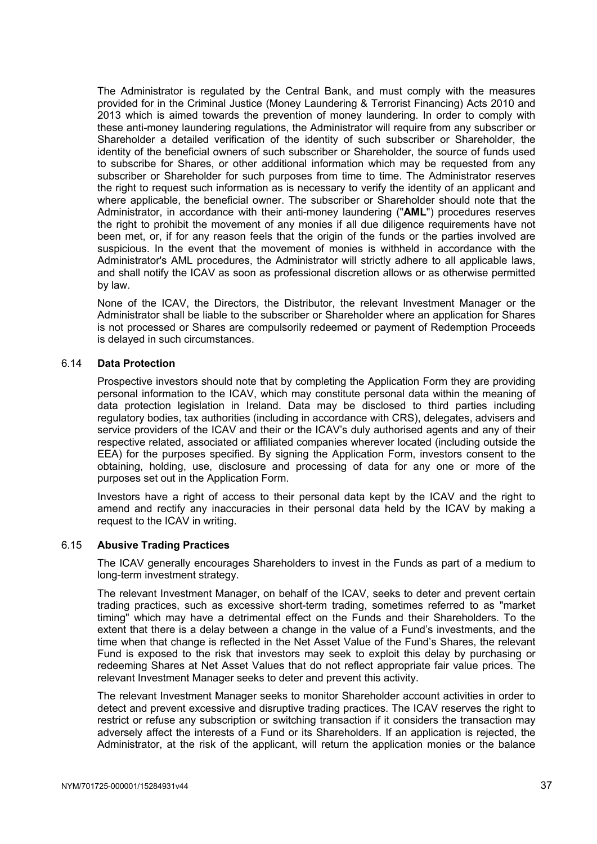The Administrator is regulated by the Central Bank, and must comply with the measures provided for in the Criminal Justice (Money Laundering & Terrorist Financing) Acts 2010 and 2013 which is aimed towards the prevention of money laundering. In order to comply with these anti-money laundering regulations, the Administrator will require from any subscriber or Shareholder a detailed verification of the identity of such subscriber or Shareholder, the identity of the beneficial owners of such subscriber or Shareholder, the source of funds used to subscribe for Shares, or other additional information which may be requested from any subscriber or Shareholder for such purposes from time to time. The Administrator reserves the right to request such information as is necessary to verify the identity of an applicant and where applicable, the beneficial owner. The subscriber or Shareholder should note that the Administrator, in accordance with their anti-money laundering ("**AML**") procedures reserves the right to prohibit the movement of any monies if all due diligence requirements have not been met, or, if for any reason feels that the origin of the funds or the parties involved are suspicious. In the event that the movement of monies is withheld in accordance with the Administrator's AML procedures, the Administrator will strictly adhere to all applicable laws, and shall notify the ICAV as soon as professional discretion allows or as otherwise permitted by law.

None of the ICAV, the Directors, the Distributor, the relevant Investment Manager or the Administrator shall be liable to the subscriber or Shareholder where an application for Shares is not processed or Shares are compulsorily redeemed or payment of Redemption Proceeds is delayed in such circumstances.

## 6.14 **Data Protection**

Prospective investors should note that by completing the Application Form they are providing personal information to the ICAV, which may constitute personal data within the meaning of data protection legislation in Ireland. Data may be disclosed to third parties including regulatory bodies, tax authorities (including in accordance with CRS), delegates, advisers and service providers of the ICAV and their or the ICAV's duly authorised agents and any of their respective related, associated or affiliated companies wherever located (including outside the EEA) for the purposes specified. By signing the Application Form, investors consent to the obtaining, holding, use, disclosure and processing of data for any one or more of the purposes set out in the Application Form.

Investors have a right of access to their personal data kept by the ICAV and the right to amend and rectify any inaccuracies in their personal data held by the ICAV by making a request to the ICAV in writing.

## 6.15 **Abusive Trading Practices**

The ICAV generally encourages Shareholders to invest in the Funds as part of a medium to long-term investment strategy.

The relevant Investment Manager, on behalf of the ICAV, seeks to deter and prevent certain trading practices, such as excessive short-term trading, sometimes referred to as "market timing" which may have a detrimental effect on the Funds and their Shareholders. To the extent that there is a delay between a change in the value of a Fund's investments, and the time when that change is reflected in the Net Asset Value of the Fund's Shares, the relevant Fund is exposed to the risk that investors may seek to exploit this delay by purchasing or redeeming Shares at Net Asset Values that do not reflect appropriate fair value prices. The relevant Investment Manager seeks to deter and prevent this activity.

The relevant Investment Manager seeks to monitor Shareholder account activities in order to detect and prevent excessive and disruptive trading practices. The ICAV reserves the right to restrict or refuse any subscription or switching transaction if it considers the transaction may adversely affect the interests of a Fund or its Shareholders. If an application is rejected, the Administrator, at the risk of the applicant, will return the application monies or the balance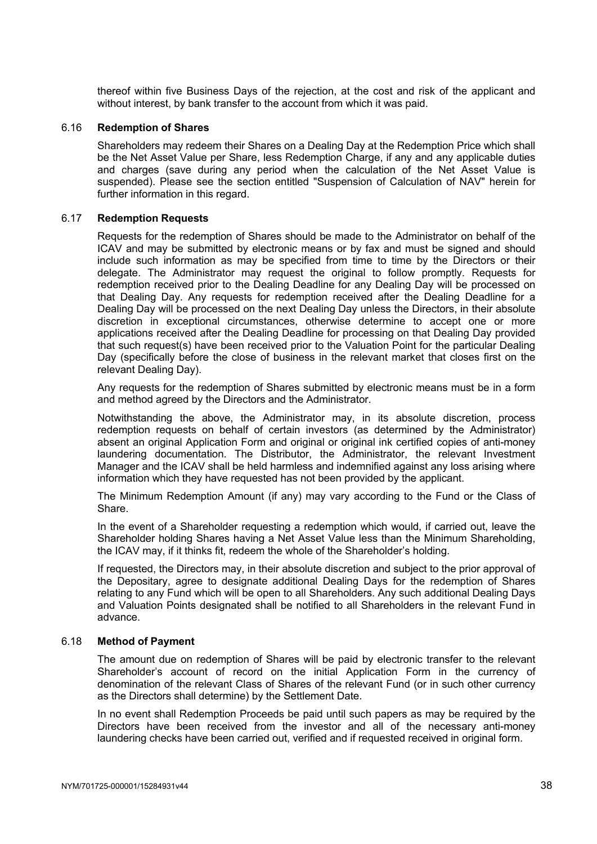thereof within five Business Days of the rejection, at the cost and risk of the applicant and without interest, by bank transfer to the account from which it was paid.

#### 6.16 **Redemption of Shares**

Shareholders may redeem their Shares on a Dealing Day at the Redemption Price which shall be the Net Asset Value per Share, less Redemption Charge, if any and any applicable duties and charges (save during any period when the calculation of the Net Asset Value is suspended). Please see the section entitled "Suspension of Calculation of NAV" herein for further information in this regard.

### 6.17 **Redemption Requests**

Requests for the redemption of Shares should be made to the Administrator on behalf of the ICAV and may be submitted by electronic means or by fax and must be signed and should include such information as may be specified from time to time by the Directors or their delegate. The Administrator may request the original to follow promptly. Requests for redemption received prior to the Dealing Deadline for any Dealing Day will be processed on that Dealing Day. Any requests for redemption received after the Dealing Deadline for a Dealing Day will be processed on the next Dealing Day unless the Directors, in their absolute discretion in exceptional circumstances, otherwise determine to accept one or more applications received after the Dealing Deadline for processing on that Dealing Day provided that such request(s) have been received prior to the Valuation Point for the particular Dealing Day (specifically before the close of business in the relevant market that closes first on the relevant Dealing Day).

Any requests for the redemption of Shares submitted by electronic means must be in a form and method agreed by the Directors and the Administrator.

Notwithstanding the above, the Administrator may, in its absolute discretion, process redemption requests on behalf of certain investors (as determined by the Administrator) absent an original Application Form and original or original ink certified copies of anti-money laundering documentation. The Distributor, the Administrator, the relevant Investment Manager and the ICAV shall be held harmless and indemnified against any loss arising where information which they have requested has not been provided by the applicant.

The Minimum Redemption Amount (if any) may vary according to the Fund or the Class of Share.

In the event of a Shareholder requesting a redemption which would, if carried out, leave the Shareholder holding Shares having a Net Asset Value less than the Minimum Shareholding, the ICAV may, if it thinks fit, redeem the whole of the Shareholder's holding.

If requested, the Directors may, in their absolute discretion and subject to the prior approval of the Depositary, agree to designate additional Dealing Days for the redemption of Shares relating to any Fund which will be open to all Shareholders. Any such additional Dealing Days and Valuation Points designated shall be notified to all Shareholders in the relevant Fund in advance.

#### 6.18 **Method of Payment**

The amount due on redemption of Shares will be paid by electronic transfer to the relevant Shareholder's account of record on the initial Application Form in the currency of denomination of the relevant Class of Shares of the relevant Fund (or in such other currency as the Directors shall determine) by the Settlement Date.

In no event shall Redemption Proceeds be paid until such papers as may be required by the Directors have been received from the investor and all of the necessary anti-money laundering checks have been carried out, verified and if requested received in original form.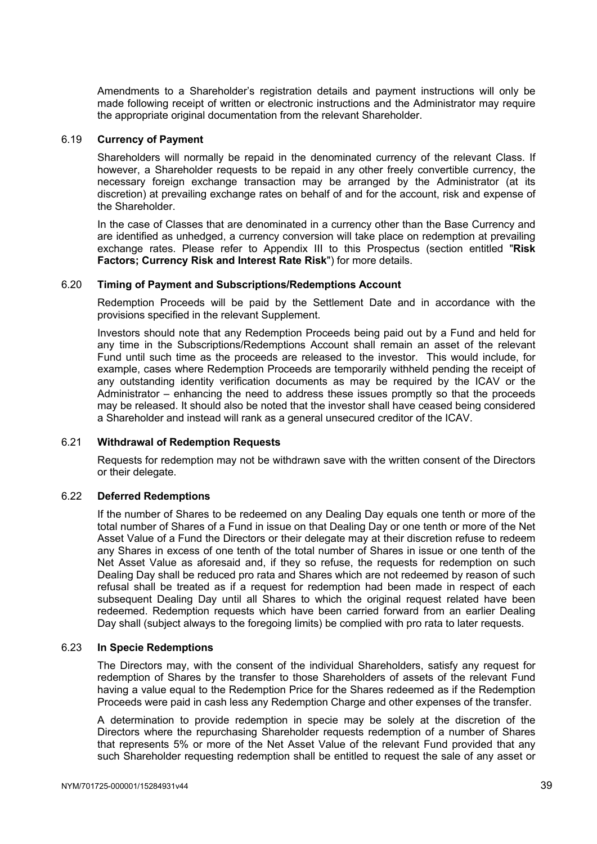Amendments to a Shareholder's registration details and payment instructions will only be made following receipt of written or electronic instructions and the Administrator may require the appropriate original documentation from the relevant Shareholder.

#### 6.19 **Currency of Payment**

Shareholders will normally be repaid in the denominated currency of the relevant Class. If however, a Shareholder requests to be repaid in any other freely convertible currency, the necessary foreign exchange transaction may be arranged by the Administrator (at its discretion) at prevailing exchange rates on behalf of and for the account, risk and expense of the Shareholder.

In the case of Classes that are denominated in a currency other than the Base Currency and are identified as unhedged, a currency conversion will take place on redemption at prevailing exchange rates. Please refer to Appendix III to this Prospectus (section entitled "**Risk Factors; Currency Risk and Interest Rate Risk**") for more details.

#### 6.20 **Timing of Payment and Subscriptions/Redemptions Account**

Redemption Proceeds will be paid by the Settlement Date and in accordance with the provisions specified in the relevant Supplement.

Investors should note that any Redemption Proceeds being paid out by a Fund and held for any time in the Subscriptions/Redemptions Account shall remain an asset of the relevant Fund until such time as the proceeds are released to the investor. This would include, for example, cases where Redemption Proceeds are temporarily withheld pending the receipt of any outstanding identity verification documents as may be required by the ICAV or the Administrator – enhancing the need to address these issues promptly so that the proceeds may be released. It should also be noted that the investor shall have ceased being considered a Shareholder and instead will rank as a general unsecured creditor of the ICAV.

#### 6.21 **Withdrawal of Redemption Requests**

Requests for redemption may not be withdrawn save with the written consent of the Directors or their delegate.

## 6.22 **Deferred Redemptions**

If the number of Shares to be redeemed on any Dealing Day equals one tenth or more of the total number of Shares of a Fund in issue on that Dealing Day or one tenth or more of the Net Asset Value of a Fund the Directors or their delegate may at their discretion refuse to redeem any Shares in excess of one tenth of the total number of Shares in issue or one tenth of the Net Asset Value as aforesaid and, if they so refuse, the requests for redemption on such Dealing Day shall be reduced pro rata and Shares which are not redeemed by reason of such refusal shall be treated as if a request for redemption had been made in respect of each subsequent Dealing Day until all Shares to which the original request related have been redeemed. Redemption requests which have been carried forward from an earlier Dealing Day shall (subject always to the foregoing limits) be complied with pro rata to later requests.

#### 6.23 **In Specie Redemptions**

The Directors may, with the consent of the individual Shareholders, satisfy any request for redemption of Shares by the transfer to those Shareholders of assets of the relevant Fund having a value equal to the Redemption Price for the Shares redeemed as if the Redemption Proceeds were paid in cash less any Redemption Charge and other expenses of the transfer.

A determination to provide redemption in specie may be solely at the discretion of the Directors where the repurchasing Shareholder requests redemption of a number of Shares that represents 5% or more of the Net Asset Value of the relevant Fund provided that any such Shareholder requesting redemption shall be entitled to request the sale of any asset or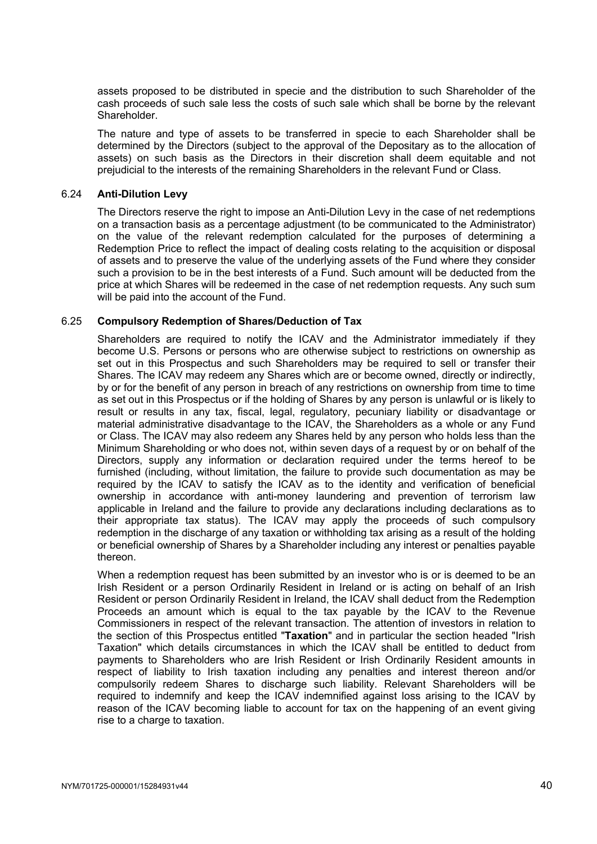assets proposed to be distributed in specie and the distribution to such Shareholder of the cash proceeds of such sale less the costs of such sale which shall be borne by the relevant Shareholder.

The nature and type of assets to be transferred in specie to each Shareholder shall be determined by the Directors (subject to the approval of the Depositary as to the allocation of assets) on such basis as the Directors in their discretion shall deem equitable and not prejudicial to the interests of the remaining Shareholders in the relevant Fund or Class.

### 6.24 **Anti-Dilution Levy**

The Directors reserve the right to impose an Anti-Dilution Levy in the case of net redemptions on a transaction basis as a percentage adjustment (to be communicated to the Administrator) on the value of the relevant redemption calculated for the purposes of determining a Redemption Price to reflect the impact of dealing costs relating to the acquisition or disposal of assets and to preserve the value of the underlying assets of the Fund where they consider such a provision to be in the best interests of a Fund. Such amount will be deducted from the price at which Shares will be redeemed in the case of net redemption requests. Any such sum will be paid into the account of the Fund.

#### 6.25 **Compulsory Redemption of Shares/Deduction of Tax**

Shareholders are required to notify the ICAV and the Administrator immediately if they become U.S. Persons or persons who are otherwise subject to restrictions on ownership as set out in this Prospectus and such Shareholders may be required to sell or transfer their Shares. The ICAV may redeem any Shares which are or become owned, directly or indirectly, by or for the benefit of any person in breach of any restrictions on ownership from time to time as set out in this Prospectus or if the holding of Shares by any person is unlawful or is likely to result or results in any tax, fiscal, legal, regulatory, pecuniary liability or disadvantage or material administrative disadvantage to the ICAV, the Shareholders as a whole or any Fund or Class. The ICAV may also redeem any Shares held by any person who holds less than the Minimum Shareholding or who does not, within seven days of a request by or on behalf of the Directors, supply any information or declaration required under the terms hereof to be furnished (including, without limitation, the failure to provide such documentation as may be required by the ICAV to satisfy the ICAV as to the identity and verification of beneficial ownership in accordance with anti-money laundering and prevention of terrorism law applicable in Ireland and the failure to provide any declarations including declarations as to their appropriate tax status). The ICAV may apply the proceeds of such compulsory redemption in the discharge of any taxation or withholding tax arising as a result of the holding or beneficial ownership of Shares by a Shareholder including any interest or penalties payable thereon.

When a redemption request has been submitted by an investor who is or is deemed to be an Irish Resident or a person Ordinarily Resident in Ireland or is acting on behalf of an Irish Resident or person Ordinarily Resident in Ireland, the ICAV shall deduct from the Redemption Proceeds an amount which is equal to the tax payable by the ICAV to the Revenue Commissioners in respect of the relevant transaction. The attention of investors in relation to the section of this Prospectus entitled "**Taxation**" and in particular the section headed "Irish Taxation" which details circumstances in which the ICAV shall be entitled to deduct from payments to Shareholders who are Irish Resident or Irish Ordinarily Resident amounts in respect of liability to Irish taxation including any penalties and interest thereon and/or compulsorily redeem Shares to discharge such liability. Relevant Shareholders will be required to indemnify and keep the ICAV indemnified against loss arising to the ICAV by reason of the ICAV becoming liable to account for tax on the happening of an event giving rise to a charge to taxation.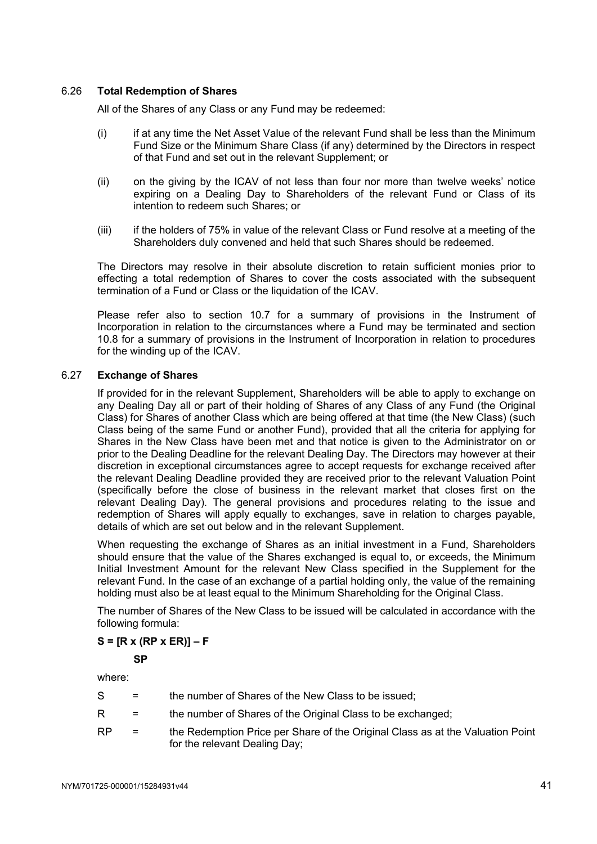## 6.26 **Total Redemption of Shares**

All of the Shares of any Class or any Fund may be redeemed:

- (i) if at any time the Net Asset Value of the relevant Fund shall be less than the Minimum Fund Size or the Minimum Share Class (if any) determined by the Directors in respect of that Fund and set out in the relevant Supplement; or
- (ii) on the giving by the ICAV of not less than four nor more than twelve weeks' notice expiring on a Dealing Day to Shareholders of the relevant Fund or Class of its intention to redeem such Shares; or
- (iii) if the holders of 75% in value of the relevant Class or Fund resolve at a meeting of the Shareholders duly convened and held that such Shares should be redeemed.

The Directors may resolve in their absolute discretion to retain sufficient monies prior to effecting a total redemption of Shares to cover the costs associated with the subsequent termination of a Fund or Class or the liquidation of the ICAV.

Please refer also to section 10.7 for a summary of provisions in the Instrument of Incorporation in relation to the circumstances where a Fund may be terminated and section 10.8 for a summary of provisions in the Instrument of Incorporation in relation to procedures for the winding up of the ICAV.

# 6.27 **Exchange of Shares**

If provided for in the relevant Supplement, Shareholders will be able to apply to exchange on any Dealing Day all or part of their holding of Shares of any Class of any Fund (the Original Class) for Shares of another Class which are being offered at that time (the New Class) (such Class being of the same Fund or another Fund), provided that all the criteria for applying for Shares in the New Class have been met and that notice is given to the Administrator on or prior to the Dealing Deadline for the relevant Dealing Day. The Directors may however at their discretion in exceptional circumstances agree to accept requests for exchange received after the relevant Dealing Deadline provided they are received prior to the relevant Valuation Point (specifically before the close of business in the relevant market that closes first on the relevant Dealing Day). The general provisions and procedures relating to the issue and redemption of Shares will apply equally to exchanges, save in relation to charges payable, details of which are set out below and in the relevant Supplement.

When requesting the exchange of Shares as an initial investment in a Fund, Shareholders should ensure that the value of the Shares exchanged is equal to, or exceeds, the Minimum Initial Investment Amount for the relevant New Class specified in the Supplement for the relevant Fund. In the case of an exchange of a partial holding only, the value of the remaining holding must also be at least equal to the Minimum Shareholding for the Original Class.

The number of Shares of the New Class to be issued will be calculated in accordance with the following formula:

# **S = [R x (RP x ER)] – F**

**SP**

where:

| the number of Shares of the New Class to be issued; |
|-----------------------------------------------------|
|                                                     |

- R = the number of Shares of the Original Class to be exchanged;
- RP = the Redemption Price per Share of the Original Class as at the Valuation Point for the relevant Dealing Day;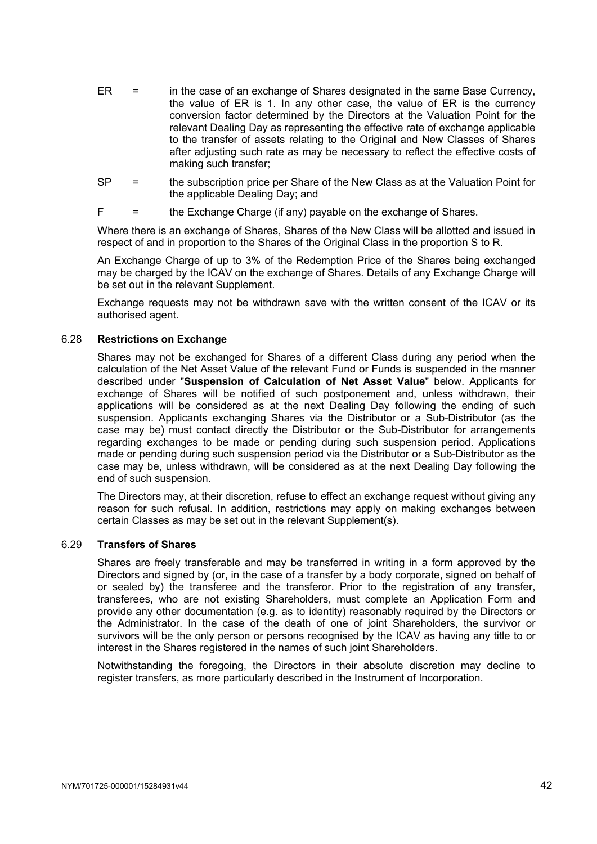- ER = in the case of an exchange of Shares designated in the same Base Currency, the value of ER is 1. In any other case, the value of ER is the currency conversion factor determined by the Directors at the Valuation Point for the relevant Dealing Day as representing the effective rate of exchange applicable to the transfer of assets relating to the Original and New Classes of Shares after adjusting such rate as may be necessary to reflect the effective costs of making such transfer;
- SP = the subscription price per Share of the New Class as at the Valuation Point for the applicable Dealing Day; and
- $F =$  the Exchange Charge (if any) payable on the exchange of Shares.

Where there is an exchange of Shares, Shares of the New Class will be allotted and issued in respect of and in proportion to the Shares of the Original Class in the proportion S to R.

An Exchange Charge of up to 3% of the Redemption Price of the Shares being exchanged may be charged by the ICAV on the exchange of Shares. Details of any Exchange Charge will be set out in the relevant Supplement.

Exchange requests may not be withdrawn save with the written consent of the ICAV or its authorised agent.

## 6.28 **Restrictions on Exchange**

Shares may not be exchanged for Shares of a different Class during any period when the calculation of the Net Asset Value of the relevant Fund or Funds is suspended in the manner described under "**Suspension of Calculation of Net Asset Value**" below. Applicants for exchange of Shares will be notified of such postponement and, unless withdrawn, their applications will be considered as at the next Dealing Day following the ending of such suspension. Applicants exchanging Shares via the Distributor or a Sub-Distributor (as the case may be) must contact directly the Distributor or the Sub-Distributor for arrangements regarding exchanges to be made or pending during such suspension period. Applications made or pending during such suspension period via the Distributor or a Sub-Distributor as the case may be, unless withdrawn, will be considered as at the next Dealing Day following the end of such suspension.

The Directors may, at their discretion, refuse to effect an exchange request without giving any reason for such refusal. In addition, restrictions may apply on making exchanges between certain Classes as may be set out in the relevant Supplement(s).

## 6.29 **Transfers of Shares**

Shares are freely transferable and may be transferred in writing in a form approved by the Directors and signed by (or, in the case of a transfer by a body corporate, signed on behalf of or sealed by) the transferee and the transferor. Prior to the registration of any transfer, transferees, who are not existing Shareholders, must complete an Application Form and provide any other documentation (e.g. as to identity) reasonably required by the Directors or the Administrator. In the case of the death of one of joint Shareholders, the survivor or survivors will be the only person or persons recognised by the ICAV as having any title to or interest in the Shares registered in the names of such joint Shareholders.

Notwithstanding the foregoing, the Directors in their absolute discretion may decline to register transfers, as more particularly described in the Instrument of Incorporation.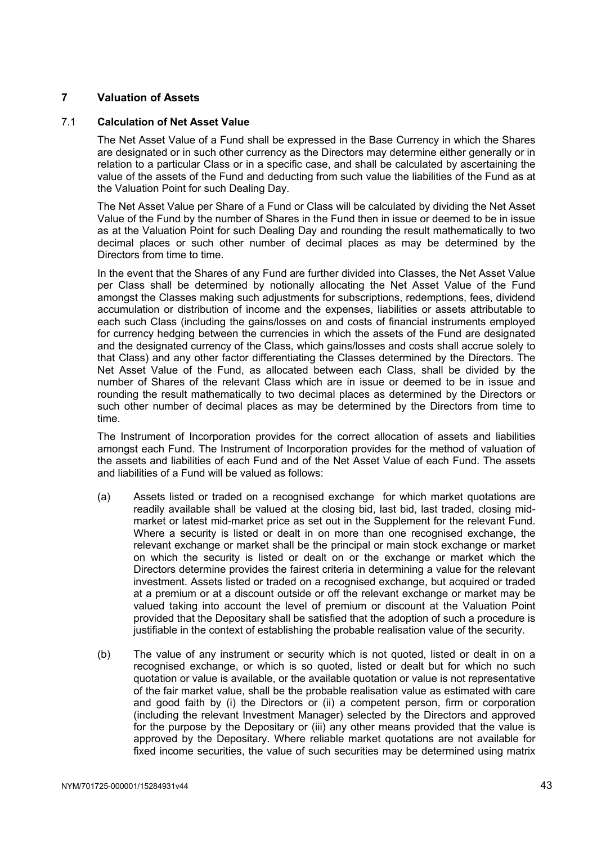## **7 Valuation of Assets**

## 7.1 **Calculation of Net Asset Value**

The Net Asset Value of a Fund shall be expressed in the Base Currency in which the Shares are designated or in such other currency as the Directors may determine either generally or in relation to a particular Class or in a specific case, and shall be calculated by ascertaining the value of the assets of the Fund and deducting from such value the liabilities of the Fund as at the Valuation Point for such Dealing Day.

The Net Asset Value per Share of a Fund or Class will be calculated by dividing the Net Asset Value of the Fund by the number of Shares in the Fund then in issue or deemed to be in issue as at the Valuation Point for such Dealing Day and rounding the result mathematically to two decimal places or such other number of decimal places as may be determined by the Directors from time to time.

In the event that the Shares of any Fund are further divided into Classes, the Net Asset Value per Class shall be determined by notionally allocating the Net Asset Value of the Fund amongst the Classes making such adjustments for subscriptions, redemptions, fees, dividend accumulation or distribution of income and the expenses, liabilities or assets attributable to each such Class (including the gains/losses on and costs of financial instruments employed for currency hedging between the currencies in which the assets of the Fund are designated and the designated currency of the Class, which gains/losses and costs shall accrue solely to that Class) and any other factor differentiating the Classes determined by the Directors. The Net Asset Value of the Fund, as allocated between each Class, shall be divided by the number of Shares of the relevant Class which are in issue or deemed to be in issue and rounding the result mathematically to two decimal places as determined by the Directors or such other number of decimal places as may be determined by the Directors from time to time.

The Instrument of Incorporation provides for the correct allocation of assets and liabilities amongst each Fund. The Instrument of Incorporation provides for the method of valuation of the assets and liabilities of each Fund and of the Net Asset Value of each Fund. The assets and liabilities of a Fund will be valued as follows:

- (a) Assets listed or traded on a recognised exchange for which market quotations are readily available shall be valued at the closing bid, last bid, last traded, closing midmarket or latest mid-market price as set out in the Supplement for the relevant Fund. Where a security is listed or dealt in on more than one recognised exchange, the relevant exchange or market shall be the principal or main stock exchange or market on which the security is listed or dealt on or the exchange or market which the Directors determine provides the fairest criteria in determining a value for the relevant investment. Assets listed or traded on a recognised exchange, but acquired or traded at a premium or at a discount outside or off the relevant exchange or market may be valued taking into account the level of premium or discount at the Valuation Point provided that the Depositary shall be satisfied that the adoption of such a procedure is justifiable in the context of establishing the probable realisation value of the security.
- (b) The value of any instrument or security which is not quoted, listed or dealt in on a recognised exchange, or which is so quoted, listed or dealt but for which no such quotation or value is available, or the available quotation or value is not representative of the fair market value, shall be the probable realisation value as estimated with care and good faith by (i) the Directors or (ii) a competent person, firm or corporation (including the relevant Investment Manager) selected by the Directors and approved for the purpose by the Depositary or (iii) any other means provided that the value is approved by the Depositary. Where reliable market quotations are not available for fixed income securities, the value of such securities may be determined using matrix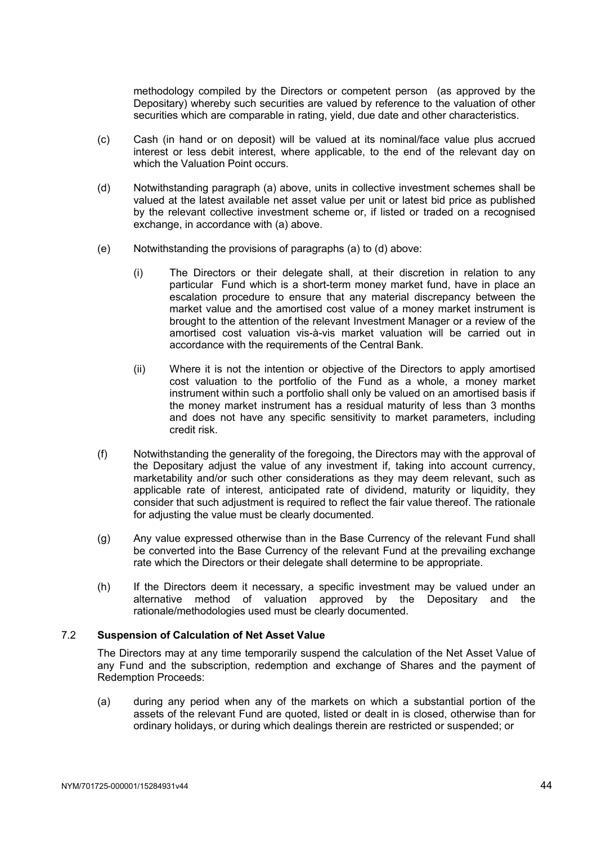methodology compiled by the Directors or competent person (as approved by the Depositary) whereby such securities are valued by reference to the valuation of other securities which are comparable in rating, yield, due date and other characteristics.

- (c) Cash (in hand or on deposit) will be valued at its nominal/face value plus accrued interest or less debit interest, where applicable, to the end of the relevant day on which the Valuation Point occurs.
- (d) Notwithstanding paragraph (a) above, units in collective investment schemes shall be valued at the latest available net asset value per unit or latest bid price as published by the relevant collective investment scheme or, if listed or traded on a recognised exchange, in accordance with (a) above.
- (e) Notwithstanding the provisions of paragraphs (a) to (d) above:
	- (i) The Directors or their delegate shall, at their discretion in relation to any particular Fund which is a short-term money market fund, have in place an escalation procedure to ensure that any material discrepancy between the market value and the amortised cost value of a money market instrument is brought to the attention of the relevant Investment Manager or a review of the amortised cost valuation vis-à-vis market valuation will be carried out in accordance with the requirements of the Central Bank.
	- (ii) Where it is not the intention or objective of the Directors to apply amortised cost valuation to the portfolio of the Fund as a whole, a money market instrument within such a portfolio shall only be valued on an amortised basis if the money market instrument has a residual maturity of less than 3 months and does not have any specific sensitivity to market parameters, including credit risk.
- (f) Notwithstanding the generality of the foregoing, the Directors may with the approval of the Depositary adjust the value of any investment if, taking into account currency, marketability and/or such other considerations as they may deem relevant, such as applicable rate of interest, anticipated rate of dividend, maturity or liquidity, they consider that such adjustment is required to reflect the fair value thereof. The rationale for adjusting the value must be clearly documented.
- (g) Any value expressed otherwise than in the Base Currency of the relevant Fund shall be converted into the Base Currency of the relevant Fund at the prevailing exchange rate which the Directors or their delegate shall determine to be appropriate.
- (h) If the Directors deem it necessary, a specific investment may be valued under an alternative method of valuation approved by the Depositary and the rationale/methodologies used must be clearly documented.

# 7.2 **Suspension of Calculation of Net Asset Value**

The Directors may at any time temporarily suspend the calculation of the Net Asset Value of any Fund and the subscription, redemption and exchange of Shares and the payment of Redemption Proceeds:

(a) during any period when any of the markets on which a substantial portion of the assets of the relevant Fund are quoted, listed or dealt in is closed, otherwise than for ordinary holidays, or during which dealings therein are restricted or suspended; or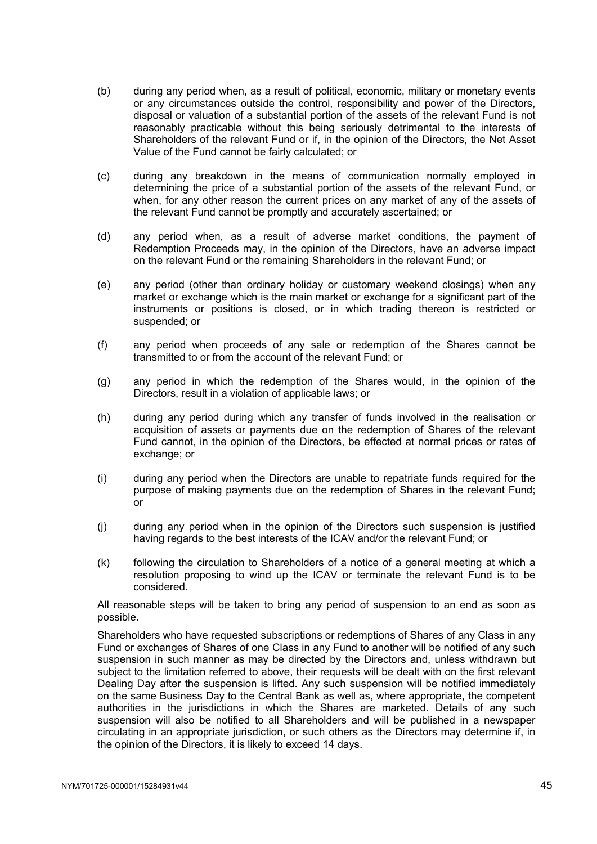- (b) during any period when, as a result of political, economic, military or monetary events or any circumstances outside the control, responsibility and power of the Directors, disposal or valuation of a substantial portion of the assets of the relevant Fund is not reasonably practicable without this being seriously detrimental to the interests of Shareholders of the relevant Fund or if, in the opinion of the Directors, the Net Asset Value of the Fund cannot be fairly calculated; or
- (c) during any breakdown in the means of communication normally employed in determining the price of a substantial portion of the assets of the relevant Fund, or when, for any other reason the current prices on any market of any of the assets of the relevant Fund cannot be promptly and accurately ascertained; or
- (d) any period when, as a result of adverse market conditions, the payment of Redemption Proceeds may, in the opinion of the Directors, have an adverse impact on the relevant Fund or the remaining Shareholders in the relevant Fund; or
- (e) any period (other than ordinary holiday or customary weekend closings) when any market or exchange which is the main market or exchange for a significant part of the instruments or positions is closed, or in which trading thereon is restricted or suspended; or
- (f) any period when proceeds of any sale or redemption of the Shares cannot be transmitted to or from the account of the relevant Fund; or
- (g) any period in which the redemption of the Shares would, in the opinion of the Directors, result in a violation of applicable laws; or
- (h) during any period during which any transfer of funds involved in the realisation or acquisition of assets or payments due on the redemption of Shares of the relevant Fund cannot, in the opinion of the Directors, be effected at normal prices or rates of exchange; or
- (i) during any period when the Directors are unable to repatriate funds required for the purpose of making payments due on the redemption of Shares in the relevant Fund; or
- (j) during any period when in the opinion of the Directors such suspension is justified having regards to the best interests of the ICAV and/or the relevant Fund; or
- (k) following the circulation to Shareholders of a notice of a general meeting at which a resolution proposing to wind up the ICAV or terminate the relevant Fund is to be considered.

All reasonable steps will be taken to bring any period of suspension to an end as soon as possible.

Shareholders who have requested subscriptions or redemptions of Shares of any Class in any Fund or exchanges of Shares of one Class in any Fund to another will be notified of any such suspension in such manner as may be directed by the Directors and, unless withdrawn but subject to the limitation referred to above, their requests will be dealt with on the first relevant Dealing Day after the suspension is lifted. Any such suspension will be notified immediately on the same Business Day to the Central Bank as well as, where appropriate, the competent authorities in the jurisdictions in which the Shares are marketed. Details of any such suspension will also be notified to all Shareholders and will be published in a newspaper circulating in an appropriate jurisdiction, or such others as the Directors may determine if, in the opinion of the Directors, it is likely to exceed 14 days.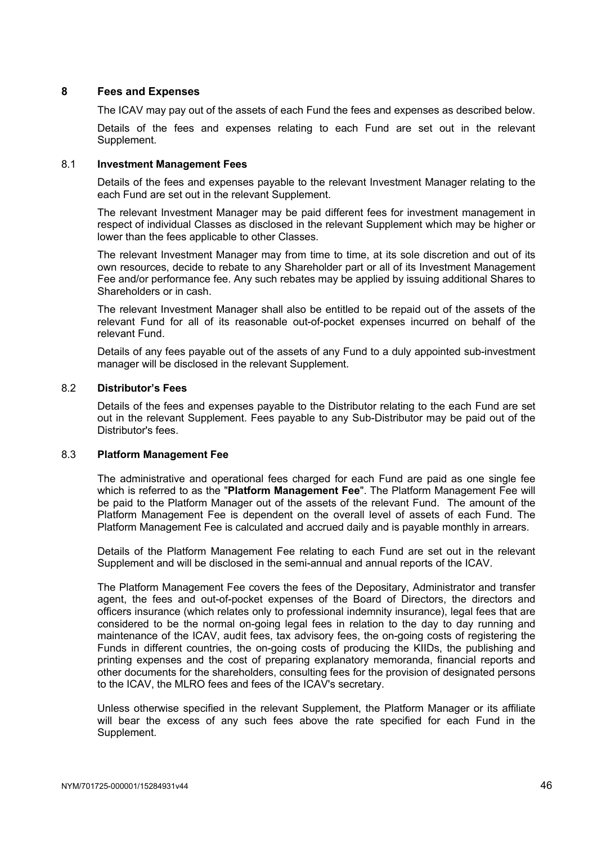## **8 Fees and Expenses**

The ICAV may pay out of the assets of each Fund the fees and expenses as described below.

Details of the fees and expenses relating to each Fund are set out in the relevant Supplement.

### 8.1 **Investment Management Fees**

Details of the fees and expenses payable to the relevant Investment Manager relating to the each Fund are set out in the relevant Supplement.

The relevant Investment Manager may be paid different fees for investment management in respect of individual Classes as disclosed in the relevant Supplement which may be higher or lower than the fees applicable to other Classes.

The relevant Investment Manager may from time to time, at its sole discretion and out of its own resources, decide to rebate to any Shareholder part or all of its Investment Management Fee and/or performance fee. Any such rebates may be applied by issuing additional Shares to Shareholders or in cash.

The relevant Investment Manager shall also be entitled to be repaid out of the assets of the relevant Fund for all of its reasonable out-of-pocket expenses incurred on behalf of the relevant Fund.

Details of any fees payable out of the assets of any Fund to a duly appointed sub-investment manager will be disclosed in the relevant Supplement.

## 8.2 **Distributor's Fees**

Details of the fees and expenses payable to the Distributor relating to the each Fund are set out in the relevant Supplement. Fees payable to any Sub-Distributor may be paid out of the Distributor's fees.

## 8.3 **Platform Management Fee**

The administrative and operational fees charged for each Fund are paid as one single fee which is referred to as the "**Platform Management Fee**". The Platform Management Fee will be paid to the Platform Manager out of the assets of the relevant Fund. The amount of the Platform Management Fee is dependent on the overall level of assets of each Fund. The Platform Management Fee is calculated and accrued daily and is payable monthly in arrears.

Details of the Platform Management Fee relating to each Fund are set out in the relevant Supplement and will be disclosed in the semi-annual and annual reports of the ICAV.

The Platform Management Fee covers the fees of the Depositary, Administrator and transfer agent, the fees and out-of-pocket expenses of the Board of Directors, the directors and officers insurance (which relates only to professional indemnity insurance), legal fees that are considered to be the normal on-going legal fees in relation to the day to day running and maintenance of the ICAV, audit fees, tax advisory fees, the on-going costs of registering the Funds in different countries, the on-going costs of producing the KIIDs, the publishing and printing expenses and the cost of preparing explanatory memoranda, financial reports and other documents for the shareholders, consulting fees for the provision of designated persons to the ICAV, the MLRO fees and fees of the ICAV's secretary.

Unless otherwise specified in the relevant Supplement, the Platform Manager or its affiliate will bear the excess of any such fees above the rate specified for each Fund in the Supplement.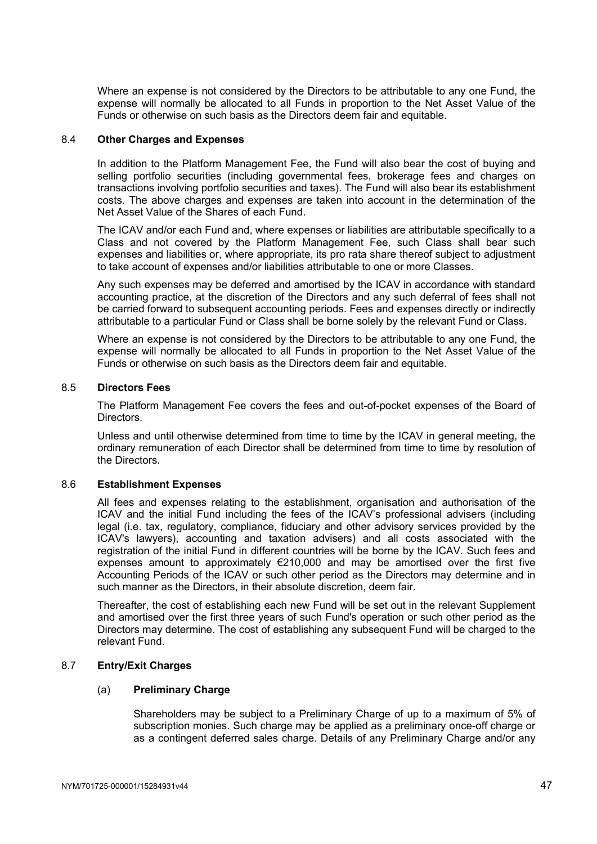Where an expense is not considered by the Directors to be attributable to any one Fund, the expense will normally be allocated to all Funds in proportion to the Net Asset Value of the Funds or otherwise on such basis as the Directors deem fair and equitable.

### 8.4 **Other Charges and Expenses**

In addition to the Platform Management Fee, the Fund will also bear the cost of buying and selling portfolio securities (including governmental fees, brokerage fees and charges on transactions involving portfolio securities and taxes). The Fund will also bear its establishment costs. The above charges and expenses are taken into account in the determination of the Net Asset Value of the Shares of each Fund.

The ICAV and/or each Fund and, where expenses or liabilities are attributable specifically to a Class and not covered by the Platform Management Fee, such Class shall bear such expenses and liabilities or, where appropriate, its pro rata share thereof subject to adjustment to take account of expenses and/or liabilities attributable to one or more Classes.

Any such expenses may be deferred and amortised by the ICAV in accordance with standard accounting practice, at the discretion of the Directors and any such deferral of fees shall not be carried forward to subsequent accounting periods. Fees and expenses directly or indirectly attributable to a particular Fund or Class shall be borne solely by the relevant Fund or Class.

Where an expense is not considered by the Directors to be attributable to any one Fund, the expense will normally be allocated to all Funds in proportion to the Net Asset Value of the Funds or otherwise on such basis as the Directors deem fair and equitable.

#### 8.5 **Directors Fees**

The Platform Management Fee covers the fees and out-of-pocket expenses of the Board of Directors.

Unless and until otherwise determined from time to time by the ICAV in general meeting, the ordinary remuneration of each Director shall be determined from time to time by resolution of the Directors.

## 8.6 **Establishment Expenses**

All fees and expenses relating to the establishment, organisation and authorisation of the ICAV and the initial Fund including the fees of the ICAV's professional advisers (including legal (i.e. tax, regulatory, compliance, fiduciary and other advisory services provided by the ICAV's lawyers), accounting and taxation advisers) and all costs associated with the registration of the initial Fund in different countries will be borne by the ICAV. Such fees and expenses amount to approximately €210,000 and may be amortised over the first five Accounting Periods of the ICAV or such other period as the Directors may determine and in such manner as the Directors, in their absolute discretion, deem fair.

Thereafter, the cost of establishing each new Fund will be set out in the relevant Supplement and amortised over the first three years of such Fund's operation or such other period as the Directors may determine. The cost of establishing any subsequent Fund will be charged to the relevant Fund.

## 8.7 **Entry/Exit Charges**

#### (a) **Preliminary Charge**

Shareholders may be subject to a Preliminary Charge of up to a maximum of 5% of subscription monies. Such charge may be applied as a preliminary once-off charge or as a contingent deferred sales charge. Details of any Preliminary Charge and/or any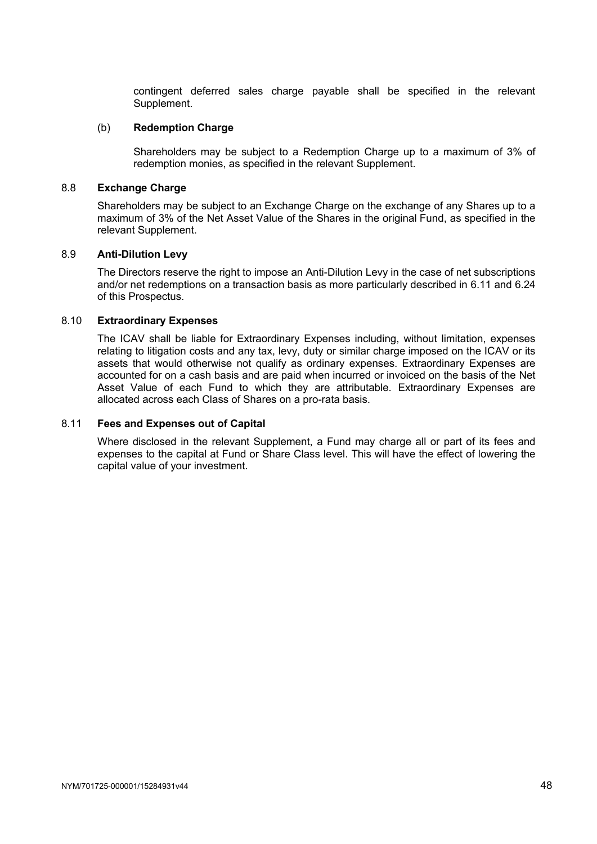contingent deferred sales charge payable shall be specified in the relevant Supplement.

### (b) **Redemption Charge**

Shareholders may be subject to a Redemption Charge up to a maximum of 3% of redemption monies, as specified in the relevant Supplement.

#### 8.8 **Exchange Charge**

Shareholders may be subject to an Exchange Charge on the exchange of any Shares up to a maximum of 3% of the Net Asset Value of the Shares in the original Fund, as specified in the relevant Supplement.

#### 8.9 **Anti-Dilution Levy**

The Directors reserve the right to impose an Anti-Dilution Levy in the case of net subscriptions and/or net redemptions on a transaction basis as more particularly described in 6.11 and 6.24 of this Prospectus.

#### 8.10 **Extraordinary Expenses**

The ICAV shall be liable for Extraordinary Expenses including, without limitation, expenses relating to litigation costs and any tax, levy, duty or similar charge imposed on the ICAV or its assets that would otherwise not qualify as ordinary expenses. Extraordinary Expenses are accounted for on a cash basis and are paid when incurred or invoiced on the basis of the Net Asset Value of each Fund to which they are attributable. Extraordinary Expenses are allocated across each Class of Shares on a pro-rata basis.

#### 8.11 **Fees and Expenses out of Capital**

Where disclosed in the relevant Supplement, a Fund may charge all or part of its fees and expenses to the capital at Fund or Share Class level. This will have the effect of lowering the capital value of your investment.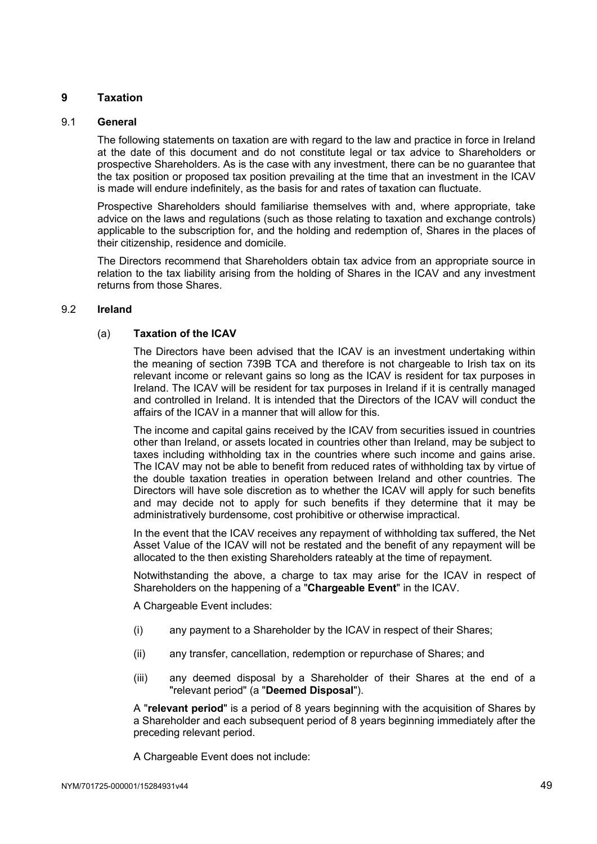# **9 Taxation**

## 9.1 **General**

The following statements on taxation are with regard to the law and practice in force in Ireland at the date of this document and do not constitute legal or tax advice to Shareholders or prospective Shareholders. As is the case with any investment, there can be no guarantee that the tax position or proposed tax position prevailing at the time that an investment in the ICAV is made will endure indefinitely, as the basis for and rates of taxation can fluctuate.

Prospective Shareholders should familiarise themselves with and, where appropriate, take advice on the laws and regulations (such as those relating to taxation and exchange controls) applicable to the subscription for, and the holding and redemption of, Shares in the places of their citizenship, residence and domicile.

The Directors recommend that Shareholders obtain tax advice from an appropriate source in relation to the tax liability arising from the holding of Shares in the ICAV and any investment returns from those Shares.

## 9.2 **Ireland**

## (a) **Taxation of the ICAV**

The Directors have been advised that the ICAV is an investment undertaking within the meaning of section 739B TCA and therefore is not chargeable to Irish tax on its relevant income or relevant gains so long as the ICAV is resident for tax purposes in Ireland. The ICAV will be resident for tax purposes in Ireland if it is centrally managed and controlled in Ireland. It is intended that the Directors of the ICAV will conduct the affairs of the ICAV in a manner that will allow for this.

The income and capital gains received by the ICAV from securities issued in countries other than Ireland, or assets located in countries other than Ireland, may be subject to taxes including withholding tax in the countries where such income and gains arise. The ICAV may not be able to benefit from reduced rates of withholding tax by virtue of the double taxation treaties in operation between Ireland and other countries. The Directors will have sole discretion as to whether the ICAV will apply for such benefits and may decide not to apply for such benefits if they determine that it may be administratively burdensome, cost prohibitive or otherwise impractical.

In the event that the ICAV receives any repayment of withholding tax suffered, the Net Asset Value of the ICAV will not be restated and the benefit of any repayment will be allocated to the then existing Shareholders rateably at the time of repayment.

Notwithstanding the above, a charge to tax may arise for the ICAV in respect of Shareholders on the happening of a "**Chargeable Event**" in the ICAV.

A Chargeable Event includes:

- (i) any payment to a Shareholder by the ICAV in respect of their Shares;
- (ii) any transfer, cancellation, redemption or repurchase of Shares; and
- (iii) any deemed disposal by a Shareholder of their Shares at the end of a "relevant period" (a "**Deemed Disposal**").

A "**relevant period**" is a period of 8 years beginning with the acquisition of Shares by a Shareholder and each subsequent period of 8 years beginning immediately after the preceding relevant period.

A Chargeable Event does not include: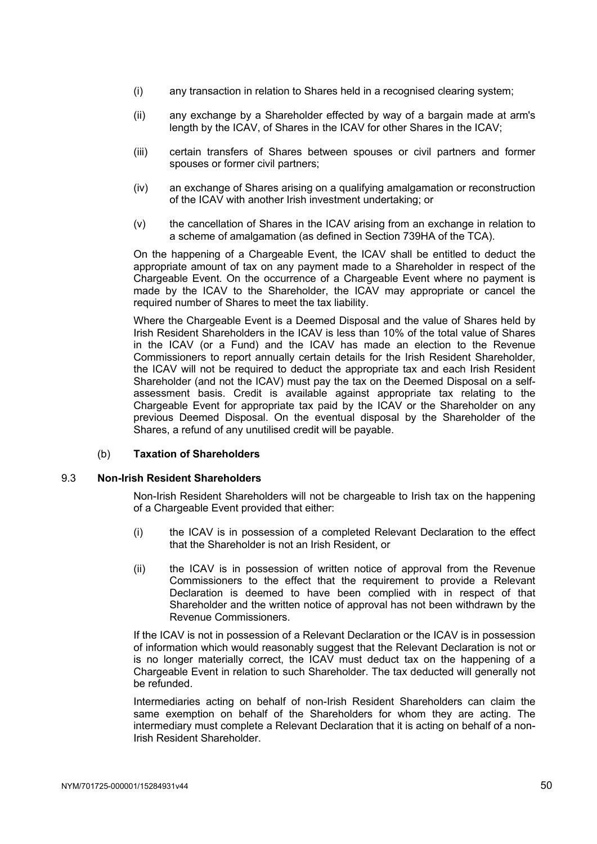- (i) any transaction in relation to Shares held in a recognised clearing system;
- (ii) any exchange by a Shareholder effected by way of a bargain made at arm's length by the ICAV, of Shares in the ICAV for other Shares in the ICAV;
- (iii) certain transfers of Shares between spouses or civil partners and former spouses or former civil partners;
- (iv) an exchange of Shares arising on a qualifying amalgamation or reconstruction of the ICAV with another Irish investment undertaking; or
- (v) the cancellation of Shares in the ICAV arising from an exchange in relation to a scheme of amalgamation (as defined in Section 739HA of the TCA).

On the happening of a Chargeable Event, the ICAV shall be entitled to deduct the appropriate amount of tax on any payment made to a Shareholder in respect of the Chargeable Event. On the occurrence of a Chargeable Event where no payment is made by the ICAV to the Shareholder, the ICAV may appropriate or cancel the required number of Shares to meet the tax liability.

Where the Chargeable Event is a Deemed Disposal and the value of Shares held by Irish Resident Shareholders in the ICAV is less than 10% of the total value of Shares in the ICAV (or a Fund) and the ICAV has made an election to the Revenue Commissioners to report annually certain details for the Irish Resident Shareholder, the ICAV will not be required to deduct the appropriate tax and each Irish Resident Shareholder (and not the ICAV) must pay the tax on the Deemed Disposal on a selfassessment basis. Credit is available against appropriate tax relating to the Chargeable Event for appropriate tax paid by the ICAV or the Shareholder on any previous Deemed Disposal. On the eventual disposal by the Shareholder of the Shares, a refund of any unutilised credit will be payable.

## (b) **Taxation of Shareholders**

## 9.3 **Non-Irish Resident Shareholders**

Non-Irish Resident Shareholders will not be chargeable to Irish tax on the happening of a Chargeable Event provided that either:

- (i) the ICAV is in possession of a completed Relevant Declaration to the effect that the Shareholder is not an Irish Resident, or
- (ii) the ICAV is in possession of written notice of approval from the Revenue Commissioners to the effect that the requirement to provide a Relevant Declaration is deemed to have been complied with in respect of that Shareholder and the written notice of approval has not been withdrawn by the Revenue Commissioners.

If the ICAV is not in possession of a Relevant Declaration or the ICAV is in possession of information which would reasonably suggest that the Relevant Declaration is not or is no longer materially correct, the ICAV must deduct tax on the happening of a Chargeable Event in relation to such Shareholder. The tax deducted will generally not be refunded.

Intermediaries acting on behalf of non-Irish Resident Shareholders can claim the same exemption on behalf of the Shareholders for whom they are acting. The intermediary must complete a Relevant Declaration that it is acting on behalf of a non-Irish Resident Shareholder.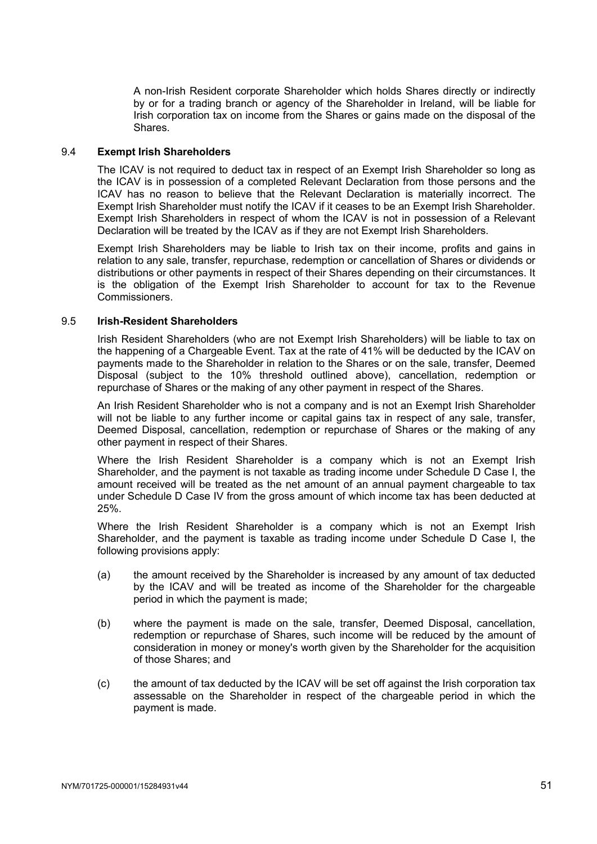A non-Irish Resident corporate Shareholder which holds Shares directly or indirectly by or for a trading branch or agency of the Shareholder in Ireland, will be liable for Irish corporation tax on income from the Shares or gains made on the disposal of the Shares.

#### 9.4 **Exempt Irish Shareholders**

The ICAV is not required to deduct tax in respect of an Exempt Irish Shareholder so long as the ICAV is in possession of a completed Relevant Declaration from those persons and the ICAV has no reason to believe that the Relevant Declaration is materially incorrect. The Exempt Irish Shareholder must notify the ICAV if it ceases to be an Exempt Irish Shareholder. Exempt Irish Shareholders in respect of whom the ICAV is not in possession of a Relevant Declaration will be treated by the ICAV as if they are not Exempt Irish Shareholders.

Exempt Irish Shareholders may be liable to Irish tax on their income, profits and gains in relation to any sale, transfer, repurchase, redemption or cancellation of Shares or dividends or distributions or other payments in respect of their Shares depending on their circumstances. It is the obligation of the Exempt Irish Shareholder to account for tax to the Revenue Commissioners.

#### 9.5 **Irish-Resident Shareholders**

Irish Resident Shareholders (who are not Exempt Irish Shareholders) will be liable to tax on the happening of a Chargeable Event. Tax at the rate of 41% will be deducted by the ICAV on payments made to the Shareholder in relation to the Shares or on the sale, transfer, Deemed Disposal (subject to the 10% threshold outlined above), cancellation, redemption or repurchase of Shares or the making of any other payment in respect of the Shares.

An Irish Resident Shareholder who is not a company and is not an Exempt Irish Shareholder will not be liable to any further income or capital gains tax in respect of any sale, transfer, Deemed Disposal, cancellation, redemption or repurchase of Shares or the making of any other payment in respect of their Shares.

Where the Irish Resident Shareholder is a company which is not an Exempt Irish Shareholder, and the payment is not taxable as trading income under Schedule D Case I, the amount received will be treated as the net amount of an annual payment chargeable to tax under Schedule D Case IV from the gross amount of which income tax has been deducted at 25%.

Where the Irish Resident Shareholder is a company which is not an Exempt Irish Shareholder, and the payment is taxable as trading income under Schedule D Case I, the following provisions apply:

- (a) the amount received by the Shareholder is increased by any amount of tax deducted by the ICAV and will be treated as income of the Shareholder for the chargeable period in which the payment is made;
- (b) where the payment is made on the sale, transfer, Deemed Disposal, cancellation, redemption or repurchase of Shares, such income will be reduced by the amount of consideration in money or money's worth given by the Shareholder for the acquisition of those Shares; and
- (c) the amount of tax deducted by the ICAV will be set off against the Irish corporation tax assessable on the Shareholder in respect of the chargeable period in which the payment is made.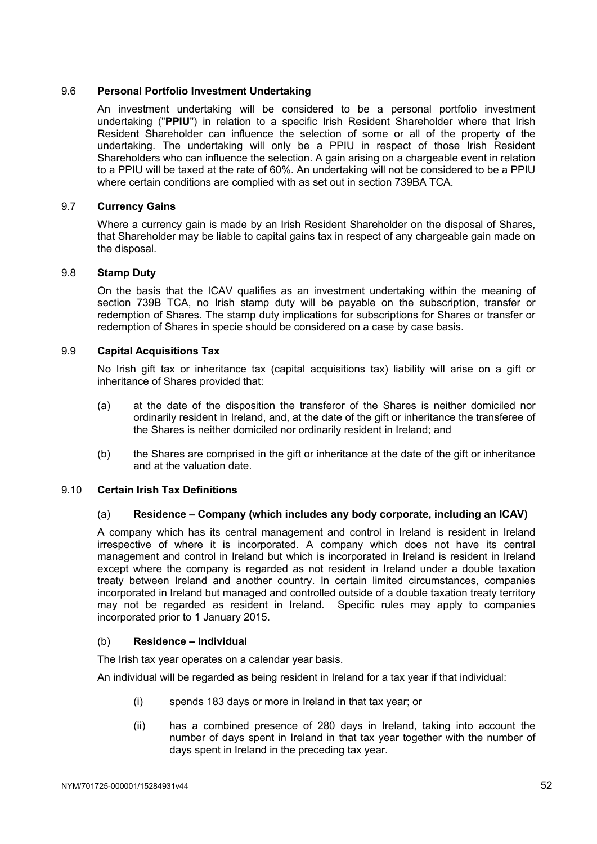## 9.6 **Personal Portfolio Investment Undertaking**

An investment undertaking will be considered to be a personal portfolio investment undertaking ("**PPIU**") in relation to a specific Irish Resident Shareholder where that Irish Resident Shareholder can influence the selection of some or all of the property of the undertaking. The undertaking will only be a PPIU in respect of those Irish Resident Shareholders who can influence the selection. A gain arising on a chargeable event in relation to a PPIU will be taxed at the rate of 60%. An undertaking will not be considered to be a PPIU where certain conditions are complied with as set out in section 739BA TCA.

## 9.7 **Currency Gains**

Where a currency gain is made by an Irish Resident Shareholder on the disposal of Shares, that Shareholder may be liable to capital gains tax in respect of any chargeable gain made on the disposal.

## 9.8 **Stamp Duty**

On the basis that the ICAV qualifies as an investment undertaking within the meaning of section 739B TCA, no Irish stamp duty will be payable on the subscription, transfer or redemption of Shares. The stamp duty implications for subscriptions for Shares or transfer or redemption of Shares in specie should be considered on a case by case basis.

## 9.9 **Capital Acquisitions Tax**

No Irish gift tax or inheritance tax (capital acquisitions tax) liability will arise on a gift or inheritance of Shares provided that:

- (a) at the date of the disposition the transferor of the Shares is neither domiciled nor ordinarily resident in Ireland, and, at the date of the gift or inheritance the transferee of the Shares is neither domiciled nor ordinarily resident in Ireland; and
- (b) the Shares are comprised in the gift or inheritance at the date of the gift or inheritance and at the valuation date.

## 9.10 **Certain Irish Tax Definitions**

# (a) **Residence – Company (which includes any body corporate, including an ICAV)**

A company which has its central management and control in Ireland is resident in Ireland irrespective of where it is incorporated. A company which does not have its central management and control in Ireland but which is incorporated in Ireland is resident in Ireland except where the company is regarded as not resident in Ireland under a double taxation treaty between Ireland and another country. In certain limited circumstances, companies incorporated in Ireland but managed and controlled outside of a double taxation treaty territory may not be regarded as resident in Ireland. Specific rules may apply to companies incorporated prior to 1 January 2015.

## (b) **Residence – Individual**

The Irish tax year operates on a calendar year basis.

An individual will be regarded as being resident in Ireland for a tax year if that individual:

- (i) spends 183 days or more in Ireland in that tax year; or
- (ii) has a combined presence of 280 days in Ireland, taking into account the number of days spent in Ireland in that tax year together with the number of days spent in Ireland in the preceding tax year.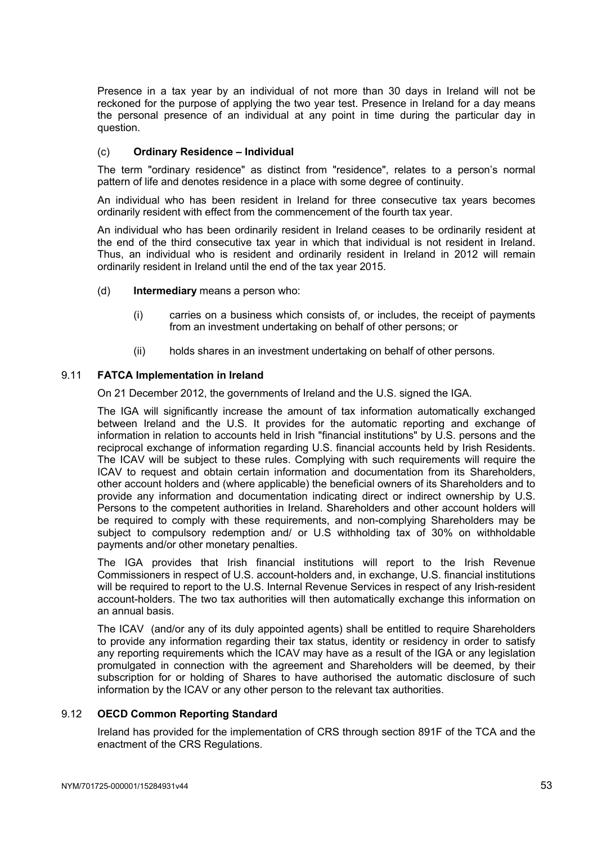Presence in a tax year by an individual of not more than 30 days in Ireland will not be reckoned for the purpose of applying the two year test. Presence in Ireland for a day means the personal presence of an individual at any point in time during the particular day in question.

## (c) **Ordinary Residence – Individual**

The term "ordinary residence" as distinct from "residence", relates to a person's normal pattern of life and denotes residence in a place with some degree of continuity.

An individual who has been resident in Ireland for three consecutive tax years becomes ordinarily resident with effect from the commencement of the fourth tax year.

An individual who has been ordinarily resident in Ireland ceases to be ordinarily resident at the end of the third consecutive tax year in which that individual is not resident in Ireland. Thus, an individual who is resident and ordinarily resident in Ireland in 2012 will remain ordinarily resident in Ireland until the end of the tax year 2015.

- (d) **Intermediary** means a person who:
	- (i) carries on a business which consists of, or includes, the receipt of payments from an investment undertaking on behalf of other persons; or
	- (ii) holds shares in an investment undertaking on behalf of other persons.

## 9.11 **FATCA Implementation in Ireland**

On 21 December 2012, the governments of Ireland and the U.S. signed the IGA.

The IGA will significantly increase the amount of tax information automatically exchanged between Ireland and the U.S. It provides for the automatic reporting and exchange of information in relation to accounts held in Irish "financial institutions" by U.S. persons and the reciprocal exchange of information regarding U.S. financial accounts held by Irish Residents. The ICAV will be subject to these rules. Complying with such requirements will require the ICAV to request and obtain certain information and documentation from its Shareholders, other account holders and (where applicable) the beneficial owners of its Shareholders and to provide any information and documentation indicating direct or indirect ownership by U.S. Persons to the competent authorities in Ireland. Shareholders and other account holders will be required to comply with these requirements, and non-complying Shareholders may be subject to compulsory redemption and/ or U.S withholding tax of 30% on withholdable payments and/or other monetary penalties.

The IGA provides that Irish financial institutions will report to the Irish Revenue Commissioners in respect of U.S. account-holders and, in exchange, U.S. financial institutions will be required to report to the U.S. Internal Revenue Services in respect of any Irish-resident account-holders. The two tax authorities will then automatically exchange this information on an annual basis.

The ICAV (and/or any of its duly appointed agents) shall be entitled to require Shareholders to provide any information regarding their tax status, identity or residency in order to satisfy any reporting requirements which the ICAV may have as a result of the IGA or any legislation promulgated in connection with the agreement and Shareholders will be deemed, by their subscription for or holding of Shares to have authorised the automatic disclosure of such information by the ICAV or any other person to the relevant tax authorities.

## 9.12 **OECD Common Reporting Standard**

Ireland has provided for the implementation of CRS through section 891F of the TCA and the enactment of the CRS Regulations.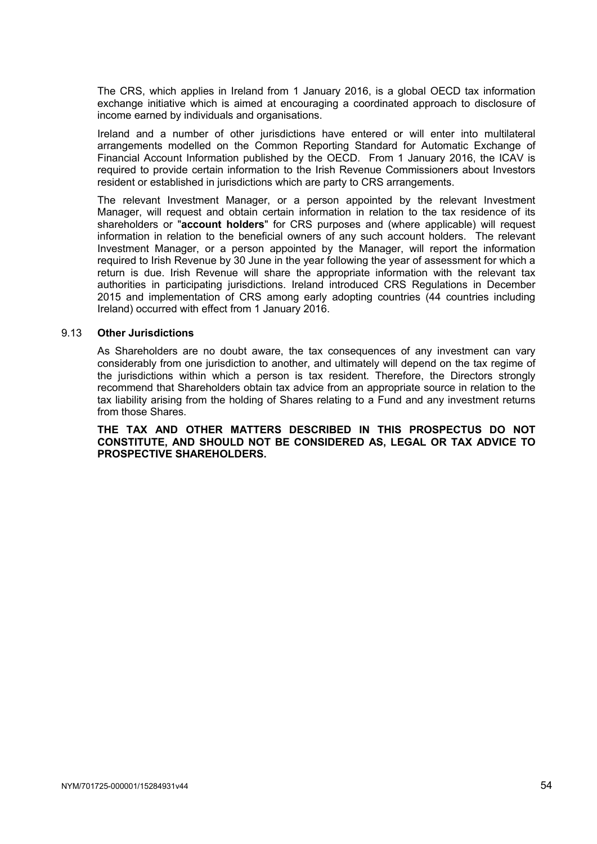The CRS, which applies in Ireland from 1 January 2016, is a global OECD tax information exchange initiative which is aimed at encouraging a coordinated approach to disclosure of income earned by individuals and organisations.

Ireland and a number of other jurisdictions have entered or will enter into multilateral arrangements modelled on the Common Reporting Standard for Automatic Exchange of Financial Account Information published by the OECD. From 1 January 2016, the ICAV is required to provide certain information to the Irish Revenue Commissioners about Investors resident or established in jurisdictions which are party to CRS arrangements.

The relevant Investment Manager, or a person appointed by the relevant Investment Manager, will request and obtain certain information in relation to the tax residence of its shareholders or "**account holders**" for CRS purposes and (where applicable) will request information in relation to the beneficial owners of any such account holders. The relevant Investment Manager, or a person appointed by the Manager, will report the information required to Irish Revenue by 30 June in the year following the year of assessment for which a return is due. Irish Revenue will share the appropriate information with the relevant tax authorities in participating jurisdictions. Ireland introduced CRS Regulations in December 2015 and implementation of CRS among early adopting countries (44 countries including Ireland) occurred with effect from 1 January 2016.

#### 9.13 **Other Jurisdictions**

As Shareholders are no doubt aware, the tax consequences of any investment can vary considerably from one jurisdiction to another, and ultimately will depend on the tax regime of the jurisdictions within which a person is tax resident. Therefore, the Directors strongly recommend that Shareholders obtain tax advice from an appropriate source in relation to the tax liability arising from the holding of Shares relating to a Fund and any investment returns from those Shares.

**THE TAX AND OTHER MATTERS DESCRIBED IN THIS PROSPECTUS DO NOT CONSTITUTE, AND SHOULD NOT BE CONSIDERED AS, LEGAL OR TAX ADVICE TO PROSPECTIVE SHAREHOLDERS.**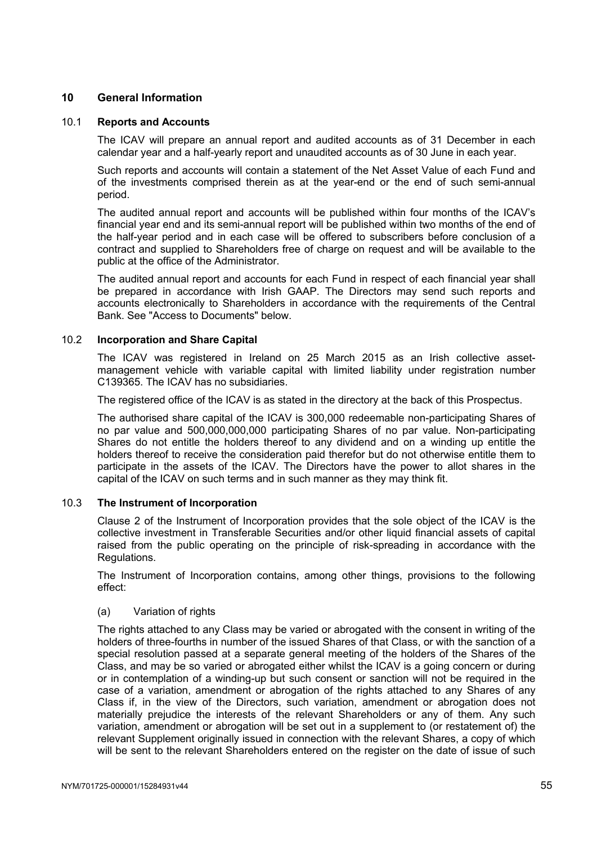# **10 General Information**

### 10.1 **Reports and Accounts**

The ICAV will prepare an annual report and audited accounts as of 31 December in each calendar year and a half-yearly report and unaudited accounts as of 30 June in each year.

Such reports and accounts will contain a statement of the Net Asset Value of each Fund and of the investments comprised therein as at the year-end or the end of such semi-annual period.

The audited annual report and accounts will be published within four months of the ICAV's financial year end and its semi-annual report will be published within two months of the end of the half-year period and in each case will be offered to subscribers before conclusion of a contract and supplied to Shareholders free of charge on request and will be available to the public at the office of the Administrator.

The audited annual report and accounts for each Fund in respect of each financial year shall be prepared in accordance with Irish GAAP. The Directors may send such reports and accounts electronically to Shareholders in accordance with the requirements of the Central Bank. See "Access to Documents" below.

## 10.2 **Incorporation and Share Capital**

The ICAV was registered in Ireland on 25 March 2015 as an Irish collective assetmanagement vehicle with variable capital with limited liability under registration number C139365. The ICAV has no subsidiaries.

The registered office of the ICAV is as stated in the directory at the back of this Prospectus.

The authorised share capital of the ICAV is 300,000 redeemable non-participating Shares of no par value and 500,000,000,000 participating Shares of no par value. Non-participating Shares do not entitle the holders thereof to any dividend and on a winding up entitle the holders thereof to receive the consideration paid therefor but do not otherwise entitle them to participate in the assets of the ICAV. The Directors have the power to allot shares in the capital of the ICAV on such terms and in such manner as they may think fit.

## 10.3 **The Instrument of Incorporation**

Clause 2 of the Instrument of Incorporation provides that the sole object of the ICAV is the collective investment in Transferable Securities and/or other liquid financial assets of capital raised from the public operating on the principle of risk-spreading in accordance with the Regulations.

The Instrument of Incorporation contains, among other things, provisions to the following effect:

#### (a) Variation of rights

The rights attached to any Class may be varied or abrogated with the consent in writing of the holders of three-fourths in number of the issued Shares of that Class, or with the sanction of a special resolution passed at a separate general meeting of the holders of the Shares of the Class, and may be so varied or abrogated either whilst the ICAV is a going concern or during or in contemplation of a winding-up but such consent or sanction will not be required in the case of a variation, amendment or abrogation of the rights attached to any Shares of any Class if, in the view of the Directors, such variation, amendment or abrogation does not materially prejudice the interests of the relevant Shareholders or any of them. Any such variation, amendment or abrogation will be set out in a supplement to (or restatement of) the relevant Supplement originally issued in connection with the relevant Shares, a copy of which will be sent to the relevant Shareholders entered on the register on the date of issue of such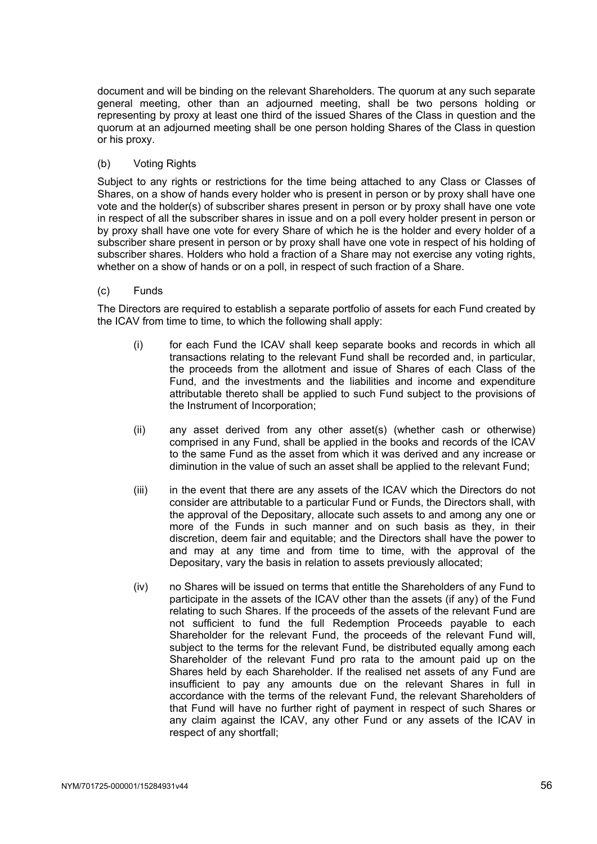document and will be binding on the relevant Shareholders. The quorum at any such separate general meeting, other than an adjourned meeting, shall be two persons holding or representing by proxy at least one third of the issued Shares of the Class in question and the quorum at an adjourned meeting shall be one person holding Shares of the Class in question or his proxy.

## (b) Voting Rights

Subject to any rights or restrictions for the time being attached to any Class or Classes of Shares, on a show of hands every holder who is present in person or by proxy shall have one vote and the holder(s) of subscriber shares present in person or by proxy shall have one vote in respect of all the subscriber shares in issue and on a poll every holder present in person or by proxy shall have one vote for every Share of which he is the holder and every holder of a subscriber share present in person or by proxy shall have one vote in respect of his holding of subscriber shares. Holders who hold a fraction of a Share may not exercise any voting rights, whether on a show of hands or on a poll, in respect of such fraction of a Share.

## (c) Funds

The Directors are required to establish a separate portfolio of assets for each Fund created by the ICAV from time to time, to which the following shall apply:

- (i) for each Fund the ICAV shall keep separate books and records in which all transactions relating to the relevant Fund shall be recorded and, in particular, the proceeds from the allotment and issue of Shares of each Class of the Fund, and the investments and the liabilities and income and expenditure attributable thereto shall be applied to such Fund subject to the provisions of the Instrument of Incorporation;
- (ii) any asset derived from any other asset(s) (whether cash or otherwise) comprised in any Fund, shall be applied in the books and records of the ICAV to the same Fund as the asset from which it was derived and any increase or diminution in the value of such an asset shall be applied to the relevant Fund;
- (iii) in the event that there are any assets of the ICAV which the Directors do not consider are attributable to a particular Fund or Funds, the Directors shall, with the approval of the Depositary, allocate such assets to and among any one or more of the Funds in such manner and on such basis as they, in their discretion, deem fair and equitable; and the Directors shall have the power to and may at any time and from time to time, with the approval of the Depositary, vary the basis in relation to assets previously allocated;
- (iv) no Shares will be issued on terms that entitle the Shareholders of any Fund to participate in the assets of the ICAV other than the assets (if any) of the Fund relating to such Shares. If the proceeds of the assets of the relevant Fund are not sufficient to fund the full Redemption Proceeds payable to each Shareholder for the relevant Fund, the proceeds of the relevant Fund will, subject to the terms for the relevant Fund, be distributed equally among each Shareholder of the relevant Fund pro rata to the amount paid up on the Shares held by each Shareholder. If the realised net assets of any Fund are insufficient to pay any amounts due on the relevant Shares in full in accordance with the terms of the relevant Fund, the relevant Shareholders of that Fund will have no further right of payment in respect of such Shares or any claim against the ICAV, any other Fund or any assets of the ICAV in respect of any shortfall;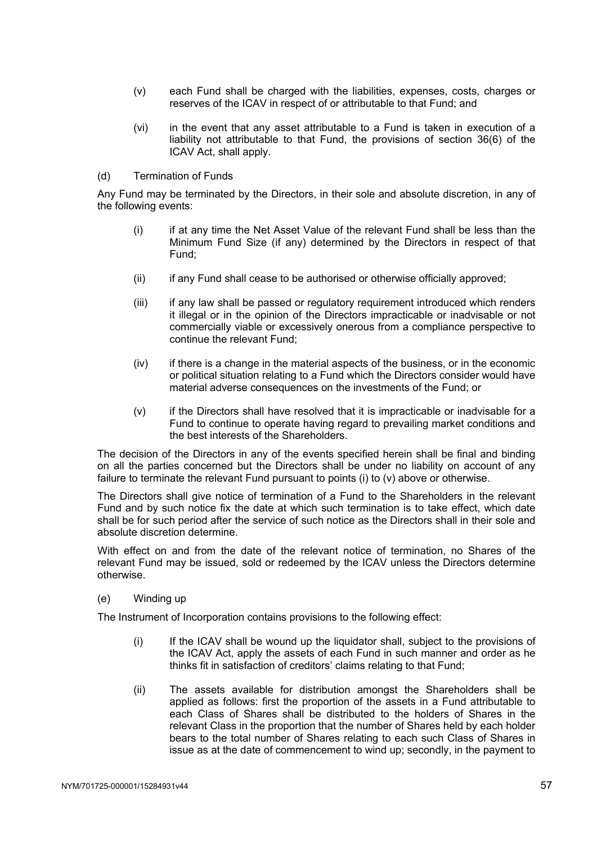- (v) each Fund shall be charged with the liabilities, expenses, costs, charges or reserves of the ICAV in respect of or attributable to that Fund; and
- (vi) in the event that any asset attributable to a Fund is taken in execution of a liability not attributable to that Fund, the provisions of section 36(6) of the ICAV Act, shall apply.

#### (d) Termination of Funds

Any Fund may be terminated by the Directors, in their sole and absolute discretion, in any of the following events:

- (i) if at any time the Net Asset Value of the relevant Fund shall be less than the Minimum Fund Size (if any) determined by the Directors in respect of that Fund;
- (ii) if any Fund shall cease to be authorised or otherwise officially approved;
- (iii) if any law shall be passed or regulatory requirement introduced which renders it illegal or in the opinion of the Directors impracticable or inadvisable or not commercially viable or excessively onerous from a compliance perspective to continue the relevant Fund;
- (iv) if there is a change in the material aspects of the business, or in the economic or political situation relating to a Fund which the Directors consider would have material adverse consequences on the investments of the Fund; or
- (v) if the Directors shall have resolved that it is impracticable or inadvisable for a Fund to continue to operate having regard to prevailing market conditions and the best interests of the Shareholders.

The decision of the Directors in any of the events specified herein shall be final and binding on all the parties concerned but the Directors shall be under no liability on account of any failure to terminate the relevant Fund pursuant to points (i) to (v) above or otherwise.

The Directors shall give notice of termination of a Fund to the Shareholders in the relevant Fund and by such notice fix the date at which such termination is to take effect, which date shall be for such period after the service of such notice as the Directors shall in their sole and absolute discretion determine.

With effect on and from the date of the relevant notice of termination, no Shares of the relevant Fund may be issued, sold or redeemed by the ICAV unless the Directors determine otherwise.

(e) Winding up

The Instrument of Incorporation contains provisions to the following effect:

- (i) If the ICAV shall be wound up the liquidator shall, subject to the provisions of the ICAV Act, apply the assets of each Fund in such manner and order as he thinks fit in satisfaction of creditors' claims relating to that Fund;
- (ii) The assets available for distribution amongst the Shareholders shall be applied as follows: first the proportion of the assets in a Fund attributable to each Class of Shares shall be distributed to the holders of Shares in the relevant Class in the proportion that the number of Shares held by each holder bears to the total number of Shares relating to each such Class of Shares in issue as at the date of commencement to wind up; secondly, in the payment to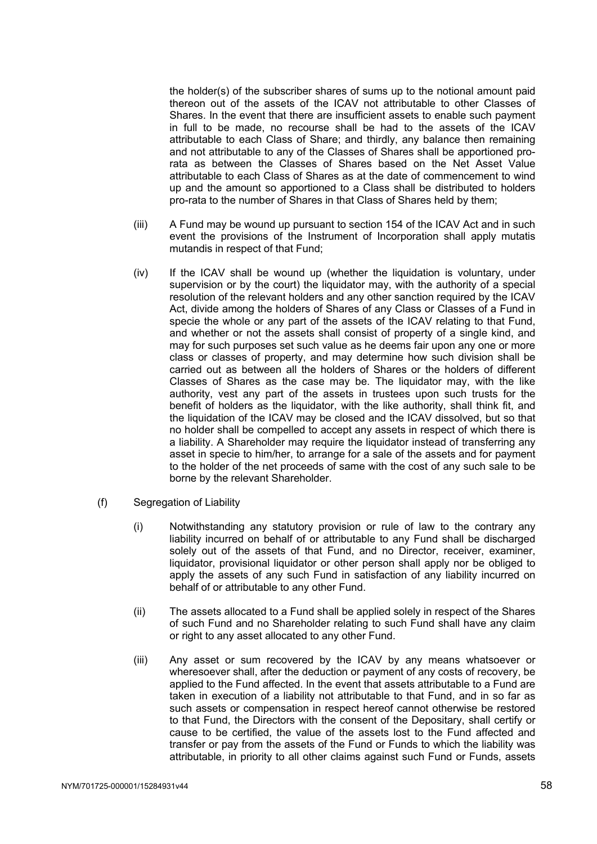the holder(s) of the subscriber shares of sums up to the notional amount paid thereon out of the assets of the ICAV not attributable to other Classes of Shares. In the event that there are insufficient assets to enable such payment in full to be made, no recourse shall be had to the assets of the ICAV attributable to each Class of Share; and thirdly, any balance then remaining and not attributable to any of the Classes of Shares shall be apportioned prorata as between the Classes of Shares based on the Net Asset Value attributable to each Class of Shares as at the date of commencement to wind up and the amount so apportioned to a Class shall be distributed to holders pro-rata to the number of Shares in that Class of Shares held by them;

- (iii) A Fund may be wound up pursuant to section 154 of the ICAV Act and in such event the provisions of the Instrument of Incorporation shall apply mutatis mutandis in respect of that Fund;
- (iv) If the ICAV shall be wound up (whether the liquidation is voluntary, under supervision or by the court) the liquidator may, with the authority of a special resolution of the relevant holders and any other sanction required by the ICAV Act, divide among the holders of Shares of any Class or Classes of a Fund in specie the whole or any part of the assets of the ICAV relating to that Fund, and whether or not the assets shall consist of property of a single kind, and may for such purposes set such value as he deems fair upon any one or more class or classes of property, and may determine how such division shall be carried out as between all the holders of Shares or the holders of different Classes of Shares as the case may be. The liquidator may, with the like authority, vest any part of the assets in trustees upon such trusts for the benefit of holders as the liquidator, with the like authority, shall think fit, and the liquidation of the ICAV may be closed and the ICAV dissolved, but so that no holder shall be compelled to accept any assets in respect of which there is a liability. A Shareholder may require the liquidator instead of transferring any asset in specie to him/her, to arrange for a sale of the assets and for payment to the holder of the net proceeds of same with the cost of any such sale to be borne by the relevant Shareholder.
- (f) Segregation of Liability
	- (i) Notwithstanding any statutory provision or rule of law to the contrary any liability incurred on behalf of or attributable to any Fund shall be discharged solely out of the assets of that Fund, and no Director, receiver, examiner, liquidator, provisional liquidator or other person shall apply nor be obliged to apply the assets of any such Fund in satisfaction of any liability incurred on behalf of or attributable to any other Fund.
	- (ii) The assets allocated to a Fund shall be applied solely in respect of the Shares of such Fund and no Shareholder relating to such Fund shall have any claim or right to any asset allocated to any other Fund.
	- (iii) Any asset or sum recovered by the ICAV by any means whatsoever or wheresoever shall, after the deduction or payment of any costs of recovery, be applied to the Fund affected. In the event that assets attributable to a Fund are taken in execution of a liability not attributable to that Fund, and in so far as such assets or compensation in respect hereof cannot otherwise be restored to that Fund, the Directors with the consent of the Depositary, shall certify or cause to be certified, the value of the assets lost to the Fund affected and transfer or pay from the assets of the Fund or Funds to which the liability was attributable, in priority to all other claims against such Fund or Funds, assets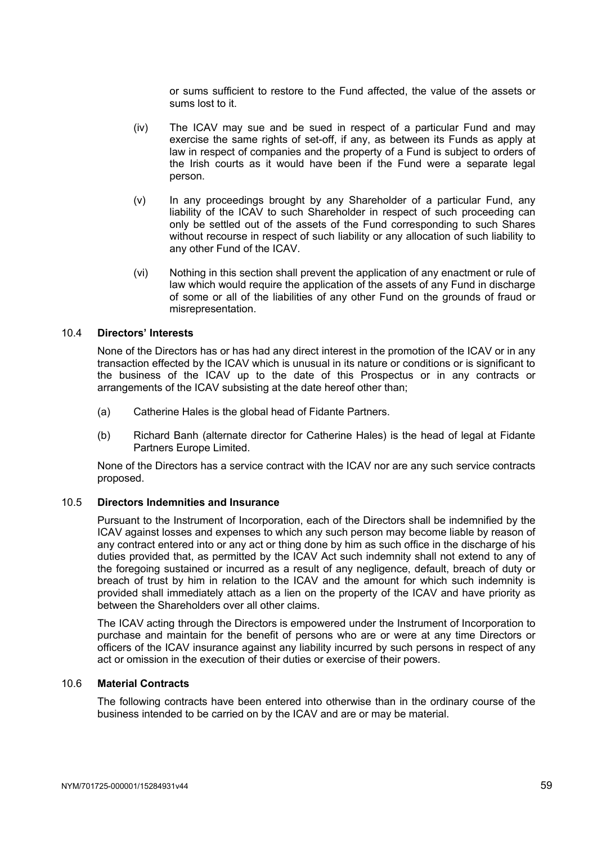or sums sufficient to restore to the Fund affected, the value of the assets or sums lost to it.

- (iv) The ICAV may sue and be sued in respect of a particular Fund and may exercise the same rights of set-off, if any, as between its Funds as apply at law in respect of companies and the property of a Fund is subject to orders of the Irish courts as it would have been if the Fund were a separate legal person.
- (v) In any proceedings brought by any Shareholder of a particular Fund, any liability of the ICAV to such Shareholder in respect of such proceeding can only be settled out of the assets of the Fund corresponding to such Shares without recourse in respect of such liability or any allocation of such liability to any other Fund of the ICAV.
- (vi) Nothing in this section shall prevent the application of any enactment or rule of law which would require the application of the assets of any Fund in discharge of some or all of the liabilities of any other Fund on the grounds of fraud or misrepresentation.

## 10.4 **Directors' Interests**

None of the Directors has or has had any direct interest in the promotion of the ICAV or in any transaction effected by the ICAV which is unusual in its nature or conditions or is significant to the business of the ICAV up to the date of this Prospectus or in any contracts or arrangements of the ICAV subsisting at the date hereof other than;

- (a) Catherine Hales is the global head of Fidante Partners.
- (b) Richard Banh (alternate director for Catherine Hales) is the head of legal at Fidante Partners Europe Limited.

None of the Directors has a service contract with the ICAV nor are any such service contracts proposed.

#### 10.5 **Directors Indemnities and Insurance**

Pursuant to the Instrument of Incorporation, each of the Directors shall be indemnified by the ICAV against losses and expenses to which any such person may become liable by reason of any contract entered into or any act or thing done by him as such office in the discharge of his duties provided that, as permitted by the ICAV Act such indemnity shall not extend to any of the foregoing sustained or incurred as a result of any negligence, default, breach of duty or breach of trust by him in relation to the ICAV and the amount for which such indemnity is provided shall immediately attach as a lien on the property of the ICAV and have priority as between the Shareholders over all other claims.

The ICAV acting through the Directors is empowered under the Instrument of Incorporation to purchase and maintain for the benefit of persons who are or were at any time Directors or officers of the ICAV insurance against any liability incurred by such persons in respect of any act or omission in the execution of their duties or exercise of their powers.

#### 10.6 **Material Contracts**

The following contracts have been entered into otherwise than in the ordinary course of the business intended to be carried on by the ICAV and are or may be material.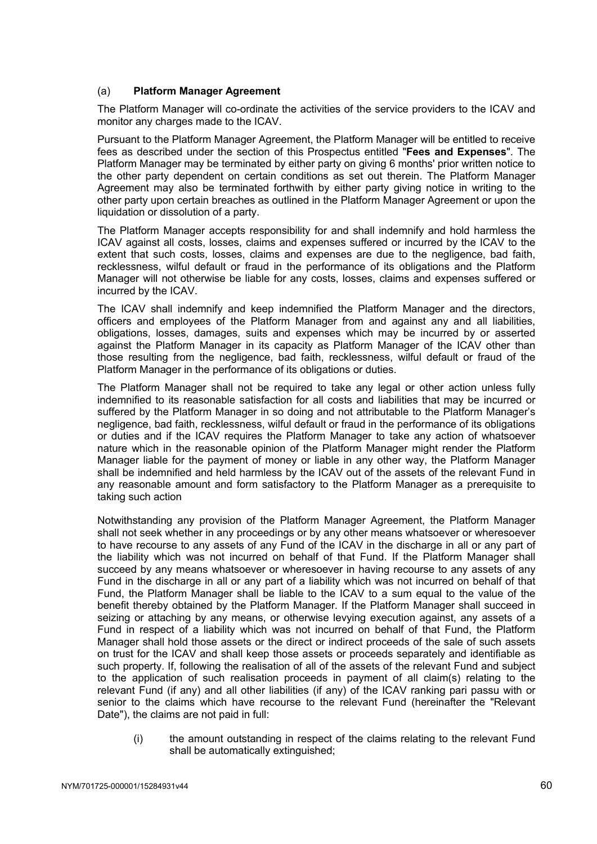## (a) **Platform Manager Agreement**

The Platform Manager will co-ordinate the activities of the service providers to the ICAV and monitor any charges made to the ICAV.

Pursuant to the Platform Manager Agreement, the Platform Manager will be entitled to receive fees as described under the section of this Prospectus entitled "**Fees and Expenses**". The Platform Manager may be terminated by either party on giving 6 months' prior written notice to the other party dependent on certain conditions as set out therein. The Platform Manager Agreement may also be terminated forthwith by either party giving notice in writing to the other party upon certain breaches as outlined in the Platform Manager Agreement or upon the liquidation or dissolution of a party.

The Platform Manager accepts responsibility for and shall indemnify and hold harmless the ICAV against all costs, losses, claims and expenses suffered or incurred by the ICAV to the extent that such costs, losses, claims and expenses are due to the negligence, bad faith, recklessness, wilful default or fraud in the performance of its obligations and the Platform Manager will not otherwise be liable for any costs, losses, claims and expenses suffered or incurred by the ICAV.

The ICAV shall indemnify and keep indemnified the Platform Manager and the directors, officers and employees of the Platform Manager from and against any and all liabilities, obligations, losses, damages, suits and expenses which may be incurred by or asserted against the Platform Manager in its capacity as Platform Manager of the ICAV other than those resulting from the negligence, bad faith, recklessness, wilful default or fraud of the Platform Manager in the performance of its obligations or duties.

The Platform Manager shall not be required to take any legal or other action unless fully indemnified to its reasonable satisfaction for all costs and liabilities that may be incurred or suffered by the Platform Manager in so doing and not attributable to the Platform Manager's negligence, bad faith, recklessness, wilful default or fraud in the performance of its obligations or duties and if the ICAV requires the Platform Manager to take any action of whatsoever nature which in the reasonable opinion of the Platform Manager might render the Platform Manager liable for the payment of money or liable in any other way, the Platform Manager shall be indemnified and held harmless by the ICAV out of the assets of the relevant Fund in any reasonable amount and form satisfactory to the Platform Manager as a prerequisite to taking such action

Notwithstanding any provision of the Platform Manager Agreement, the Platform Manager shall not seek whether in any proceedings or by any other means whatsoever or wheresoever to have recourse to any assets of any Fund of the ICAV in the discharge in all or any part of the liability which was not incurred on behalf of that Fund. If the Platform Manager shall succeed by any means whatsoever or wheresoever in having recourse to any assets of any Fund in the discharge in all or any part of a liability which was not incurred on behalf of that Fund, the Platform Manager shall be liable to the ICAV to a sum equal to the value of the benefit thereby obtained by the Platform Manager. If the Platform Manager shall succeed in seizing or attaching by any means, or otherwise levying execution against, any assets of a Fund in respect of a liability which was not incurred on behalf of that Fund, the Platform Manager shall hold those assets or the direct or indirect proceeds of the sale of such assets on trust for the ICAV and shall keep those assets or proceeds separately and identifiable as such property. If, following the realisation of all of the assets of the relevant Fund and subject to the application of such realisation proceeds in payment of all claim(s) relating to the relevant Fund (if any) and all other liabilities (if any) of the ICAV ranking pari passu with or senior to the claims which have recourse to the relevant Fund (hereinafter the "Relevant Date"), the claims are not paid in full:

(i) the amount outstanding in respect of the claims relating to the relevant Fund shall be automatically extinguished;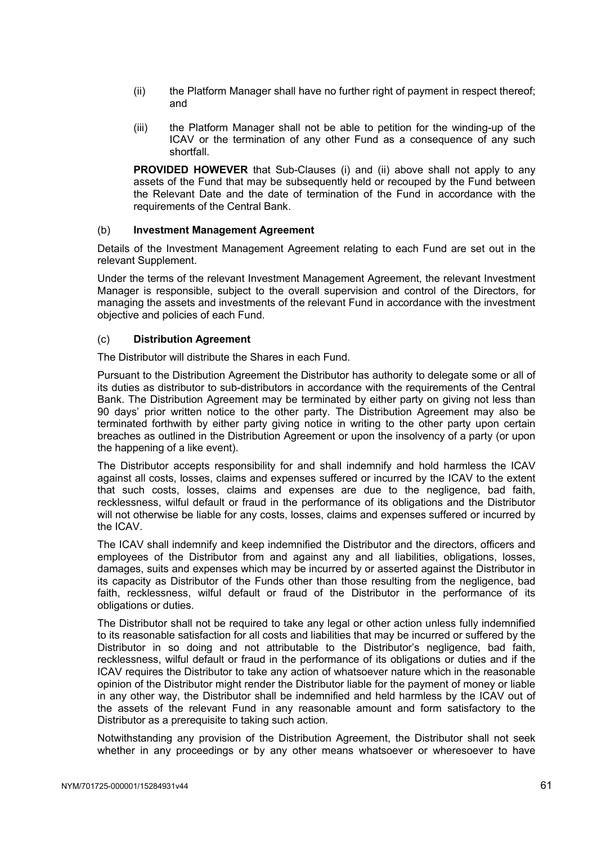- (ii) the Platform Manager shall have no further right of payment in respect thereof; and
- (iii) the Platform Manager shall not be able to petition for the winding-up of the ICAV or the termination of any other Fund as a consequence of any such shortfall.

**PROVIDED HOWEVER** that Sub-Clauses (i) and (ii) above shall not apply to any assets of the Fund that may be subsequently held or recouped by the Fund between the Relevant Date and the date of termination of the Fund in accordance with the requirements of the Central Bank.

## (b) **Investment Management Agreement**

Details of the Investment Management Agreement relating to each Fund are set out in the relevant Supplement.

Under the terms of the relevant Investment Management Agreement, the relevant Investment Manager is responsible, subject to the overall supervision and control of the Directors, for managing the assets and investments of the relevant Fund in accordance with the investment objective and policies of each Fund.

## (c) **Distribution Agreement**

The Distributor will distribute the Shares in each Fund.

Pursuant to the Distribution Agreement the Distributor has authority to delegate some or all of its duties as distributor to sub-distributors in accordance with the requirements of the Central Bank. The Distribution Agreement may be terminated by either party on giving not less than 90 days' prior written notice to the other party. The Distribution Agreement may also be terminated forthwith by either party giving notice in writing to the other party upon certain breaches as outlined in the Distribution Agreement or upon the insolvency of a party (or upon the happening of a like event).

The Distributor accepts responsibility for and shall indemnify and hold harmless the ICAV against all costs, losses, claims and expenses suffered or incurred by the ICAV to the extent that such costs, losses, claims and expenses are due to the negligence, bad faith, recklessness, wilful default or fraud in the performance of its obligations and the Distributor will not otherwise be liable for any costs, losses, claims and expenses suffered or incurred by the ICAV.

The ICAV shall indemnify and keep indemnified the Distributor and the directors, officers and employees of the Distributor from and against any and all liabilities, obligations, losses, damages, suits and expenses which may be incurred by or asserted against the Distributor in its capacity as Distributor of the Funds other than those resulting from the negligence, bad faith, recklessness, wilful default or fraud of the Distributor in the performance of its obligations or duties.

The Distributor shall not be required to take any legal or other action unless fully indemnified to its reasonable satisfaction for all costs and liabilities that may be incurred or suffered by the Distributor in so doing and not attributable to the Distributor's negligence, bad faith, recklessness, wilful default or fraud in the performance of its obligations or duties and if the ICAV requires the Distributor to take any action of whatsoever nature which in the reasonable opinion of the Distributor might render the Distributor liable for the payment of money or liable in any other way, the Distributor shall be indemnified and held harmless by the ICAV out of the assets of the relevant Fund in any reasonable amount and form satisfactory to the Distributor as a prerequisite to taking such action.

Notwithstanding any provision of the Distribution Agreement, the Distributor shall not seek whether in any proceedings or by any other means whatsoever or wheresoever to have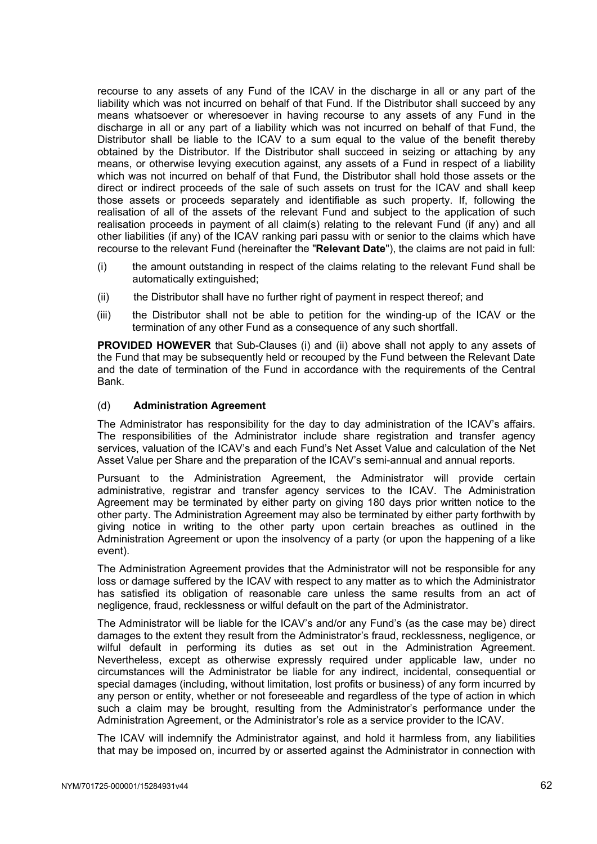recourse to any assets of any Fund of the ICAV in the discharge in all or any part of the liability which was not incurred on behalf of that Fund. If the Distributor shall succeed by any means whatsoever or wheresoever in having recourse to any assets of any Fund in the discharge in all or any part of a liability which was not incurred on behalf of that Fund, the Distributor shall be liable to the ICAV to a sum equal to the value of the benefit thereby obtained by the Distributor. If the Distributor shall succeed in seizing or attaching by any means, or otherwise levying execution against, any assets of a Fund in respect of a liability which was not incurred on behalf of that Fund, the Distributor shall hold those assets or the direct or indirect proceeds of the sale of such assets on trust for the ICAV and shall keep those assets or proceeds separately and identifiable as such property. If, following the realisation of all of the assets of the relevant Fund and subject to the application of such realisation proceeds in payment of all claim(s) relating to the relevant Fund (if any) and all other liabilities (if any) of the ICAV ranking pari passu with or senior to the claims which have recourse to the relevant Fund (hereinafter the "**Relevant Date**"), the claims are not paid in full:

- (i) the amount outstanding in respect of the claims relating to the relevant Fund shall be automatically extinguished;
- (ii) the Distributor shall have no further right of payment in respect thereof; and
- (iii) the Distributor shall not be able to petition for the winding-up of the ICAV or the termination of any other Fund as a consequence of any such shortfall.

**PROVIDED HOWEVER** that Sub-Clauses (i) and (ii) above shall not apply to any assets of the Fund that may be subsequently held or recouped by the Fund between the Relevant Date and the date of termination of the Fund in accordance with the requirements of the Central Bank.

## (d) **Administration Agreement**

The Administrator has responsibility for the day to day administration of the ICAV's affairs. The responsibilities of the Administrator include share registration and transfer agency services, valuation of the ICAV's and each Fund's Net Asset Value and calculation of the Net Asset Value per Share and the preparation of the ICAV's semi-annual and annual reports.

Pursuant to the Administration Agreement, the Administrator will provide certain administrative, registrar and transfer agency services to the ICAV. The Administration Agreement may be terminated by either party on giving 180 days prior written notice to the other party. The Administration Agreement may also be terminated by either party forthwith by giving notice in writing to the other party upon certain breaches as outlined in the Administration Agreement or upon the insolvency of a party (or upon the happening of a like event).

The Administration Agreement provides that the Administrator will not be responsible for any loss or damage suffered by the ICAV with respect to any matter as to which the Administrator has satisfied its obligation of reasonable care unless the same results from an act of negligence, fraud, recklessness or wilful default on the part of the Administrator.

The Administrator will be liable for the ICAV's and/or any Fund's (as the case may be) direct damages to the extent they result from the Administrator's fraud, recklessness, negligence, or wilful default in performing its duties as set out in the Administration Agreement. Nevertheless, except as otherwise expressly required under applicable law, under no circumstances will the Administrator be liable for any indirect, incidental, consequential or special damages (including, without limitation, lost profits or business) of any form incurred by any person or entity, whether or not foreseeable and regardless of the type of action in which such a claim may be brought, resulting from the Administrator's performance under the Administration Agreement, or the Administrator's role as a service provider to the ICAV.

The ICAV will indemnify the Administrator against, and hold it harmless from, any liabilities that may be imposed on, incurred by or asserted against the Administrator in connection with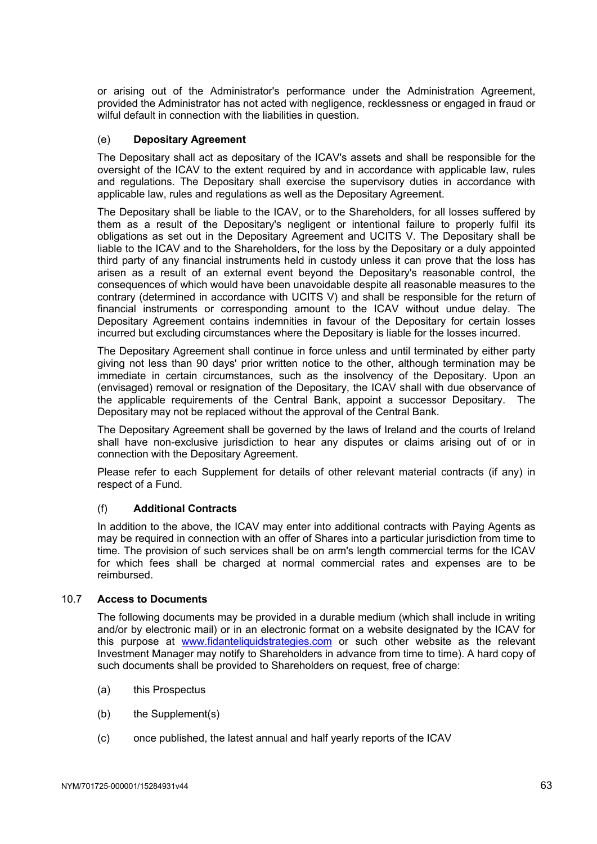or arising out of the Administrator's performance under the Administration Agreement, provided the Administrator has not acted with negligence, recklessness or engaged in fraud or wilful default in connection with the liabilities in question.

## (e) **Depositary Agreement**

The Depositary shall act as depositary of the ICAV's assets and shall be responsible for the oversight of the ICAV to the extent required by and in accordance with applicable law, rules and regulations. The Depositary shall exercise the supervisory duties in accordance with applicable law, rules and regulations as well as the Depositary Agreement.

The Depositary shall be liable to the ICAV, or to the Shareholders, for all losses suffered by them as a result of the Depositary's negligent or intentional failure to properly fulfil its obligations as set out in the Depositary Agreement and UCITS V. The Depositary shall be liable to the ICAV and to the Shareholders, for the loss by the Depositary or a duly appointed third party of any financial instruments held in custody unless it can prove that the loss has arisen as a result of an external event beyond the Depositary's reasonable control, the consequences of which would have been unavoidable despite all reasonable measures to the contrary (determined in accordance with UCITS V) and shall be responsible for the return of financial instruments or corresponding amount to the ICAV without undue delay. The Depositary Agreement contains indemnities in favour of the Depositary for certain losses incurred but excluding circumstances where the Depositary is liable for the losses incurred.

The Depositary Agreement shall continue in force unless and until terminated by either party giving not less than 90 days' prior written notice to the other, although termination may be immediate in certain circumstances, such as the insolvency of the Depositary. Upon an (envisaged) removal or resignation of the Depositary, the ICAV shall with due observance of the applicable requirements of the Central Bank, appoint a successor Depositary. The Depositary may not be replaced without the approval of the Central Bank.

The Depositary Agreement shall be governed by the laws of Ireland and the courts of Ireland shall have non-exclusive jurisdiction to hear any disputes or claims arising out of or in connection with the Depositary Agreement.

Please refer to each Supplement for details of other relevant material contracts (if any) in respect of a Fund.

# (f) **Additional Contracts**

In addition to the above, the ICAV may enter into additional contracts with Paying Agents as may be required in connection with an offer of Shares into a particular jurisdiction from time to time. The provision of such services shall be on arm's length commercial terms for the ICAV for which fees shall be charged at normal commercial rates and expenses are to be reimbursed.

## 10.7 **Access to Documents**

The following documents may be provided in a durable medium (which shall include in writing and/or by electronic mail) or in an electronic format on a website designated by the ICAV for this purpose at [www.fidanteliquidstrategies.com](http://www.fidanteliquidstrategies.com/) or such other website as the relevant Investment Manager may notify to Shareholders in advance from time to time). A hard copy of such documents shall be provided to Shareholders on request, free of charge:

- (a) this Prospectus
- (b) the Supplement(s)
- (c) once published, the latest annual and half yearly reports of the ICAV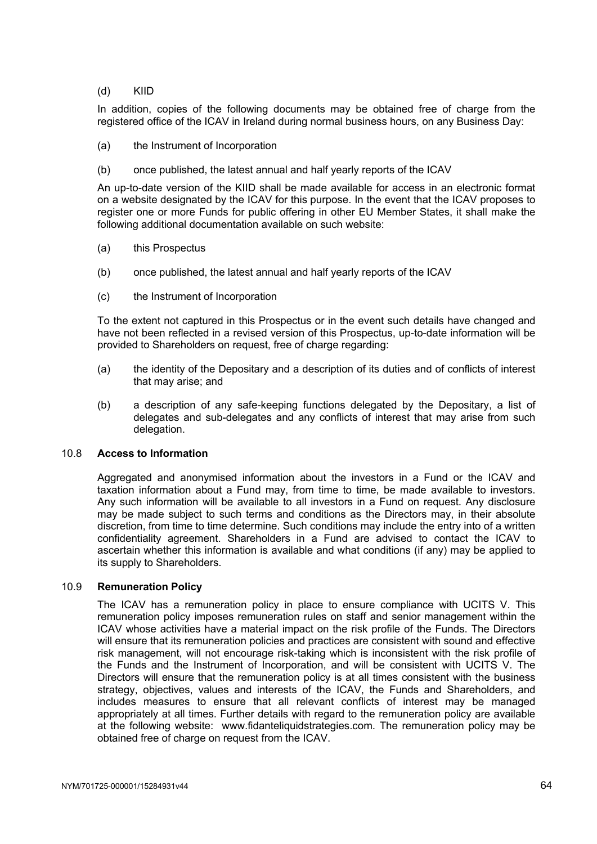## (d) KIID

In addition, copies of the following documents may be obtained free of charge from the registered office of the ICAV in Ireland during normal business hours, on any Business Day:

- (a) the Instrument of Incorporation
- (b) once published, the latest annual and half yearly reports of the ICAV

An up-to-date version of the KIID shall be made available for access in an electronic format on a website designated by the ICAV for this purpose. In the event that the ICAV proposes to register one or more Funds for public offering in other EU Member States, it shall make the following additional documentation available on such website:

- (a) this Prospectus
- (b) once published, the latest annual and half yearly reports of the ICAV
- (c) the Instrument of Incorporation

To the extent not captured in this Prospectus or in the event such details have changed and have not been reflected in a revised version of this Prospectus, up-to-date information will be provided to Shareholders on request, free of charge regarding:

- (a) the identity of the Depositary and a description of its duties and of conflicts of interest that may arise; and
- (b) a description of any safe-keeping functions delegated by the Depositary, a list of delegates and sub-delegates and any conflicts of interest that may arise from such delegation.

## 10.8 **Access to Information**

Aggregated and anonymised information about the investors in a Fund or the ICAV and taxation information about a Fund may, from time to time, be made available to investors. Any such information will be available to all investors in a Fund on request. Any disclosure may be made subject to such terms and conditions as the Directors may, in their absolute discretion, from time to time determine. Such conditions may include the entry into of a written confidentiality agreement. Shareholders in a Fund are advised to contact the ICAV to ascertain whether this information is available and what conditions (if any) may be applied to its supply to Shareholders.

## 10.9 **Remuneration Policy**

The ICAV has a remuneration policy in place to ensure compliance with UCITS V. This remuneration policy imposes remuneration rules on staff and senior management within the ICAV whose activities have a material impact on the risk profile of the Funds. The Directors will ensure that its remuneration policies and practices are consistent with sound and effective risk management, will not encourage risk-taking which is inconsistent with the risk profile of the Funds and the Instrument of Incorporation, and will be consistent with UCITS V. The Directors will ensure that the remuneration policy is at all times consistent with the business strategy, objectives, values and interests of the ICAV, the Funds and Shareholders, and includes measures to ensure that all relevant conflicts of interest may be managed appropriately at all times. Further details with regard to the remuneration policy are available at the following website: www.fidanteliquidstrategies.com. The remuneration policy may be obtained free of charge on request from the ICAV.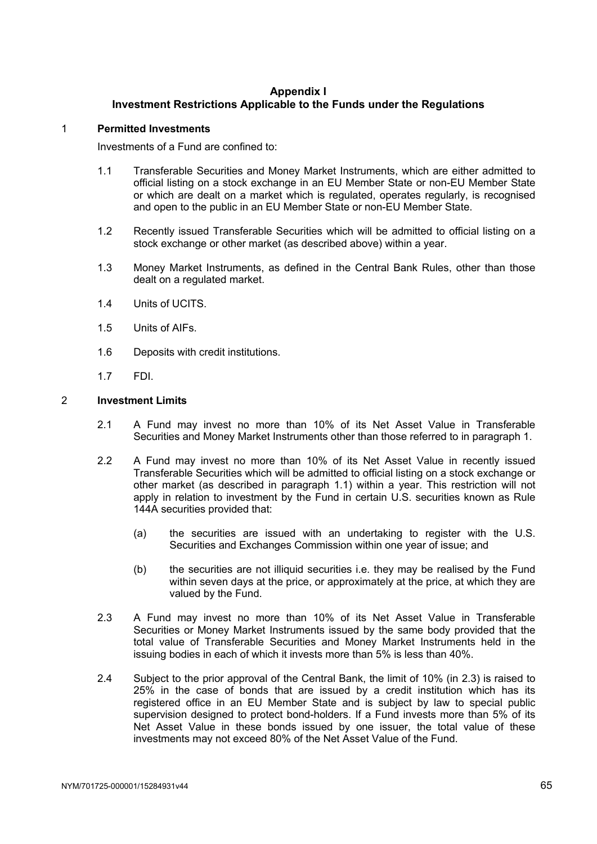# **Appendix I Investment Restrictions Applicable to the Funds under the Regulations**

### 1 **Permitted Investments**

Investments of a Fund are confined to:

- 1.1 Transferable Securities and Money Market Instruments, which are either admitted to official listing on a stock exchange in an EU Member State or non-EU Member State or which are dealt on a market which is regulated, operates regularly, is recognised and open to the public in an EU Member State or non-EU Member State.
- 1.2 Recently issued Transferable Securities which will be admitted to official listing on a stock exchange or other market (as described above) within a year.
- 1.3 Money Market Instruments, as defined in the Central Bank Rules, other than those dealt on a regulated market.
- 1.4 Units of UCITS.
- 1.5 Units of AIFs.
- 1.6 Deposits with credit institutions.
- 1.7 FDI.

#### 2 **Investment Limits**

- 2.1 A Fund may invest no more than 10% of its Net Asset Value in Transferable Securities and Money Market Instruments other than those referred to in paragraph 1.
- 2.2 A Fund may invest no more than 10% of its Net Asset Value in recently issued Transferable Securities which will be admitted to official listing on a stock exchange or other market (as described in paragraph 1.1) within a year. This restriction will not apply in relation to investment by the Fund in certain U.S. securities known as Rule 144A securities provided that:
	- (a) the securities are issued with an undertaking to register with the U.S. Securities and Exchanges Commission within one year of issue; and
	- (b) the securities are not illiquid securities i.e. they may be realised by the Fund within seven days at the price, or approximately at the price, at which they are valued by the Fund.
- 2.3 A Fund may invest no more than 10% of its Net Asset Value in Transferable Securities or Money Market Instruments issued by the same body provided that the total value of Transferable Securities and Money Market Instruments held in the issuing bodies in each of which it invests more than 5% is less than 40%.
- 2.4 Subject to the prior approval of the Central Bank, the limit of 10% (in 2.3) is raised to 25% in the case of bonds that are issued by a credit institution which has its registered office in an EU Member State and is subject by law to special public supervision designed to protect bond-holders. If a Fund invests more than 5% of its Net Asset Value in these bonds issued by one issuer, the total value of these investments may not exceed 80% of the Net Asset Value of the Fund.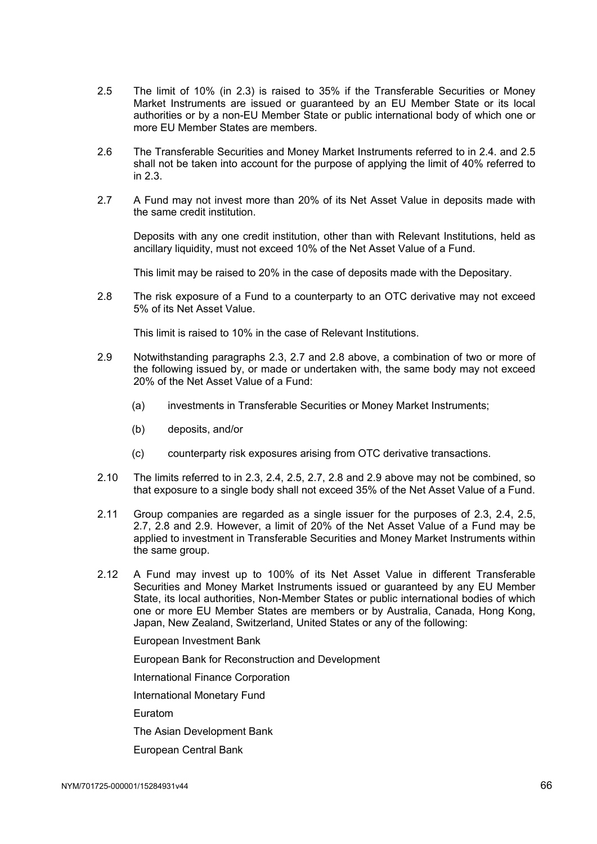- 2.5 The limit of 10% (in 2.3) is raised to 35% if the Transferable Securities or Money Market Instruments are issued or guaranteed by an EU Member State or its local authorities or by a non-EU Member State or public international body of which one or more EU Member States are members.
- 2.6 The Transferable Securities and Money Market Instruments referred to in 2.4. and 2.5 shall not be taken into account for the purpose of applying the limit of 40% referred to in 2.3.
- 2.7 A Fund may not invest more than 20% of its Net Asset Value in deposits made with the same credit institution.

Deposits with any one credit institution, other than with Relevant Institutions, held as ancillary liquidity, must not exceed 10% of the Net Asset Value of a Fund.

This limit may be raised to 20% in the case of deposits made with the Depositary.

2.8 The risk exposure of a Fund to a counterparty to an OTC derivative may not exceed 5% of its Net Asset Value.

This limit is raised to 10% in the case of Relevant Institutions.

- 2.9 Notwithstanding paragraphs 2.3, 2.7 and 2.8 above, a combination of two or more of the following issued by, or made or undertaken with, the same body may not exceed 20% of the Net Asset Value of a Fund:
	- (a) investments in Transferable Securities or Money Market Instruments;
	- (b) deposits, and/or
	- (c) counterparty risk exposures arising from OTC derivative transactions.
- 2.10 The limits referred to in 2.3, 2.4, 2.5, 2.7, 2.8 and 2.9 above may not be combined, so that exposure to a single body shall not exceed 35% of the Net Asset Value of a Fund.
- 2.11 Group companies are regarded as a single issuer for the purposes of 2.3, 2.4, 2.5, 2.7, 2.8 and 2.9. However, a limit of 20% of the Net Asset Value of a Fund may be applied to investment in Transferable Securities and Money Market Instruments within the same group.
- 2.12 A Fund may invest up to 100% of its Net Asset Value in different Transferable Securities and Money Market Instruments issued or guaranteed by any EU Member State, its local authorities, Non-Member States or public international bodies of which one or more EU Member States are members or by Australia, Canada, Hong Kong, Japan, New Zealand, Switzerland, United States or any of the following:

European Investment Bank

European Bank for Reconstruction and Development

International Finance Corporation

International Monetary Fund

Euratom

The Asian Development Bank

European Central Bank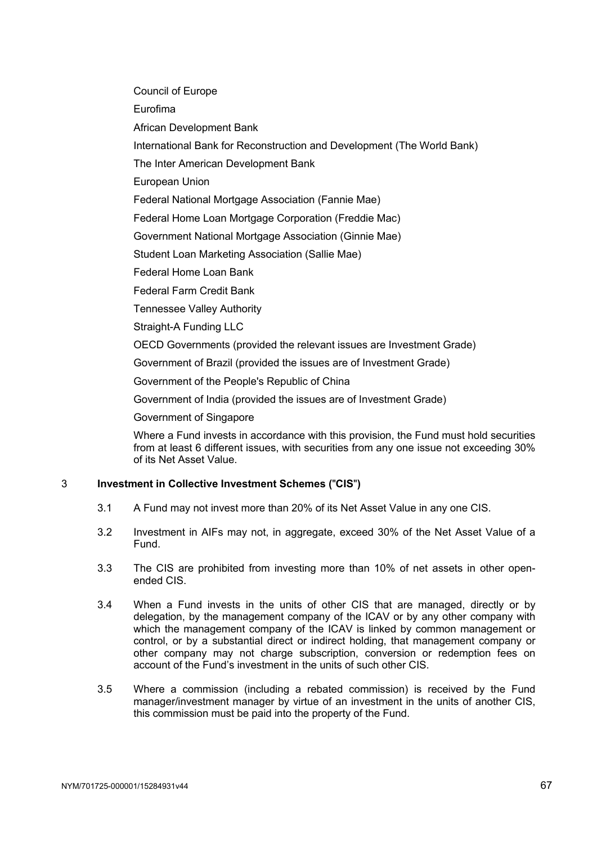Council of Europe

Eurofima

African Development Bank

International Bank for Reconstruction and Development (The World Bank)

The Inter American Development Bank

European Union

Federal National Mortgage Association (Fannie Mae)

Federal Home Loan Mortgage Corporation (Freddie Mac)

Government National Mortgage Association (Ginnie Mae)

Student Loan Marketing Association (Sallie Mae)

Federal Home Loan Bank

Federal Farm Credit Bank

Tennessee Valley Authority

Straight-A Funding LLC

OECD Governments (provided the relevant issues are Investment Grade)

Government of Brazil (provided the issues are of Investment Grade)

Government of the People's Republic of China

Government of India (provided the issues are of Investment Grade)

Government of Singapore

Where a Fund invests in accordance with this provision, the Fund must hold securities from at least 6 different issues, with securities from any one issue not exceeding 30% of its Net Asset Value.

# 3 **Investment in Collective Investment Schemes (**"**CIS**"**)**

- 3.1 A Fund may not invest more than 20% of its Net Asset Value in any one CIS.
- 3.2 Investment in AIFs may not, in aggregate, exceed 30% of the Net Asset Value of a Fund.
- 3.3 The CIS are prohibited from investing more than 10% of net assets in other openended CIS.
- 3.4 When a Fund invests in the units of other CIS that are managed, directly or by delegation, by the management company of the ICAV or by any other company with which the management company of the ICAV is linked by common management or control, or by a substantial direct or indirect holding, that management company or other company may not charge subscription, conversion or redemption fees on account of the Fund's investment in the units of such other CIS.
- 3.5 Where a commission (including a rebated commission) is received by the Fund manager/investment manager by virtue of an investment in the units of another CIS, this commission must be paid into the property of the Fund.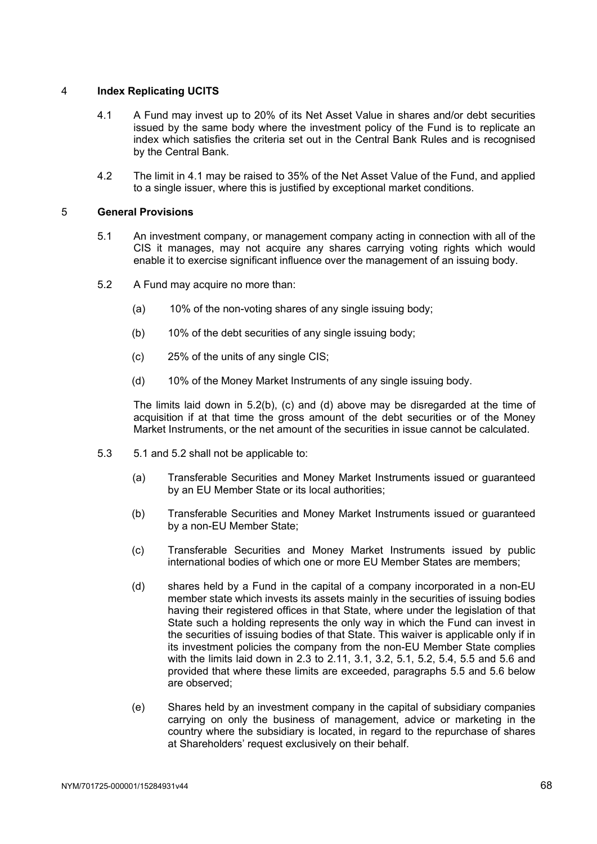## 4 **Index Replicating UCITS**

- 4.1 A Fund may invest up to 20% of its Net Asset Value in shares and/or debt securities issued by the same body where the investment policy of the Fund is to replicate an index which satisfies the criteria set out in the Central Bank Rules and is recognised by the Central Bank.
- 4.2 The limit in 4.1 may be raised to 35% of the Net Asset Value of the Fund, and applied to a single issuer, where this is justified by exceptional market conditions.

## 5 **General Provisions**

- 5.1 An investment company, or management company acting in connection with all of the CIS it manages, may not acquire any shares carrying voting rights which would enable it to exercise significant influence over the management of an issuing body.
- 5.2 A Fund may acquire no more than:
	- (a) 10% of the non-voting shares of any single issuing body;
	- (b) 10% of the debt securities of any single issuing body;
	- (c) 25% of the units of any single CIS;
	- (d) 10% of the Money Market Instruments of any single issuing body.

The limits laid down in 5.2(b), (c) and (d) above may be disregarded at the time of acquisition if at that time the gross amount of the debt securities or of the Money Market Instruments, or the net amount of the securities in issue cannot be calculated.

- 5.3 5.1 and 5.2 shall not be applicable to:
	- (a) Transferable Securities and Money Market Instruments issued or guaranteed by an EU Member State or its local authorities;
	- (b) Transferable Securities and Money Market Instruments issued or guaranteed by a non-EU Member State;
	- (c) Transferable Securities and Money Market Instruments issued by public international bodies of which one or more EU Member States are members;
	- (d) shares held by a Fund in the capital of a company incorporated in a non-EU member state which invests its assets mainly in the securities of issuing bodies having their registered offices in that State, where under the legislation of that State such a holding represents the only way in which the Fund can invest in the securities of issuing bodies of that State. This waiver is applicable only if in its investment policies the company from the non-EU Member State complies with the limits laid down in 2.3 to 2.11, 3.1, 3.2, 5.1, 5.2, 5.4, 5.5 and 5.6 and provided that where these limits are exceeded, paragraphs 5.5 and 5.6 below are observed;
	- (e) Shares held by an investment company in the capital of subsidiary companies carrying on only the business of management, advice or marketing in the country where the subsidiary is located, in regard to the repurchase of shares at Shareholders' request exclusively on their behalf.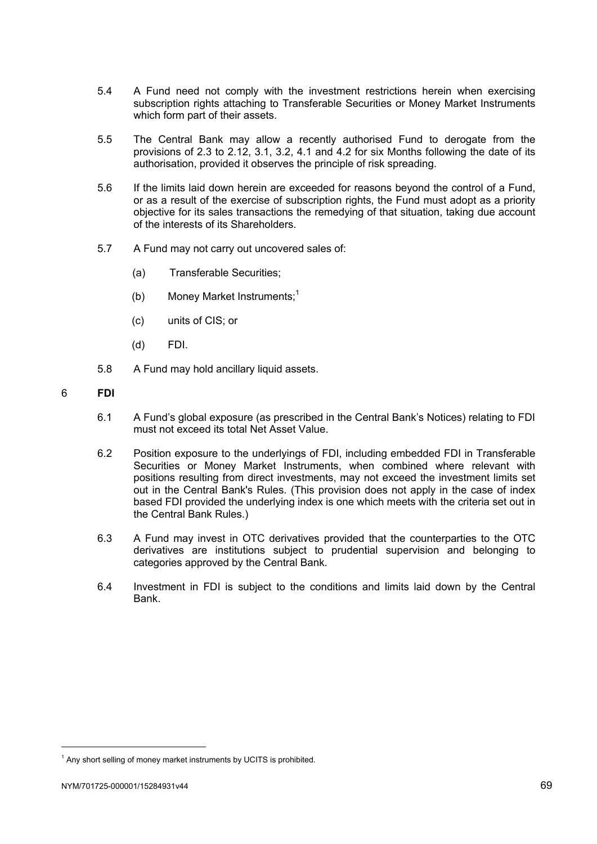- 5.4 A Fund need not comply with the investment restrictions herein when exercising subscription rights attaching to Transferable Securities or Money Market Instruments which form part of their assets.
- 5.5 The Central Bank may allow a recently authorised Fund to derogate from the provisions of 2.3 to 2.12, 3.1, 3.2, 4.1 and 4.2 for six Months following the date of its authorisation, provided it observes the principle of risk spreading.
- 5.6 If the limits laid down herein are exceeded for reasons beyond the control of a Fund, or as a result of the exercise of subscription rights, the Fund must adopt as a priority objective for its sales transactions the remedying of that situation, taking due account of the interests of its Shareholders.
- 5.7 A Fund may not carry out uncovered sales of:
	- (a) Transferable Securities;
	- (b) Money Market Instruments;<sup>1</sup>
	- (c) units of CIS; or
	- (d) FDI.
- 5.8 A Fund may hold ancillary liquid assets.
- 6 **FDI**
	- 6.1 A Fund's global exposure (as prescribed in the Central Bank's Notices) relating to FDI must not exceed its total Net Asset Value.
	- 6.2 Position exposure to the underlyings of FDI, including embedded FDI in Transferable Securities or Money Market Instruments, when combined where relevant with positions resulting from direct investments, may not exceed the investment limits set out in the Central Bank's Rules. (This provision does not apply in the case of index based FDI provided the underlying index is one which meets with the criteria set out in the Central Bank Rules.)
	- 6.3 A Fund may invest in OTC derivatives provided that the counterparties to the OTC derivatives are institutions subject to prudential supervision and belonging to categories approved by the Central Bank.
	- 6.4 Investment in FDI is subject to the conditions and limits laid down by the Central Bank.

 $\overline{a}$ 

 $1$  Any short selling of money market instruments by UCITS is prohibited.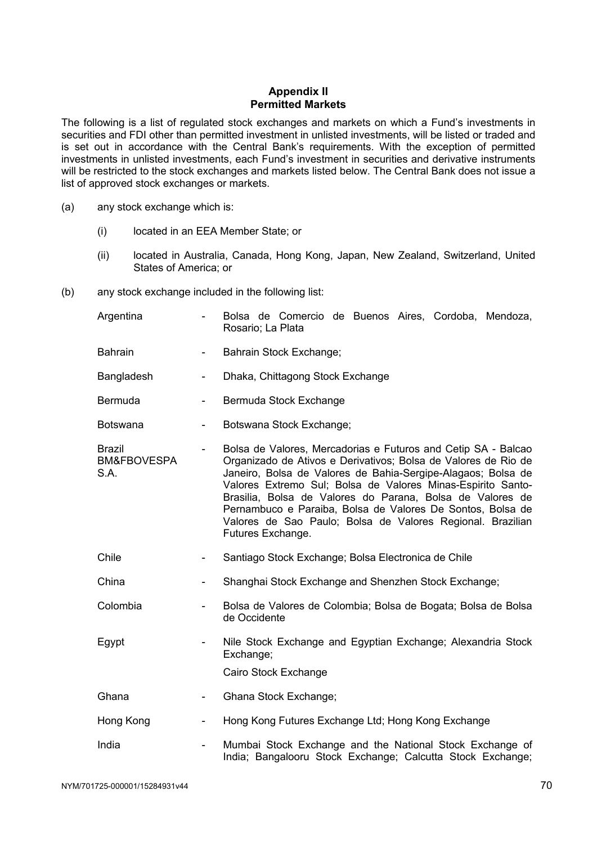## **Appendix II Permitted Markets**

The following is a list of regulated stock exchanges and markets on which a Fund's investments in securities and FDI other than permitted investment in unlisted investments, will be listed or traded and is set out in accordance with the Central Bank's requirements. With the exception of permitted investments in unlisted investments, each Fund's investment in securities and derivative instruments will be restricted to the stock exchanges and markets listed below. The Central Bank does not issue a list of approved stock exchanges or markets.

- (a) any stock exchange which is:
	- (i) located in an EEA Member State; or
	- (ii) located in Australia, Canada, Hong Kong, Japan, New Zealand, Switzerland, United States of America; or
- (b) any stock exchange included in the following list:

| Argentina                                       |                          | Bolsa de Comercio de Buenos Aires, Cordoba, Mendoza,<br>Rosario; La Plata                                                                                                                                                                                                                                                                                                                                                                                                    |
|-------------------------------------------------|--------------------------|------------------------------------------------------------------------------------------------------------------------------------------------------------------------------------------------------------------------------------------------------------------------------------------------------------------------------------------------------------------------------------------------------------------------------------------------------------------------------|
| <b>Bahrain</b>                                  |                          | Bahrain Stock Exchange;                                                                                                                                                                                                                                                                                                                                                                                                                                                      |
| Bangladesh                                      | $\overline{\phantom{a}}$ | Dhaka, Chittagong Stock Exchange                                                                                                                                                                                                                                                                                                                                                                                                                                             |
| <b>Bermuda</b>                                  |                          | Bermuda Stock Exchange                                                                                                                                                                                                                                                                                                                                                                                                                                                       |
| <b>Botswana</b>                                 | $\overline{\phantom{a}}$ | Botswana Stock Exchange;                                                                                                                                                                                                                                                                                                                                                                                                                                                     |
| <b>Brazil</b><br><b>BM&amp;FBOVESPA</b><br>S.A. |                          | Bolsa de Valores, Mercadorias e Futuros and Cetip SA - Balcao<br>Organizado de Ativos e Derivativos; Bolsa de Valores de Rio de<br>Janeiro, Bolsa de Valores de Bahia-Sergipe-Alagaos; Bolsa de<br>Valores Extremo Sul; Bolsa de Valores Minas-Espirito Santo-<br>Brasilia, Bolsa de Valores do Parana, Bolsa de Valores de<br>Pernambuco e Paraiba, Bolsa de Valores De Sontos, Bolsa de<br>Valores de Sao Paulo; Bolsa de Valores Regional. Brazilian<br>Futures Exchange. |
| Chile                                           |                          | Santiago Stock Exchange; Bolsa Electronica de Chile                                                                                                                                                                                                                                                                                                                                                                                                                          |
| China                                           |                          | Shanghai Stock Exchange and Shenzhen Stock Exchange;                                                                                                                                                                                                                                                                                                                                                                                                                         |
| Colombia                                        |                          | Bolsa de Valores de Colombia; Bolsa de Bogata; Bolsa de Bolsa<br>de Occidente                                                                                                                                                                                                                                                                                                                                                                                                |
| Egypt                                           |                          | Nile Stock Exchange and Egyptian Exchange; Alexandria Stock<br>Exchange;<br>Cairo Stock Exchange                                                                                                                                                                                                                                                                                                                                                                             |
| Ghana                                           |                          | Ghana Stock Exchange;                                                                                                                                                                                                                                                                                                                                                                                                                                                        |
| Hong Kong                                       |                          | Hong Kong Futures Exchange Ltd; Hong Kong Exchange                                                                                                                                                                                                                                                                                                                                                                                                                           |
| India                                           |                          | Mumbai Stock Exchange and the National Stock Exchange of<br>India; Bangalooru Stock Exchange; Calcutta Stock Exchange;                                                                                                                                                                                                                                                                                                                                                       |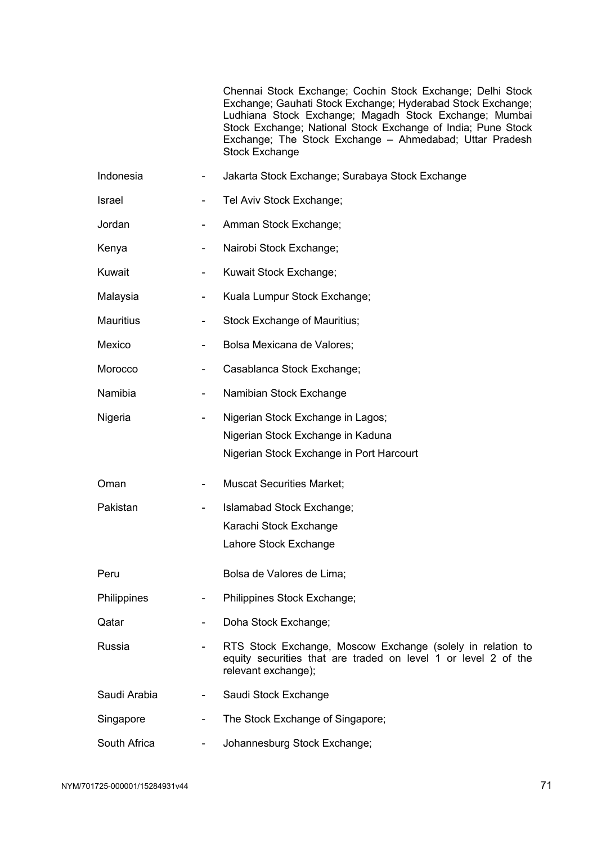Chennai Stock Exchange; Cochin Stock Exchange; Delhi Stock Exchange; Gauhati Stock Exchange; Hyderabad Stock Exchange; Ludhiana Stock Exchange; Magadh Stock Exchange; Mumbai Stock Exchange; National Stock Exchange of India; Pune Stock Exchange; The Stock Exchange – Ahmedabad; Uttar Pradesh Stock Exchange

Israel Fig. 2012 - Tel Aviv Stock Exchange; Jordan - Amman Stock Exchange; Kenya - Nairobi Stock Exchange; Kuwait - Kuwait Stock Exchange: Malaysia **- Kuala Lumpur Stock Exchange**; Mauritius **Nauritius**; **Fig. 2.1 Stock Exchange of Mauritius**; Mexico - Bolsa Mexicana de Valores; Morocco **- Casablanca Stock Exchange**; Namibia **- Namibian Stock Exchange** 

Indonesia - Jakarta Stock Exchange; Surabaya Stock Exchange

- Nigeria  **Nigerian Stock Exchange in Lagos**; Nigerian Stock Exchange in Kaduna Nigerian Stock Exchange in Port Harcourt
- Oman The Muscat Securities Market;
- Pakistan Islamabad Stock Exchange; Karachi Stock Exchange Lahore Stock Exchange
- Peru Bolsa de Valores de Lima;
- Philippines Philippines Stock Exchange;
- Qatar Doha Stock Exchange;
- Russia RTS Stock Exchange, Moscow Exchange (solely in relation to equity securities that are traded on level 1 or level 2 of the relevant exchange);
- Saudi Arabia  **Saudi Stock Exchange**
- Singapore **-** The Stock Exchange of Singapore:
- South Africa **-** Johannesburg Stock Exchange;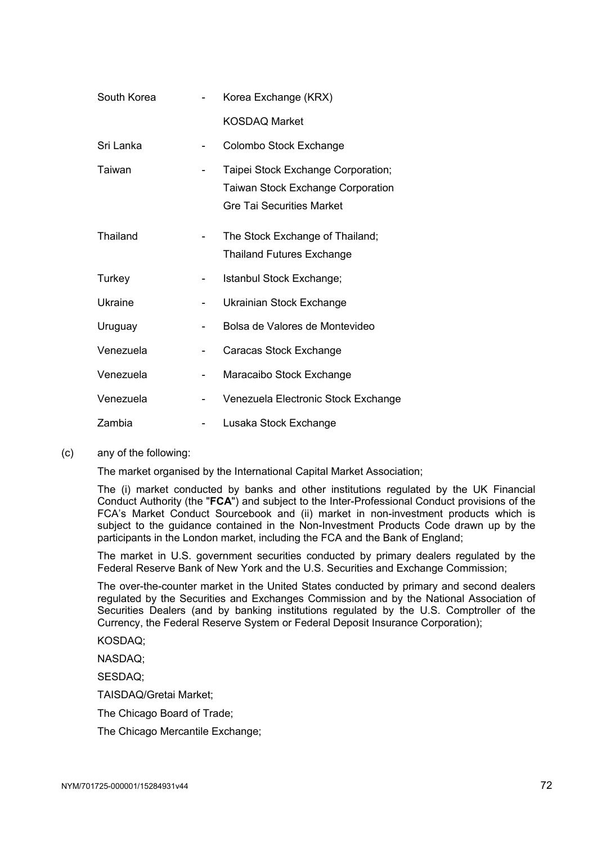| South Korea |   | Korea Exchange (KRX)                                                                                               |  |
|-------------|---|--------------------------------------------------------------------------------------------------------------------|--|
|             |   | <b>KOSDAQ Market</b>                                                                                               |  |
| Sri Lanka   |   | Colombo Stock Exchange                                                                                             |  |
| Taiwan      |   | Taipei Stock Exchange Corporation;<br><b>Taiwan Stock Exchange Corporation</b><br><b>Gre Tai Securities Market</b> |  |
| Thailand    |   | The Stock Exchange of Thailand;<br><b>Thailand Futures Exchange</b>                                                |  |
| Turkey      |   | Istanbul Stock Exchange;                                                                                           |  |
| Ukraine     |   | Ukrainian Stock Exchange                                                                                           |  |
| Uruguay     |   | Bolsa de Valores de Montevideo                                                                                     |  |
| Venezuela   |   | Caracas Stock Exchange                                                                                             |  |
| Venezuela   | - | Maracaibo Stock Exchange                                                                                           |  |
| Venezuela   |   | Venezuela Electronic Stock Exchange                                                                                |  |
| Zambia      |   | Lusaka Stock Exchange                                                                                              |  |

(c) any of the following:

The market organised by the International Capital Market Association;

The (i) market conducted by banks and other institutions regulated by the UK Financial Conduct Authority (the "**FCA**") and subject to the Inter-Professional Conduct provisions of the FCA's Market Conduct Sourcebook and (ii) market in non-investment products which is subject to the guidance contained in the Non-Investment Products Code drawn up by the participants in the London market, including the FCA and the Bank of England;

The market in U.S. government securities conducted by primary dealers regulated by the Federal Reserve Bank of New York and the U.S. Securities and Exchange Commission;

The over-the-counter market in the United States conducted by primary and second dealers regulated by the Securities and Exchanges Commission and by the National Association of Securities Dealers (and by banking institutions regulated by the U.S. Comptroller of the Currency, the Federal Reserve System or Federal Deposit Insurance Corporation);

KOSDAQ;

NASDAQ;

SESDAQ;

TAISDAQ/Gretai Market;

The Chicago Board of Trade;

The Chicago Mercantile Exchange;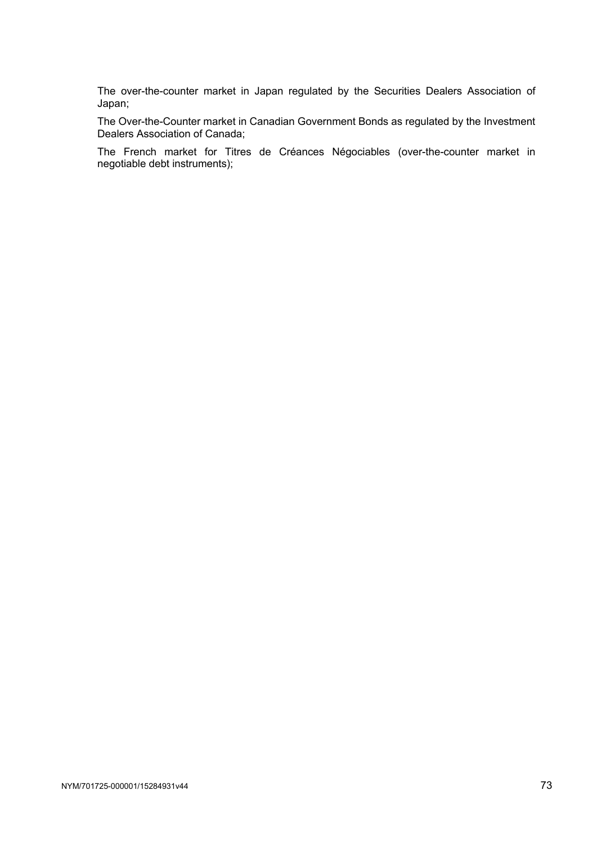The over-the-counter market in Japan regulated by the Securities Dealers Association of Japan;

The Over-the-Counter market in Canadian Government Bonds as regulated by the Investment Dealers Association of Canada;

The French market for Titres de Créances Négociables (over-the-counter market in negotiable debt instruments);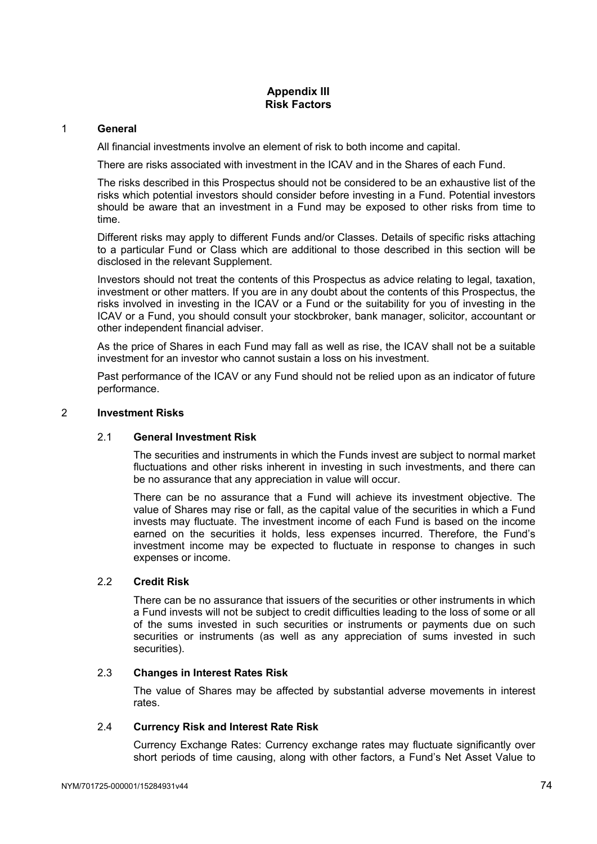# **Appendix III Risk Factors**

#### 1 **General**

All financial investments involve an element of risk to both income and capital.

There are risks associated with investment in the ICAV and in the Shares of each Fund.

The risks described in this Prospectus should not be considered to be an exhaustive list of the risks which potential investors should consider before investing in a Fund. Potential investors should be aware that an investment in a Fund may be exposed to other risks from time to time.

Different risks may apply to different Funds and/or Classes. Details of specific risks attaching to a particular Fund or Class which are additional to those described in this section will be disclosed in the relevant Supplement.

Investors should not treat the contents of this Prospectus as advice relating to legal, taxation, investment or other matters. If you are in any doubt about the contents of this Prospectus, the risks involved in investing in the ICAV or a Fund or the suitability for you of investing in the ICAV or a Fund, you should consult your stockbroker, bank manager, solicitor, accountant or other independent financial adviser.

As the price of Shares in each Fund may fall as well as rise, the ICAV shall not be a suitable investment for an investor who cannot sustain a loss on his investment.

Past performance of the ICAV or any Fund should not be relied upon as an indicator of future performance.

## 2 **Investment Risks**

#### 2.1 **General Investment Risk**

The securities and instruments in which the Funds invest are subject to normal market fluctuations and other risks inherent in investing in such investments, and there can be no assurance that any appreciation in value will occur.

There can be no assurance that a Fund will achieve its investment objective. The value of Shares may rise or fall, as the capital value of the securities in which a Fund invests may fluctuate. The investment income of each Fund is based on the income earned on the securities it holds, less expenses incurred. Therefore, the Fund's investment income may be expected to fluctuate in response to changes in such expenses or income.

#### 2.2 **Credit Risk**

There can be no assurance that issuers of the securities or other instruments in which a Fund invests will not be subject to credit difficulties leading to the loss of some or all of the sums invested in such securities or instruments or payments due on such securities or instruments (as well as any appreciation of sums invested in such securities).

#### 2.3 **Changes in Interest Rates Risk**

The value of Shares may be affected by substantial adverse movements in interest rates.

#### 2.4 **Currency Risk and Interest Rate Risk**

Currency Exchange Rates: Currency exchange rates may fluctuate significantly over short periods of time causing, along with other factors, a Fund's Net Asset Value to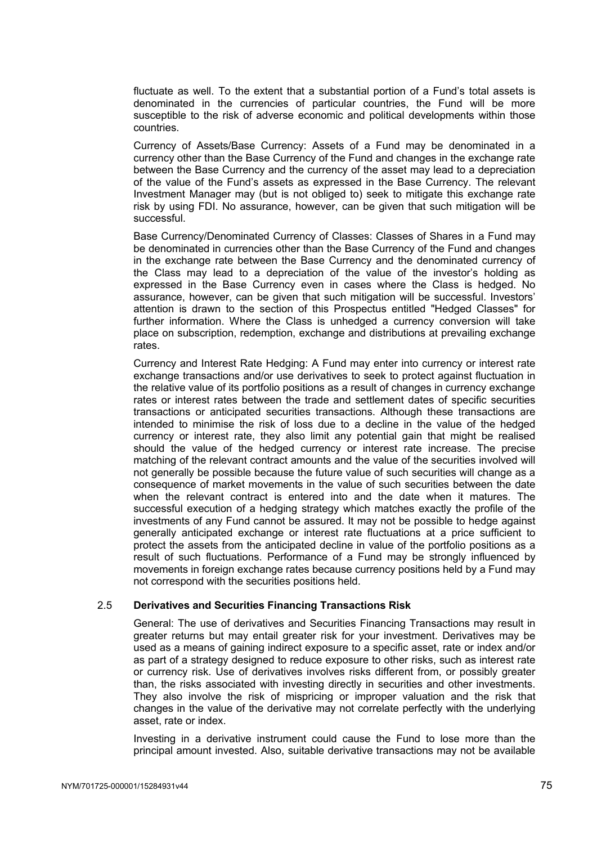fluctuate as well. To the extent that a substantial portion of a Fund's total assets is denominated in the currencies of particular countries, the Fund will be more susceptible to the risk of adverse economic and political developments within those countries.

Currency of Assets/Base Currency: Assets of a Fund may be denominated in a currency other than the Base Currency of the Fund and changes in the exchange rate between the Base Currency and the currency of the asset may lead to a depreciation of the value of the Fund's assets as expressed in the Base Currency. The relevant Investment Manager may (but is not obliged to) seek to mitigate this exchange rate risk by using FDI. No assurance, however, can be given that such mitigation will be successful.

Base Currency/Denominated Currency of Classes: Classes of Shares in a Fund may be denominated in currencies other than the Base Currency of the Fund and changes in the exchange rate between the Base Currency and the denominated currency of the Class may lead to a depreciation of the value of the investor's holding as expressed in the Base Currency even in cases where the Class is hedged. No assurance, however, can be given that such mitigation will be successful. Investors' attention is drawn to the section of this Prospectus entitled "Hedged Classes" for further information. Where the Class is unhedged a currency conversion will take place on subscription, redemption, exchange and distributions at prevailing exchange rates.

Currency and Interest Rate Hedging: A Fund may enter into currency or interest rate exchange transactions and/or use derivatives to seek to protect against fluctuation in the relative value of its portfolio positions as a result of changes in currency exchange rates or interest rates between the trade and settlement dates of specific securities transactions or anticipated securities transactions. Although these transactions are intended to minimise the risk of loss due to a decline in the value of the hedged currency or interest rate, they also limit any potential gain that might be realised should the value of the hedged currency or interest rate increase. The precise matching of the relevant contract amounts and the value of the securities involved will not generally be possible because the future value of such securities will change as a consequence of market movements in the value of such securities between the date when the relevant contract is entered into and the date when it matures. The successful execution of a hedging strategy which matches exactly the profile of the investments of any Fund cannot be assured. It may not be possible to hedge against generally anticipated exchange or interest rate fluctuations at a price sufficient to protect the assets from the anticipated decline in value of the portfolio positions as a result of such fluctuations. Performance of a Fund may be strongly influenced by movements in foreign exchange rates because currency positions held by a Fund may not correspond with the securities positions held.

#### 2.5 **Derivatives and Securities Financing Transactions Risk**

General: The use of derivatives and Securities Financing Transactions may result in greater returns but may entail greater risk for your investment. Derivatives may be used as a means of gaining indirect exposure to a specific asset, rate or index and/or as part of a strategy designed to reduce exposure to other risks, such as interest rate or currency risk. Use of derivatives involves risks different from, or possibly greater than, the risks associated with investing directly in securities and other investments. They also involve the risk of mispricing or improper valuation and the risk that changes in the value of the derivative may not correlate perfectly with the underlying asset, rate or index.

Investing in a derivative instrument could cause the Fund to lose more than the principal amount invested. Also, suitable derivative transactions may not be available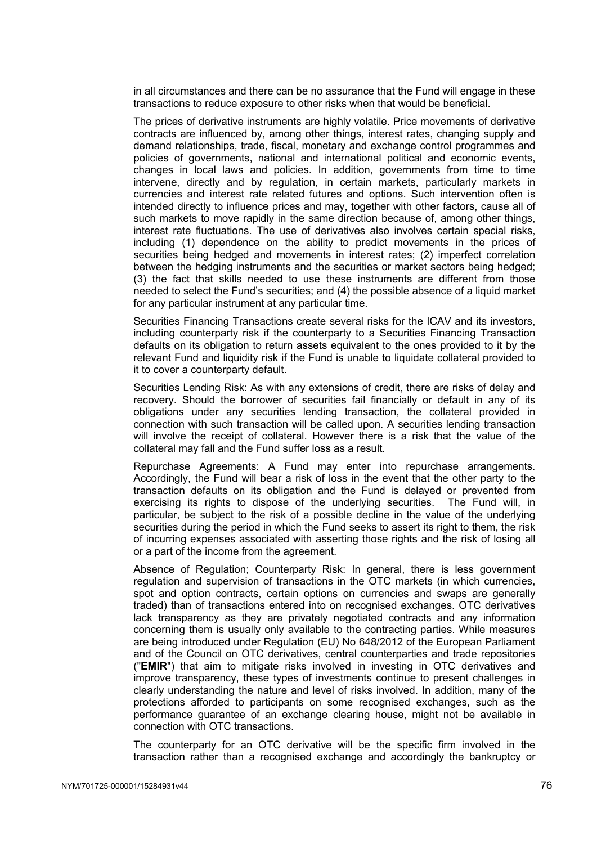in all circumstances and there can be no assurance that the Fund will engage in these transactions to reduce exposure to other risks when that would be beneficial.

The prices of derivative instruments are highly volatile. Price movements of derivative contracts are influenced by, among other things, interest rates, changing supply and demand relationships, trade, fiscal, monetary and exchange control programmes and policies of governments, national and international political and economic events, changes in local laws and policies. In addition, governments from time to time intervene, directly and by regulation, in certain markets, particularly markets in currencies and interest rate related futures and options. Such intervention often is intended directly to influence prices and may, together with other factors, cause all of such markets to move rapidly in the same direction because of, among other things, interest rate fluctuations. The use of derivatives also involves certain special risks, including (1) dependence on the ability to predict movements in the prices of securities being hedged and movements in interest rates; (2) imperfect correlation between the hedging instruments and the securities or market sectors being hedged; (3) the fact that skills needed to use these instruments are different from those needed to select the Fund's securities; and (4) the possible absence of a liquid market for any particular instrument at any particular time.

Securities Financing Transactions create several risks for the ICAV and its investors, including counterparty risk if the counterparty to a Securities Financing Transaction defaults on its obligation to return assets equivalent to the ones provided to it by the relevant Fund and liquidity risk if the Fund is unable to liquidate collateral provided to it to cover a counterparty default.

Securities Lending Risk: As with any extensions of credit, there are risks of delay and recovery. Should the borrower of securities fail financially or default in any of its obligations under any securities lending transaction, the collateral provided in connection with such transaction will be called upon. A securities lending transaction will involve the receipt of collateral. However there is a risk that the value of the collateral may fall and the Fund suffer loss as a result.

Repurchase Agreements: A Fund may enter into repurchase arrangements. Accordingly, the Fund will bear a risk of loss in the event that the other party to the transaction defaults on its obligation and the Fund is delayed or prevented from exercising its rights to dispose of the underlying securities. The Fund will, in particular, be subject to the risk of a possible decline in the value of the underlying securities during the period in which the Fund seeks to assert its right to them, the risk of incurring expenses associated with asserting those rights and the risk of losing all or a part of the income from the agreement.

Absence of Regulation; Counterparty Risk: In general, there is less government regulation and supervision of transactions in the OTC markets (in which currencies, spot and option contracts, certain options on currencies and swaps are generally traded) than of transactions entered into on recognised exchanges. OTC derivatives lack transparency as they are privately negotiated contracts and any information concerning them is usually only available to the contracting parties. While measures are being introduced under Regulation (EU) No 648/2012 of the European Parliament and of the Council on OTC derivatives, central counterparties and trade repositories ("**EMIR**") that aim to mitigate risks involved in investing in OTC derivatives and improve transparency, these types of investments continue to present challenges in clearly understanding the nature and level of risks involved. In addition, many of the protections afforded to participants on some recognised exchanges, such as the performance guarantee of an exchange clearing house, might not be available in connection with OTC transactions.

The counterparty for an OTC derivative will be the specific firm involved in the transaction rather than a recognised exchange and accordingly the bankruptcy or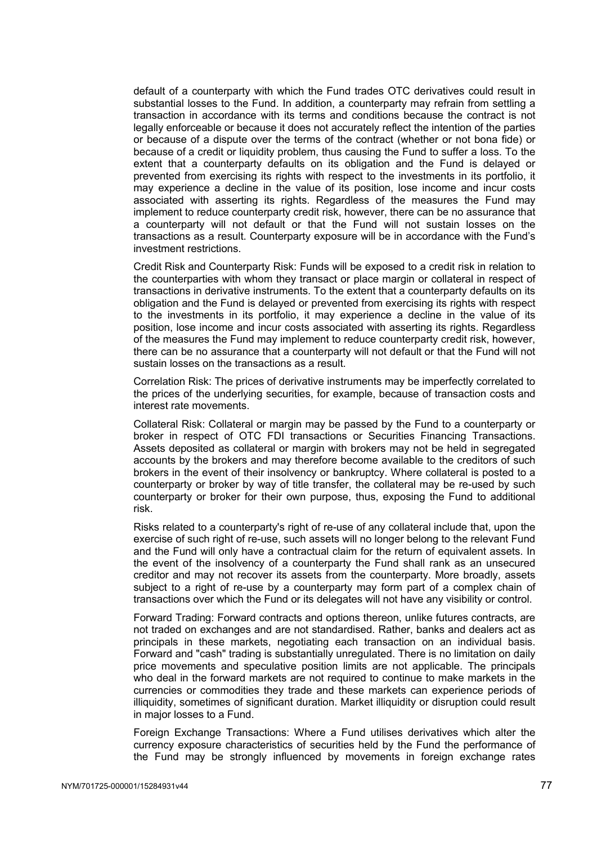default of a counterparty with which the Fund trades OTC derivatives could result in substantial losses to the Fund. In addition, a counterparty may refrain from settling a transaction in accordance with its terms and conditions because the contract is not legally enforceable or because it does not accurately reflect the intention of the parties or because of a dispute over the terms of the contract (whether or not bona fide) or because of a credit or liquidity problem, thus causing the Fund to suffer a loss. To the extent that a counterparty defaults on its obligation and the Fund is delayed or prevented from exercising its rights with respect to the investments in its portfolio, it may experience a decline in the value of its position, lose income and incur costs associated with asserting its rights. Regardless of the measures the Fund may implement to reduce counterparty credit risk, however, there can be no assurance that a counterparty will not default or that the Fund will not sustain losses on the transactions as a result. Counterparty exposure will be in accordance with the Fund's investment restrictions.

Credit Risk and Counterparty Risk: Funds will be exposed to a credit risk in relation to the counterparties with whom they transact or place margin or collateral in respect of transactions in derivative instruments. To the extent that a counterparty defaults on its obligation and the Fund is delayed or prevented from exercising its rights with respect to the investments in its portfolio, it may experience a decline in the value of its position, lose income and incur costs associated with asserting its rights. Regardless of the measures the Fund may implement to reduce counterparty credit risk, however, there can be no assurance that a counterparty will not default or that the Fund will not sustain losses on the transactions as a result.

Correlation Risk: The prices of derivative instruments may be imperfectly correlated to the prices of the underlying securities, for example, because of transaction costs and interest rate movements.

Collateral Risk: Collateral or margin may be passed by the Fund to a counterparty or broker in respect of OTC FDI transactions or Securities Financing Transactions. Assets deposited as collateral or margin with brokers may not be held in segregated accounts by the brokers and may therefore become available to the creditors of such brokers in the event of their insolvency or bankruptcy. Where collateral is posted to a counterparty or broker by way of title transfer, the collateral may be re-used by such counterparty or broker for their own purpose, thus, exposing the Fund to additional risk.

Risks related to a counterparty's right of re-use of any collateral include that, upon the exercise of such right of re-use, such assets will no longer belong to the relevant Fund and the Fund will only have a contractual claim for the return of equivalent assets. In the event of the insolvency of a counterparty the Fund shall rank as an unsecured creditor and may not recover its assets from the counterparty. More broadly, assets subject to a right of re-use by a counterparty may form part of a complex chain of transactions over which the Fund or its delegates will not have any visibility or control.

Forward Trading: Forward contracts and options thereon, unlike futures contracts, are not traded on exchanges and are not standardised. Rather, banks and dealers act as principals in these markets, negotiating each transaction on an individual basis. Forward and "cash" trading is substantially unregulated. There is no limitation on daily price movements and speculative position limits are not applicable. The principals who deal in the forward markets are not required to continue to make markets in the currencies or commodities they trade and these markets can experience periods of illiquidity, sometimes of significant duration. Market illiquidity or disruption could result in major losses to a Fund.

Foreign Exchange Transactions: Where a Fund utilises derivatives which alter the currency exposure characteristics of securities held by the Fund the performance of the Fund may be strongly influenced by movements in foreign exchange rates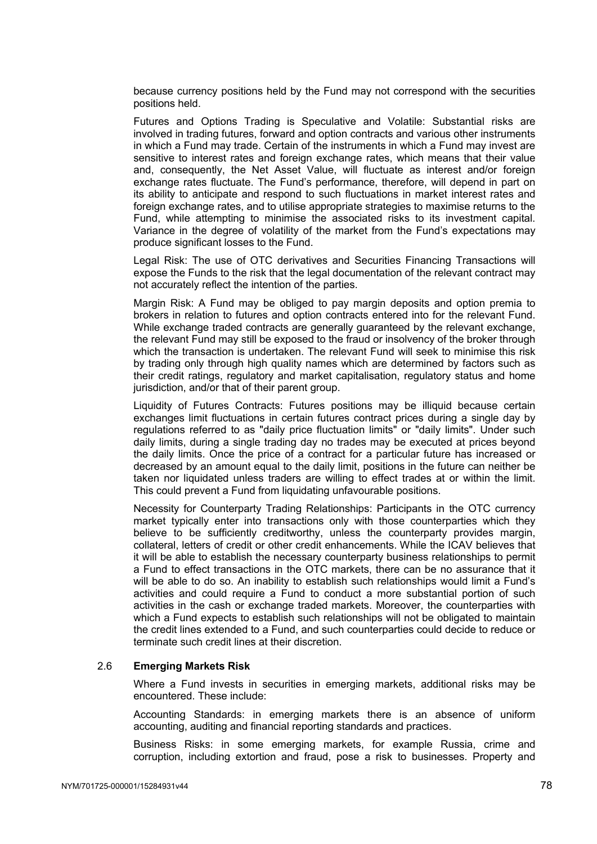because currency positions held by the Fund may not correspond with the securities positions held.

Futures and Options Trading is Speculative and Volatile: Substantial risks are involved in trading futures, forward and option contracts and various other instruments in which a Fund may trade. Certain of the instruments in which a Fund may invest are sensitive to interest rates and foreign exchange rates, which means that their value and, consequently, the Net Asset Value, will fluctuate as interest and/or foreign exchange rates fluctuate. The Fund's performance, therefore, will depend in part on its ability to anticipate and respond to such fluctuations in market interest rates and foreign exchange rates, and to utilise appropriate strategies to maximise returns to the Fund, while attempting to minimise the associated risks to its investment capital. Variance in the degree of volatility of the market from the Fund's expectations may produce significant losses to the Fund.

Legal Risk: The use of OTC derivatives and Securities Financing Transactions will expose the Funds to the risk that the legal documentation of the relevant contract may not accurately reflect the intention of the parties.

Margin Risk: A Fund may be obliged to pay margin deposits and option premia to brokers in relation to futures and option contracts entered into for the relevant Fund. While exchange traded contracts are generally guaranteed by the relevant exchange, the relevant Fund may still be exposed to the fraud or insolvency of the broker through which the transaction is undertaken. The relevant Fund will seek to minimise this risk by trading only through high quality names which are determined by factors such as their credit ratings, regulatory and market capitalisation, regulatory status and home jurisdiction, and/or that of their parent group.

Liquidity of Futures Contracts: Futures positions may be illiquid because certain exchanges limit fluctuations in certain futures contract prices during a single day by regulations referred to as "daily price fluctuation limits" or "daily limits". Under such daily limits, during a single trading day no trades may be executed at prices beyond the daily limits. Once the price of a contract for a particular future has increased or decreased by an amount equal to the daily limit, positions in the future can neither be taken nor liquidated unless traders are willing to effect trades at or within the limit. This could prevent a Fund from liquidating unfavourable positions.

Necessity for Counterparty Trading Relationships: Participants in the OTC currency market typically enter into transactions only with those counterparties which they believe to be sufficiently creditworthy, unless the counterparty provides margin, collateral, letters of credit or other credit enhancements. While the ICAV believes that it will be able to establish the necessary counterparty business relationships to permit a Fund to effect transactions in the OTC markets, there can be no assurance that it will be able to do so. An inability to establish such relationships would limit a Fund's activities and could require a Fund to conduct a more substantial portion of such activities in the cash or exchange traded markets. Moreover, the counterparties with which a Fund expects to establish such relationships will not be obligated to maintain the credit lines extended to a Fund, and such counterparties could decide to reduce or terminate such credit lines at their discretion.

#### 2.6 **Emerging Markets Risk**

Where a Fund invests in securities in emerging markets, additional risks may be encountered. These include:

Accounting Standards: in emerging markets there is an absence of uniform accounting, auditing and financial reporting standards and practices.

Business Risks: in some emerging markets, for example Russia, crime and corruption, including extortion and fraud, pose a risk to businesses. Property and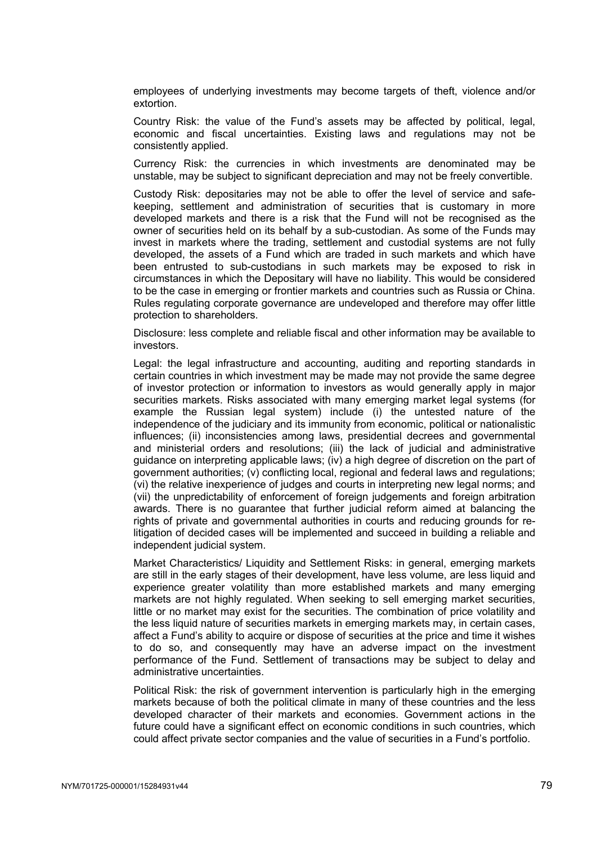employees of underlying investments may become targets of theft, violence and/or extortion.

Country Risk: the value of the Fund's assets may be affected by political, legal, economic and fiscal uncertainties. Existing laws and regulations may not be consistently applied.

Currency Risk: the currencies in which investments are denominated may be unstable, may be subject to significant depreciation and may not be freely convertible.

Custody Risk: depositaries may not be able to offer the level of service and safekeeping, settlement and administration of securities that is customary in more developed markets and there is a risk that the Fund will not be recognised as the owner of securities held on its behalf by a sub-custodian. As some of the Funds may invest in markets where the trading, settlement and custodial systems are not fully developed, the assets of a Fund which are traded in such markets and which have been entrusted to sub-custodians in such markets may be exposed to risk in circumstances in which the Depositary will have no liability. This would be considered to be the case in emerging or frontier markets and countries such as Russia or China. Rules regulating corporate governance are undeveloped and therefore may offer little protection to shareholders.

Disclosure: less complete and reliable fiscal and other information may be available to investors.

Legal: the legal infrastructure and accounting, auditing and reporting standards in certain countries in which investment may be made may not provide the same degree of investor protection or information to investors as would generally apply in major securities markets. Risks associated with many emerging market legal systems (for example the Russian legal system) include (i) the untested nature of the independence of the judiciary and its immunity from economic, political or nationalistic influences; (ii) inconsistencies among laws, presidential decrees and governmental and ministerial orders and resolutions; (iii) the lack of judicial and administrative guidance on interpreting applicable laws; (iv) a high degree of discretion on the part of government authorities; (v) conflicting local, regional and federal laws and regulations; (vi) the relative inexperience of judges and courts in interpreting new legal norms; and (vii) the unpredictability of enforcement of foreign judgements and foreign arbitration awards. There is no guarantee that further judicial reform aimed at balancing the rights of private and governmental authorities in courts and reducing grounds for relitigation of decided cases will be implemented and succeed in building a reliable and independent judicial system.

Market Characteristics/ Liquidity and Settlement Risks: in general, emerging markets are still in the early stages of their development, have less volume, are less liquid and experience greater volatility than more established markets and many emerging markets are not highly regulated. When seeking to sell emerging market securities, little or no market may exist for the securities. The combination of price volatility and the less liquid nature of securities markets in emerging markets may, in certain cases, affect a Fund's ability to acquire or dispose of securities at the price and time it wishes to do so, and consequently may have an adverse impact on the investment performance of the Fund. Settlement of transactions may be subject to delay and administrative uncertainties.

Political Risk: the risk of government intervention is particularly high in the emerging markets because of both the political climate in many of these countries and the less developed character of their markets and economies. Government actions in the future could have a significant effect on economic conditions in such countries, which could affect private sector companies and the value of securities in a Fund's portfolio.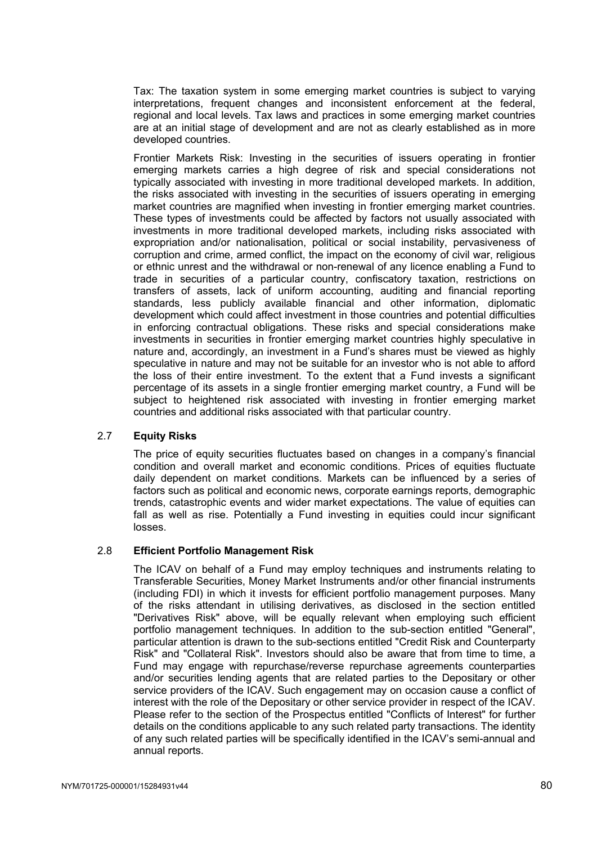Tax: The taxation system in some emerging market countries is subject to varying interpretations, frequent changes and inconsistent enforcement at the federal, regional and local levels. Tax laws and practices in some emerging market countries are at an initial stage of development and are not as clearly established as in more developed countries.

Frontier Markets Risk: Investing in the securities of issuers operating in frontier emerging markets carries a high degree of risk and special considerations not typically associated with investing in more traditional developed markets. In addition, the risks associated with investing in the securities of issuers operating in emerging market countries are magnified when investing in frontier emerging market countries. These types of investments could be affected by factors not usually associated with investments in more traditional developed markets, including risks associated with expropriation and/or nationalisation, political or social instability, pervasiveness of corruption and crime, armed conflict, the impact on the economy of civil war, religious or ethnic unrest and the withdrawal or non-renewal of any licence enabling a Fund to trade in securities of a particular country, confiscatory taxation, restrictions on transfers of assets, lack of uniform accounting, auditing and financial reporting standards, less publicly available financial and other information, diplomatic development which could affect investment in those countries and potential difficulties in enforcing contractual obligations. These risks and special considerations make investments in securities in frontier emerging market countries highly speculative in nature and, accordingly, an investment in a Fund's shares must be viewed as highly speculative in nature and may not be suitable for an investor who is not able to afford the loss of their entire investment. To the extent that a Fund invests a significant percentage of its assets in a single frontier emerging market country, a Fund will be subject to heightened risk associated with investing in frontier emerging market countries and additional risks associated with that particular country.

#### 2.7 **Equity Risks**

The price of equity securities fluctuates based on changes in a company's financial condition and overall market and economic conditions. Prices of equities fluctuate daily dependent on market conditions. Markets can be influenced by a series of factors such as political and economic news, corporate earnings reports, demographic trends, catastrophic events and wider market expectations. The value of equities can fall as well as rise. Potentially a Fund investing in equities could incur significant losses.

#### 2.8 **Efficient Portfolio Management Risk**

The ICAV on behalf of a Fund may employ techniques and instruments relating to Transferable Securities, Money Market Instruments and/or other financial instruments (including FDI) in which it invests for efficient portfolio management purposes. Many of the risks attendant in utilising derivatives, as disclosed in the section entitled "Derivatives Risk" above, will be equally relevant when employing such efficient portfolio management techniques. In addition to the sub-section entitled "General", particular attention is drawn to the sub-sections entitled "Credit Risk and Counterparty Risk" and "Collateral Risk". Investors should also be aware that from time to time, a Fund may engage with repurchase/reverse repurchase agreements counterparties and/or securities lending agents that are related parties to the Depositary or other service providers of the ICAV. Such engagement may on occasion cause a conflict of interest with the role of the Depositary or other service provider in respect of the ICAV. Please refer to the section of the Prospectus entitled "Conflicts of Interest" for further details on the conditions applicable to any such related party transactions. The identity of any such related parties will be specifically identified in the ICAV's semi-annual and annual reports.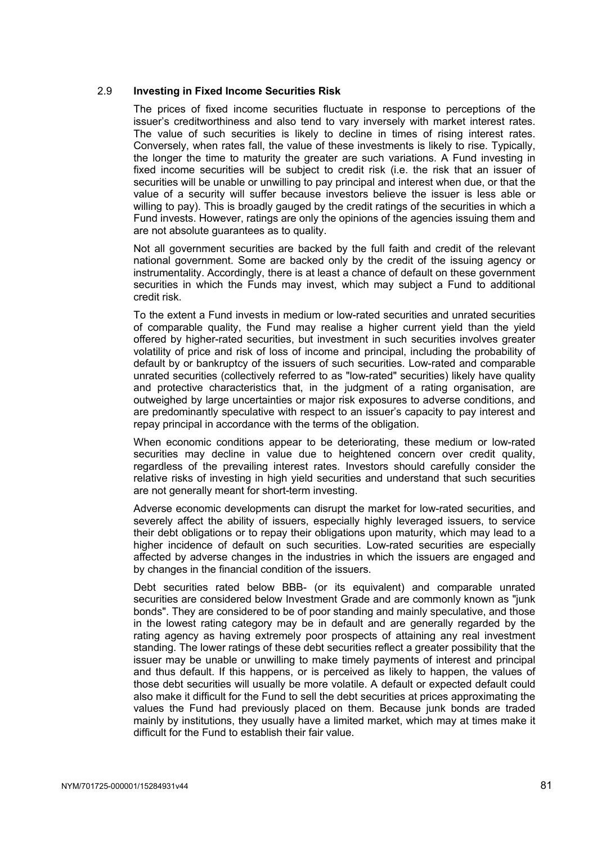#### 2.9 **Investing in Fixed Income Securities Risk**

The prices of fixed income securities fluctuate in response to perceptions of the issuer's creditworthiness and also tend to vary inversely with market interest rates. The value of such securities is likely to decline in times of rising interest rates. Conversely, when rates fall, the value of these investments is likely to rise. Typically, the longer the time to maturity the greater are such variations. A Fund investing in fixed income securities will be subject to credit risk (i.e. the risk that an issuer of securities will be unable or unwilling to pay principal and interest when due, or that the value of a security will suffer because investors believe the issuer is less able or willing to pay). This is broadly gauged by the credit ratings of the securities in which a Fund invests. However, ratings are only the opinions of the agencies issuing them and are not absolute guarantees as to quality.

Not all government securities are backed by the full faith and credit of the relevant national government. Some are backed only by the credit of the issuing agency or instrumentality. Accordingly, there is at least a chance of default on these government securities in which the Funds may invest, which may subject a Fund to additional credit risk.

To the extent a Fund invests in medium or low-rated securities and unrated securities of comparable quality, the Fund may realise a higher current yield than the yield offered by higher-rated securities, but investment in such securities involves greater volatility of price and risk of loss of income and principal, including the probability of default by or bankruptcy of the issuers of such securities. Low-rated and comparable unrated securities (collectively referred to as "low-rated" securities) likely have quality and protective characteristics that, in the judgment of a rating organisation, are outweighed by large uncertainties or major risk exposures to adverse conditions, and are predominantly speculative with respect to an issuer's capacity to pay interest and repay principal in accordance with the terms of the obligation.

When economic conditions appear to be deteriorating, these medium or low-rated securities may decline in value due to heightened concern over credit quality, regardless of the prevailing interest rates. Investors should carefully consider the relative risks of investing in high yield securities and understand that such securities are not generally meant for short-term investing.

Adverse economic developments can disrupt the market for low-rated securities, and severely affect the ability of issuers, especially highly leveraged issuers, to service their debt obligations or to repay their obligations upon maturity, which may lead to a higher incidence of default on such securities. Low-rated securities are especially affected by adverse changes in the industries in which the issuers are engaged and by changes in the financial condition of the issuers.

Debt securities rated below BBB- (or its equivalent) and comparable unrated securities are considered below Investment Grade and are commonly known as "junk bonds". They are considered to be of poor standing and mainly speculative, and those in the lowest rating category may be in default and are generally regarded by the rating agency as having extremely poor prospects of attaining any real investment standing. The lower ratings of these debt securities reflect a greater possibility that the issuer may be unable or unwilling to make timely payments of interest and principal and thus default. If this happens, or is perceived as likely to happen, the values of those debt securities will usually be more volatile. A default or expected default could also make it difficult for the Fund to sell the debt securities at prices approximating the values the Fund had previously placed on them. Because junk bonds are traded mainly by institutions, they usually have a limited market, which may at times make it difficult for the Fund to establish their fair value.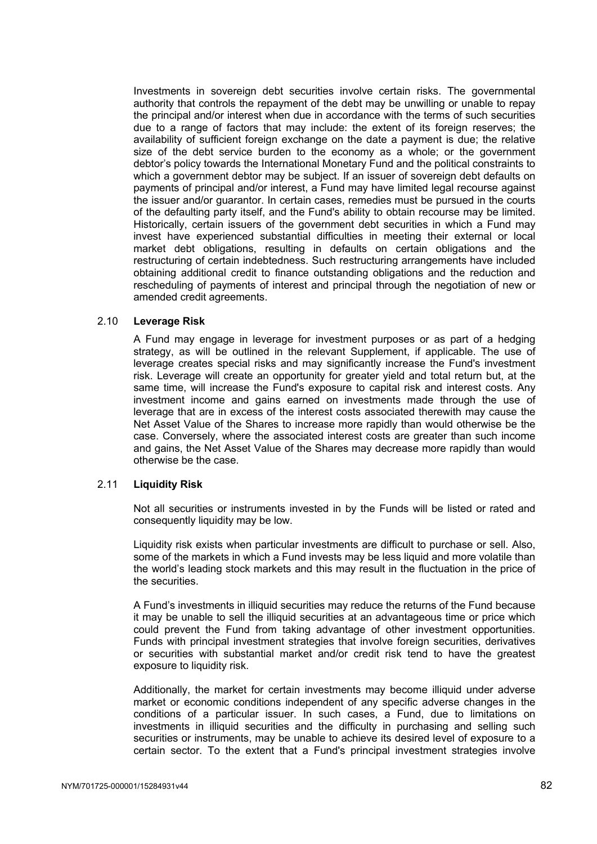Investments in sovereign debt securities involve certain risks. The governmental authority that controls the repayment of the debt may be unwilling or unable to repay the principal and/or interest when due in accordance with the terms of such securities due to a range of factors that may include: the extent of its foreign reserves; the availability of sufficient foreign exchange on the date a payment is due; the relative size of the debt service burden to the economy as a whole; or the government debtor's policy towards the International Monetary Fund and the political constraints to which a government debtor may be subject. If an issuer of sovereign debt defaults on payments of principal and/or interest, a Fund may have limited legal recourse against the issuer and/or guarantor. In certain cases, remedies must be pursued in the courts of the defaulting party itself, and the Fund's ability to obtain recourse may be limited. Historically, certain issuers of the government debt securities in which a Fund may invest have experienced substantial difficulties in meeting their external or local market debt obligations, resulting in defaults on certain obligations and the restructuring of certain indebtedness. Such restructuring arrangements have included obtaining additional credit to finance outstanding obligations and the reduction and rescheduling of payments of interest and principal through the negotiation of new or amended credit agreements.

#### 2.10 **Leverage Risk**

A Fund may engage in leverage for investment purposes or as part of a hedging strategy, as will be outlined in the relevant Supplement, if applicable. The use of leverage creates special risks and may significantly increase the Fund's investment risk. Leverage will create an opportunity for greater yield and total return but, at the same time, will increase the Fund's exposure to capital risk and interest costs. Any investment income and gains earned on investments made through the use of leverage that are in excess of the interest costs associated therewith may cause the Net Asset Value of the Shares to increase more rapidly than would otherwise be the case. Conversely, where the associated interest costs are greater than such income and gains, the Net Asset Value of the Shares may decrease more rapidly than would otherwise be the case.

#### 2.11 **Liquidity Risk**

Not all securities or instruments invested in by the Funds will be listed or rated and consequently liquidity may be low.

Liquidity risk exists when particular investments are difficult to purchase or sell. Also, some of the markets in which a Fund invests may be less liquid and more volatile than the world's leading stock markets and this may result in the fluctuation in the price of the securities.

A Fund's investments in illiquid securities may reduce the returns of the Fund because it may be unable to sell the illiquid securities at an advantageous time or price which could prevent the Fund from taking advantage of other investment opportunities. Funds with principal investment strategies that involve foreign securities, derivatives or securities with substantial market and/or credit risk tend to have the greatest exposure to liquidity risk.

Additionally, the market for certain investments may become illiquid under adverse market or economic conditions independent of any specific adverse changes in the conditions of a particular issuer. In such cases, a Fund, due to limitations on investments in illiquid securities and the difficulty in purchasing and selling such securities or instruments, may be unable to achieve its desired level of exposure to a certain sector. To the extent that a Fund's principal investment strategies involve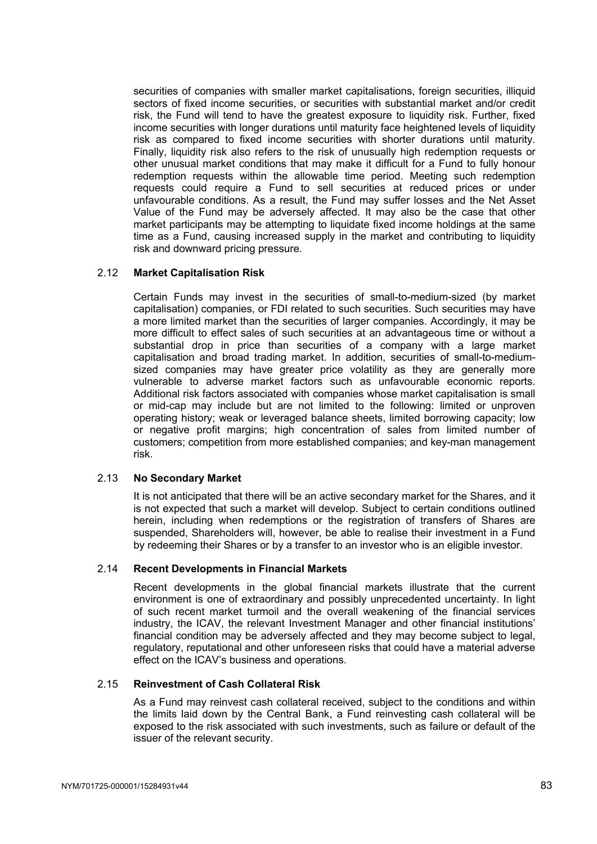securities of companies with smaller market capitalisations, foreign securities, illiquid sectors of fixed income securities, or securities with substantial market and/or credit risk, the Fund will tend to have the greatest exposure to liquidity risk. Further, fixed income securities with longer durations until maturity face heightened levels of liquidity risk as compared to fixed income securities with shorter durations until maturity. Finally, liquidity risk also refers to the risk of unusually high redemption requests or other unusual market conditions that may make it difficult for a Fund to fully honour redemption requests within the allowable time period. Meeting such redemption requests could require a Fund to sell securities at reduced prices or under unfavourable conditions. As a result, the Fund may suffer losses and the Net Asset Value of the Fund may be adversely affected. It may also be the case that other market participants may be attempting to liquidate fixed income holdings at the same time as a Fund, causing increased supply in the market and contributing to liquidity risk and downward pricing pressure.

#### 2.12 **Market Capitalisation Risk**

Certain Funds may invest in the securities of small-to-medium-sized (by market capitalisation) companies, or FDI related to such securities. Such securities may have a more limited market than the securities of larger companies. Accordingly, it may be more difficult to effect sales of such securities at an advantageous time or without a substantial drop in price than securities of a company with a large market capitalisation and broad trading market. In addition, securities of small-to-mediumsized companies may have greater price volatility as they are generally more vulnerable to adverse market factors such as unfavourable economic reports. Additional risk factors associated with companies whose market capitalisation is small or mid-cap may include but are not limited to the following: limited or unproven operating history; weak or leveraged balance sheets, limited borrowing capacity; low or negative profit margins; high concentration of sales from limited number of customers; competition from more established companies; and key-man management risk.

#### 2.13 **No Secondary Market**

It is not anticipated that there will be an active secondary market for the Shares, and it is not expected that such a market will develop. Subject to certain conditions outlined herein, including when redemptions or the registration of transfers of Shares are suspended, Shareholders will, however, be able to realise their investment in a Fund by redeeming their Shares or by a transfer to an investor who is an eligible investor.

#### 2.14 **Recent Developments in Financial Markets**

Recent developments in the global financial markets illustrate that the current environment is one of extraordinary and possibly unprecedented uncertainty. In light of such recent market turmoil and the overall weakening of the financial services industry, the ICAV, the relevant Investment Manager and other financial institutions' financial condition may be adversely affected and they may become subject to legal, regulatory, reputational and other unforeseen risks that could have a material adverse effect on the ICAV's business and operations.

#### 2.15 **Reinvestment of Cash Collateral Risk**

As a Fund may reinvest cash collateral received, subject to the conditions and within the limits laid down by the Central Bank, a Fund reinvesting cash collateral will be exposed to the risk associated with such investments, such as failure or default of the issuer of the relevant security.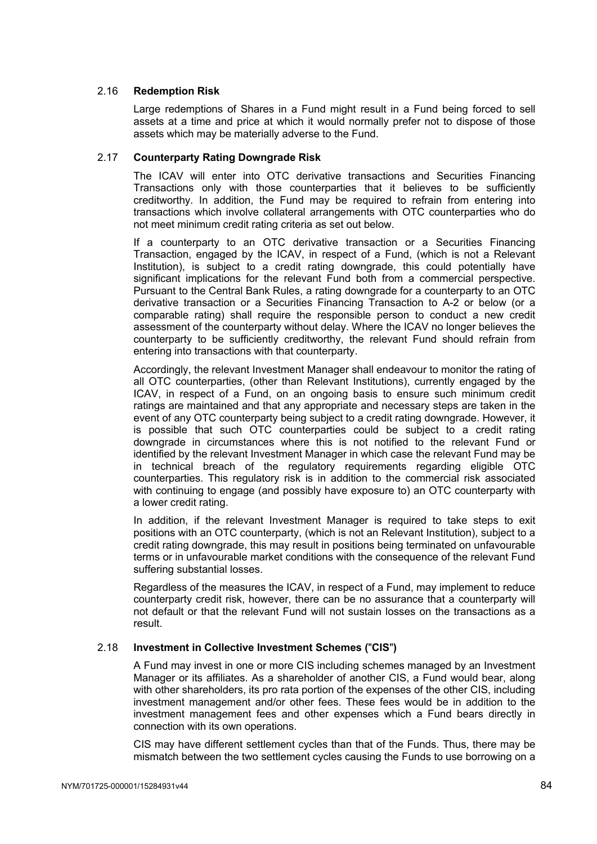#### 2.16 **Redemption Risk**

Large redemptions of Shares in a Fund might result in a Fund being forced to sell assets at a time and price at which it would normally prefer not to dispose of those assets which may be materially adverse to the Fund.

#### 2.17 **Counterparty Rating Downgrade Risk**

The ICAV will enter into OTC derivative transactions and Securities Financing Transactions only with those counterparties that it believes to be sufficiently creditworthy. In addition, the Fund may be required to refrain from entering into transactions which involve collateral arrangements with OTC counterparties who do not meet minimum credit rating criteria as set out below.

If a counterparty to an OTC derivative transaction or a Securities Financing Transaction, engaged by the ICAV, in respect of a Fund, (which is not a Relevant Institution), is subject to a credit rating downgrade, this could potentially have significant implications for the relevant Fund both from a commercial perspective. Pursuant to the Central Bank Rules, a rating downgrade for a counterparty to an OTC derivative transaction or a Securities Financing Transaction to A-2 or below (or a comparable rating) shall require the responsible person to conduct a new credit assessment of the counterparty without delay. Where the ICAV no longer believes the counterparty to be sufficiently creditworthy, the relevant Fund should refrain from entering into transactions with that counterparty.

Accordingly, the relevant Investment Manager shall endeavour to monitor the rating of all OTC counterparties, (other than Relevant Institutions), currently engaged by the ICAV, in respect of a Fund, on an ongoing basis to ensure such minimum credit ratings are maintained and that any appropriate and necessary steps are taken in the event of any OTC counterparty being subject to a credit rating downgrade. However, it is possible that such OTC counterparties could be subject to a credit rating downgrade in circumstances where this is not notified to the relevant Fund or identified by the relevant Investment Manager in which case the relevant Fund may be in technical breach of the regulatory requirements regarding eligible OTC counterparties. This regulatory risk is in addition to the commercial risk associated with continuing to engage (and possibly have exposure to) an OTC counterparty with a lower credit rating.

In addition, if the relevant Investment Manager is required to take steps to exit positions with an OTC counterparty, (which is not an Relevant Institution), subject to a credit rating downgrade, this may result in positions being terminated on unfavourable terms or in unfavourable market conditions with the consequence of the relevant Fund suffering substantial losses.

Regardless of the measures the ICAV, in respect of a Fund, may implement to reduce counterparty credit risk, however, there can be no assurance that a counterparty will not default or that the relevant Fund will not sustain losses on the transactions as a result.

## 2.18 **Investment in Collective Investment Schemes (**"**CIS**"**)**

A Fund may invest in one or more CIS including schemes managed by an Investment Manager or its affiliates. As a shareholder of another CIS, a Fund would bear, along with other shareholders, its pro rata portion of the expenses of the other CIS, including investment management and/or other fees. These fees would be in addition to the investment management fees and other expenses which a Fund bears directly in connection with its own operations.

CIS may have different settlement cycles than that of the Funds. Thus, there may be mismatch between the two settlement cycles causing the Funds to use borrowing on a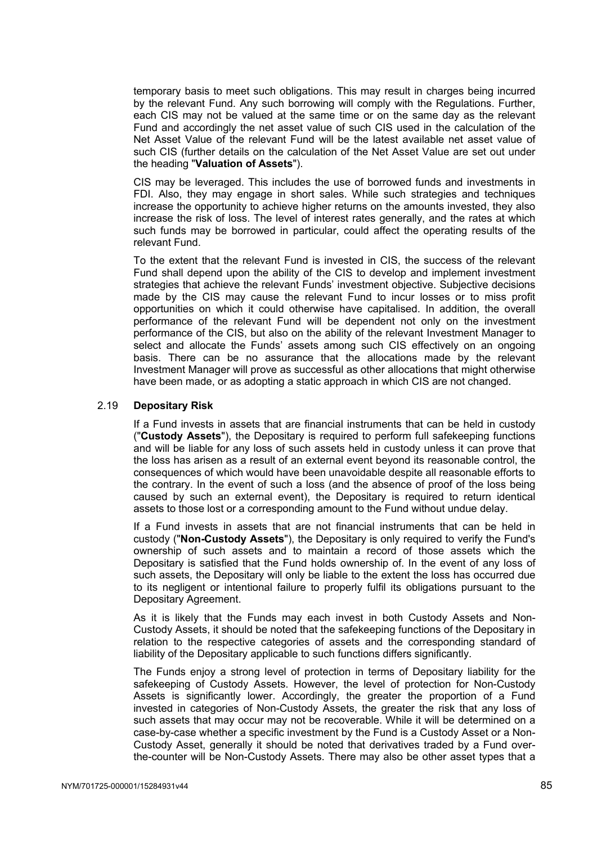temporary basis to meet such obligations. This may result in charges being incurred by the relevant Fund. Any such borrowing will comply with the Regulations. Further, each CIS may not be valued at the same time or on the same day as the relevant Fund and accordingly the net asset value of such CIS used in the calculation of the Net Asset Value of the relevant Fund will be the latest available net asset value of such CIS (further details on the calculation of the Net Asset Value are set out under the heading "**Valuation of Assets**").

CIS may be leveraged. This includes the use of borrowed funds and investments in FDI. Also, they may engage in short sales. While such strategies and techniques increase the opportunity to achieve higher returns on the amounts invested, they also increase the risk of loss. The level of interest rates generally, and the rates at which such funds may be borrowed in particular, could affect the operating results of the relevant Fund.

To the extent that the relevant Fund is invested in CIS, the success of the relevant Fund shall depend upon the ability of the CIS to develop and implement investment strategies that achieve the relevant Funds' investment objective. Subjective decisions made by the CIS may cause the relevant Fund to incur losses or to miss profit opportunities on which it could otherwise have capitalised. In addition, the overall performance of the relevant Fund will be dependent not only on the investment performance of the CIS, but also on the ability of the relevant Investment Manager to select and allocate the Funds' assets among such CIS effectively on an ongoing basis. There can be no assurance that the allocations made by the relevant Investment Manager will prove as successful as other allocations that might otherwise have been made, or as adopting a static approach in which CIS are not changed.

#### 2.19 **Depositary Risk**

If a Fund invests in assets that are financial instruments that can be held in custody ("**Custody Assets**"), the Depositary is required to perform full safekeeping functions and will be liable for any loss of such assets held in custody unless it can prove that the loss has arisen as a result of an external event beyond its reasonable control, the consequences of which would have been unavoidable despite all reasonable efforts to the contrary. In the event of such a loss (and the absence of proof of the loss being caused by such an external event), the Depositary is required to return identical assets to those lost or a corresponding amount to the Fund without undue delay.

If a Fund invests in assets that are not financial instruments that can be held in custody ("**Non-Custody Assets**"), the Depositary is only required to verify the Fund's ownership of such assets and to maintain a record of those assets which the Depositary is satisfied that the Fund holds ownership of. In the event of any loss of such assets, the Depositary will only be liable to the extent the loss has occurred due to its negligent or intentional failure to properly fulfil its obligations pursuant to the Depositary Agreement.

As it is likely that the Funds may each invest in both Custody Assets and Non-Custody Assets, it should be noted that the safekeeping functions of the Depositary in relation to the respective categories of assets and the corresponding standard of liability of the Depositary applicable to such functions differs significantly.

The Funds enjoy a strong level of protection in terms of Depositary liability for the safekeeping of Custody Assets. However, the level of protection for Non-Custody Assets is significantly lower. Accordingly, the greater the proportion of a Fund invested in categories of Non-Custody Assets, the greater the risk that any loss of such assets that may occur may not be recoverable. While it will be determined on a case-by-case whether a specific investment by the Fund is a Custody Asset or a Non-Custody Asset, generally it should be noted that derivatives traded by a Fund overthe-counter will be Non-Custody Assets. There may also be other asset types that a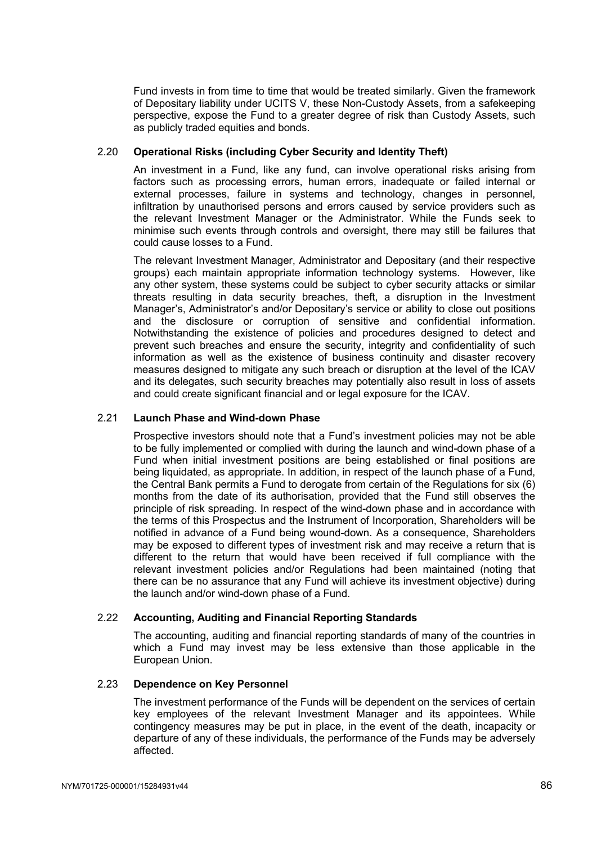Fund invests in from time to time that would be treated similarly. Given the framework of Depositary liability under UCITS V, these Non-Custody Assets, from a safekeeping perspective, expose the Fund to a greater degree of risk than Custody Assets, such as publicly traded equities and bonds.

#### 2.20 **Operational Risks (including Cyber Security and Identity Theft)**

An investment in a Fund, like any fund, can involve operational risks arising from factors such as processing errors, human errors, inadequate or failed internal or external processes, failure in systems and technology, changes in personnel, infiltration by unauthorised persons and errors caused by service providers such as the relevant Investment Manager or the Administrator. While the Funds seek to minimise such events through controls and oversight, there may still be failures that could cause losses to a Fund.

The relevant Investment Manager, Administrator and Depositary (and their respective groups) each maintain appropriate information technology systems. However, like any other system, these systems could be subject to cyber security attacks or similar threats resulting in data security breaches, theft, a disruption in the Investment Manager's, Administrator's and/or Depositary's service or ability to close out positions and the disclosure or corruption of sensitive and confidential information. Notwithstanding the existence of policies and procedures designed to detect and prevent such breaches and ensure the security, integrity and confidentiality of such information as well as the existence of business continuity and disaster recovery measures designed to mitigate any such breach or disruption at the level of the ICAV and its delegates, such security breaches may potentially also result in loss of assets and could create significant financial and or legal exposure for the ICAV.

## 2.21 **Launch Phase and Wind-down Phase**

Prospective investors should note that a Fund's investment policies may not be able to be fully implemented or complied with during the launch and wind-down phase of a Fund when initial investment positions are being established or final positions are being liquidated, as appropriate. In addition, in respect of the launch phase of a Fund, the Central Bank permits a Fund to derogate from certain of the Regulations for six (6) months from the date of its authorisation, provided that the Fund still observes the principle of risk spreading. In respect of the wind-down phase and in accordance with the terms of this Prospectus and the Instrument of Incorporation, Shareholders will be notified in advance of a Fund being wound-down. As a consequence, Shareholders may be exposed to different types of investment risk and may receive a return that is different to the return that would have been received if full compliance with the relevant investment policies and/or Regulations had been maintained (noting that there can be no assurance that any Fund will achieve its investment objective) during the launch and/or wind-down phase of a Fund.

#### 2.22 **Accounting, Auditing and Financial Reporting Standards**

The accounting, auditing and financial reporting standards of many of the countries in which a Fund may invest may be less extensive than those applicable in the European Union.

#### 2.23 **Dependence on Key Personnel**

The investment performance of the Funds will be dependent on the services of certain key employees of the relevant Investment Manager and its appointees. While contingency measures may be put in place, in the event of the death, incapacity or departure of any of these individuals, the performance of the Funds may be adversely affected.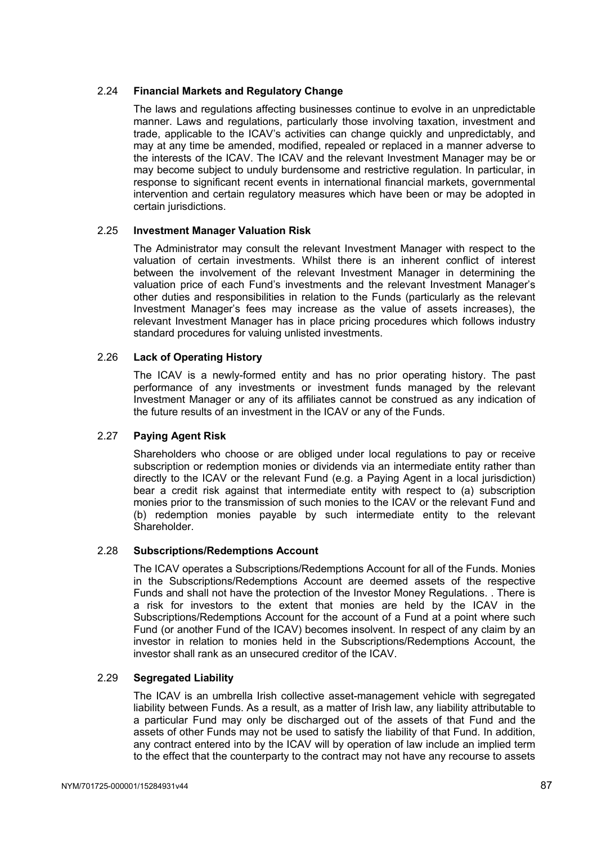## 2.24 **Financial Markets and Regulatory Change**

The laws and regulations affecting businesses continue to evolve in an unpredictable manner. Laws and regulations, particularly those involving taxation, investment and trade, applicable to the ICAV's activities can change quickly and unpredictably, and may at any time be amended, modified, repealed or replaced in a manner adverse to the interests of the ICAV. The ICAV and the relevant Investment Manager may be or may become subject to unduly burdensome and restrictive regulation. In particular, in response to significant recent events in international financial markets, governmental intervention and certain regulatory measures which have been or may be adopted in certain jurisdictions.

## 2.25 **Investment Manager Valuation Risk**

The Administrator may consult the relevant Investment Manager with respect to the valuation of certain investments. Whilst there is an inherent conflict of interest between the involvement of the relevant Investment Manager in determining the valuation price of each Fund's investments and the relevant Investment Manager's other duties and responsibilities in relation to the Funds (particularly as the relevant Investment Manager's fees may increase as the value of assets increases), the relevant Investment Manager has in place pricing procedures which follows industry standard procedures for valuing unlisted investments.

## 2.26 **Lack of Operating History**

The ICAV is a newly-formed entity and has no prior operating history. The past performance of any investments or investment funds managed by the relevant Investment Manager or any of its affiliates cannot be construed as any indication of the future results of an investment in the ICAV or any of the Funds.

## 2.27 **Paying Agent Risk**

Shareholders who choose or are obliged under local regulations to pay or receive subscription or redemption monies or dividends via an intermediate entity rather than directly to the ICAV or the relevant Fund (e.g. a Paying Agent in a local jurisdiction) bear a credit risk against that intermediate entity with respect to (a) subscription monies prior to the transmission of such monies to the ICAV or the relevant Fund and (b) redemption monies payable by such intermediate entity to the relevant Shareholder.

#### 2.28 **Subscriptions/Redemptions Account**

The ICAV operates a Subscriptions/Redemptions Account for all of the Funds. Monies in the Subscriptions/Redemptions Account are deemed assets of the respective Funds and shall not have the protection of the Investor Money Regulations. . There is a risk for investors to the extent that monies are held by the ICAV in the Subscriptions/Redemptions Account for the account of a Fund at a point where such Fund (or another Fund of the ICAV) becomes insolvent. In respect of any claim by an investor in relation to monies held in the Subscriptions/Redemptions Account, the investor shall rank as an unsecured creditor of the ICAV.

#### 2.29 **Segregated Liability**

The ICAV is an umbrella Irish collective asset-management vehicle with segregated liability between Funds. As a result, as a matter of Irish law, any liability attributable to a particular Fund may only be discharged out of the assets of that Fund and the assets of other Funds may not be used to satisfy the liability of that Fund. In addition, any contract entered into by the ICAV will by operation of law include an implied term to the effect that the counterparty to the contract may not have any recourse to assets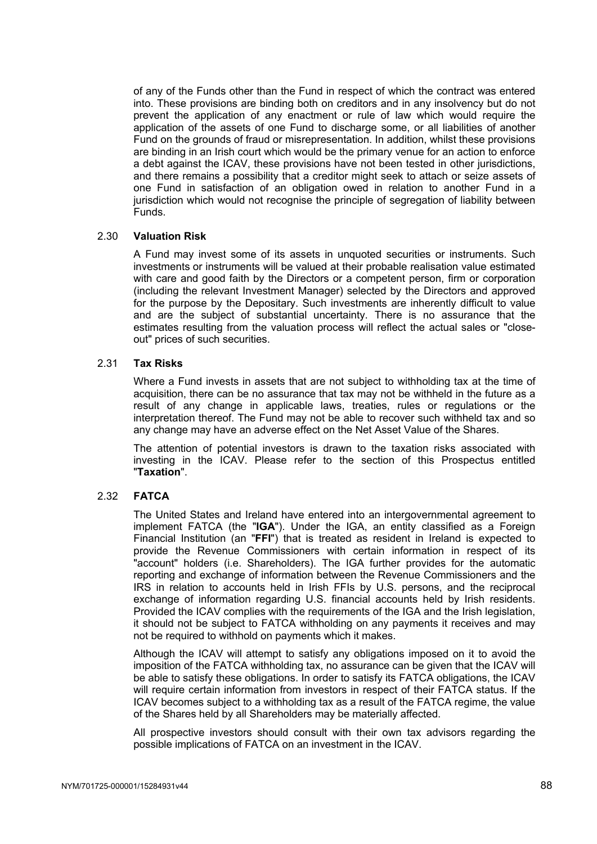of any of the Funds other than the Fund in respect of which the contract was entered into. These provisions are binding both on creditors and in any insolvency but do not prevent the application of any enactment or rule of law which would require the application of the assets of one Fund to discharge some, or all liabilities of another Fund on the grounds of fraud or misrepresentation. In addition, whilst these provisions are binding in an Irish court which would be the primary venue for an action to enforce a debt against the ICAV, these provisions have not been tested in other jurisdictions, and there remains a possibility that a creditor might seek to attach or seize assets of one Fund in satisfaction of an obligation owed in relation to another Fund in a jurisdiction which would not recognise the principle of segregation of liability between Funds.

#### 2.30 **Valuation Risk**

A Fund may invest some of its assets in unquoted securities or instruments. Such investments or instruments will be valued at their probable realisation value estimated with care and good faith by the Directors or a competent person, firm or corporation (including the relevant Investment Manager) selected by the Directors and approved for the purpose by the Depositary. Such investments are inherently difficult to value and are the subject of substantial uncertainty. There is no assurance that the estimates resulting from the valuation process will reflect the actual sales or "closeout" prices of such securities.

#### 2.31 **Tax Risks**

Where a Fund invests in assets that are not subject to withholding tax at the time of acquisition, there can be no assurance that tax may not be withheld in the future as a result of any change in applicable laws, treaties, rules or regulations or the interpretation thereof. The Fund may not be able to recover such withheld tax and so any change may have an adverse effect on the Net Asset Value of the Shares.

The attention of potential investors is drawn to the taxation risks associated with investing in the ICAV. Please refer to the section of this Prospectus entitled "**Taxation**".

#### 2.32 **FATCA**

The United States and Ireland have entered into an intergovernmental agreement to implement FATCA (the "**IGA**"). Under the IGA, an entity classified as a Foreign Financial Institution (an "**FFI**") that is treated as resident in Ireland is expected to provide the Revenue Commissioners with certain information in respect of its "account" holders (i.e. Shareholders). The IGA further provides for the automatic reporting and exchange of information between the Revenue Commissioners and the IRS in relation to accounts held in Irish FFIs by U.S. persons, and the reciprocal exchange of information regarding U.S. financial accounts held by Irish residents. Provided the ICAV complies with the requirements of the IGA and the Irish legislation, it should not be subject to FATCA withholding on any payments it receives and may not be required to withhold on payments which it makes.

Although the ICAV will attempt to satisfy any obligations imposed on it to avoid the imposition of the FATCA withholding tax, no assurance can be given that the ICAV will be able to satisfy these obligations. In order to satisfy its FATCA obligations, the ICAV will require certain information from investors in respect of their FATCA status. If the ICAV becomes subject to a withholding tax as a result of the FATCA regime, the value of the Shares held by all Shareholders may be materially affected.

All prospective investors should consult with their own tax advisors regarding the possible implications of FATCA on an investment in the ICAV.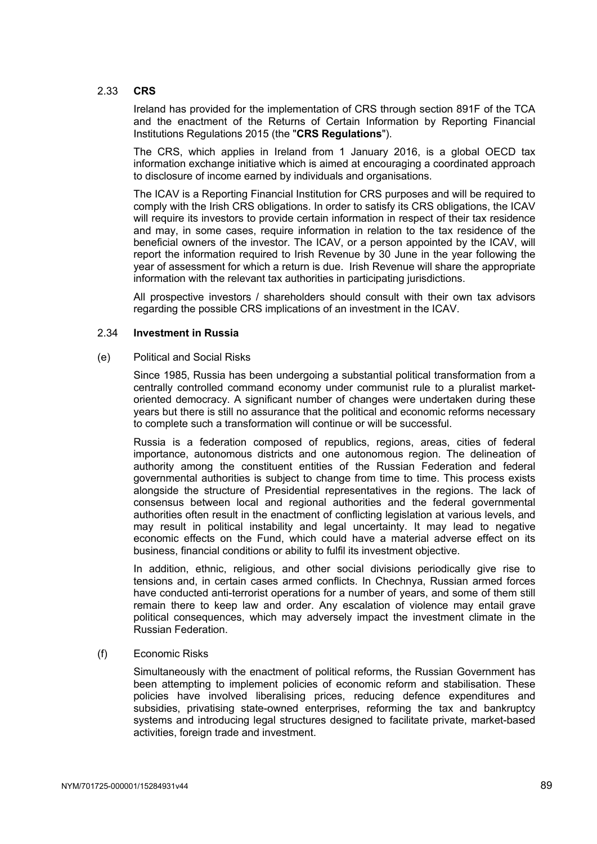## 2.33 **CRS**

Ireland has provided for the implementation of CRS through section 891F of the TCA and the enactment of the Returns of Certain Information by Reporting Financial Institutions Regulations 2015 (the "**CRS Regulations**").

The CRS, which applies in Ireland from 1 January 2016, is a global OECD tax information exchange initiative which is aimed at encouraging a coordinated approach to disclosure of income earned by individuals and organisations.

The ICAV is a Reporting Financial Institution for CRS purposes and will be required to comply with the Irish CRS obligations. In order to satisfy its CRS obligations, the ICAV will require its investors to provide certain information in respect of their tax residence and may, in some cases, require information in relation to the tax residence of the beneficial owners of the investor. The ICAV, or a person appointed by the ICAV, will report the information required to Irish Revenue by 30 June in the year following the year of assessment for which a return is due. Irish Revenue will share the appropriate information with the relevant tax authorities in participating jurisdictions.

All prospective investors / shareholders should consult with their own tax advisors regarding the possible CRS implications of an investment in the ICAV.

#### 2.34 **Investment in Russia**

#### (e) Political and Social Risks

Since 1985, Russia has been undergoing a substantial political transformation from a centrally controlled command economy under communist rule to a pluralist marketoriented democracy. A significant number of changes were undertaken during these years but there is still no assurance that the political and economic reforms necessary to complete such a transformation will continue or will be successful.

Russia is a federation composed of republics, regions, areas, cities of federal importance, autonomous districts and one autonomous region. The delineation of authority among the constituent entities of the Russian Federation and federal governmental authorities is subject to change from time to time. This process exists alongside the structure of Presidential representatives in the regions. The lack of consensus between local and regional authorities and the federal governmental authorities often result in the enactment of conflicting legislation at various levels, and may result in political instability and legal uncertainty. It may lead to negative economic effects on the Fund, which could have a material adverse effect on its business, financial conditions or ability to fulfil its investment objective.

In addition, ethnic, religious, and other social divisions periodically give rise to tensions and, in certain cases armed conflicts. In Chechnya, Russian armed forces have conducted anti-terrorist operations for a number of years, and some of them still remain there to keep law and order. Any escalation of violence may entail grave political consequences, which may adversely impact the investment climate in the Russian Federation.

(f) Economic Risks

Simultaneously with the enactment of political reforms, the Russian Government has been attempting to implement policies of economic reform and stabilisation. These policies have involved liberalising prices, reducing defence expenditures and subsidies, privatising state-owned enterprises, reforming the tax and bankruptcy systems and introducing legal structures designed to facilitate private, market-based activities, foreign trade and investment.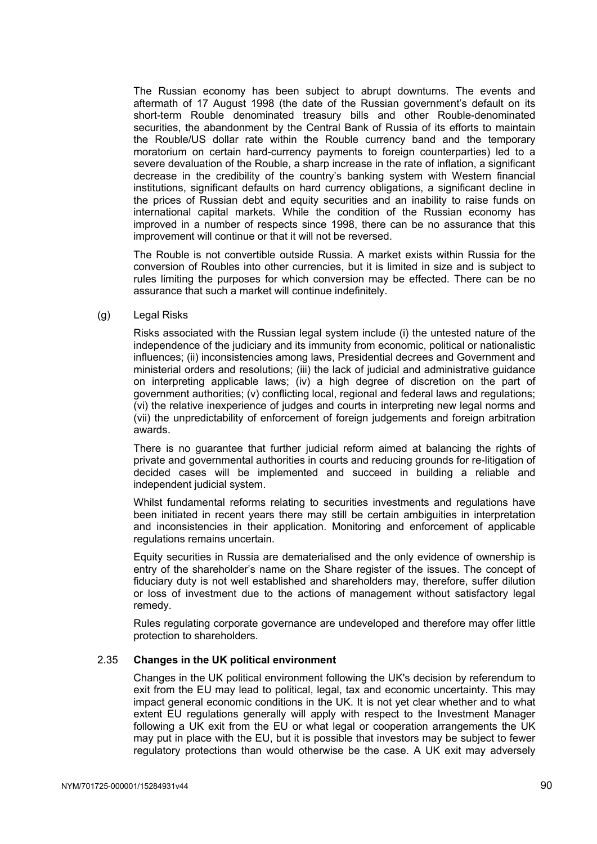The Russian economy has been subject to abrupt downturns. The events and aftermath of 17 August 1998 (the date of the Russian government's default on its short-term Rouble denominated treasury bills and other Rouble-denominated securities, the abandonment by the Central Bank of Russia of its efforts to maintain the Rouble/US dollar rate within the Rouble currency band and the temporary moratorium on certain hard-currency payments to foreign counterparties) led to a severe devaluation of the Rouble, a sharp increase in the rate of inflation, a significant decrease in the credibility of the country's banking system with Western financial institutions, significant defaults on hard currency obligations, a significant decline in the prices of Russian debt and equity securities and an inability to raise funds on international capital markets. While the condition of the Russian economy has improved in a number of respects since 1998, there can be no assurance that this improvement will continue or that it will not be reversed.

The Rouble is not convertible outside Russia. A market exists within Russia for the conversion of Roubles into other currencies, but it is limited in size and is subject to rules limiting the purposes for which conversion may be effected. There can be no assurance that such a market will continue indefinitely.

#### (g) Legal Risks

Risks associated with the Russian legal system include (i) the untested nature of the independence of the judiciary and its immunity from economic, political or nationalistic influences; (ii) inconsistencies among laws, Presidential decrees and Government and ministerial orders and resolutions; (iii) the lack of judicial and administrative guidance on interpreting applicable laws; (iv) a high degree of discretion on the part of government authorities; (v) conflicting local, regional and federal laws and regulations; (vi) the relative inexperience of judges and courts in interpreting new legal norms and (vii) the unpredictability of enforcement of foreign judgements and foreign arbitration awards.

There is no guarantee that further judicial reform aimed at balancing the rights of private and governmental authorities in courts and reducing grounds for re-litigation of decided cases will be implemented and succeed in building a reliable and independent judicial system.

Whilst fundamental reforms relating to securities investments and regulations have been initiated in recent years there may still be certain ambiguities in interpretation and inconsistencies in their application. Monitoring and enforcement of applicable regulations remains uncertain.

Equity securities in Russia are dematerialised and the only evidence of ownership is entry of the shareholder's name on the Share register of the issues. The concept of fiduciary duty is not well established and shareholders may, therefore, suffer dilution or loss of investment due to the actions of management without satisfactory legal remedy.

Rules regulating corporate governance are undeveloped and therefore may offer little protection to shareholders.

## 2.35 **Changes in the UK political environment**

Changes in the UK political environment following the UK's decision by referendum to exit from the EU may lead to political, legal, tax and economic uncertainty. This may impact general economic conditions in the UK. It is not yet clear whether and to what extent EU regulations generally will apply with respect to the Investment Manager following a UK exit from the EU or what legal or cooperation arrangements the UK may put in place with the EU, but it is possible that investors may be subject to fewer regulatory protections than would otherwise be the case. A UK exit may adversely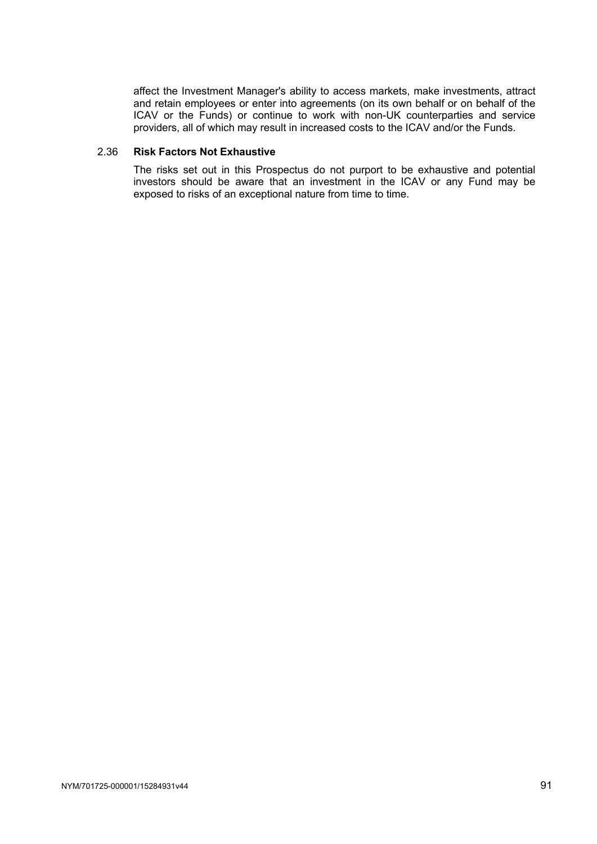affect the Investment Manager's ability to access markets, make investments, attract and retain employees or enter into agreements (on its own behalf or on behalf of the ICAV or the Funds) or continue to work with non-UK counterparties and service providers, all of which may result in increased costs to the ICAV and/or the Funds.

## 2.36 **Risk Factors Not Exhaustive**

The risks set out in this Prospectus do not purport to be exhaustive and potential investors should be aware that an investment in the ICAV or any Fund may be exposed to risks of an exceptional nature from time to time.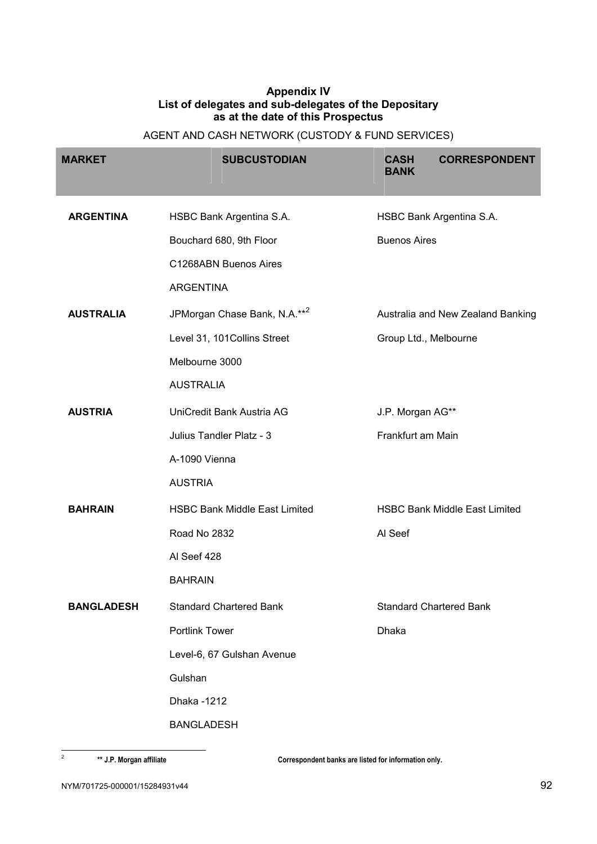## **Appendix IV List of delegates and sub-delegates of the Depositary as at the date of this Prospectus**

# AGENT AND CASH NETWORK (CUSTODY & FUND SERVICES)

| <b>MARKET</b>     |                       | <b>SUBCUSTODIAN</b>                      | <b>CASH</b><br><b>BANK</b> | <b>CORRESPONDENT</b>                 |
|-------------------|-----------------------|------------------------------------------|----------------------------|--------------------------------------|
| <b>ARGENTINA</b>  |                       | HSBC Bank Argentina S.A.                 |                            | HSBC Bank Argentina S.A.             |
|                   |                       | Bouchard 680, 9th Floor                  | <b>Buenos Aires</b>        |                                      |
|                   |                       | C1268ABN Buenos Aires                    |                            |                                      |
|                   | ARGENTINA             |                                          |                            |                                      |
| <b>AUSTRALIA</b>  |                       | JPMorgan Chase Bank, N.A.** <sup>2</sup> |                            | Australia and New Zealand Banking    |
|                   |                       | Level 31, 101 Collins Street             | Group Ltd., Melbourne      |                                      |
|                   | Melbourne 3000        |                                          |                            |                                      |
|                   | <b>AUSTRALIA</b>      |                                          |                            |                                      |
| <b>AUSTRIA</b>    |                       | UniCredit Bank Austria AG                | J.P. Morgan AG**           |                                      |
|                   |                       | Julius Tandler Platz - 3                 | Frankfurt am Main          |                                      |
|                   | A-1090 Vienna         |                                          |                            |                                      |
|                   | <b>AUSTRIA</b>        |                                          |                            |                                      |
| <b>BAHRAIN</b>    |                       | <b>HSBC Bank Middle East Limited</b>     |                            | <b>HSBC Bank Middle East Limited</b> |
|                   | Road No 2832          |                                          | Al Seef                    |                                      |
|                   | Al Seef 428           |                                          |                            |                                      |
|                   | <b>BAHRAIN</b>        |                                          |                            |                                      |
| <b>BANGLADESH</b> |                       | <b>Standard Chartered Bank</b>           |                            | <b>Standard Chartered Bank</b>       |
|                   | <b>Portlink Tower</b> |                                          | Dhaka                      |                                      |
|                   |                       | Level-6, 67 Gulshan Avenue               |                            |                                      |
|                   | Gulshan               |                                          |                            |                                      |
|                   | Dhaka - 1212          |                                          |                            |                                      |
|                   | <b>BANGLADESH</b>     |                                          |                            |                                      |

 $\frac{1}{2}$ 

**\*\* J.P. Morgan affiliate Correspondent banks are listed for information only.**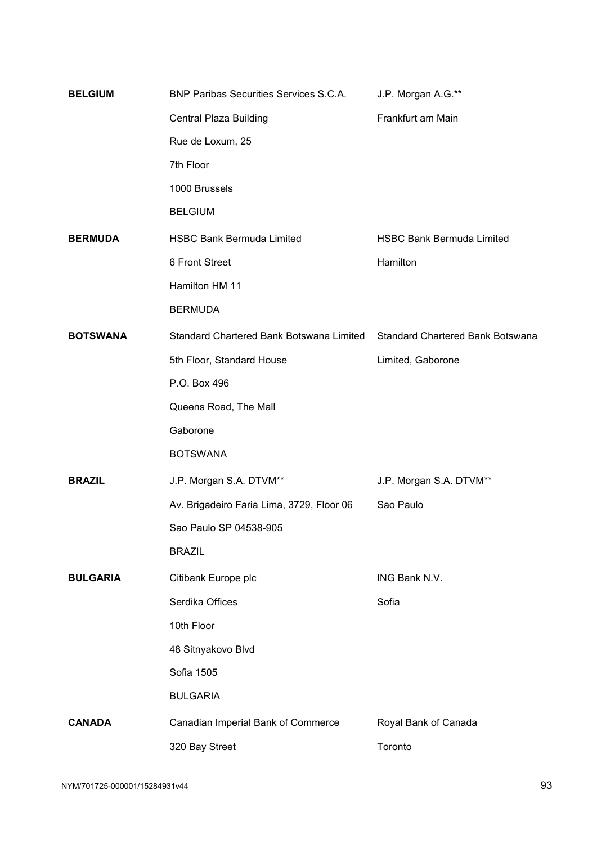| <b>BELGIUM</b>  | <b>BNP Paribas Securities Services S.C.A.</b>                             | J.P. Morgan A.G.**               |
|-----------------|---------------------------------------------------------------------------|----------------------------------|
|                 | <b>Central Plaza Building</b>                                             | Frankfurt am Main                |
|                 | Rue de Loxum, 25                                                          |                                  |
|                 | 7th Floor                                                                 |                                  |
|                 | 1000 Brussels                                                             |                                  |
|                 | <b>BELGIUM</b>                                                            |                                  |
| <b>BERMUDA</b>  | <b>HSBC Bank Bermuda Limited</b>                                          | <b>HSBC Bank Bermuda Limited</b> |
|                 | 6 Front Street                                                            | Hamilton                         |
|                 | Hamilton HM 11                                                            |                                  |
|                 | <b>BERMUDA</b>                                                            |                                  |
| <b>BOTSWANA</b> | Standard Chartered Bank Botswana Limited Standard Chartered Bank Botswana |                                  |
|                 | 5th Floor, Standard House                                                 | Limited, Gaborone                |
|                 | P.O. Box 496                                                              |                                  |
|                 | Queens Road, The Mall                                                     |                                  |
|                 | Gaborone                                                                  |                                  |
|                 | <b>BOTSWANA</b>                                                           |                                  |
| <b>BRAZIL</b>   | J.P. Morgan S.A. DTVM**                                                   | J.P. Morgan S.A. DTVM**          |
|                 | Av. Brigadeiro Faria Lima, 3729, Floor 06                                 | Sao Paulo                        |
|                 | Sao Paulo SP 04538-905                                                    |                                  |
|                 | <b>BRAZIL</b>                                                             |                                  |
| <b>BULGARIA</b> | Citibank Europe plc                                                       | ING Bank N.V.                    |
|                 | Serdika Offices                                                           | Sofia                            |
|                 | 10th Floor                                                                |                                  |
|                 | 48 Sitnyakovo Blvd                                                        |                                  |
|                 | Sofia 1505                                                                |                                  |
|                 | <b>BULGARIA</b>                                                           |                                  |
| <b>CANADA</b>   | Canadian Imperial Bank of Commerce                                        | Royal Bank of Canada             |
|                 | 320 Bay Street                                                            | Toronto                          |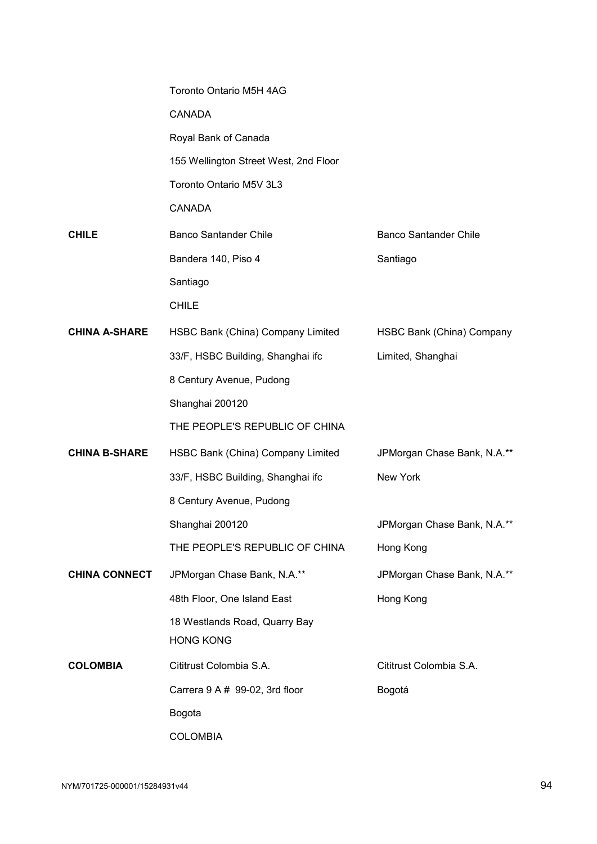|                      | Toronto Ontario M5H 4AG               |                              |
|----------------------|---------------------------------------|------------------------------|
|                      | <b>CANADA</b>                         |                              |
|                      | Royal Bank of Canada                  |                              |
|                      | 155 Wellington Street West, 2nd Floor |                              |
|                      | Toronto Ontario M5V 3L3               |                              |
|                      | <b>CANADA</b>                         |                              |
| <b>CHILE</b>         | <b>Banco Santander Chile</b>          | <b>Banco Santander Chile</b> |
|                      | Bandera 140, Piso 4                   | Santiago                     |
|                      | Santiago                              |                              |
|                      | <b>CHILE</b>                          |                              |
| <b>CHINA A-SHARE</b> | HSBC Bank (China) Company Limited     | HSBC Bank (China) Company    |
|                      | 33/F, HSBC Building, Shanghai ifc     | Limited, Shanghai            |
|                      | 8 Century Avenue, Pudong              |                              |
|                      | Shanghai 200120                       |                              |
|                      | THE PEOPLE'S REPUBLIC OF CHINA        |                              |
| <b>CHINA B-SHARE</b> | HSBC Bank (China) Company Limited     | JPMorgan Chase Bank, N.A.**  |
|                      | 33/F, HSBC Building, Shanghai ifc     | New York                     |
|                      | 8 Century Avenue, Pudong              |                              |
|                      | Shanghai 200120                       | JPMorgan Chase Bank, N.A.**  |
|                      | THE PEOPLE'S REPUBLIC OF CHINA        | Hong Kong                    |
| <b>CHINA CONNECT</b> | JPMorgan Chase Bank, N.A.**           | JPMorgan Chase Bank, N.A.**  |
|                      | 48th Floor, One Island East           | Hong Kong                    |
|                      | 18 Westlands Road, Quarry Bay         |                              |
|                      | <b>HONG KONG</b>                      |                              |
| <b>COLOMBIA</b>      | Cititrust Colombia S.A.               | Cititrust Colombia S.A.      |
|                      | Carrera 9 A # 99-02, 3rd floor        | Bogotá                       |
|                      | Bogota                                |                              |
|                      | <b>COLOMBIA</b>                       |                              |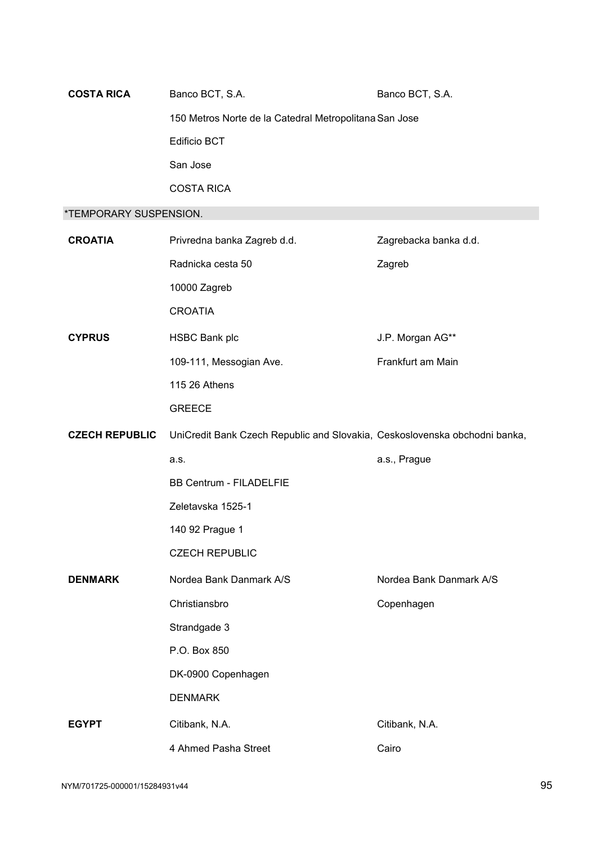| <b>COSTA RICA</b>      | Banco BCT, S.A.                                                            | Banco BCT, S.A.         |
|------------------------|----------------------------------------------------------------------------|-------------------------|
|                        | 150 Metros Norte de la Catedral Metropolitana San Jose                     |                         |
|                        | Edificio BCT                                                               |                         |
|                        | San Jose                                                                   |                         |
|                        | <b>COSTA RICA</b>                                                          |                         |
| *TEMPORARY SUSPENSION. |                                                                            |                         |
| <b>CROATIA</b>         | Privredna banka Zagreb d.d.                                                | Zagrebacka banka d.d.   |
|                        | Radnicka cesta 50                                                          | Zagreb                  |
|                        | 10000 Zagreb                                                               |                         |
|                        | <b>CROATIA</b>                                                             |                         |
| <b>CYPRUS</b>          | <b>HSBC Bank plc</b>                                                       | J.P. Morgan AG**        |
|                        | 109-111, Messogian Ave.                                                    | Frankfurt am Main       |
|                        | 115 26 Athens                                                              |                         |
|                        | <b>GREECE</b>                                                              |                         |
|                        |                                                                            |                         |
| <b>CZECH REPUBLIC</b>  | UniCredit Bank Czech Republic and Slovakia, Ceskoslovenska obchodni banka, |                         |
|                        | a.s.                                                                       | a.s., Prague            |
|                        | <b>BB Centrum - FILADELFIE</b>                                             |                         |
|                        | Zeletavska 1525-1                                                          |                         |
|                        | 140 92 Prague 1                                                            |                         |
|                        | <b>CZECH REPUBLIC</b>                                                      |                         |
| <b>DENMARK</b>         | Nordea Bank Danmark A/S                                                    | Nordea Bank Danmark A/S |
|                        | Christiansbro                                                              | Copenhagen              |
|                        | Strandgade 3                                                               |                         |
|                        | P.O. Box 850                                                               |                         |
|                        | DK-0900 Copenhagen                                                         |                         |
|                        | <b>DENMARK</b>                                                             |                         |
| <b>EGYPT</b>           | Citibank, N.A.                                                             | Citibank, N.A.          |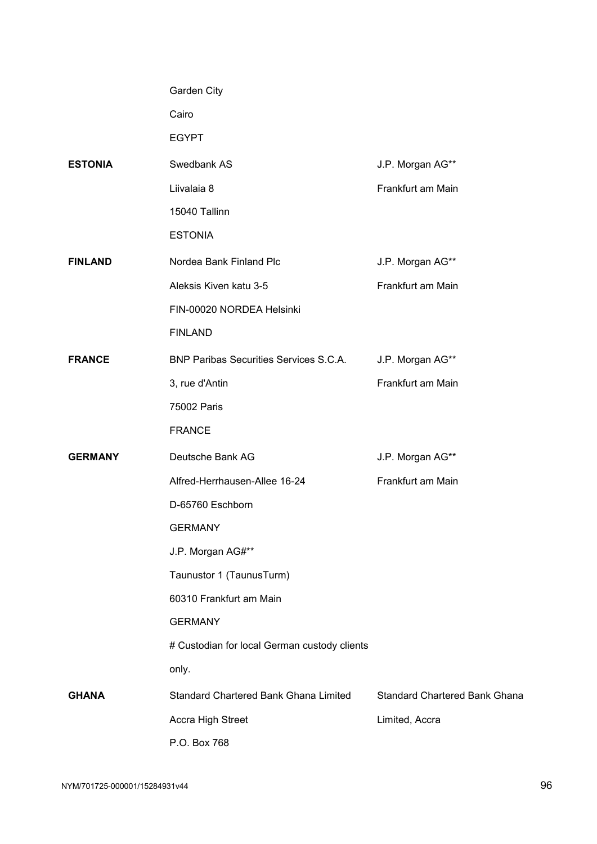|                | Garden City                                   |                                      |
|----------------|-----------------------------------------------|--------------------------------------|
|                | Cairo                                         |                                      |
|                | <b>EGYPT</b>                                  |                                      |
| <b>ESTONIA</b> | Swedbank AS                                   | J.P. Morgan AG**                     |
|                | Liivalaia 8                                   | Frankfurt am Main                    |
|                | 15040 Tallinn                                 |                                      |
|                | <b>ESTONIA</b>                                |                                      |
| <b>FINLAND</b> | Nordea Bank Finland Plc                       | J.P. Morgan AG**                     |
|                | Aleksis Kiven katu 3-5                        | Frankfurt am Main                    |
|                | FIN-00020 NORDEA Helsinki                     |                                      |
|                | <b>FINLAND</b>                                |                                      |
| <b>FRANCE</b>  | <b>BNP Paribas Securities Services S.C.A.</b> | J.P. Morgan AG**                     |
|                | 3, rue d'Antin                                | Frankfurt am Main                    |
|                | 75002 Paris                                   |                                      |
|                | <b>FRANCE</b>                                 |                                      |
| <b>GERMANY</b> | Deutsche Bank AG                              | J.P. Morgan AG**                     |
|                | Alfred-Herrhausen-Allee 16-24                 | Frankfurt am Main                    |
|                | D-65760 Eschborn                              |                                      |
|                | <b>GERMANY</b>                                |                                      |
|                | J.P. Morgan AG#**                             |                                      |
|                | Taunustor 1 (TaunusTurm)                      |                                      |
|                | 60310 Frankfurt am Main                       |                                      |
|                | <b>GERMANY</b>                                |                                      |
|                | # Custodian for local German custody clients  |                                      |
|                | only.                                         |                                      |
| <b>GHANA</b>   | Standard Chartered Bank Ghana Limited         | <b>Standard Chartered Bank Ghana</b> |
|                | Accra High Street                             | Limited, Accra                       |
|                | P.O. Box 768                                  |                                      |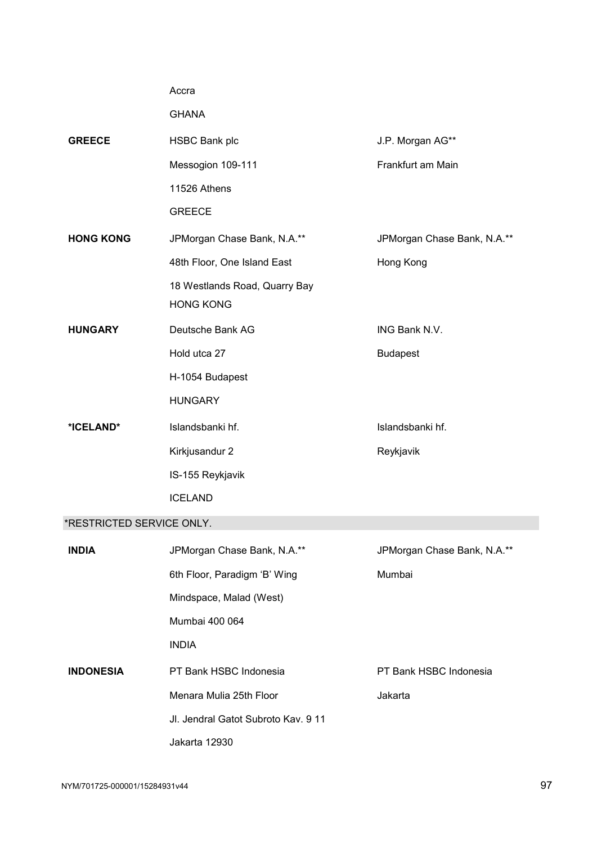|                           | Accra                                             |                             |
|---------------------------|---------------------------------------------------|-----------------------------|
|                           | <b>GHANA</b>                                      |                             |
| <b>GREECE</b>             | <b>HSBC Bank plc</b>                              | J.P. Morgan AG**            |
|                           | Messogion 109-111                                 | Frankfurt am Main           |
|                           | 11526 Athens                                      |                             |
|                           | <b>GREECE</b>                                     |                             |
| <b>HONG KONG</b>          | JPMorgan Chase Bank, N.A.**                       | JPMorgan Chase Bank, N.A.** |
|                           | 48th Floor, One Island East                       | Hong Kong                   |
|                           | 18 Westlands Road, Quarry Bay<br><b>HONG KONG</b> |                             |
| <b>HUNGARY</b>            | Deutsche Bank AG                                  | ING Bank N.V.               |
|                           | Hold utca 27                                      | <b>Budapest</b>             |
|                           | H-1054 Budapest                                   |                             |
|                           | <b>HUNGARY</b>                                    |                             |
| *ICELAND*                 | Islandsbanki hf.                                  | Islandsbanki hf.            |
|                           | Kirkjusandur 2                                    | Reykjavik                   |
|                           | IS-155 Reykjavik                                  |                             |
|                           |                                                   |                             |
|                           | <b>ICELAND</b>                                    |                             |
| *RESTRICTED SERVICE ONLY. |                                                   |                             |
| INDIA                     | JPMorgan Chase Bank, N.A.**                       | JPMorgan Chase Bank, N.A.** |
|                           | 6th Floor, Paradigm 'B' Wing                      | Mumbai                      |
|                           | Mindspace, Malad (West)                           |                             |
|                           | Mumbai 400 064                                    |                             |
|                           | <b>INDIA</b>                                      |                             |
| <b>INDONESIA</b>          | PT Bank HSBC Indonesia                            | PT Bank HSBC Indonesia      |
|                           | Menara Mulia 25th Floor                           | Jakarta                     |
|                           | Jl. Jendral Gatot Subroto Kav. 9 11               |                             |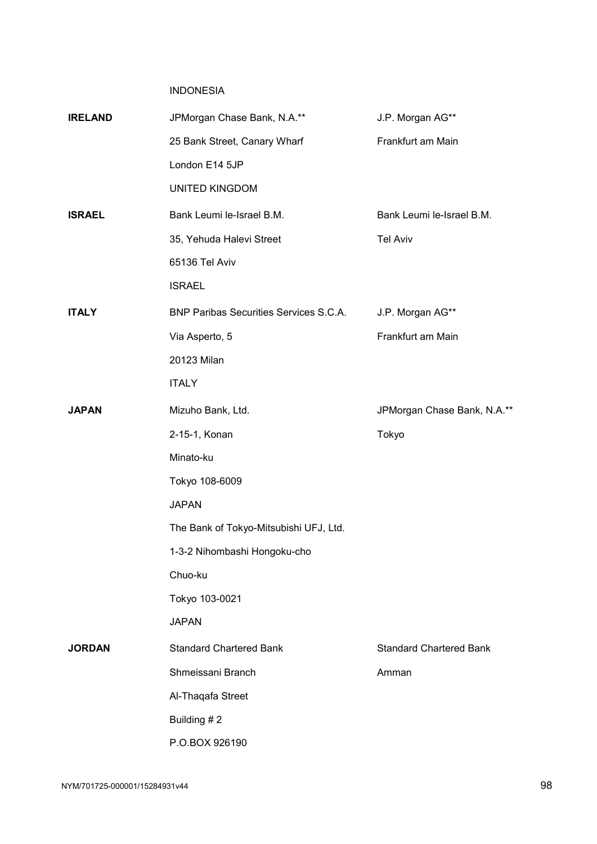INDONESIA

| <b>IRELAND</b> | JPMorgan Chase Bank, N.A.**                   | J.P. Morgan AG**               |
|----------------|-----------------------------------------------|--------------------------------|
|                | 25 Bank Street, Canary Wharf                  | Frankfurt am Main              |
|                | London E14 5JP                                |                                |
|                | <b>UNITED KINGDOM</b>                         |                                |
| <b>ISRAEL</b>  | Bank Leumi le-Israel B.M.                     | Bank Leumi le-Israel B.M.      |
|                | 35, Yehuda Halevi Street                      | <b>Tel Aviv</b>                |
|                | 65136 Tel Aviv                                |                                |
|                | <b>ISRAEL</b>                                 |                                |
| <b>ITALY</b>   | <b>BNP Paribas Securities Services S.C.A.</b> | J.P. Morgan AG**               |
|                | Via Asperto, 5                                | Frankfurt am Main              |
|                | 20123 Milan                                   |                                |
|                | <b>ITALY</b>                                  |                                |
| <b>JAPAN</b>   | Mizuho Bank, Ltd.                             | JPMorgan Chase Bank, N.A.**    |
|                | 2-15-1, Konan                                 | Tokyo                          |
|                | Minato-ku                                     |                                |
|                | Tokyo 108-6009                                |                                |
|                | <b>JAPAN</b>                                  |                                |
|                | The Bank of Tokyo-Mitsubishi UFJ, Ltd.        |                                |
|                | 1-3-2 Nihombashi Hongoku-cho                  |                                |
|                | Chuo-ku                                       |                                |
|                | Tokyo 103-0021                                |                                |
|                | <b>JAPAN</b>                                  |                                |
| <b>JORDAN</b>  | <b>Standard Chartered Bank</b>                | <b>Standard Chartered Bank</b> |
|                | Shmeissani Branch                             | Amman                          |
|                | Al-Thaqafa Street                             |                                |
|                | Building #2                                   |                                |
|                | P.O.BOX 926190                                |                                |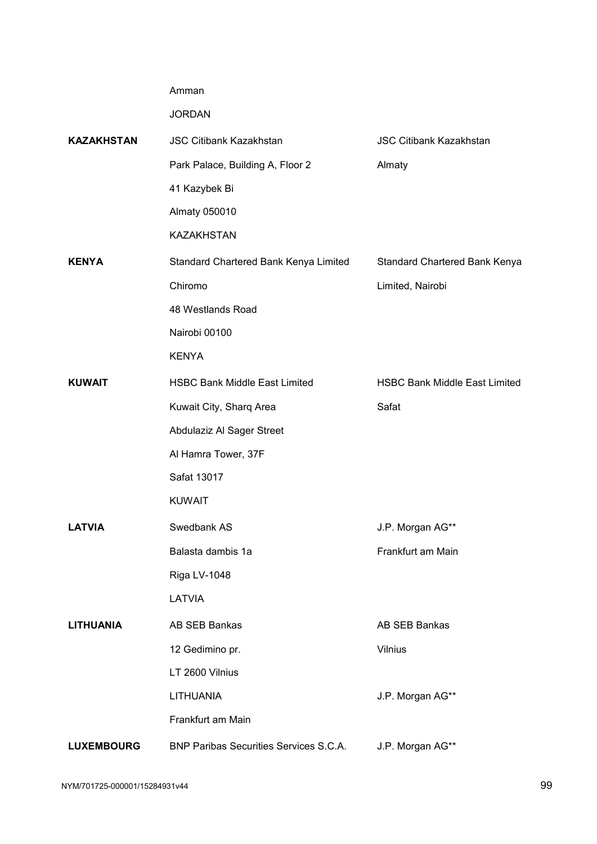Amman

JORDAN

| <b>KAZAKHSTAN</b> | <b>JSC Citibank Kazakhstan</b>                | <b>JSC Citibank Kazakhstan</b>       |
|-------------------|-----------------------------------------------|--------------------------------------|
|                   | Park Palace, Building A, Floor 2              | Almaty                               |
|                   | 41 Kazybek Bi                                 |                                      |
|                   | Almaty 050010                                 |                                      |
|                   | <b>KAZAKHSTAN</b>                             |                                      |
| <b>KENYA</b>      | Standard Chartered Bank Kenya Limited         | Standard Chartered Bank Kenya        |
|                   | Chiromo                                       | Limited, Nairobi                     |
|                   | 48 Westlands Road                             |                                      |
|                   | Nairobi 00100                                 |                                      |
|                   | <b>KENYA</b>                                  |                                      |
| <b>KUWAIT</b>     | <b>HSBC Bank Middle East Limited</b>          | <b>HSBC Bank Middle East Limited</b> |
|                   | Kuwait City, Sharq Area                       | Safat                                |
|                   | Abdulaziz Al Sager Street                     |                                      |
|                   | Al Hamra Tower, 37F                           |                                      |
|                   | Safat 13017                                   |                                      |
|                   | <b>KUWAIT</b>                                 |                                      |
| <b>LATVIA</b>     | Swedbank AS                                   | J.P. Morgan AG**                     |
|                   | Balasta dambis 1a                             | Frankfurt am Main                    |
|                   | <b>Riga LV-1048</b>                           |                                      |
|                   | LATVIA                                        |                                      |
| <b>LITHUANIA</b>  | AB SEB Bankas                                 | AB SEB Bankas                        |
|                   | 12 Gedimino pr.                               | <b>Vilnius</b>                       |
|                   | LT 2600 Vilnius                               |                                      |
|                   | <b>LITHUANIA</b>                              | J.P. Morgan AG**                     |
|                   | Frankfurt am Main                             |                                      |
| <b>LUXEMBOURG</b> | <b>BNP Paribas Securities Services S.C.A.</b> | J.P. Morgan AG**                     |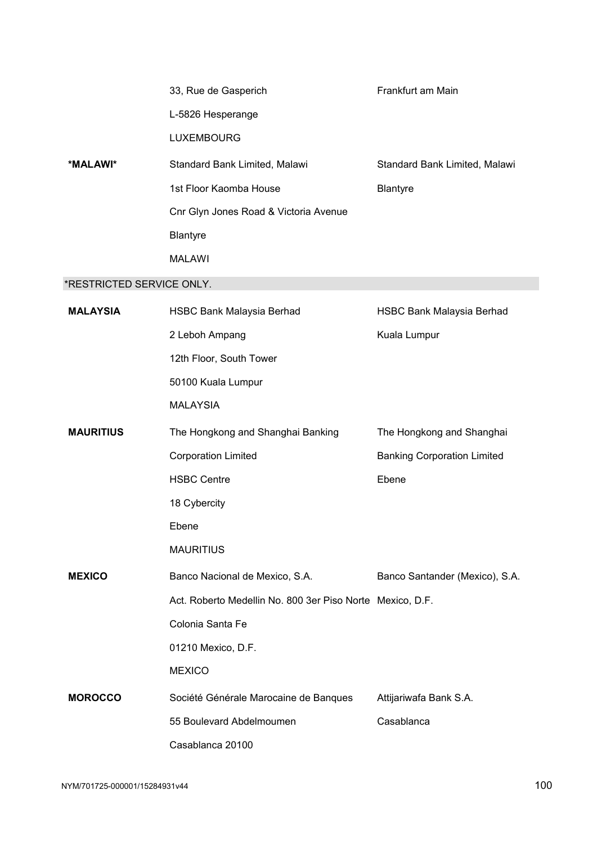|                           | 33, Rue de Gasperich                                      | Frankfurt am Main                  |
|---------------------------|-----------------------------------------------------------|------------------------------------|
|                           | L-5826 Hesperange                                         |                                    |
|                           | <b>LUXEMBOURG</b>                                         |                                    |
| *MALAWI*                  | Standard Bank Limited, Malawi                             | Standard Bank Limited, Malawi      |
|                           | 1st Floor Kaomba House                                    | <b>Blantyre</b>                    |
|                           | Cnr Glyn Jones Road & Victoria Avenue                     |                                    |
|                           | <b>Blantyre</b>                                           |                                    |
|                           | <b>MALAWI</b>                                             |                                    |
| *RESTRICTED SERVICE ONLY. |                                                           |                                    |
| <b>MALAYSIA</b>           | HSBC Bank Malaysia Berhad                                 | HSBC Bank Malaysia Berhad          |
|                           | 2 Leboh Ampang                                            | Kuala Lumpur                       |
|                           | 12th Floor, South Tower                                   |                                    |
|                           | 50100 Kuala Lumpur                                        |                                    |
|                           | <b>MALAYSIA</b>                                           |                                    |
| <b>MAURITIUS</b>          | The Hongkong and Shanghai Banking                         | The Hongkong and Shanghai          |
|                           | <b>Corporation Limited</b>                                | <b>Banking Corporation Limited</b> |
|                           | <b>HSBC Centre</b>                                        | Ebene                              |
|                           | 18 Cybercity                                              |                                    |
|                           | Ebene                                                     |                                    |
|                           | <b>MAURITIUS</b>                                          |                                    |
| <b>MEXICO</b>             | Banco Nacional de Mexico, S.A.                            | Banco Santander (Mexico), S.A.     |
|                           | Act. Roberto Medellin No. 800 3er Piso Norte Mexico, D.F. |                                    |
|                           | Colonia Santa Fe                                          |                                    |
|                           | 01210 Mexico, D.F.                                        |                                    |
|                           | <b>MEXICO</b>                                             |                                    |
| <b>MOROCCO</b>            | Société Générale Marocaine de Banques                     | Attijariwafa Bank S.A.             |
|                           | 55 Boulevard Abdelmoumen                                  | Casablanca                         |
|                           | Casablanca 20100                                          |                                    |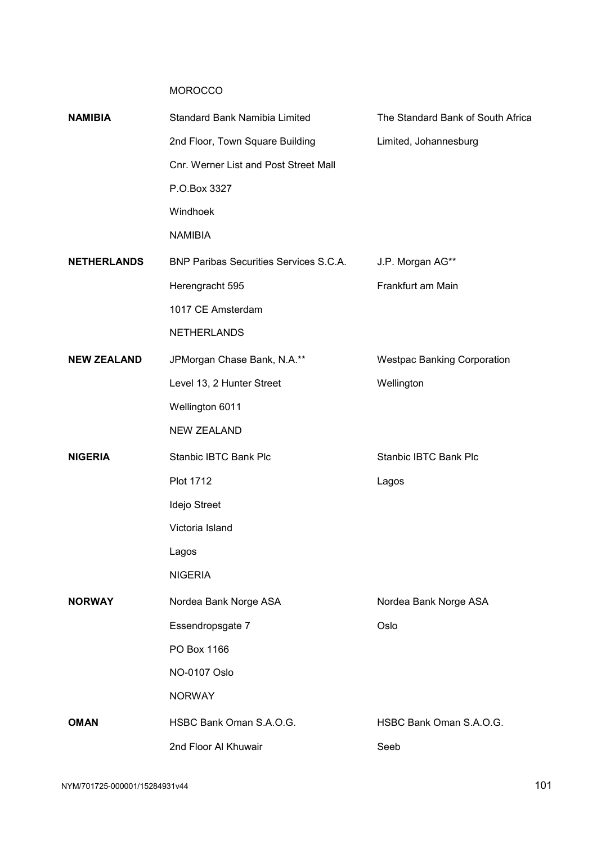MOROCCO

| <b>NAMIBIA</b>     | Standard Bank Namibia Limited                 | The Standard Bank of South Africa  |
|--------------------|-----------------------------------------------|------------------------------------|
|                    | 2nd Floor, Town Square Building               | Limited, Johannesburg              |
|                    | Cnr. Werner List and Post Street Mall         |                                    |
|                    | P.O.Box 3327                                  |                                    |
|                    | Windhoek                                      |                                    |
|                    | <b>NAMIBIA</b>                                |                                    |
| <b>NETHERLANDS</b> | <b>BNP Paribas Securities Services S.C.A.</b> | J.P. Morgan AG**                   |
|                    | Herengracht 595                               | Frankfurt am Main                  |
|                    | 1017 CE Amsterdam                             |                                    |
|                    | <b>NETHERLANDS</b>                            |                                    |
| <b>NEW ZEALAND</b> | JPMorgan Chase Bank, N.A.**                   | <b>Westpac Banking Corporation</b> |
|                    | Level 13, 2 Hunter Street                     | Wellington                         |
|                    | Wellington 6011                               |                                    |
|                    | <b>NEW ZEALAND</b>                            |                                    |
| <b>NIGERIA</b>     | <b>Stanbic IBTC Bank Plc</b>                  | Stanbic IBTC Bank Plc              |
|                    | <b>Plot 1712</b>                              | Lagos                              |
|                    | Idejo Street                                  |                                    |
|                    | Victoria Island                               |                                    |
|                    | Lagos                                         |                                    |
|                    | <b>NIGERIA</b>                                |                                    |
| <b>NORWAY</b>      | Nordea Bank Norge ASA                         | Nordea Bank Norge ASA              |
|                    | Essendropsgate 7                              | Oslo                               |
|                    | PO Box 1166                                   |                                    |
|                    | NO-0107 Oslo                                  |                                    |
|                    | <b>NORWAY</b>                                 |                                    |
| <b>OMAN</b>        | HSBC Bank Oman S.A.O.G.                       | HSBC Bank Oman S.A.O.G.            |
|                    | 2nd Floor Al Khuwair                          | Seeb                               |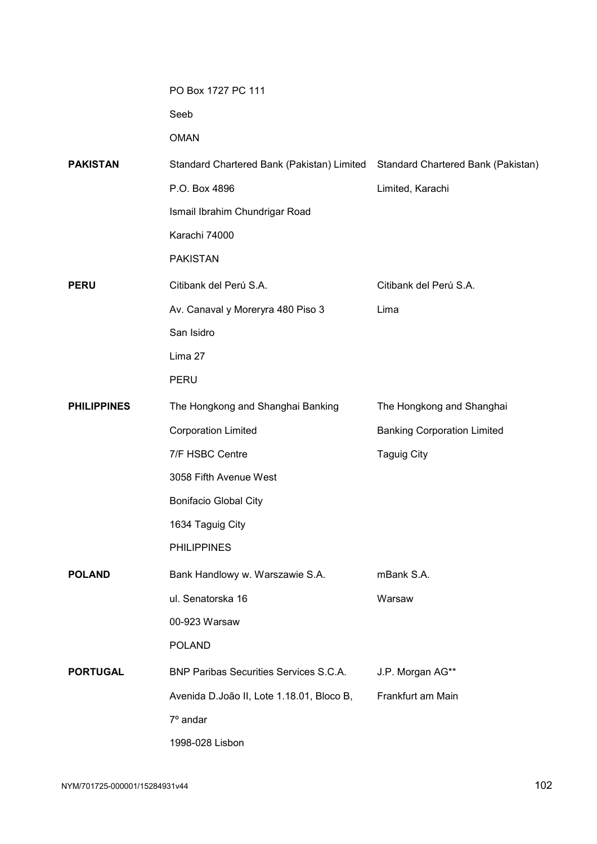|                    | PO Box 1727 PC 111                                                            |                                    |
|--------------------|-------------------------------------------------------------------------------|------------------------------------|
|                    | Seeb                                                                          |                                    |
|                    | <b>OMAN</b>                                                                   |                                    |
| <b>PAKISTAN</b>    | Standard Chartered Bank (Pakistan) Limited Standard Chartered Bank (Pakistan) |                                    |
|                    | P.O. Box 4896                                                                 | Limited, Karachi                   |
|                    | Ismail Ibrahim Chundrigar Road                                                |                                    |
|                    | Karachi 74000                                                                 |                                    |
|                    | <b>PAKISTAN</b>                                                               |                                    |
| <b>PERU</b>        | Citibank del Perú S.A.                                                        | Citibank del Perú S.A.             |
|                    | Av. Canaval y Moreryra 480 Piso 3                                             | Lima                               |
|                    | San Isidro                                                                    |                                    |
|                    | Lima 27                                                                       |                                    |
|                    | PERU                                                                          |                                    |
| <b>PHILIPPINES</b> | The Hongkong and Shanghai Banking                                             | The Hongkong and Shanghai          |
|                    | <b>Corporation Limited</b>                                                    | <b>Banking Corporation Limited</b> |
|                    | 7/F HSBC Centre                                                               | <b>Taguig City</b>                 |
|                    | 3058 Fifth Avenue West                                                        |                                    |
|                    | <b>Bonifacio Global City</b>                                                  |                                    |
|                    | 1634 Taguig City                                                              |                                    |
|                    | <b>PHILIPPINES</b>                                                            |                                    |
| <b>POLAND</b>      | Bank Handlowy w. Warszawie S.A.                                               | mBank S.A.                         |
|                    | ul. Senatorska 16                                                             | Warsaw                             |
|                    | 00-923 Warsaw                                                                 |                                    |
|                    | <b>POLAND</b>                                                                 |                                    |
| <b>PORTUGAL</b>    | <b>BNP Paribas Securities Services S.C.A.</b>                                 | J.P. Morgan AG**                   |
|                    | Avenida D.João II, Lote 1.18.01, Bloco B,                                     | Frankfurt am Main                  |
|                    | 7º andar                                                                      |                                    |
|                    | 1998-028 Lisbon                                                               |                                    |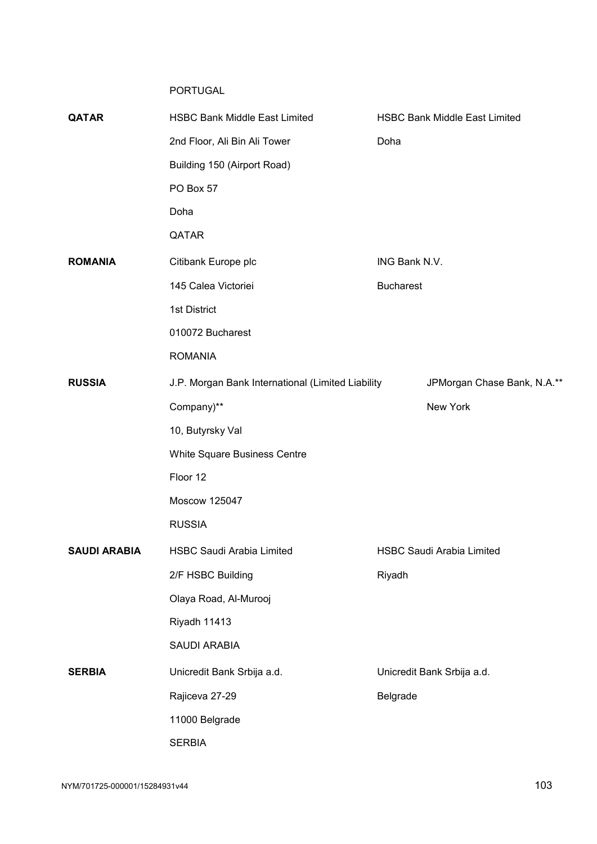PORTUGAL

| QATAR               | <b>HSBC Bank Middle East Limited</b>              | <b>HSBC Bank Middle East Limited</b> |  |
|---------------------|---------------------------------------------------|--------------------------------------|--|
|                     | 2nd Floor, Ali Bin Ali Tower                      | Doha                                 |  |
|                     | Building 150 (Airport Road)                       |                                      |  |
|                     | PO Box 57                                         |                                      |  |
|                     | Doha                                              |                                      |  |
|                     | QATAR                                             |                                      |  |
| <b>ROMANIA</b>      | Citibank Europe plc                               | ING Bank N.V.                        |  |
|                     | 145 Calea Victoriei                               | <b>Bucharest</b>                     |  |
|                     | 1st District                                      |                                      |  |
|                     | 010072 Bucharest                                  |                                      |  |
|                     | <b>ROMANIA</b>                                    |                                      |  |
| <b>RUSSIA</b>       | J.P. Morgan Bank International (Limited Liability | JPMorgan Chase Bank, N.A.**          |  |
|                     | Company)**                                        | New York                             |  |
|                     | 10, Butyrsky Val                                  |                                      |  |
|                     | White Square Business Centre                      |                                      |  |
|                     | Floor 12                                          |                                      |  |
|                     | Moscow 125047                                     |                                      |  |
|                     | <b>RUSSIA</b>                                     |                                      |  |
| <b>SAUDI ARABIA</b> | <b>HSBC Saudi Arabia Limited</b>                  | <b>HSBC Saudi Arabia Limited</b>     |  |
|                     | 2/F HSBC Building                                 | Riyadh                               |  |
|                     | Olaya Road, Al-Murooj                             |                                      |  |
|                     | Riyadh 11413                                      |                                      |  |
|                     | SAUDI ARABIA                                      |                                      |  |
| <b>SERBIA</b>       | Unicredit Bank Srbija a.d.                        | Unicredit Bank Srbija a.d.           |  |
|                     | Rajiceva 27-29                                    | Belgrade                             |  |
|                     | 11000 Belgrade                                    |                                      |  |
|                     | <b>SERBIA</b>                                     |                                      |  |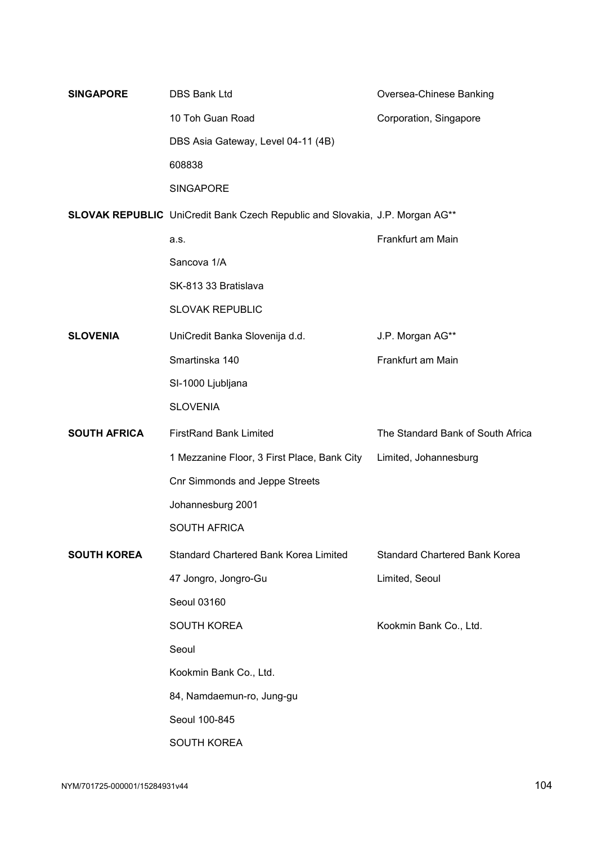| <b>SINGAPORE</b>    | <b>DBS Bank Ltd</b>                                                          | Oversea-Chinese Banking              |
|---------------------|------------------------------------------------------------------------------|--------------------------------------|
|                     | 10 Toh Guan Road                                                             | Corporation, Singapore               |
|                     | DBS Asia Gateway, Level 04-11 (4B)                                           |                                      |
|                     | 608838                                                                       |                                      |
|                     | <b>SINGAPORE</b>                                                             |                                      |
|                     | SLOVAK REPUBLIC UniCredit Bank Czech Republic and Slovakia, J.P. Morgan AG** |                                      |
|                     | a.s.                                                                         | Frankfurt am Main                    |
|                     | Sancova 1/A                                                                  |                                      |
|                     | SK-813 33 Bratislava                                                         |                                      |
|                     | <b>SLOVAK REPUBLIC</b>                                                       |                                      |
| <b>SLOVENIA</b>     | UniCredit Banka Slovenija d.d.                                               | J.P. Morgan AG**                     |
|                     | Smartinska 140                                                               | Frankfurt am Main                    |
|                     | SI-1000 Ljubljana                                                            |                                      |
|                     | <b>SLOVENIA</b>                                                              |                                      |
| <b>SOUTH AFRICA</b> | <b>FirstRand Bank Limited</b>                                                | The Standard Bank of South Africa    |
|                     | 1 Mezzanine Floor, 3 First Place, Bank City                                  | Limited, Johannesburg                |
|                     | <b>Cnr Simmonds and Jeppe Streets</b>                                        |                                      |
|                     | Johannesburg 2001                                                            |                                      |
|                     | <b>SOUTH AFRICA</b>                                                          |                                      |
| <b>SOUTH KOREA</b>  | Standard Chartered Bank Korea Limited                                        | <b>Standard Chartered Bank Korea</b> |
|                     | 47 Jongro, Jongro-Gu                                                         | Limited, Seoul                       |
|                     | Seoul 03160                                                                  |                                      |
|                     | <b>SOUTH KOREA</b>                                                           | Kookmin Bank Co., Ltd.               |
|                     | Seoul                                                                        |                                      |
|                     | Kookmin Bank Co., Ltd.                                                       |                                      |
|                     | 84, Namdaemun-ro, Jung-gu                                                    |                                      |
|                     | Seoul 100-845                                                                |                                      |
|                     | SOUTH KOREA                                                                  |                                      |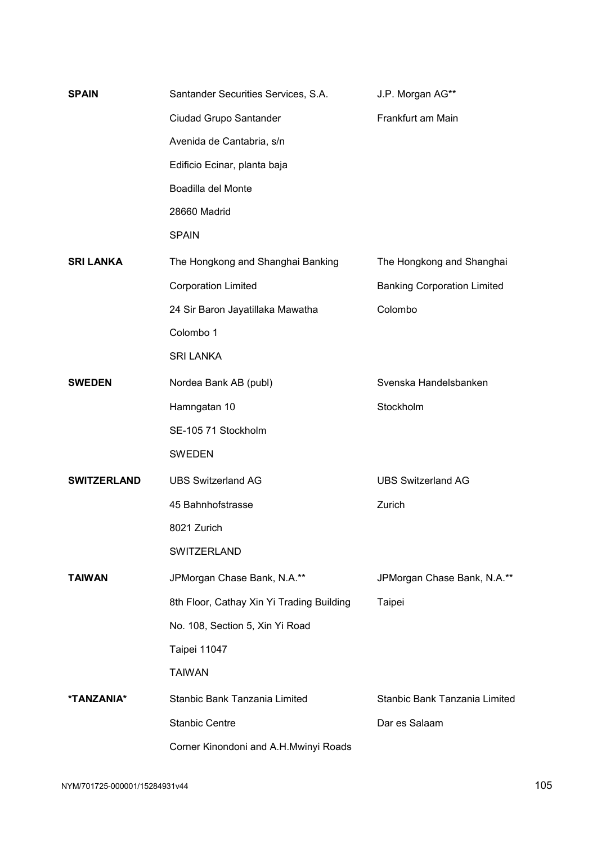| <b>SPAIN</b>       | Santander Securities Services, S.A.       | J.P. Morgan AG**                   |
|--------------------|-------------------------------------------|------------------------------------|
|                    | Ciudad Grupo Santander                    | Frankfurt am Main                  |
|                    | Avenida de Cantabria, s/n                 |                                    |
|                    | Edificio Ecinar, planta baja              |                                    |
|                    | Boadilla del Monte                        |                                    |
|                    | 28660 Madrid                              |                                    |
|                    | <b>SPAIN</b>                              |                                    |
| <b>SRI LANKA</b>   | The Hongkong and Shanghai Banking         | The Hongkong and Shanghai          |
|                    | <b>Corporation Limited</b>                | <b>Banking Corporation Limited</b> |
|                    | 24 Sir Baron Jayatillaka Mawatha          | Colombo                            |
|                    | Colombo 1                                 |                                    |
|                    | <b>SRI LANKA</b>                          |                                    |
| <b>SWEDEN</b>      | Nordea Bank AB (publ)                     | Svenska Handelsbanken              |
|                    | Hamngatan 10                              | Stockholm                          |
|                    | SE-105 71 Stockholm                       |                                    |
|                    | <b>SWEDEN</b>                             |                                    |
| <b>SWITZERLAND</b> | <b>UBS Switzerland AG</b>                 | <b>UBS Switzerland AG</b>          |
|                    | 45 Bahnhofstrasse                         | Zurich                             |
|                    | 8021 Zurich                               |                                    |
|                    | <b>SWITZERLAND</b>                        |                                    |
| <b>TAIWAN</b>      | JPMorgan Chase Bank, N.A.**               | JPMorgan Chase Bank, N.A.**        |
|                    | 8th Floor, Cathay Xin Yi Trading Building | Taipei                             |
|                    | No. 108, Section 5, Xin Yi Road           |                                    |
|                    | Taipei 11047                              |                                    |
|                    | <b>TAIWAN</b>                             |                                    |
| *TANZANIA*         | Stanbic Bank Tanzania Limited             | Stanbic Bank Tanzania Limited      |
|                    | <b>Stanbic Centre</b>                     | Dar es Salaam                      |
|                    | Corner Kinondoni and A.H.Mwinyi Roads     |                                    |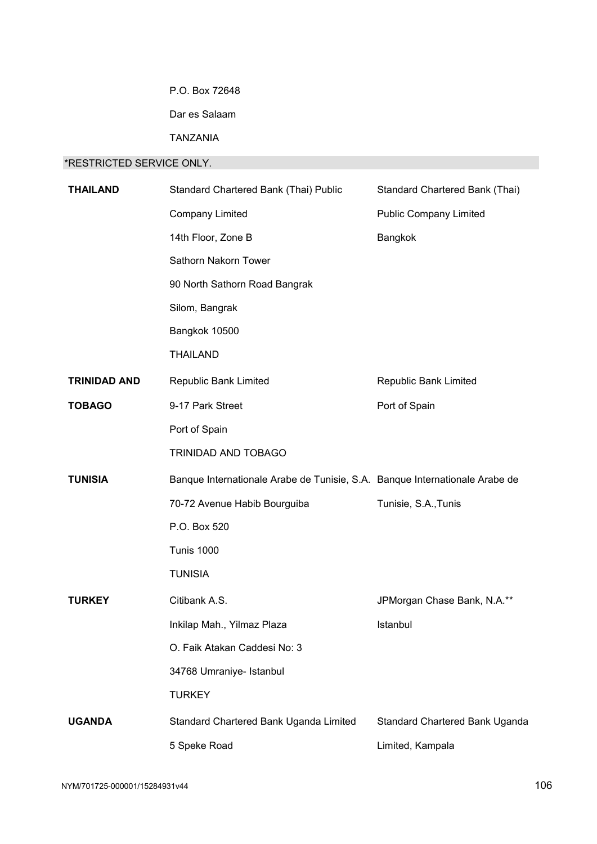P.O. Box 72648

Dar es Salaam

TANZANIA

# \*RESTRICTED SERVICE ONLY.

| <b>THAILAND</b>     | Standard Chartered Bank (Thai) Public                                       | Standard Chartered Bank (Thai) |
|---------------------|-----------------------------------------------------------------------------|--------------------------------|
|                     | <b>Company Limited</b>                                                      | <b>Public Company Limited</b>  |
|                     | 14th Floor, Zone B                                                          | Bangkok                        |
|                     | Sathorn Nakorn Tower                                                        |                                |
|                     | 90 North Sathorn Road Bangrak                                               |                                |
|                     | Silom, Bangrak                                                              |                                |
|                     | Bangkok 10500                                                               |                                |
|                     | <b>THAILAND</b>                                                             |                                |
| <b>TRINIDAD AND</b> | Republic Bank Limited                                                       | Republic Bank Limited          |
| <b>TOBAGO</b>       | 9-17 Park Street                                                            | Port of Spain                  |
|                     | Port of Spain                                                               |                                |
|                     | TRINIDAD AND TOBAGO                                                         |                                |
| <b>TUNISIA</b>      | Banque Internationale Arabe de Tunisie, S.A. Banque Internationale Arabe de |                                |
|                     | 70-72 Avenue Habib Bourguiba                                                | Tunisie, S.A., Tunis           |
|                     | P.O. Box 520                                                                |                                |
|                     | <b>Tunis 1000</b>                                                           |                                |
|                     | <b>TUNISIA</b>                                                              |                                |
| <b>TURKEY</b>       | Citibank A.S.                                                               | JPMorgan Chase Bank, N.A.**    |
|                     | Inkilap Mah., Yilmaz Plaza                                                  | Istanbul                       |
|                     | O. Faik Atakan Caddesi No: 3                                                |                                |
|                     | 34768 Umraniye- Istanbul                                                    |                                |
|                     | <b>TURKEY</b>                                                               |                                |
| <b>UGANDA</b>       | Standard Chartered Bank Uganda Limited                                      | Standard Chartered Bank Uganda |
|                     | 5 Speke Road                                                                | Limited, Kampala               |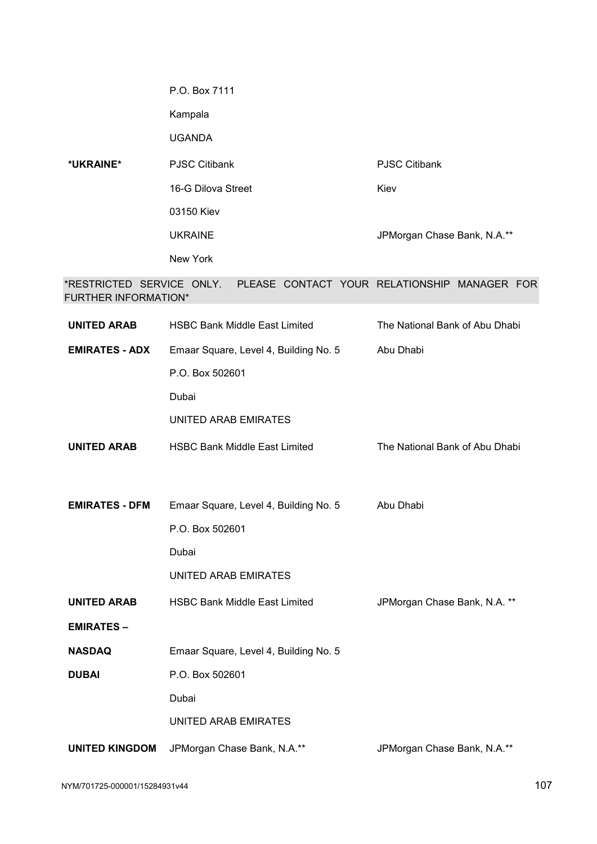P.O. Box 7111 Kampala UGANDA **\*UKRAINE\*** PJSC Citibank PJSC Citibank 16-G Dilova Street Kiev 03150 Kiev UKRAINE UKRAINE JPMorgan Chase Bank, N.A.\*\* New York

\*RESTRICTED SERVICE ONLY. PLEASE CONTACT YOUR RELATIONSHIP MANAGER FOR FURTHER INFORMATION\*

| <b>UNITED ARAB</b>    | <b>HSBC Bank Middle East Limited</b>  | The National Bank of Abu Dhabi |
|-----------------------|---------------------------------------|--------------------------------|
| <b>EMIRATES - ADX</b> | Emaar Square, Level 4, Building No. 5 | Abu Dhabi                      |
|                       | P.O. Box 502601                       |                                |
|                       | Dubai                                 |                                |
|                       | UNITED ARAB EMIRATES                  |                                |
| <b>UNITED ARAB</b>    | HSBC Bank Middle East Limited         | The National Bank of Abu Dhabi |
|                       |                                       |                                |
| <b>EMIRATES - DFM</b> | Emaar Square, Level 4, Building No. 5 | Abu Dhabi                      |
|                       | P.O. Box 502601                       |                                |
|                       | Dubai                                 |                                |
|                       | UNITED ARAB EMIRATES                  |                                |
| <b>UNITED ARAB</b>    | <b>HSBC Bank Middle East Limited</b>  | JPMorgan Chase Bank, N.A. **   |
| <b>EMIRATES -</b>     |                                       |                                |
| <b>NASDAQ</b>         | Emaar Square, Level 4, Building No. 5 |                                |
| <b>DUBAI</b>          | P.O. Box 502601                       |                                |
|                       | Dubai                                 |                                |
|                       | UNITED ARAB EMIRATES                  |                                |
| <b>UNITED KINGDOM</b> | JPMorgan Chase Bank, N.A.**           | JPMorgan Chase Bank, N.A.**    |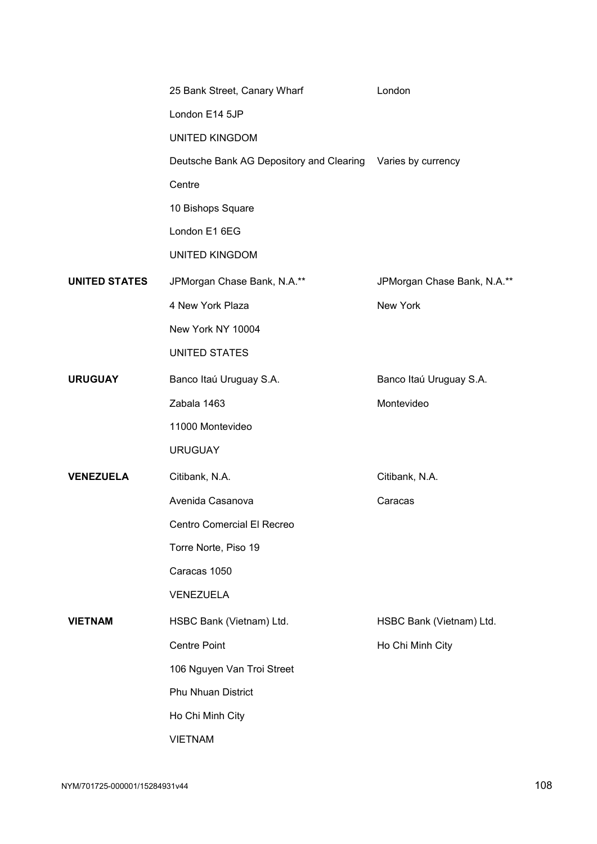|                      | 25 Bank Street, Canary Wharf                                | London                      |
|----------------------|-------------------------------------------------------------|-----------------------------|
|                      | London E14 5JP                                              |                             |
|                      | <b>UNITED KINGDOM</b>                                       |                             |
|                      | Deutsche Bank AG Depository and Clearing Varies by currency |                             |
|                      | Centre                                                      |                             |
|                      | 10 Bishops Square                                           |                             |
|                      | London E1 6EG                                               |                             |
|                      | <b>UNITED KINGDOM</b>                                       |                             |
| <b>UNITED STATES</b> | JPMorgan Chase Bank, N.A.**                                 | JPMorgan Chase Bank, N.A.** |
|                      | 4 New York Plaza                                            | New York                    |
|                      | New York NY 10004                                           |                             |
|                      | <b>UNITED STATES</b>                                        |                             |
| <b>URUGUAY</b>       | Banco Itaú Uruguay S.A.                                     | Banco Itaú Uruguay S.A.     |
|                      | Zabala 1463                                                 | Montevideo                  |
|                      | 11000 Montevideo                                            |                             |
|                      | <b>URUGUAY</b>                                              |                             |
| <b>VENEZUELA</b>     | Citibank, N.A.                                              | Citibank, N.A.              |
|                      | Avenida Casanova                                            | Caracas                     |
|                      | Centro Comercial El Recreo                                  |                             |
|                      | Torre Norte, Piso 19                                        |                             |
|                      | Caracas 1050                                                |                             |
|                      | <b>VENEZUELA</b>                                            |                             |
| <b>VIETNAM</b>       | HSBC Bank (Vietnam) Ltd.                                    | HSBC Bank (Vietnam) Ltd.    |
|                      | <b>Centre Point</b>                                         | Ho Chi Minh City            |
|                      | 106 Nguyen Van Troi Street                                  |                             |
|                      | Phu Nhuan District                                          |                             |
|                      | Ho Chi Minh City                                            |                             |
|                      | <b>VIETNAM</b>                                              |                             |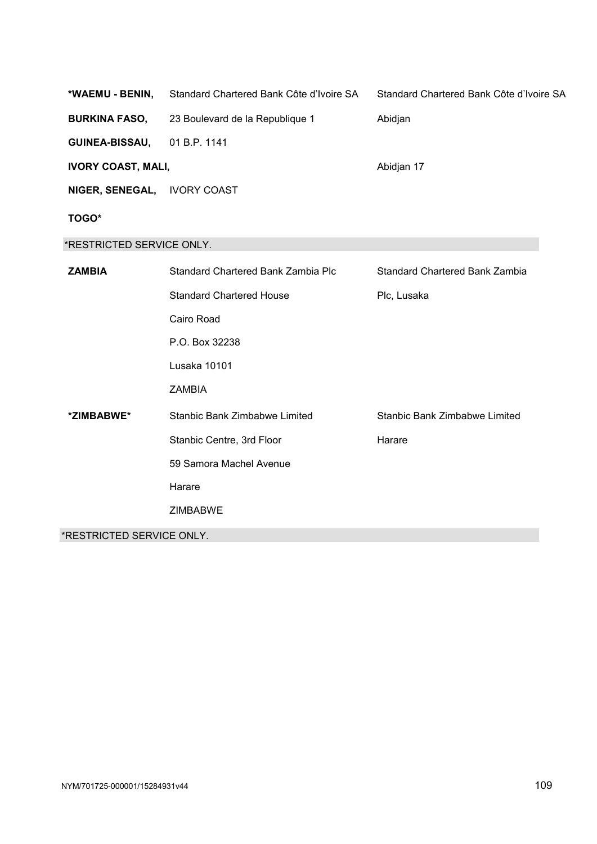| *WAEMU - BENIN,           | Standard Chartered Bank Côte d'Ivoire SA | Standard Chartered Bank Côte d'Ivoire SA |  |  |
|---------------------------|------------------------------------------|------------------------------------------|--|--|
| <b>BURKINA FASO,</b>      | 23 Boulevard de la Republique 1          | Abidjan                                  |  |  |
| GUINEA-BISSAU,            | 01 B.P. 1141                             |                                          |  |  |
| <b>IVORY COAST, MALI,</b> |                                          | Abidjan 17                               |  |  |
| NIGER, SENEGAL,           | <b>IVORY COAST</b>                       |                                          |  |  |
| TOGO*                     |                                          |                                          |  |  |
| *RESTRICTED SERVICE ONLY. |                                          |                                          |  |  |
| <b>ZAMBIA</b>             | Standard Chartered Bank Zambia Plc       | <b>Standard Chartered Bank Zambia</b>    |  |  |
|                           | <b>Standard Chartered House</b>          | Plc, Lusaka                              |  |  |
|                           | Cairo Road                               |                                          |  |  |
|                           | P.O. Box 32238                           |                                          |  |  |
|                           | Lusaka 10101                             |                                          |  |  |
|                           | <b>ZAMBIA</b>                            |                                          |  |  |
| *ZIMBABWE*                | Stanbic Bank Zimbabwe Limited            | Stanbic Bank Zimbabwe Limited            |  |  |
|                           | Stanbic Centre, 3rd Floor                | Harare                                   |  |  |
|                           | 59 Samora Machel Avenue                  |                                          |  |  |
|                           | Harare                                   |                                          |  |  |
|                           | ZIMBABWE                                 |                                          |  |  |
| *RESTRICTED SERVICE ONLY. |                                          |                                          |  |  |